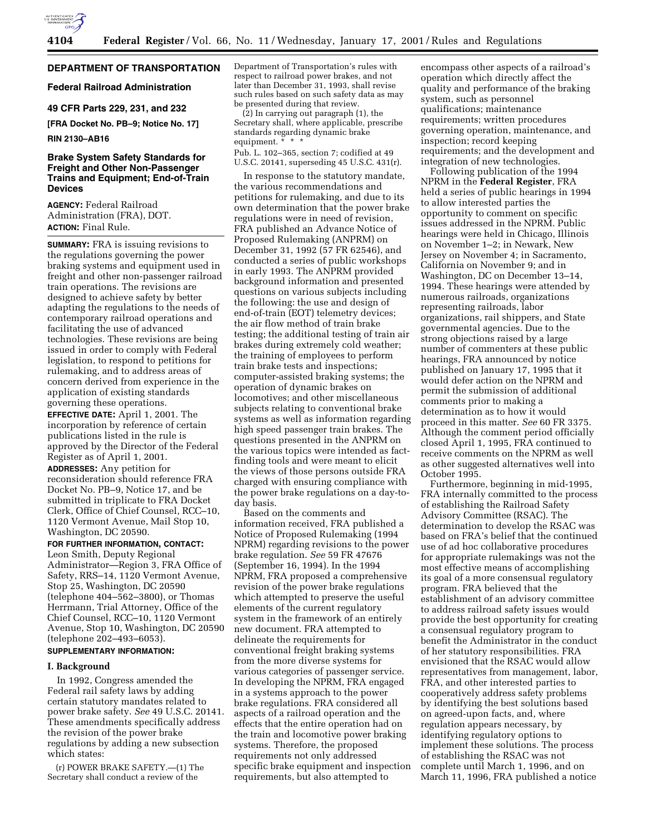

### **DEPARTMENT OF TRANSPORTATION**

### **Federal Railroad Administration**

### **49 CFR Parts 229, 231, and 232**

**[FRA Docket No. PB–9; Notice No. 17]**

#### **RIN 2130–AB16**

### **Brake System Safety Standards for Freight and Other Non-Passenger Trains and Equipment; End-of-Train Devices**

**AGENCY:** Federal Railroad Administration (FRA), DOT. **ACTION:** Final Rule.

**SUMMARY:** FRA is issuing revisions to the regulations governing the power braking systems and equipment used in freight and other non-passenger railroad train operations. The revisions are designed to achieve safety by better adapting the regulations to the needs of contemporary railroad operations and facilitating the use of advanced technologies. These revisions are being issued in order to comply with Federal legislation, to respond to petitions for rulemaking, and to address areas of concern derived from experience in the application of existing standards governing these operations.

**EFFECTIVE DATE:** April 1, 2001. The incorporation by reference of certain publications listed in the rule is approved by the Director of the Federal Register as of April 1, 2001.

**ADDRESSES:** Any petition for reconsideration should reference FRA Docket No. PB–9, Notice 17, and be submitted in triplicate to FRA Docket Clerk, Office of Chief Counsel, RCC–10, 1120 Vermont Avenue, Mail Stop 10, Washington, DC 20590.

**FOR FURTHER INFORMATION, CONTACT:** Leon Smith, Deputy Regional

Administrator—Region 3, FRA Office of Safety, RRS–14, 1120 Vermont Avenue, Stop 25, Washington, DC 20590 (telephone 404–562–3800), or Thomas Herrmann, Trial Attorney, Office of the Chief Counsel, RCC–10, 1120 Vermont Avenue, Stop 10, Washington, DC 20590 (telephone 202–493–6053).

# **SUPPLEMENTARY INFORMATION:**

### **I. Background**

In 1992, Congress amended the Federal rail safety laws by adding certain statutory mandates related to power brake safety. *See* 49 U.S.C. 20141. These amendments specifically address the revision of the power brake regulations by adding a new subsection which states:

(r) POWER BRAKE SAFETY.—(1) The Secretary shall conduct a review of the

Department of Transportation's rules with respect to railroad power brakes, and not later than December 31, 1993, shall revise such rules based on such safety data as may be presented during that review.

(2) In carrying out paragraph (1), the Secretary shall, where applicable, prescribe standards regarding dynamic brake equipment. \* \* \*

Pub. L. 102–365, section 7; codified at 49 U.S.C. 20141, superseding 45 U.S.C. 431(r).

In response to the statutory mandate, the various recommendations and petitions for rulemaking, and due to its own determination that the power brake regulations were in need of revision, FRA published an Advance Notice of Proposed Rulemaking (ANPRM) on December 31, 1992 (57 FR 62546), and conducted a series of public workshops in early 1993. The ANPRM provided background information and presented questions on various subjects including the following: the use and design of end-of-train (EOT) telemetry devices; the air flow method of train brake testing; the additional testing of train air brakes during extremely cold weather; the training of employees to perform train brake tests and inspections; computer-assisted braking systems; the operation of dynamic brakes on locomotives; and other miscellaneous subjects relating to conventional brake systems as well as information regarding high speed passenger train brakes. The questions presented in the ANPRM on the various topics were intended as factfinding tools and were meant to elicit the views of those persons outside FRA charged with ensuring compliance with the power brake regulations on a day-today basis.

Based on the comments and information received, FRA published a Notice of Proposed Rulemaking (1994 NPRM) regarding revisions to the power brake regulation. *See* 59 FR 47676 (September 16, 1994). In the 1994 NPRM, FRA proposed a comprehensive revision of the power brake regulations which attempted to preserve the useful elements of the current regulatory system in the framework of an entirely new document. FRA attempted to delineate the requirements for conventional freight braking systems from the more diverse systems for various categories of passenger service. In developing the NPRM, FRA engaged in a systems approach to the power brake regulations. FRA considered all aspects of a railroad operation and the effects that the entire operation had on the train and locomotive power braking systems. Therefore, the proposed requirements not only addressed specific brake equipment and inspection requirements, but also attempted to

encompass other aspects of a railroad's operation which directly affect the quality and performance of the braking system, such as personnel qualifications; maintenance requirements; written procedures governing operation, maintenance, and inspection; record keeping requirements; and the development and integration of new technologies.

Following publication of the 1994 NPRM in the **Federal Register**, FRA held a series of public hearings in 1994 to allow interested parties the opportunity to comment on specific issues addressed in the NPRM. Public hearings were held in Chicago, Illinois on November 1–2; in Newark, New Jersey on November 4; in Sacramento, California on November 9; and in Washington, DC on December 13–14, 1994. These hearings were attended by numerous railroads, organizations representing railroads, labor organizations, rail shippers, and State governmental agencies. Due to the strong objections raised by a large number of commenters at these public hearings, FRA announced by notice published on January 17, 1995 that it would defer action on the NPRM and permit the submission of additional comments prior to making a determination as to how it would proceed in this matter. *See* 60 FR 3375. Although the comment period officially closed April 1, 1995, FRA continued to receive comments on the NPRM as well as other suggested alternatives well into October 1995.

Furthermore, beginning in mid-1995, FRA internally committed to the process of establishing the Railroad Safety Advisory Committee (RSAC). The determination to develop the RSAC was based on FRA's belief that the continued use of ad hoc collaborative procedures for appropriate rulemakings was not the most effective means of accomplishing its goal of a more consensual regulatory program. FRA believed that the establishment of an advisory committee to address railroad safety issues would provide the best opportunity for creating a consensual regulatory program to benefit the Administrator in the conduct of her statutory responsibilities. FRA envisioned that the RSAC would allow representatives from management, labor, FRA, and other interested parties to cooperatively address safety problems by identifying the best solutions based on agreed-upon facts, and, where regulation appears necessary, by identifying regulatory options to implement these solutions. The process of establishing the RSAC was not complete until March 1, 1996, and on March 11, 1996, FRA published a notice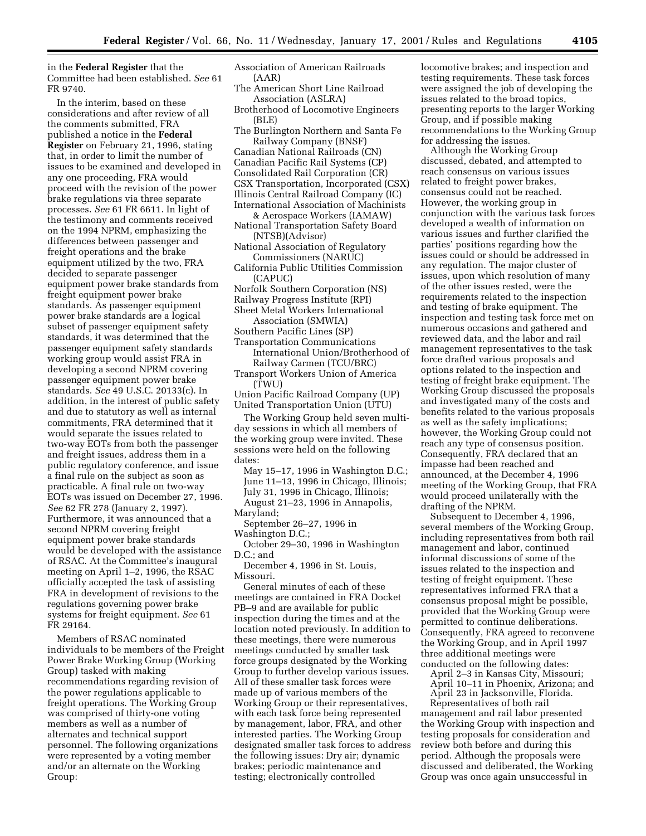in the **Federal Register** that the Committee had been established. *See* 61 FR 9740.

In the interim, based on these considerations and after review of all the comments submitted, FRA published a notice in the **Federal Register** on February 21, 1996, stating that, in order to limit the number of issues to be examined and developed in any one proceeding, FRA would proceed with the revision of the power brake regulations via three separate processes. *See* 61 FR 6611. In light of the testimony and comments received on the 1994 NPRM, emphasizing the differences between passenger and freight operations and the brake equipment utilized by the two, FRA decided to separate passenger equipment power brake standards from freight equipment power brake standards. As passenger equipment power brake standards are a logical subset of passenger equipment safety standards, it was determined that the passenger equipment safety standards working group would assist FRA in developing a second NPRM covering passenger equipment power brake standards. *See* 49 U.S.C. 20133(c). In addition, in the interest of public safety and due to statutory as well as internal commitments, FRA determined that it would separate the issues related to two-way EOTs from both the passenger and freight issues, address them in a public regulatory conference, and issue a final rule on the subject as soon as practicable. A final rule on two-way EOTs was issued on December 27, 1996. *See* 62 FR 278 (January 2, 1997). Furthermore, it was announced that a second NPRM covering freight equipment power brake standards would be developed with the assistance of RSAC. At the Committee's inaugural meeting on April 1–2, 1996, the RSAC officially accepted the task of assisting FRA in development of revisions to the regulations governing power brake systems for freight equipment. *See* 61 FR 29164.

Members of RSAC nominated individuals to be members of the Freight Power Brake Working Group (Working Group) tasked with making recommendations regarding revision of the power regulations applicable to freight operations. The Working Group was comprised of thirty-one voting members as well as a number of alternates and technical support personnel. The following organizations were represented by a voting member and/or an alternate on the Working Group:

Association of American Railroads (AAR)

- The American Short Line Railroad Association (ASLRA)
- Brotherhood of Locomotive Engineers  $(BLE)$
- The Burlington Northern and Santa Fe Railway Company (BNSF) Canadian National Railroads (CN) Canadian Pacific Rail Systems (CP) Consolidated Rail Corporation (CR) CSX Transportation, Incorporated (CSX) Illinois Central Railroad Company (IC) International Association of Machinists
- & Aerospace Workers (IAMAW) National Transportation Safety Board
	- (NTSB)(Advisor)
- National Association of Regulatory Commissioners (NARUC)
- California Public Utilities Commission (CAPUC)
- Norfolk Southern Corporation (NS) Railway Progress Institute (RPI)
- Sheet Metal Workers International
- Association (SMWIA)

Southern Pacific Lines (SP)

Transportation Communications International Union/Brotherhood of Railway Carmen (TCU/BRC)

Transport Workers Union of America (TWU)

Union Pacific Railroad Company (UP) United Transportation Union (UTU)

The Working Group held seven multiday sessions in which all members of the working group were invited. These sessions were held on the following dates:

May 15–17, 1996 in Washington D.C.; June 11–13, 1996 in Chicago, Illinois; July 31, 1996 in Chicago, Illinois; August 21–23, 1996 in Annapolis,

Maryland;

September 26–27, 1996 in Washington D.C.;

October 29–30, 1996 in Washington D.C.; and

December 4, 1996 in St. Louis, Missouri.

General minutes of each of these meetings are contained in FRA Docket PB–9 and are available for public inspection during the times and at the location noted previously. In addition to these meetings, there were numerous meetings conducted by smaller task force groups designated by the Working Group to further develop various issues. All of these smaller task forces were made up of various members of the Working Group or their representatives, with each task force being represented by management, labor, FRA, and other interested parties. The Working Group designated smaller task forces to address the following issues: Dry air; dynamic brakes; periodic maintenance and testing; electronically controlled

locomotive brakes; and inspection and testing requirements. These task forces were assigned the job of developing the issues related to the broad topics, presenting reports to the larger Working Group, and if possible making recommendations to the Working Group for addressing the issues.

Although the Working Group discussed, debated, and attempted to reach consensus on various issues related to freight power brakes, consensus could not be reached. However, the working group in conjunction with the various task forces developed a wealth of information on various issues and further clarified the parties' positions regarding how the issues could or should be addressed in any regulation. The major cluster of issues, upon which resolution of many of the other issues rested, were the requirements related to the inspection and testing of brake equipment. The inspection and testing task force met on numerous occasions and gathered and reviewed data, and the labor and rail management representatives to the task force drafted various proposals and options related to the inspection and testing of freight brake equipment. The Working Group discussed the proposals and investigated many of the costs and benefits related to the various proposals as well as the safety implications; however, the Working Group could not reach any type of consensus position. Consequently, FRA declared that an impasse had been reached and announced, at the December 4, 1996 meeting of the Working Group, that FRA would proceed unilaterally with the drafting of the NPRM.

Subsequent to December 4, 1996, several members of the Working Group, including representatives from both rail management and labor, continued informal discussions of some of the issues related to the inspection and testing of freight equipment. These representatives informed FRA that a consensus proposal might be possible, provided that the Working Group were permitted to continue deliberations. Consequently, FRA agreed to reconvene the Working Group, and in April 1997 three additional meetings were conducted on the following dates:

April 2–3 in Kansas City, Missouri; April 10–11 in Phoenix, Arizona; and April 23 in Jacksonville, Florida.

Representatives of both rail management and rail labor presented the Working Group with inspection and testing proposals for consideration and review both before and during this period. Although the proposals were discussed and deliberated, the Working Group was once again unsuccessful in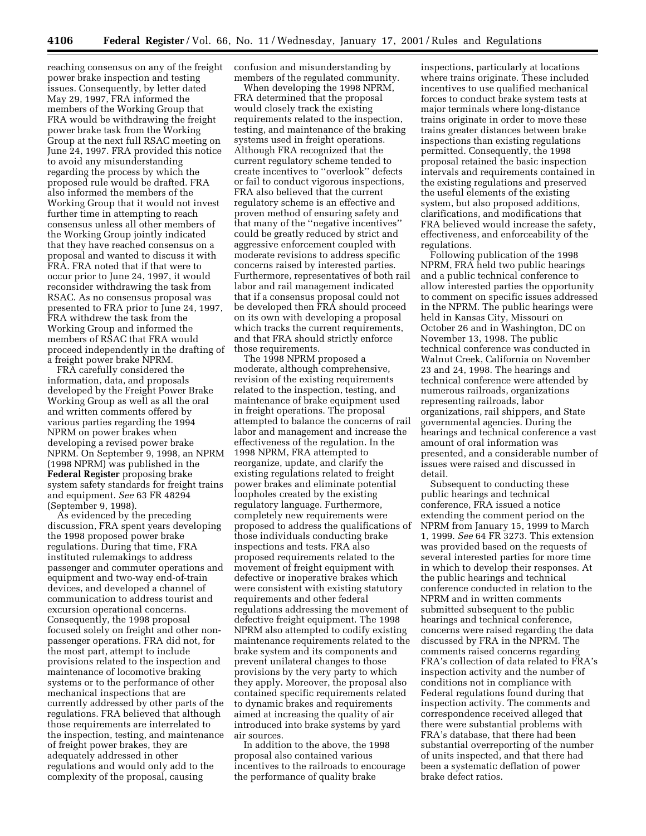reaching consensus on any of the freight power brake inspection and testing issues. Consequently, by letter dated May 29, 1997, FRA informed the members of the Working Group that FRA would be withdrawing the freight power brake task from the Working Group at the next full RSAC meeting on June 24, 1997. FRA provided this notice to avoid any misunderstanding regarding the process by which the proposed rule would be drafted. FRA also informed the members of the Working Group that it would not invest further time in attempting to reach consensus unless all other members of the Working Group jointly indicated that they have reached consensus on a proposal and wanted to discuss it with FRA. FRA noted that if that were to occur prior to June 24, 1997, it would reconsider withdrawing the task from RSAC. As no consensus proposal was presented to FRA prior to June 24, 1997, FRA withdrew the task from the Working Group and informed the members of RSAC that FRA would proceed independently in the drafting of a freight power brake NPRM.

FRA carefully considered the information, data, and proposals developed by the Freight Power Brake Working Group as well as all the oral and written comments offered by various parties regarding the 1994 NPRM on power brakes when developing a revised power brake NPRM. On September 9, 1998, an NPRM (1998 NPRM) was published in the **Federal Register** proposing brake system safety standards for freight trains and equipment. *See* 63 FR 48294 (September 9, 1998).

As evidenced by the preceding discussion, FRA spent years developing the 1998 proposed power brake regulations. During that time, FRA instituted rulemakings to address passenger and commuter operations and equipment and two-way end-of-train devices, and developed a channel of communication to address tourist and excursion operational concerns. Consequently, the 1998 proposal focused solely on freight and other nonpassenger operations. FRA did not, for the most part, attempt to include provisions related to the inspection and maintenance of locomotive braking systems or to the performance of other mechanical inspections that are currently addressed by other parts of the regulations. FRA believed that although those requirements are interrelated to the inspection, testing, and maintenance of freight power brakes, they are adequately addressed in other regulations and would only add to the complexity of the proposal, causing

confusion and misunderstanding by members of the regulated community.

When developing the 1998 NPRM, FRA determined that the proposal would closely track the existing requirements related to the inspection, testing, and maintenance of the braking systems used in freight operations. Although FRA recognized that the current regulatory scheme tended to create incentives to ''overlook'' defects or fail to conduct vigorous inspections, FRA also believed that the current regulatory scheme is an effective and proven method of ensuring safety and that many of the ''negative incentives'' could be greatly reduced by strict and aggressive enforcement coupled with moderate revisions to address specific concerns raised by interested parties. Furthermore, representatives of both rail labor and rail management indicated that if a consensus proposal could not be developed then FRA should proceed on its own with developing a proposal which tracks the current requirements, and that FRA should strictly enforce those requirements.

The 1998 NPRM proposed a moderate, although comprehensive, revision of the existing requirements related to the inspection, testing, and maintenance of brake equipment used in freight operations. The proposal attempted to balance the concerns of rail labor and management and increase the effectiveness of the regulation. In the 1998 NPRM, FRA attempted to reorganize, update, and clarify the existing regulations related to freight power brakes and eliminate potential loopholes created by the existing regulatory language. Furthermore, completely new requirements were proposed to address the qualifications of those individuals conducting brake inspections and tests. FRA also proposed requirements related to the movement of freight equipment with defective or inoperative brakes which were consistent with existing statutory requirements and other federal regulations addressing the movement of defective freight equipment. The 1998 NPRM also attempted to codify existing maintenance requirements related to the brake system and its components and prevent unilateral changes to those provisions by the very party to which they apply. Moreover, the proposal also contained specific requirements related to dynamic brakes and requirements aimed at increasing the quality of air introduced into brake systems by yard air sources.

In addition to the above, the 1998 proposal also contained various incentives to the railroads to encourage the performance of quality brake

inspections, particularly at locations where trains originate. These included incentives to use qualified mechanical forces to conduct brake system tests at major terminals where long-distance trains originate in order to move these trains greater distances between brake inspections than existing regulations permitted. Consequently, the 1998 proposal retained the basic inspection intervals and requirements contained in the existing regulations and preserved the useful elements of the existing system, but also proposed additions, clarifications, and modifications that FRA believed would increase the safety, effectiveness, and enforceability of the regulations.

Following publication of the 1998 NPRM, FRA held two public hearings and a public technical conference to allow interested parties the opportunity to comment on specific issues addressed in the NPRM. The public hearings were held in Kansas City, Missouri on October 26 and in Washington, DC on November 13, 1998. The public technical conference was conducted in Walnut Creek, California on November 23 and 24, 1998. The hearings and technical conference were attended by numerous railroads, organizations representing railroads, labor organizations, rail shippers, and State governmental agencies. During the hearings and technical conference a vast amount of oral information was presented, and a considerable number of issues were raised and discussed in detail.

Subsequent to conducting these public hearings and technical conference, FRA issued a notice extending the comment period on the NPRM from January 15, 1999 to March 1, 1999. *See* 64 FR 3273. This extension was provided based on the requests of several interested parties for more time in which to develop their responses. At the public hearings and technical conference conducted in relation to the NPRM and in written comments submitted subsequent to the public hearings and technical conference, concerns were raised regarding the data discussed by FRA in the NPRM. The comments raised concerns regarding FRA's collection of data related to FRA's inspection activity and the number of conditions not in compliance with Federal regulations found during that inspection activity. The comments and correspondence received alleged that there were substantial problems with FRA's database, that there had been substantial overreporting of the number of units inspected, and that there had been a systematic deflation of power brake defect ratios.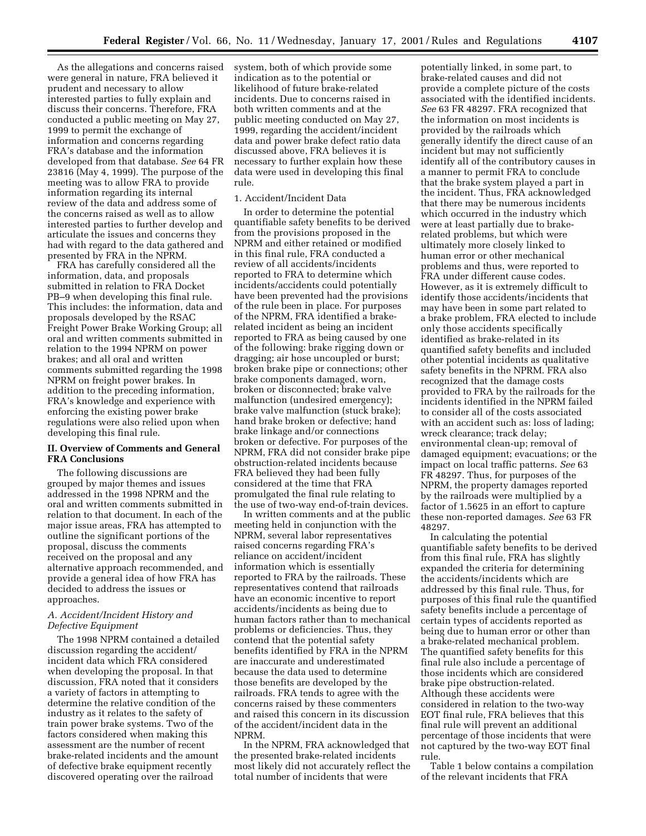As the allegations and concerns raised were general in nature, FRA believed it prudent and necessary to allow interested parties to fully explain and discuss their concerns. Therefore, FRA conducted a public meeting on May 27, 1999 to permit the exchange of information and concerns regarding FRA's database and the information developed from that database. *See* 64 FR 23816 (May 4, 1999). The purpose of the meeting was to allow FRA to provide information regarding its internal review of the data and address some of the concerns raised as well as to allow interested parties to further develop and articulate the issues and concerns they had with regard to the data gathered and presented by FRA in the NPRM.

FRA has carefully considered all the information, data, and proposals submitted in relation to FRA Docket PB–9 when developing this final rule. This includes: the information, data and proposals developed by the RSAC Freight Power Brake Working Group; all oral and written comments submitted in relation to the 1994 NPRM on power brakes; and all oral and written comments submitted regarding the 1998 NPRM on freight power brakes. In addition to the preceding information, FRA's knowledge and experience with enforcing the existing power brake regulations were also relied upon when developing this final rule.

### **II. Overview of Comments and General FRA Conclusions**

The following discussions are grouped by major themes and issues addressed in the 1998 NPRM and the oral and written comments submitted in relation to that document. In each of the major issue areas, FRA has attempted to outline the significant portions of the proposal, discuss the comments received on the proposal and any alternative approach recommended, and provide a general idea of how FRA has decided to address the issues or approaches.

### *A. Accident/Incident History and Defective Equipment*

The 1998 NPRM contained a detailed discussion regarding the accident/ incident data which FRA considered when developing the proposal. In that discussion, FRA noted that it considers a variety of factors in attempting to determine the relative condition of the industry as it relates to the safety of train power brake systems. Two of the factors considered when making this assessment are the number of recent brake-related incidents and the amount of defective brake equipment recently discovered operating over the railroad

system, both of which provide some indication as to the potential or likelihood of future brake-related incidents. Due to concerns raised in both written comments and at the public meeting conducted on May 27, 1999, regarding the accident/incident data and power brake defect ratio data discussed above, FRA believes it is necessary to further explain how these data were used in developing this final rule.

### 1. Accident/Incident Data

In order to determine the potential quantifiable safety benefits to be derived from the provisions proposed in the NPRM and either retained or modified in this final rule, FRA conducted a review of all accidents/incidents reported to FRA to determine which incidents/accidents could potentially have been prevented had the provisions of the rule been in place. For purposes of the NPRM, FRA identified a brakerelated incident as being an incident reported to FRA as being caused by one of the following: brake rigging down or dragging; air hose uncoupled or burst; broken brake pipe or connections; other brake components damaged, worn, broken or disconnected; brake valve malfunction (undesired emergency); brake valve malfunction (stuck brake); hand brake broken or defective; hand brake linkage and/or connections broken or defective. For purposes of the NPRM, FRA did not consider brake pipe obstruction-related incidents because FRA believed they had been fully considered at the time that FRA promulgated the final rule relating to the use of two-way end-of-train devices.

In written comments and at the public meeting held in conjunction with the NPRM, several labor representatives raised concerns regarding FRA's reliance on accident/incident information which is essentially reported to FRA by the railroads. These representatives contend that railroads have an economic incentive to report accidents/incidents as being due to human factors rather than to mechanical problems or deficiencies. Thus, they contend that the potential safety benefits identified by FRA in the NPRM are inaccurate and underestimated because the data used to determine those benefits are developed by the railroads. FRA tends to agree with the concerns raised by these commenters and raised this concern in its discussion of the accident/incident data in the NPRM.

In the NPRM, FRA acknowledged that the presented brake-related incidents most likely did not accurately reflect the total number of incidents that were

potentially linked, in some part, to brake-related causes and did not provide a complete picture of the costs associated with the identified incidents. *See* 63 FR 48297. FRA recognized that the information on most incidents is provided by the railroads which generally identify the direct cause of an incident but may not sufficiently identify all of the contributory causes in a manner to permit FRA to conclude that the brake system played a part in the incident. Thus, FRA acknowledged that there may be numerous incidents which occurred in the industry which were at least partially due to brakerelated problems, but which were ultimately more closely linked to human error or other mechanical problems and thus, were reported to FRA under different cause codes. However, as it is extremely difficult to identify those accidents/incidents that may have been in some part related to a brake problem, FRA elected to include only those accidents specifically identified as brake-related in its quantified safety benefits and included other potential incidents as qualitative safety benefits in the NPRM. FRA also recognized that the damage costs provided to FRA by the railroads for the incidents identified in the NPRM failed to consider all of the costs associated with an accident such as: loss of lading; wreck clearance; track delay; environmental clean-up; removal of damaged equipment; evacuations; or the impact on local traffic patterns. *See* 63 FR 48297. Thus, for purposes of the NPRM, the property damages reported by the railroads were multiplied by a factor of 1.5625 in an effort to capture these non-reported damages. *See* 63 FR 48297.

In calculating the potential quantifiable safety benefits to be derived from this final rule, FRA has slightly expanded the criteria for determining the accidents/incidents which are addressed by this final rule. Thus, for purposes of this final rule the quantified safety benefits include a percentage of certain types of accidents reported as being due to human error or other than a brake-related mechanical problem. The quantified safety benefits for this final rule also include a percentage of those incidents which are considered brake pipe obstruction-related. Although these accidents were considered in relation to the two-way EOT final rule, FRA believes that this final rule will prevent an additional percentage of those incidents that were not captured by the two-way EOT final rule.

Table 1 below contains a compilation of the relevant incidents that FRA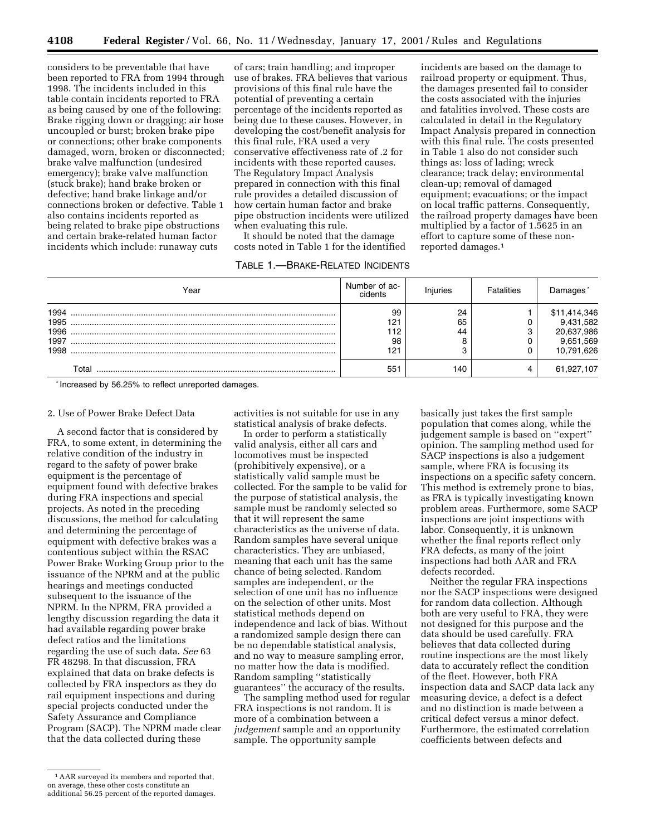considers to be preventable that have been reported to FRA from 1994 through 1998. The incidents included in this table contain incidents reported to FRA as being caused by one of the following: Brake rigging down or dragging; air hose uncoupled or burst; broken brake pipe or connections; other brake components damaged, worn, broken or disconnected; brake valve malfunction (undesired emergency); brake valve malfunction (stuck brake); hand brake broken or defective; hand brake linkage and/or connections broken or defective. Table 1 also contains incidents reported as being related to brake pipe obstructions and certain brake-related human factor incidents which include: runaway cuts

of cars; train handling; and improper use of brakes. FRA believes that various provisions of this final rule have the potential of preventing a certain percentage of the incidents reported as being due to these causes. However, in developing the cost/benefit analysis for this final rule, FRA used a very conservative effectiveness rate of .2 for incidents with these reported causes. The Regulatory Impact Analysis prepared in connection with this final rule provides a detailed discussion of how certain human factor and brake pipe obstruction incidents were utilized when evaluating this rule.

It should be noted that the damage costs noted in Table 1 for the identified

## TABLE 1.—BRAKE-RELATED INCIDENTS

incidents are based on the damage to railroad property or equipment. Thus, the damages presented fail to consider the costs associated with the injuries and fatalities involved. These costs are calculated in detail in the Regulatory Impact Analysis prepared in connection with this final rule. The costs presented in Table 1 also do not consider such things as: loss of lading; wreck clearance; track delay; environmental clean-up; removal of damaged equipment; evacuations; or the impact on local traffic patterns. Consequently, the railroad property damages have been multiplied by a factor of 1.5625 in an effort to capture some of these nonreported damages.1

| Year                                 | Number of ac-<br>cidents      | Injuries            | <b>Fatalities</b> | Damages                                                            |
|--------------------------------------|-------------------------------|---------------------|-------------------|--------------------------------------------------------------------|
| 1994<br>1995<br>1996<br>1997<br>1998 | 99<br>121<br>112<br>98<br>121 | 24<br>65<br>44<br>⌒ |                   | \$11,414,346<br>9,431,582<br>20,637,986<br>9,651,569<br>10,791,626 |
| Total                                | 551                           | 140                 |                   | 61,927,107                                                         |

\* Increased by 56.25% to reflect unreported damages.

### 2. Use of Power Brake Defect Data

A second factor that is considered by FRA, to some extent, in determining the relative condition of the industry in regard to the safety of power brake equipment is the percentage of equipment found with defective brakes during FRA inspections and special projects. As noted in the preceding discussions, the method for calculating and determining the percentage of equipment with defective brakes was a contentious subject within the RSAC Power Brake Working Group prior to the issuance of the NPRM and at the public hearings and meetings conducted subsequent to the issuance of the NPRM. In the NPRM, FRA provided a lengthy discussion regarding the data it had available regarding power brake defect ratios and the limitations regarding the use of such data. *See* 63 FR 48298. In that discussion, FRA explained that data on brake defects is collected by FRA inspectors as they do rail equipment inspections and during special projects conducted under the Safety Assurance and Compliance Program (SACP). The NPRM made clear that the data collected during these

activities is not suitable for use in any statistical analysis of brake defects.

In order to perform a statistically valid analysis, either all cars and locomotives must be inspected (prohibitively expensive), or a statistically valid sample must be collected. For the sample to be valid for the purpose of statistical analysis, the sample must be randomly selected so that it will represent the same characteristics as the universe of data. Random samples have several unique characteristics. They are unbiased, meaning that each unit has the same chance of being selected. Random samples are independent, or the selection of one unit has no influence on the selection of other units. Most statistical methods depend on independence and lack of bias. Without a randomized sample design there can be no dependable statistical analysis, and no way to measure sampling error, no matter how the data is modified. Random sampling ''statistically guarantees'' the accuracy of the results.

The sampling method used for regular FRA inspections is not random. It is more of a combination between a *judgement* sample and an opportunity sample. The opportunity sample

basically just takes the first sample population that comes along, while the judgement sample is based on ''expert'' opinion. The sampling method used for SACP inspections is also a judgement sample, where FRA is focusing its inspections on a specific safety concern. This method is extremely prone to bias, as FRA is typically investigating known problem areas. Furthermore, some SACP inspections are joint inspections with labor. Consequently, it is unknown whether the final reports reflect only FRA defects, as many of the joint inspections had both AAR and FRA defects recorded.

Neither the regular FRA inspections nor the SACP inspections were designed for random data collection. Although both are very useful to FRA, they were not designed for this purpose and the data should be used carefully. FRA believes that data collected during routine inspections are the most likely data to accurately reflect the condition of the fleet. However, both FRA inspection data and SACP data lack any measuring device, a defect is a defect and no distinction is made between a critical defect versus a minor defect. Furthermore, the estimated correlation coefficients between defects and

<sup>1</sup>AAR surveyed its members and reported that, on average, these other costs constitute an additional 56.25 percent of the reported damages.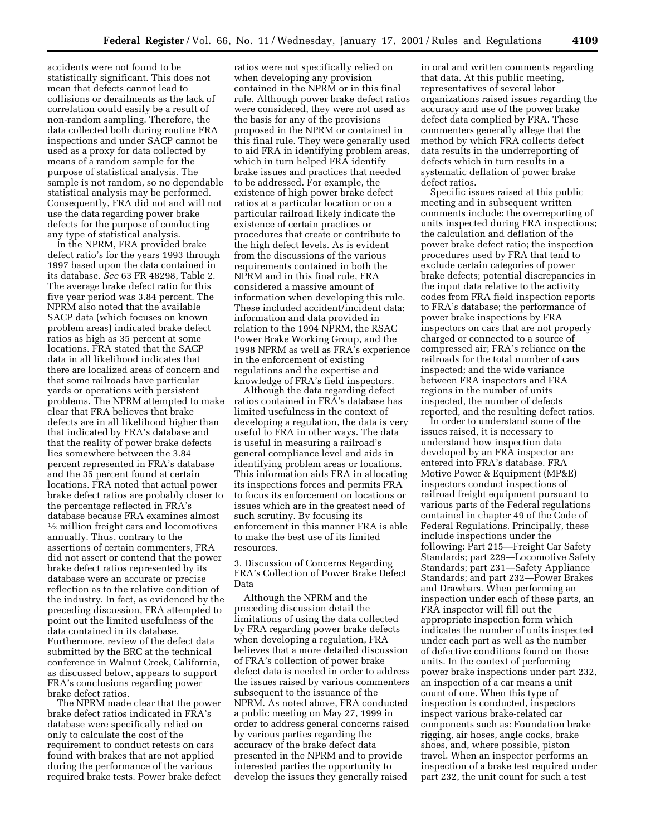accidents were not found to be statistically significant. This does not mean that defects cannot lead to collisions or derailments as the lack of correlation could easily be a result of non-random sampling. Therefore, the data collected both during routine FRA inspections and under SACP cannot be used as a proxy for data collected by means of a random sample for the purpose of statistical analysis. The sample is not random, so no dependable statistical analysis may be performed. Consequently, FRA did not and will not use the data regarding power brake defects for the purpose of conducting any type of statistical analysis.

In the NPRM, FRA provided brake defect ratio's for the years 1993 through 1997 based upon the data contained in its database. *See* 63 FR 48298, Table 2. The average brake defect ratio for this five year period was 3.84 percent. The NPRM also noted that the available SACP data (which focuses on known problem areas) indicated brake defect ratios as high as 35 percent at some locations. FRA stated that the SACP data in all likelihood indicates that there are localized areas of concern and that some railroads have particular yards or operations with persistent problems. The NPRM attempted to make clear that FRA believes that brake defects are in all likelihood higher than that indicated by FRA's database and that the reality of power brake defects lies somewhere between the 3.84 percent represented in FRA's database and the 35 percent found at certain locations. FRA noted that actual power brake defect ratios are probably closer to the percentage reflected in FRA's database because FRA examines almost 1⁄2 million freight cars and locomotives annually. Thus, contrary to the assertions of certain commenters, FRA did not assert or contend that the power brake defect ratios represented by its database were an accurate or precise reflection as to the relative condition of the industry. In fact, as evidenced by the preceding discussion, FRA attempted to point out the limited usefulness of the data contained in its database. Furthermore, review of the defect data submitted by the BRC at the technical conference in Walnut Creek, California, as discussed below, appears to support FRA's conclusions regarding power brake defect ratios.

The NPRM made clear that the power brake defect ratios indicated in FRA's database were specifically relied on only to calculate the cost of the requirement to conduct retests on cars found with brakes that are not applied during the performance of the various required brake tests. Power brake defect ratios were not specifically relied on when developing any provision contained in the NPRM or in this final rule. Although power brake defect ratios were considered, they were not used as the basis for any of the provisions proposed in the NPRM or contained in this final rule. They were generally used to aid FRA in identifying problem areas, which in turn helped FRA identify brake issues and practices that needed to be addressed. For example, the existence of high power brake defect ratios at a particular location or on a particular railroad likely indicate the existence of certain practices or procedures that create or contribute to the high defect levels. As is evident from the discussions of the various requirements contained in both the NPRM and in this final rule, FRA considered a massive amount of information when developing this rule. These included accident/incident data; information and data provided in relation to the 1994 NPRM, the RSAC Power Brake Working Group, and the 1998 NPRM as well as FRA's experience in the enforcement of existing regulations and the expertise and knowledge of FRA's field inspectors.

Although the data regarding defect ratios contained in FRA's database has limited usefulness in the context of developing a regulation, the data is very useful to FRA in other ways. The data is useful in measuring a railroad's general compliance level and aids in identifying problem areas or locations. This information aids FRA in allocating its inspections forces and permits FRA to focus its enforcement on locations or issues which are in the greatest need of such scrutiny. By focusing its enforcement in this manner FRA is able to make the best use of its limited resources.

3. Discussion of Concerns Regarding FRA's Collection of Power Brake Defect Data

Although the NPRM and the preceding discussion detail the limitations of using the data collected by FRA regarding power brake defects when developing a regulation, FRA believes that a more detailed discussion of FRA's collection of power brake defect data is needed in order to address the issues raised by various commenters subsequent to the issuance of the NPRM. As noted above, FRA conducted a public meeting on May 27, 1999 in order to address general concerns raised by various parties regarding the accuracy of the brake defect data presented in the NPRM and to provide interested parties the opportunity to develop the issues they generally raised

in oral and written comments regarding that data. At this public meeting, representatives of several labor organizations raised issues regarding the accuracy and use of the power brake defect data complied by FRA. These commenters generally allege that the method by which FRA collects defect data results in the underreporting of defects which in turn results in a systematic deflation of power brake defect ratios.

Specific issues raised at this public meeting and in subsequent written comments include: the overreporting of units inspected during FRA inspections; the calculation and deflation of the power brake defect ratio; the inspection procedures used by FRA that tend to exclude certain categories of power brake defects; potential discrepancies in the input data relative to the activity codes from FRA field inspection reports to FRA's database; the performance of power brake inspections by FRA inspectors on cars that are not properly charged or connected to a source of compressed air; FRA's reliance on the railroads for the total number of cars inspected; and the wide variance between FRA inspectors and FRA regions in the number of units inspected, the number of defects reported, and the resulting defect ratios.

In order to understand some of the issues raised, it is necessary to understand how inspection data developed by an FRA inspector are entered into FRA's database. FRA Motive Power & Equipment (MP&E) inspectors conduct inspections of railroad freight equipment pursuant to various parts of the Federal regulations contained in chapter 49 of the Code of Federal Regulations. Principally, these include inspections under the following: Part 215—Freight Car Safety Standards; part 229—Locomotive Safety Standards; part 231—Safety Appliance Standards; and part 232—Power Brakes and Drawbars. When performing an inspection under each of these parts, an FRA inspector will fill out the appropriate inspection form which indicates the number of units inspected under each part as well as the number of defective conditions found on those units. In the context of performing power brake inspections under part 232, an inspection of a car means a unit count of one. When this type of inspection is conducted, inspectors inspect various brake-related car components such as: Foundation brake rigging, air hoses, angle cocks, brake shoes, and, where possible, piston travel. When an inspector performs an inspection of a brake test required under part 232, the unit count for such a test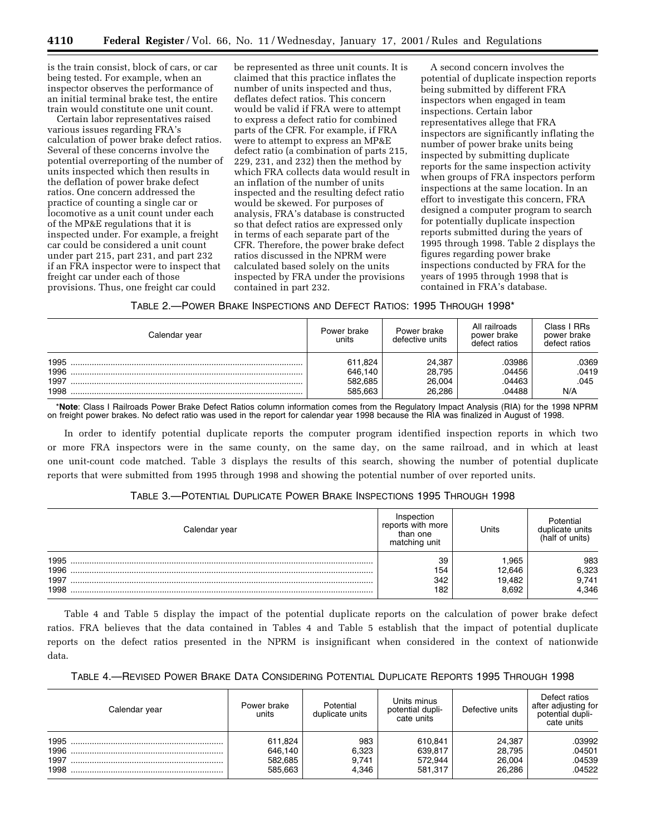is the train consist, block of cars, or car being tested. For example, when an inspector observes the performance of an initial terminal brake test, the entire train would constitute one unit count.

Certain labor representatives raised various issues regarding FRA's calculation of power brake defect ratios. Several of these concerns involve the potential overreporting of the number of units inspected which then results in the deflation of power brake defect ratios. One concern addressed the practice of counting a single car or locomotive as a unit count under each of the MP&E regulations that it is inspected under. For example, a freight car could be considered a unit count under part 215, part 231, and part 232 if an FRA inspector were to inspect that freight car under each of those provisions. Thus, one freight car could

be represented as three unit counts. It is claimed that this practice inflates the number of units inspected and thus, deflates defect ratios. This concern would be valid if FRA were to attempt to express a defect ratio for combined parts of the CFR. For example, if FRA were to attempt to express an MP&E defect ratio (a combination of parts 215, 229, 231, and 232) then the method by which FRA collects data would result in an inflation of the number of units inspected and the resulting defect ratio would be skewed. For purposes of analysis, FRA's database is constructed so that defect ratios are expressed only in terms of each separate part of the CFR. Therefore, the power brake defect ratios discussed in the NPRM were calculated based solely on the units inspected by FRA under the provisions contained in part 232.

A second concern involves the potential of duplicate inspection reports being submitted by different FRA inspectors when engaged in team inspections. Certain labor representatives allege that FRA inspectors are significantly inflating the number of power brake units being inspected by submitting duplicate reports for the same inspection activity when groups of FRA inspectors perform inspections at the same location. In an effort to investigate this concern, FRA designed a computer program to search for potentially duplicate inspection reports submitted during the years of 1995 through 1998. Table 2 displays the figures regarding power brake inspections conducted by FRA for the years of 1995 through 1998 that is contained in FRA's database.

TABLE 2.—POWER BRAKE INSPECTIONS AND DEFECT RATIOS: 1995 THROUGH 1998\*

| Calendar year | Power brake<br>units | Power brake<br>defective units | All railroads<br>power brake<br>defect ratios | Class I RRs<br>power brake<br>defect ratios |
|---------------|----------------------|--------------------------------|-----------------------------------------------|---------------------------------------------|
| 1995          | 611,824              | 24,387                         | .03986                                        | .0369                                       |
| 1996          | 646,140              | 28.795                         | .04456                                        | .0419                                       |
| 1997          | 582,685              | 26,004                         | .04463                                        | .045                                        |
| 1998          | 585.663              | 26.286                         | .04488                                        | N/A                                         |

\***Note**: Class I Railroads Power Brake Defect Ratios column information comes from the Regulatory Impact Analysis (RIA) for the 1998 NPRM on freight power brakes. No defect ratio was used in the report for calendar year 1998 because the RIA was finalized in August of 1998.

In order to identify potential duplicate reports the computer program identified inspection reports in which two or more FRA inspectors were in the same county, on the same day, on the same railroad, and in which at least one unit-count code matched. Table 3 displays the results of this search, showing the number of potential duplicate reports that were submitted from 1995 through 1998 and showing the potential number of over reported units.

### TABLE 3.—POTENTIAL DUPLICATE POWER BRAKE INSPECTIONS 1995 THROUGH 1998

| Calendar vear                | nspection<br>reports with more<br>than one<br>matching unit | Units                            | otential<br>duplicate units<br>(half of units) |
|------------------------------|-------------------------------------------------------------|----------------------------------|------------------------------------------------|
| 1995<br>1996<br>1997<br>1998 | 39<br>154<br>342<br>182                                     | .965<br>2.646<br>19.482<br>8.692 | 983<br>6,323<br>9,741<br>4,346                 |

Table 4 and Table 5 display the impact of the potential duplicate reports on the calculation of power brake defect ratios. FRA believes that the data contained in Tables 4 and Table 5 establish that the impact of potential duplicate reports on the defect ratios presented in the NPRM is insignificant when considered in the context of nationwide data.

| Table 4.—Revised Power Brake Data Considering Potential Duplicate Reports 1995 Through 1998 |  |
|---------------------------------------------------------------------------------------------|--|
|---------------------------------------------------------------------------------------------|--|

| Calendar year        | Power brake<br>units          | Potential<br>duplicate units | Units minus<br>potential dupli-<br>cate units | Defective units            | Defect ratios<br>after adiusting for<br>potential dupli-<br>cate units |
|----------------------|-------------------------------|------------------------------|-----------------------------------------------|----------------------------|------------------------------------------------------------------------|
| 1995<br>1996<br>1997 | 611.824<br>646.140<br>582.685 | 983<br>6,323<br>9.741        | 610.841<br>639.817<br>572.944                 | 24.387<br>28.795<br>26.004 | 03992<br>04501<br>04539                                                |
| 1998                 | 585.663                       | 4.346                        | 581.317                                       | 26.286                     | 04522                                                                  |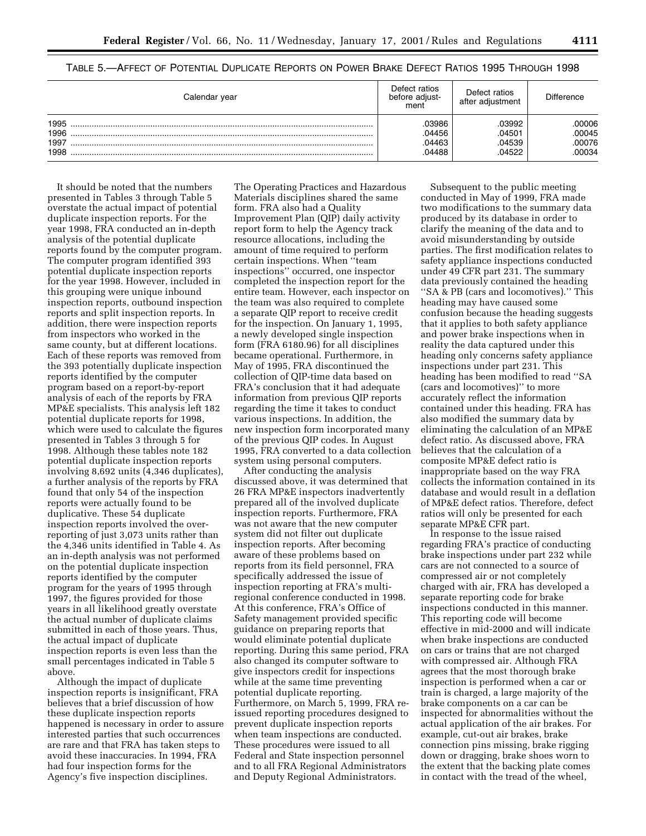| Calendar vear | Defect ratios<br>before adiust-<br>ment | Defect ratios<br>after adiustment | <b>Difference</b> |
|---------------|-----------------------------------------|-----------------------------------|-------------------|
| 1995          | 03986                                   | 03992                             | 00006             |
| 1996          | 04456                                   | .04501                            | 00045             |
| 1997          | 04463                                   | .04539                            | 00076             |
| 1998          | 04488                                   | 04522                             | 00034             |

TABLE 5.—AFFECT OF POTENTIAL DUPLICATE REPORTS ON POWER BRAKE DEFECT RATIOS 1995 THROUGH 1998

It should be noted that the numbers presented in Tables 3 through Table 5 overstate the actual impact of potential duplicate inspection reports. For the year 1998, FRA conducted an in-depth analysis of the potential duplicate reports found by the computer program. The computer program identified 393 potential duplicate inspection reports for the year 1998. However, included in this grouping were unique inbound inspection reports, outbound inspection reports and split inspection reports. In addition, there were inspection reports from inspectors who worked in the same county, but at different locations. Each of these reports was removed from the 393 potentially duplicate inspection reports identified by the computer program based on a report-by-report analysis of each of the reports by FRA MP&E specialists. This analysis left 182 potential duplicate reports for 1998, which were used to calculate the figures presented in Tables 3 through 5 for 1998. Although these tables note 182 potential duplicate inspection reports involving 8,692 units (4,346 duplicates), a further analysis of the reports by FRA found that only 54 of the inspection reports were actually found to be duplicative. These 54 duplicate inspection reports involved the overreporting of just 3,073 units rather than the 4,346 units identified in Table 4. As an in-depth analysis was not performed on the potential duplicate inspection reports identified by the computer program for the years of 1995 through 1997, the figures provided for those years in all likelihood greatly overstate the actual number of duplicate claims submitted in each of those years. Thus, the actual impact of duplicate inspection reports is even less than the small percentages indicated in Table 5 above.

Although the impact of duplicate inspection reports is insignificant, FRA believes that a brief discussion of how these duplicate inspection reports happened is necessary in order to assure interested parties that such occurrences are rare and that FRA has taken steps to avoid these inaccuracies. In 1994, FRA had four inspection forms for the Agency's five inspection disciplines.

The Operating Practices and Hazardous Materials disciplines shared the same form. FRA also had a Quality Improvement Plan (QIP) daily activity report form to help the Agency track resource allocations, including the amount of time required to perform certain inspections. When ''team inspections'' occurred, one inspector completed the inspection report for the entire team. However, each inspector on the team was also required to complete a separate QIP report to receive credit for the inspection. On January 1, 1995, a newly developed single inspection form (FRA 6180.96) for all disciplines became operational. Furthermore, in May of 1995, FRA discontinued the collection of QIP-time data based on FRA's conclusion that it had adequate information from previous QIP reports regarding the time it takes to conduct various inspections. In addition, the new inspection form incorporated many of the previous QIP codes. In August 1995, FRA converted to a data collection system using personal computers.

After conducting the analysis discussed above, it was determined that 26 FRA MP&E inspectors inadvertently prepared all of the involved duplicate inspection reports. Furthermore, FRA was not aware that the new computer system did not filter out duplicate inspection reports. After becoming aware of these problems based on reports from its field personnel, FRA specifically addressed the issue of inspection reporting at FRA's multiregional conference conducted in 1998. At this conference, FRA's Office of Safety management provided specific guidance on preparing reports that would eliminate potential duplicate reporting. During this same period, FRA also changed its computer software to give inspectors credit for inspections while at the same time preventing potential duplicate reporting. Furthermore, on March 5, 1999, FRA reissued reporting procedures designed to prevent duplicate inspection reports when team inspections are conducted. These procedures were issued to all Federal and State inspection personnel and to all FRA Regional Administrators and Deputy Regional Administrators.

Subsequent to the public meeting conducted in May of 1999, FRA made two modifications to the summary data produced by its database in order to clarify the meaning of the data and to avoid misunderstanding by outside parties. The first modification relates to safety appliance inspections conducted under 49 CFR part 231. The summary data previously contained the heading ''SA & PB (cars and locomotives).'' This heading may have caused some confusion because the heading suggests that it applies to both safety appliance and power brake inspections when in reality the data captured under this heading only concerns safety appliance inspections under part 231. This heading has been modified to read ''SA (cars and locomotives)'' to more accurately reflect the information contained under this heading. FRA has also modified the summary data by eliminating the calculation of an MP&E defect ratio. As discussed above, FRA believes that the calculation of a composite MP&E defect ratio is inappropriate based on the way FRA collects the information contained in its database and would result in a deflation of MP&E defect ratios. Therefore, defect ratios will only be presented for each separate MP&E CFR part.

In response to the issue raised regarding FRA's practice of conducting brake inspections under part 232 while cars are not connected to a source of compressed air or not completely charged with air, FRA has developed a separate reporting code for brake inspections conducted in this manner. This reporting code will become effective in mid-2000 and will indicate when brake inspections are conducted on cars or trains that are not charged with compressed air. Although FRA agrees that the most thorough brake inspection is performed when a car or train is charged, a large majority of the brake components on a car can be inspected for abnormalities without the actual application of the air brakes. For example, cut-out air brakes, brake connection pins missing, brake rigging down or dragging, brake shoes worn to the extent that the backing plate comes in contact with the tread of the wheel,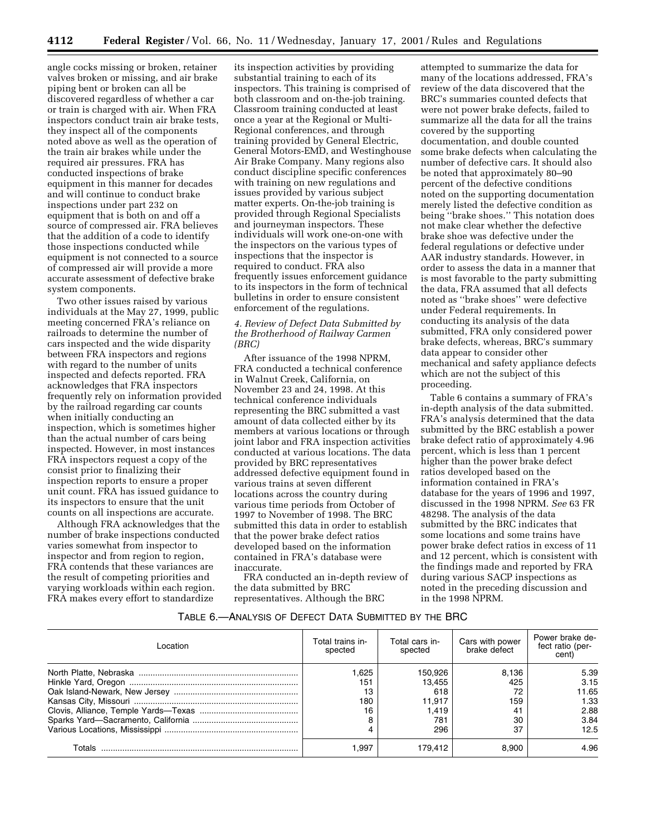angle cocks missing or broken, retainer valves broken or missing, and air brake piping bent or broken can all be discovered regardless of whether a car or train is charged with air. When FRA inspectors conduct train air brake tests, they inspect all of the components noted above as well as the operation of the train air brakes while under the required air pressures. FRA has conducted inspections of brake equipment in this manner for decades and will continue to conduct brake inspections under part 232 on equipment that is both on and off a source of compressed air. FRA believes that the addition of a code to identify those inspections conducted while equipment is not connected to a source of compressed air will provide a more accurate assessment of defective brake system components.

Two other issues raised by various individuals at the May 27, 1999, public meeting concerned FRA's reliance on railroads to determine the number of cars inspected and the wide disparity between FRA inspectors and regions with regard to the number of units inspected and defects reported. FRA acknowledges that FRA inspectors frequently rely on information provided by the railroad regarding car counts when initially conducting an inspection, which is sometimes higher than the actual number of cars being inspected. However, in most instances FRA inspectors request a copy of the consist prior to finalizing their inspection reports to ensure a proper unit count. FRA has issued guidance to its inspectors to ensure that the unit counts on all inspections are accurate.

Although FRA acknowledges that the number of brake inspections conducted varies somewhat from inspector to inspector and from region to region, FRA contends that these variances are the result of competing priorities and varying workloads within each region. FRA makes every effort to standardize

its inspection activities by providing substantial training to each of its inspectors. This training is comprised of both classroom and on-the-job training. Classroom training conducted at least once a year at the Regional or Multi-Regional conferences, and through training provided by General Electric, General Motors-EMD, and Westinghouse Air Brake Company. Many regions also conduct discipline specific conferences with training on new regulations and issues provided by various subject matter experts. On-the-job training is provided through Regional Specialists and journeyman inspectors. These individuals will work one-on-one with the inspectors on the various types of inspections that the inspector is required to conduct. FRA also frequently issues enforcement guidance to its inspectors in the form of technical bulletins in order to ensure consistent enforcement of the regulations.

### *4. Review of Defect Data Submitted by the Brotherhood of Railway Carmen (BRC)*

After issuance of the 1998 NPRM, FRA conducted a technical conference in Walnut Creek, California, on November 23 and 24, 1998. At this technical conference individuals representing the BRC submitted a vast amount of data collected either by its members at various locations or through joint labor and FRA inspection activities conducted at various locations. The data provided by BRC representatives addressed defective equipment found in various trains at seven different locations across the country during various time periods from October of 1997 to November of 1998. The BRC submitted this data in order to establish that the power brake defect ratios developed based on the information contained in FRA's database were inaccurate.

FRA conducted an in-depth review of the data submitted by BRC representatives. Although the BRC

attempted to summarize the data for many of the locations addressed, FRA's review of the data discovered that the BRC's summaries counted defects that were not power brake defects, failed to summarize all the data for all the trains covered by the supporting documentation, and double counted some brake defects when calculating the number of defective cars. It should also be noted that approximately 80–90 percent of the defective conditions noted on the supporting documentation merely listed the defective condition as being ''brake shoes.'' This notation does not make clear whether the defective brake shoe was defective under the federal regulations or defective under AAR industry standards. However, in order to assess the data in a manner that is most favorable to the party submitting the data, FRA assumed that all defects noted as ''brake shoes'' were defective under Federal requirements. In conducting its analysis of the data submitted, FRA only considered power brake defects, whereas, BRC's summary data appear to consider other mechanical and safety appliance defects which are not the subject of this proceeding.

Table 6 contains a summary of FRA's in-depth analysis of the data submitted. FRA's analysis determined that the data submitted by the BRC establish a power brake defect ratio of approximately 4.96 percent, which is less than 1 percent higher than the power brake defect ratios developed based on the information contained in FRA's database for the years of 1996 and 1997, discussed in the 1998 NPRM. *See* 63 FR 48298. The analysis of the data submitted by the BRC indicates that some locations and some trains have power brake defect ratios in excess of 11 and 12 percent, which is consistent with the findings made and reported by FRA during various SACP inspections as noted in the preceding discussion and in the 1998 NPRM.

### TABLE 6.—ANALYSIS OF DEFECT DATA SUBMITTED BY THE BRC

| I ocation | Total trains in-<br>spected | Total cars in-<br>spected | Cars with power<br>brake defect | Power brake de-<br>fect ratio (per-<br>cent) |
|-----------|-----------------------------|---------------------------|---------------------------------|----------------------------------------------|
|           | 1.625                       | 150,926                   | 8,136                           | 5.39                                         |
|           | 151                         | 13.455                    | 425                             | 3.15                                         |
|           | 13                          | 618                       | 72                              | 11.65                                        |
|           | 180                         | 11,917                    | 159                             | 1.33                                         |
|           | 16                          | 1.419                     | -41                             | 2.88                                         |
|           |                             | 781                       | 30                              | 3.84                                         |
|           |                             | 296                       | 37                              | 12.5                                         |
| Totals    | .997                        | 179.412                   | 8.900                           | 4.96                                         |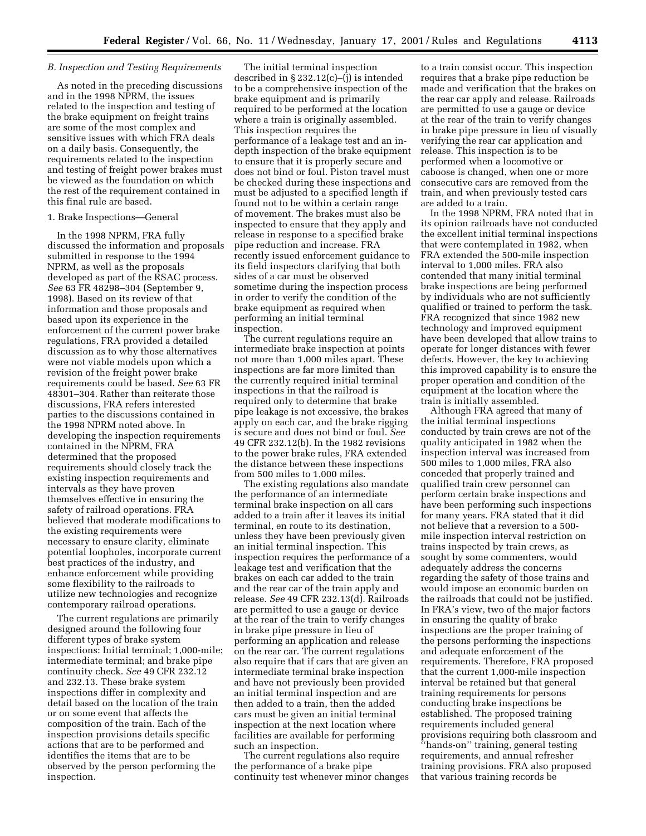#### *B. Inspection and Testing Requirements*

As noted in the preceding discussions and in the 1998 NPRM, the issues related to the inspection and testing of the brake equipment on freight trains are some of the most complex and sensitive issues with which FRA deals on a daily basis. Consequently, the requirements related to the inspection and testing of freight power brakes must be viewed as the foundation on which the rest of the requirement contained in this final rule are based.

#### 1. Brake Inspections—General

In the 1998 NPRM, FRA fully discussed the information and proposals submitted in response to the 1994 NPRM, as well as the proposals developed as part of the RSAC process. *See* 63 FR 48298–304 (September 9, 1998). Based on its review of that information and those proposals and based upon its experience in the enforcement of the current power brake regulations, FRA provided a detailed discussion as to why those alternatives were not viable models upon which a revision of the freight power brake requirements could be based. *See* 63 FR 48301–304. Rather than reiterate those discussions, FRA refers interested parties to the discussions contained in the 1998 NPRM noted above. In developing the inspection requirements contained in the NPRM, FRA determined that the proposed requirements should closely track the existing inspection requirements and intervals as they have proven themselves effective in ensuring the safety of railroad operations. FRA believed that moderate modifications to the existing requirements were necessary to ensure clarity, eliminate potential loopholes, incorporate current best practices of the industry, and enhance enforcement while providing some flexibility to the railroads to utilize new technologies and recognize contemporary railroad operations.

The current regulations are primarily designed around the following four different types of brake system inspections: Initial terminal; 1,000-mile; intermediate terminal; and brake pipe continuity check. *See* 49 CFR 232.12 and 232.13. These brake system inspections differ in complexity and detail based on the location of the train or on some event that affects the composition of the train. Each of the inspection provisions details specific actions that are to be performed and identifies the items that are to be observed by the person performing the inspection.

The initial terminal inspection described in § 232.12(c)–(j) is intended to be a comprehensive inspection of the brake equipment and is primarily required to be performed at the location where a train is originally assembled. This inspection requires the performance of a leakage test and an indepth inspection of the brake equipment to ensure that it is properly secure and does not bind or foul. Piston travel must be checked during these inspections and must be adjusted to a specified length if found not to be within a certain range of movement. The brakes must also be inspected to ensure that they apply and release in response to a specified brake pipe reduction and increase. FRA recently issued enforcement guidance to its field inspectors clarifying that both sides of a car must be observed sometime during the inspection process in order to verify the condition of the brake equipment as required when performing an initial terminal inspection.

The current regulations require an intermediate brake inspection at points not more than 1,000 miles apart. These inspections are far more limited than the currently required initial terminal inspections in that the railroad is required only to determine that brake pipe leakage is not excessive, the brakes apply on each car, and the brake rigging is secure and does not bind or foul. *See* 49 CFR 232.12(b). In the 1982 revisions to the power brake rules, FRA extended the distance between these inspections from 500 miles to 1,000 miles.

The existing regulations also mandate the performance of an intermediate terminal brake inspection on all cars added to a train after it leaves its initial terminal, en route to its destination, unless they have been previously given an initial terminal inspection. This inspection requires the performance of a leakage test and verification that the brakes on each car added to the train and the rear car of the train apply and release. *See* 49 CFR 232.13(d). Railroads are permitted to use a gauge or device at the rear of the train to verify changes in brake pipe pressure in lieu of performing an application and release on the rear car. The current regulations also require that if cars that are given an intermediate terminal brake inspection and have not previously been provided an initial terminal inspection and are then added to a train, then the added cars must be given an initial terminal inspection at the next location where facilities are available for performing such an inspection.

The current regulations also require the performance of a brake pipe continuity test whenever minor changes

to a train consist occur. This inspection requires that a brake pipe reduction be made and verification that the brakes on the rear car apply and release. Railroads are permitted to use a gauge or device at the rear of the train to verify changes in brake pipe pressure in lieu of visually verifying the rear car application and release. This inspection is to be performed when a locomotive or caboose is changed, when one or more consecutive cars are removed from the train, and when previously tested cars are added to a train.

In the 1998 NPRM, FRA noted that in its opinion railroads have not conducted the excellent initial terminal inspections that were contemplated in 1982, when FRA extended the 500-mile inspection interval to 1,000 miles. FRA also contended that many initial terminal brake inspections are being performed by individuals who are not sufficiently qualified or trained to perform the task. FRA recognized that since 1982 new technology and improved equipment have been developed that allow trains to operate for longer distances with fewer defects. However, the key to achieving this improved capability is to ensure the proper operation and condition of the equipment at the location where the train is initially assembled.

Although FRA agreed that many of the initial terminal inspections conducted by train crews are not of the quality anticipated in 1982 when the inspection interval was increased from 500 miles to 1,000 miles, FRA also conceded that properly trained and qualified train crew personnel can perform certain brake inspections and have been performing such inspections for many years. FRA stated that it did not believe that a reversion to a 500 mile inspection interval restriction on trains inspected by train crews, as sought by some commenters, would adequately address the concerns regarding the safety of those trains and would impose an economic burden on the railroads that could not be justified. In FRA's view, two of the major factors in ensuring the quality of brake inspections are the proper training of the persons performing the inspections and adequate enforcement of the requirements. Therefore, FRA proposed that the current 1,000-mile inspection interval be retained but that general training requirements for persons conducting brake inspections be established. The proposed training requirements included general provisions requiring both classroom and ''hands-on'' training, general testing requirements, and annual refresher training provisions. FRA also proposed that various training records be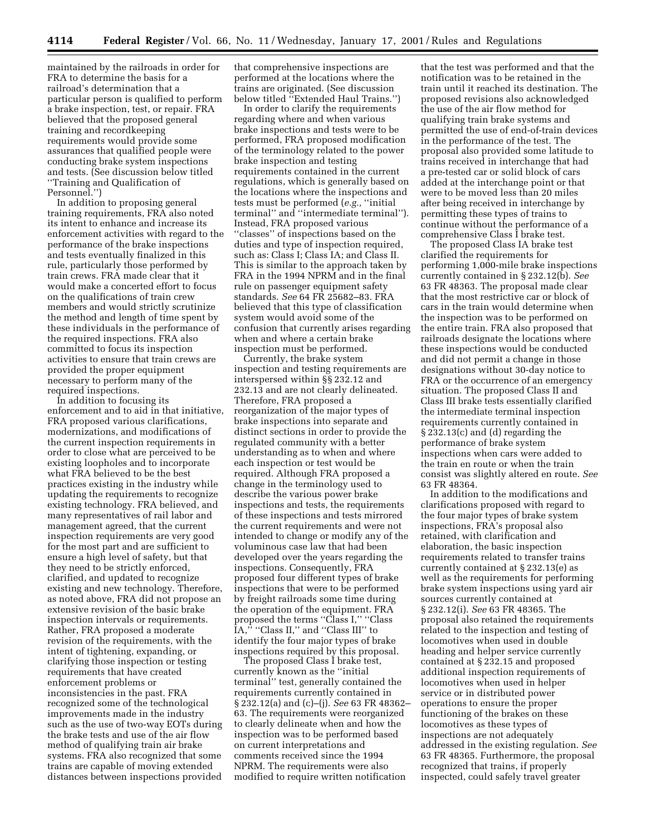maintained by the railroads in order for FRA to determine the basis for a railroad's determination that a particular person is qualified to perform a brake inspection, test, or repair. FRA believed that the proposed general training and recordkeeping requirements would provide some assurances that qualified people were conducting brake system inspections and tests. (See discussion below titled ''Training and Qualification of Personnel.'')

In addition to proposing general training requirements, FRA also noted its intent to enhance and increase its enforcement activities with regard to the performance of the brake inspections and tests eventually finalized in this rule, particularly those performed by train crews. FRA made clear that it would make a concerted effort to focus on the qualifications of train crew members and would strictly scrutinize the method and length of time spent by these individuals in the performance of the required inspections. FRA also committed to focus its inspection activities to ensure that train crews are provided the proper equipment necessary to perform many of the required inspections.

In addition to focusing its enforcement and to aid in that initiative, FRA proposed various clarifications, modernizations, and modifications of the current inspection requirements in order to close what are perceived to be existing loopholes and to incorporate what FRA believed to be the best practices existing in the industry while updating the requirements to recognize existing technology. FRA believed, and many representatives of rail labor and management agreed, that the current inspection requirements are very good for the most part and are sufficient to ensure a high level of safety, but that they need to be strictly enforced, clarified, and updated to recognize existing and new technology. Therefore, as noted above, FRA did not propose an extensive revision of the basic brake inspection intervals or requirements. Rather, FRA proposed a moderate revision of the requirements, with the intent of tightening, expanding, or clarifying those inspection or testing requirements that have created enforcement problems or inconsistencies in the past. FRA recognized some of the technological improvements made in the industry such as the use of two-way EOTs during the brake tests and use of the air flow method of qualifying train air brake systems. FRA also recognized that some trains are capable of moving extended distances between inspections provided

that comprehensive inspections are performed at the locations where the trains are originated. (See discussion below titled ''Extended Haul Trains.'')

In order to clarify the requirements regarding where and when various brake inspections and tests were to be performed, FRA proposed modification of the terminology related to the power brake inspection and testing requirements contained in the current regulations, which is generally based on the locations where the inspections and tests must be performed (*e.g.,* ''initial terminal'' and ''intermediate terminal''). Instead, FRA proposed various ''classes'' of inspections based on the duties and type of inspection required, such as: Class I; Class IA; and Class II. This is similar to the approach taken by FRA in the 1994 NPRM and in the final rule on passenger equipment safety standards. *See* 64 FR 25682–83. FRA believed that this type of classification system would avoid some of the confusion that currently arises regarding when and where a certain brake inspection must be performed.

Currently, the brake system inspection and testing requirements are interspersed within §§ 232.12 and 232.13 and are not clearly delineated. Therefore, FRA proposed a reorganization of the major types of brake inspections into separate and distinct sections in order to provide the regulated community with a better understanding as to when and where each inspection or test would be required. Although FRA proposed a change in the terminology used to describe the various power brake inspections and tests, the requirements of these inspections and tests mirrored the current requirements and were not intended to change or modify any of the voluminous case law that had been developed over the years regarding the inspections. Consequently, FRA proposed four different types of brake inspections that were to be performed by freight railroads some time during the operation of the equipment. FRA proposed the terms ''Class I,'' ''Class IA," "Class II," and "Class III" to identify the four major types of brake inspections required by this proposal.

The proposed Class I brake test, currently known as the ''initial terminal'' test, generally contained the requirements currently contained in § 232.12(a) and (c)–(j). *See* 63 FR 48362– 63. The requirements were reorganized to clearly delineate when and how the inspection was to be performed based on current interpretations and comments received since the 1994 NPRM. The requirements were also modified to require written notification

that the test was performed and that the notification was to be retained in the train until it reached its destination. The proposed revisions also acknowledged the use of the air flow method for qualifying train brake systems and permitted the use of end-of-train devices in the performance of the test. The proposal also provided some latitude to trains received in interchange that had a pre-tested car or solid block of cars added at the interchange point or that were to be moved less than 20 miles after being received in interchange by permitting these types of trains to continue without the performance of a comprehensive Class I brake test.

The proposed Class IA brake test clarified the requirements for performing 1,000-mile brake inspections currently contained in § 232.12(b). *See* 63 FR 48363. The proposal made clear that the most restrictive car or block of cars in the train would determine when the inspection was to be performed on the entire train. FRA also proposed that railroads designate the locations where these inspections would be conducted and did not permit a change in those designations without 30-day notice to FRA or the occurrence of an emergency situation. The proposed Class II and Class III brake tests essentially clarified the intermediate terminal inspection requirements currently contained in § 232.13(c) and (d) regarding the performance of brake system inspections when cars were added to the train en route or when the train consist was slightly altered en route. *See* 63 FR 48364.

In addition to the modifications and clarifications proposed with regard to the four major types of brake system inspections, FRA's proposal also retained, with clarification and elaboration, the basic inspection requirements related to transfer trains currently contained at § 232.13(e) as well as the requirements for performing brake system inspections using yard air sources currently contained at § 232.12(i). *See* 63 FR 48365. The proposal also retained the requirements related to the inspection and testing of locomotives when used in double heading and helper service currently contained at § 232.15 and proposed additional inspection requirements of locomotives when used in helper service or in distributed power operations to ensure the proper functioning of the brakes on these locomotives as these types of inspections are not adequately addressed in the existing regulation. *See* 63 FR 48365. Furthermore, the proposal recognized that trains, if properly inspected, could safely travel greater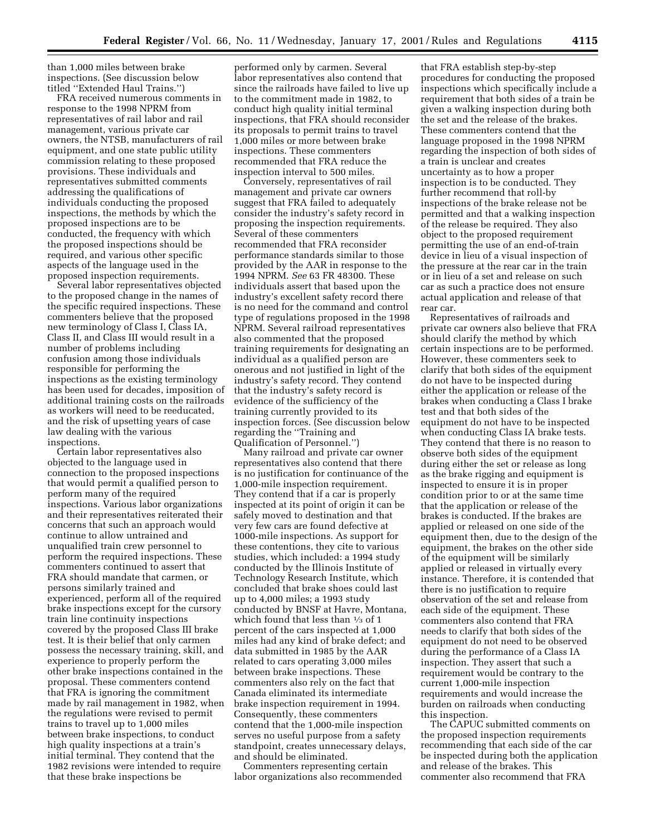than 1,000 miles between brake inspections. (See discussion below titled ''Extended Haul Trains.'')

FRA received numerous comments in response to the 1998 NPRM from representatives of rail labor and rail management, various private car owners, the NTSB, manufacturers of rail equipment, and one state public utility commission relating to these proposed provisions. These individuals and representatives submitted comments addressing the qualifications of individuals conducting the proposed inspections, the methods by which the proposed inspections are to be conducted, the frequency with which the proposed inspections should be required, and various other specific aspects of the language used in the proposed inspection requirements.

Several labor representatives objected to the proposed change in the names of the specific required inspections. These commenters believe that the proposed new terminology of Class I, Class IA, Class II, and Class III would result in a number of problems including confusion among those individuals responsible for performing the inspections as the existing terminology has been used for decades, imposition of additional training costs on the railroads as workers will need to be reeducated, and the risk of upsetting years of case law dealing with the various inspections.

Certain labor representatives also objected to the language used in connection to the proposed inspections that would permit a qualified person to perform many of the required inspections. Various labor organizations and their representatives reiterated their concerns that such an approach would continue to allow untrained and unqualified train crew personnel to perform the required inspections. These commenters continued to assert that FRA should mandate that carmen, or persons similarly trained and experienced, perform all of the required brake inspections except for the cursory train line continuity inspections covered by the proposed Class III brake test. It is their belief that only carmen possess the necessary training, skill, and experience to properly perform the other brake inspections contained in the proposal. These commenters contend that FRA is ignoring the commitment made by rail management in 1982, when the regulations were revised to permit trains to travel up to 1,000 miles between brake inspections, to conduct high quality inspections at a train's initial terminal. They contend that the 1982 revisions were intended to require that these brake inspections be

performed only by carmen. Several labor representatives also contend that since the railroads have failed to live up to the commitment made in 1982, to conduct high quality initial terminal inspections, that FRA should reconsider its proposals to permit trains to travel 1,000 miles or more between brake inspections. These commenters recommended that FRA reduce the inspection interval to 500 miles.

Conversely, representatives of rail management and private car owners suggest that FRA failed to adequately consider the industry's safety record in proposing the inspection requirements. Several of these commenters recommended that FRA reconsider performance standards similar to those provided by the AAR in response to the 1994 NPRM. *See* 63 FR 48300. These individuals assert that based upon the industry's excellent safety record there is no need for the command and control type of regulations proposed in the 1998 NPRM. Several railroad representatives also commented that the proposed training requirements for designating an individual as a qualified person are onerous and not justified in light of the industry's safety record. They contend that the industry's safety record is evidence of the sufficiency of the training currently provided to its inspection forces. (See discussion below regarding the ''Training and Qualification of Personnel.'')

Many railroad and private car owner representatives also contend that there is no justification for continuance of the 1,000-mile inspection requirement. They contend that if a car is properly inspected at its point of origin it can be safely moved to destination and that very few cars are found defective at 1000-mile inspections. As support for these contentions, they cite to various studies, which included: a 1994 study conducted by the Illinois Institute of Technology Research Institute, which concluded that brake shoes could last up to 4,000 miles; a 1993 study conducted by BNSF at Havre, Montana, which found that less than 1⁄3 of 1 percent of the cars inspected at 1,000 miles had any kind of brake defect; and data submitted in 1985 by the AAR related to cars operating 3,000 miles between brake inspections. These commenters also rely on the fact that Canada eliminated its intermediate brake inspection requirement in 1994. Consequently, these commenters contend that the 1,000-mile inspection serves no useful purpose from a safety standpoint, creates unnecessary delays, and should be eliminated.

Commenters representing certain labor organizations also recommended

that FRA establish step-by-step procedures for conducting the proposed inspections which specifically include a requirement that both sides of a train be given a walking inspection during both the set and the release of the brakes. These commenters contend that the language proposed in the 1998 NPRM regarding the inspection of both sides of a train is unclear and creates uncertainty as to how a proper inspection is to be conducted. They further recommend that roll-by inspections of the brake release not be permitted and that a walking inspection of the release be required. They also object to the proposed requirement permitting the use of an end-of-train device in lieu of a visual inspection of the pressure at the rear car in the train or in lieu of a set and release on such car as such a practice does not ensure actual application and release of that rear car.

Representatives of railroads and private car owners also believe that FRA should clarify the method by which certain inspections are to be performed. However, these commenters seek to clarify that both sides of the equipment do not have to be inspected during either the application or release of the brakes when conducting a Class I brake test and that both sides of the equipment do not have to be inspected when conducting Class IA brake tests. They contend that there is no reason to observe both sides of the equipment during either the set or release as long as the brake rigging and equipment is inspected to ensure it is in proper condition prior to or at the same time that the application or release of the brakes is conducted. If the brakes are applied or released on one side of the equipment then, due to the design of the equipment, the brakes on the other side of the equipment will be similarly applied or released in virtually every instance. Therefore, it is contended that there is no justification to require observation of the set and release from each side of the equipment. These commenters also contend that FRA needs to clarify that both sides of the equipment do not need to be observed during the performance of a Class IA inspection. They assert that such a requirement would be contrary to the current 1,000-mile inspection requirements and would increase the burden on railroads when conducting this inspection.

The CAPUC submitted comments on the proposed inspection requirements recommending that each side of the car be inspected during both the application and release of the brakes. This commenter also recommend that FRA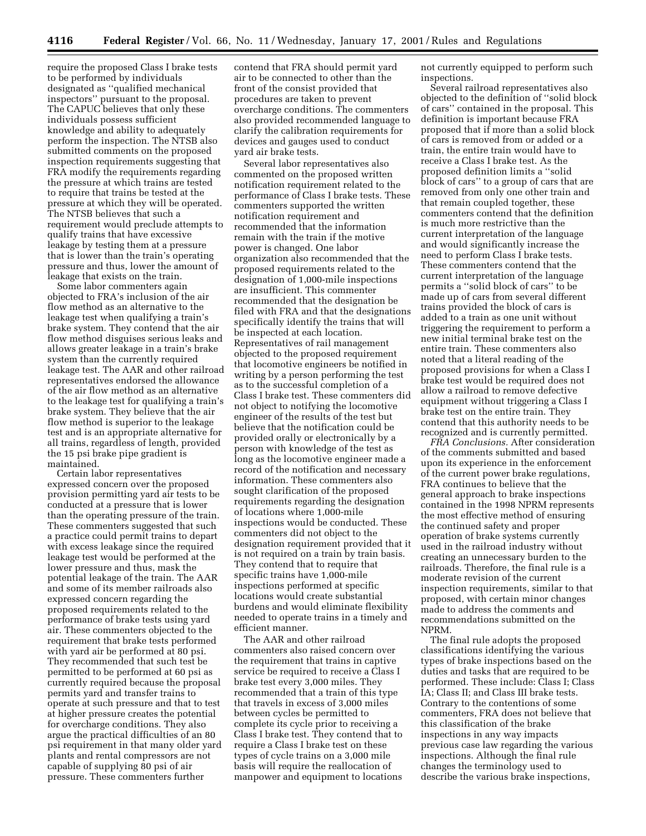require the proposed Class I brake tests to be performed by individuals designated as ''qualified mechanical inspectors'' pursuant to the proposal. The CAPUC believes that only these individuals possess sufficient knowledge and ability to adequately perform the inspection. The NTSB also submitted comments on the proposed inspection requirements suggesting that FRA modify the requirements regarding the pressure at which trains are tested to require that trains be tested at the pressure at which they will be operated. The NTSB believes that such a requirement would preclude attempts to qualify trains that have excessive leakage by testing them at a pressure that is lower than the train's operating pressure and thus, lower the amount of leakage that exists on the train.

Some labor commenters again objected to FRA's inclusion of the air flow method as an alternative to the leakage test when qualifying a train's brake system. They contend that the air flow method disguises serious leaks and allows greater leakage in a train's brake system than the currently required leakage test. The AAR and other railroad representatives endorsed the allowance of the air flow method as an alternative to the leakage test for qualifying a train's brake system. They believe that the air flow method is superior to the leakage test and is an appropriate alternative for all trains, regardless of length, provided the 15 psi brake pipe gradient is maintained.

Certain labor representatives expressed concern over the proposed provision permitting yard air tests to be conducted at a pressure that is lower than the operating pressure of the train. These commenters suggested that such a practice could permit trains to depart with excess leakage since the required leakage test would be performed at the lower pressure and thus, mask the potential leakage of the train. The AAR and some of its member railroads also expressed concern regarding the proposed requirements related to the performance of brake tests using yard air. These commenters objected to the requirement that brake tests performed with yard air be performed at 80 psi. They recommended that such test be permitted to be performed at 60 psi as currently required because the proposal permits yard and transfer trains to operate at such pressure and that to test at higher pressure creates the potential for overcharge conditions. They also argue the practical difficulties of an 80 psi requirement in that many older yard plants and rental compressors are not capable of supplying 80 psi of air pressure. These commenters further

contend that FRA should permit yard air to be connected to other than the front of the consist provided that procedures are taken to prevent overcharge conditions. The commenters also provided recommended language to clarify the calibration requirements for devices and gauges used to conduct yard air brake tests.

Several labor representatives also commented on the proposed written notification requirement related to the performance of Class I brake tests. These commenters supported the written notification requirement and recommended that the information remain with the train if the motive power is changed. One labor organization also recommended that the proposed requirements related to the designation of 1,000-mile inspections are insufficient. This commenter recommended that the designation be filed with FRA and that the designations specifically identify the trains that will be inspected at each location. Representatives of rail management objected to the proposed requirement that locomotive engineers be notified in writing by a person performing the test as to the successful completion of a Class I brake test. These commenters did not object to notifying the locomotive engineer of the results of the test but believe that the notification could be provided orally or electronically by a person with knowledge of the test as long as the locomotive engineer made a record of the notification and necessary information. These commenters also sought clarification of the proposed requirements regarding the designation of locations where 1,000-mile inspections would be conducted. These commenters did not object to the designation requirement provided that it is not required on a train by train basis. They contend that to require that specific trains have 1,000-mile inspections performed at specific locations would create substantial burdens and would eliminate flexibility needed to operate trains in a timely and efficient manner.

The AAR and other railroad commenters also raised concern over the requirement that trains in captive service be required to receive a Class I brake test every 3,000 miles. They recommended that a train of this type that travels in excess of 3,000 miles between cycles be permitted to complete its cycle prior to receiving a Class I brake test. They contend that to require a Class I brake test on these types of cycle trains on a 3,000 mile basis will require the reallocation of manpower and equipment to locations not currently equipped to perform such inspections.

Several railroad representatives also objected to the definition of ''solid block of cars'' contained in the proposal. This definition is important because FRA proposed that if more than a solid block of cars is removed from or added or a train, the entire train would have to receive a Class I brake test. As the proposed definition limits a ''solid block of cars'' to a group of cars that are removed from only one other train and that remain coupled together, these commenters contend that the definition is much more restrictive than the current interpretation of the language and would significantly increase the need to perform Class I brake tests. These commenters contend that the current interpretation of the language permits a ''solid block of cars'' to be made up of cars from several different trains provided the block of cars is added to a train as one unit without triggering the requirement to perform a new initial terminal brake test on the entire train. These commenters also noted that a literal reading of the proposed provisions for when a Class I brake test would be required does not allow a railroad to remove defective equipment without triggering a Class I brake test on the entire train. They contend that this authority needs to be recognized and is currently permitted.

*FRA Conclusions.* After consideration of the comments submitted and based upon its experience in the enforcement of the current power brake regulations, FRA continues to believe that the general approach to brake inspections contained in the 1998 NPRM represents the most effective method of ensuring the continued safety and proper operation of brake systems currently used in the railroad industry without creating an unnecessary burden to the railroads. Therefore, the final rule is a moderate revision of the current inspection requirements, similar to that proposed, with certain minor changes made to address the comments and recommendations submitted on the NPRM.

The final rule adopts the proposed classifications identifying the various types of brake inspections based on the duties and tasks that are required to be performed. These include: Class I; Class IA; Class II; and Class III brake tests. Contrary to the contentions of some commenters, FRA does not believe that this classification of the brake inspections in any way impacts previous case law regarding the various inspections. Although the final rule changes the terminology used to describe the various brake inspections,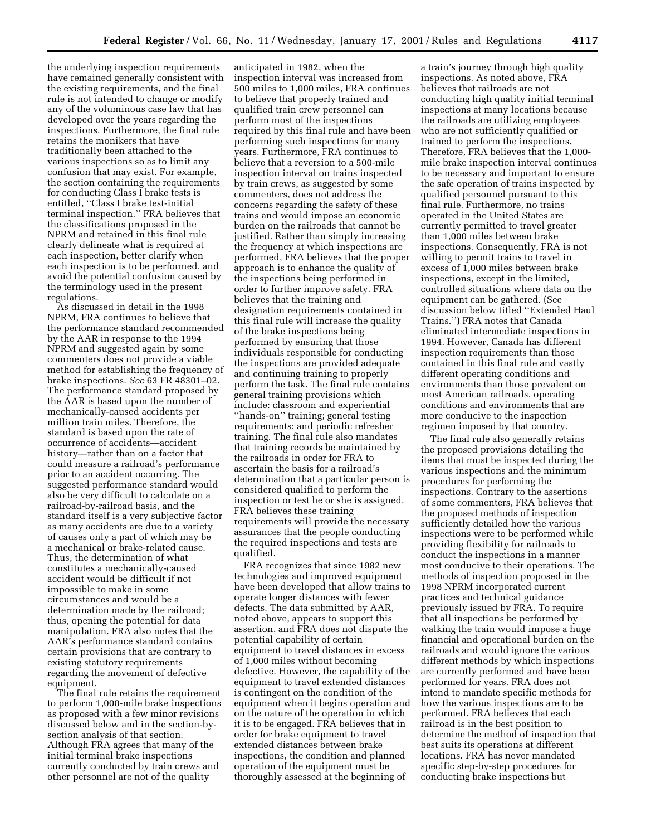the underlying inspection requirements have remained generally consistent with the existing requirements, and the final rule is not intended to change or modify any of the voluminous case law that has developed over the years regarding the inspections. Furthermore, the final rule retains the monikers that have traditionally been attached to the various inspections so as to limit any confusion that may exist. For example, the section containing the requirements for conducting Class I brake tests is entitled, ''Class I brake test-initial terminal inspection.'' FRA believes that the classifications proposed in the NPRM and retained in this final rule clearly delineate what is required at each inspection, better clarify when each inspection is to be performed, and avoid the potential confusion caused by the terminology used in the present regulations.

As discussed in detail in the 1998 NPRM, FRA continues to believe that the performance standard recommended by the AAR in response to the 1994 NPRM and suggested again by some commenters does not provide a viable method for establishing the frequency of brake inspections. *See* 63 FR 48301–02. The performance standard proposed by the AAR is based upon the number of mechanically-caused accidents per million train miles. Therefore, the standard is based upon the rate of occurrence of accidents—accident history—rather than on a factor that could measure a railroad's performance prior to an accident occurring. The suggested performance standard would also be very difficult to calculate on a railroad-by-railroad basis, and the standard itself is a very subjective factor as many accidents are due to a variety of causes only a part of which may be a mechanical or brake-related cause. Thus, the determination of what constitutes a mechanically-caused accident would be difficult if not impossible to make in some circumstances and would be a determination made by the railroad; thus, opening the potential for data manipulation. FRA also notes that the AAR's performance standard contains certain provisions that are contrary to existing statutory requirements regarding the movement of defective equipment.

The final rule retains the requirement to perform 1,000-mile brake inspections as proposed with a few minor revisions discussed below and in the section-bysection analysis of that section. Although FRA agrees that many of the initial terminal brake inspections currently conducted by train crews and other personnel are not of the quality

anticipated in 1982, when the inspection interval was increased from 500 miles to 1,000 miles, FRA continues to believe that properly trained and qualified train crew personnel can perform most of the inspections required by this final rule and have been performing such inspections for many years. Furthermore, FRA continues to believe that a reversion to a 500-mile inspection interval on trains inspected by train crews, as suggested by some commenters, does not address the concerns regarding the safety of these trains and would impose an economic burden on the railroads that cannot be justified. Rather than simply increasing the frequency at which inspections are performed, FRA believes that the proper approach is to enhance the quality of the inspections being performed in order to further improve safety. FRA believes that the training and designation requirements contained in this final rule will increase the quality of the brake inspections being performed by ensuring that those individuals responsible for conducting the inspections are provided adequate and continuing training to properly perform the task. The final rule contains general training provisions which include: classroom and experiential ''hands-on'' training; general testing requirements; and periodic refresher training. The final rule also mandates that training records be maintained by the railroads in order for FRA to ascertain the basis for a railroad's determination that a particular person is considered qualified to perform the inspection or test he or she is assigned. FRA believes these training requirements will provide the necessary assurances that the people conducting the required inspections and tests are qualified.

FRA recognizes that since 1982 new technologies and improved equipment have been developed that allow trains to operate longer distances with fewer defects. The data submitted by AAR, noted above, appears to support this assertion, and FRA does not dispute the potential capability of certain equipment to travel distances in excess of 1,000 miles without becoming defective. However, the capability of the equipment to travel extended distances is contingent on the condition of the equipment when it begins operation and on the nature of the operation in which it is to be engaged. FRA believes that in order for brake equipment to travel extended distances between brake inspections, the condition and planned operation of the equipment must be thoroughly assessed at the beginning of

a train's journey through high quality inspections. As noted above, FRA believes that railroads are not conducting high quality initial terminal inspections at many locations because the railroads are utilizing employees who are not sufficiently qualified or trained to perform the inspections. Therefore, FRA believes that the 1,000 mile brake inspection interval continues to be necessary and important to ensure the safe operation of trains inspected by qualified personnel pursuant to this final rule. Furthermore, no trains operated in the United States are currently permitted to travel greater than 1,000 miles between brake inspections. Consequently, FRA is not willing to permit trains to travel in excess of 1,000 miles between brake inspections, except in the limited, controlled situations where data on the equipment can be gathered. (See discussion below titled ''Extended Haul Trains.'') FRA notes that Canada eliminated intermediate inspections in 1994. However, Canada has different inspection requirements than those contained in this final rule and vastly different operating conditions and environments than those prevalent on most American railroads, operating conditions and environments that are more conducive to the inspection regimen imposed by that country.

The final rule also generally retains the proposed provisions detailing the items that must be inspected during the various inspections and the minimum procedures for performing the inspections. Contrary to the assertions of some commenters, FRA believes that the proposed methods of inspection sufficiently detailed how the various inspections were to be performed while providing flexibility for railroads to conduct the inspections in a manner most conducive to their operations. The methods of inspection proposed in the 1998 NPRM incorporated current practices and technical guidance previously issued by FRA. To require that all inspections be performed by walking the train would impose a huge financial and operational burden on the railroads and would ignore the various different methods by which inspections are currently performed and have been performed for years. FRA does not intend to mandate specific methods for how the various inspections are to be performed. FRA believes that each railroad is in the best position to determine the method of inspection that best suits its operations at different locations. FRA has never mandated specific step-by-step procedures for conducting brake inspections but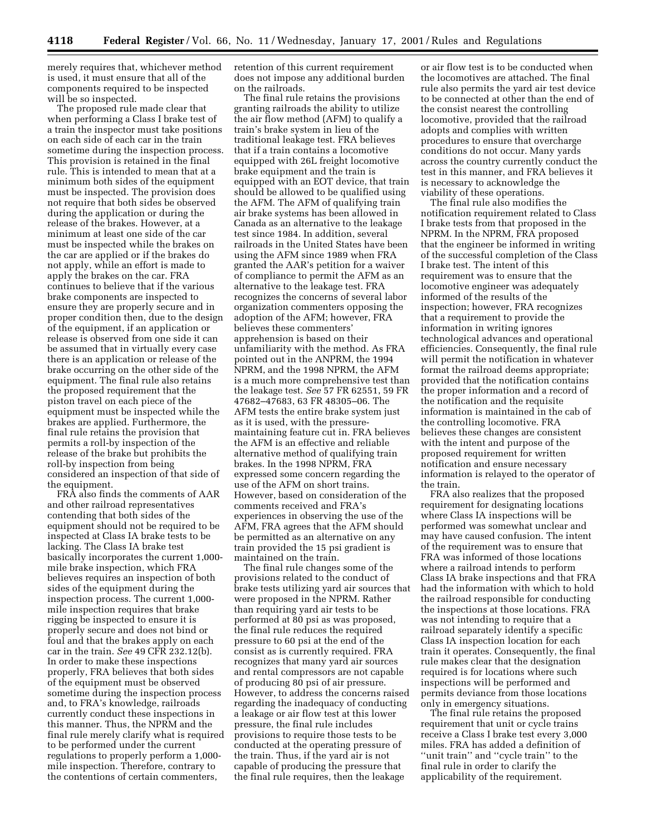merely requires that, whichever method is used, it must ensure that all of the components required to be inspected will be so inspected.

The proposed rule made clear that when performing a Class I brake test of a train the inspector must take positions on each side of each car in the train sometime during the inspection process. This provision is retained in the final rule. This is intended to mean that at a minimum both sides of the equipment must be inspected. The provision does not require that both sides be observed during the application or during the release of the brakes. However, at a minimum at least one side of the car must be inspected while the brakes on the car are applied or if the brakes do not apply, while an effort is made to apply the brakes on the car. FRA continues to believe that if the various brake components are inspected to ensure they are properly secure and in proper condition then, due to the design of the equipment, if an application or release is observed from one side it can be assumed that in virtually every case there is an application or release of the brake occurring on the other side of the equipment. The final rule also retains the proposed requirement that the piston travel on each piece of the equipment must be inspected while the brakes are applied. Furthermore, the final rule retains the provision that permits a roll-by inspection of the release of the brake but prohibits the roll-by inspection from being considered an inspection of that side of the equipment.

FRA also finds the comments of AAR and other railroad representatives contending that both sides of the equipment should not be required to be inspected at Class IA brake tests to be lacking. The Class IA brake test basically incorporates the current 1,000 mile brake inspection, which FRA believes requires an inspection of both sides of the equipment during the inspection process. The current 1,000 mile inspection requires that brake rigging be inspected to ensure it is properly secure and does not bind or foul and that the brakes apply on each car in the train. *See* 49 CFR 232.12(b). In order to make these inspections properly, FRA believes that both sides of the equipment must be observed sometime during the inspection process and, to FRA's knowledge, railroads currently conduct these inspections in this manner. Thus, the NPRM and the final rule merely clarify what is required to be performed under the current regulations to properly perform a 1,000 mile inspection. Therefore, contrary to the contentions of certain commenters,

retention of this current requirement does not impose any additional burden on the railroads.

The final rule retains the provisions granting railroads the ability to utilize the air flow method (AFM) to qualify a train's brake system in lieu of the traditional leakage test. FRA believes that if a train contains a locomotive equipped with 26L freight locomotive brake equipment and the train is equipped with an EOT device, that train should be allowed to be qualified using the AFM. The AFM of qualifying train air brake systems has been allowed in Canada as an alternative to the leakage test since 1984. In addition, several railroads in the United States have been using the AFM since 1989 when FRA granted the AAR's petition for a waiver of compliance to permit the AFM as an alternative to the leakage test. FRA recognizes the concerns of several labor organization commenters opposing the adoption of the AFM; however, FRA believes these commenters' apprehension is based on their unfamiliarity with the method. As FRA pointed out in the ANPRM, the 1994 NPRM, and the 1998 NPRM, the AFM is a much more comprehensive test than the leakage test. *See* 57 FR 62551, 59 FR 47682–47683, 63 FR 48305–06. The AFM tests the entire brake system just as it is used, with the pressuremaintaining feature cut in. FRA believes the AFM is an effective and reliable alternative method of qualifying train brakes. In the 1998 NPRM, FRA expressed some concern regarding the use of the AFM on short trains. However, based on consideration of the comments received and FRA's experiences in observing the use of the AFM, FRA agrees that the AFM should be permitted as an alternative on any train provided the 15 psi gradient is maintained on the train.

The final rule changes some of the provisions related to the conduct of brake tests utilizing yard air sources that were proposed in the NPRM. Rather than requiring yard air tests to be performed at 80 psi as was proposed, the final rule reduces the required pressure to 60 psi at the end of the consist as is currently required. FRA recognizes that many yard air sources and rental compressors are not capable of producing 80 psi of air pressure. However, to address the concerns raised regarding the inadequacy of conducting a leakage or air flow test at this lower pressure, the final rule includes provisions to require those tests to be conducted at the operating pressure of the train. Thus, if the yard air is not capable of producing the pressure that the final rule requires, then the leakage

or air flow test is to be conducted when the locomotives are attached. The final rule also permits the yard air test device to be connected at other than the end of the consist nearest the controlling locomotive, provided that the railroad adopts and complies with written procedures to ensure that overcharge conditions do not occur. Many yards across the country currently conduct the test in this manner, and FRA believes it is necessary to acknowledge the viability of these operations.

The final rule also modifies the notification requirement related to Class I brake tests from that proposed in the NPRM. In the NPRM, FRA proposed that the engineer be informed in writing of the successful completion of the Class I brake test. The intent of this requirement was to ensure that the locomotive engineer was adequately informed of the results of the inspection; however, FRA recognizes that a requirement to provide the information in writing ignores technological advances and operational efficiencies. Consequently, the final rule will permit the notification in whatever format the railroad deems appropriate; provided that the notification contains the proper information and a record of the notification and the requisite information is maintained in the cab of the controlling locomotive. FRA believes these changes are consistent with the intent and purpose of the proposed requirement for written notification and ensure necessary information is relayed to the operator of the train.

FRA also realizes that the proposed requirement for designating locations where Class IA inspections will be performed was somewhat unclear and may have caused confusion. The intent of the requirement was to ensure that FRA was informed of those locations where a railroad intends to perform Class IA brake inspections and that FRA had the information with which to hold the railroad responsible for conducting the inspections at those locations. FRA was not intending to require that a railroad separately identify a specific Class IA inspection location for each train it operates. Consequently, the final rule makes clear that the designation required is for locations where such inspections will be performed and permits deviance from those locations only in emergency situations.

The final rule retains the proposed requirement that unit or cycle trains receive a Class I brake test every 3,000 miles. FRA has added a definition of ''unit train'' and ''cycle train'' to the final rule in order to clarify the applicability of the requirement.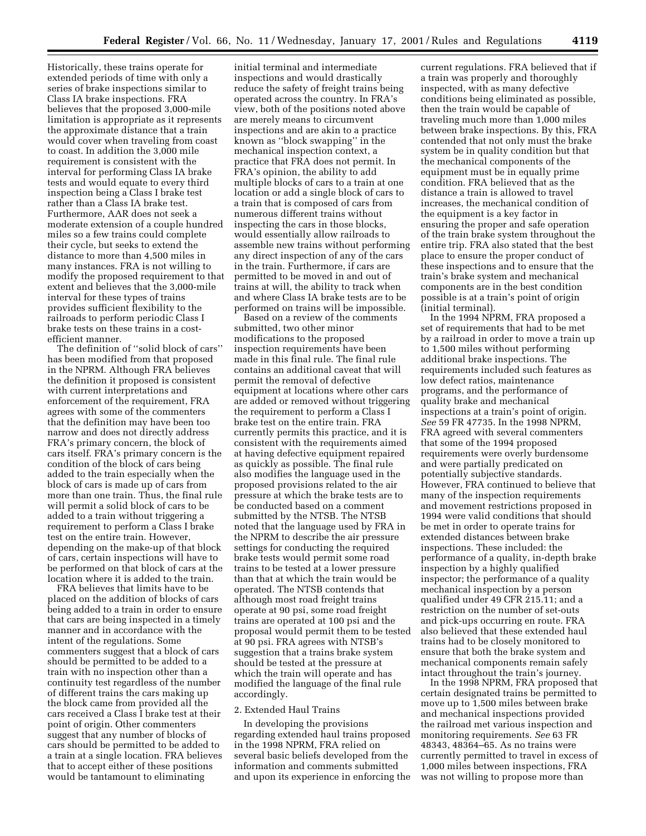Historically, these trains operate for extended periods of time with only a series of brake inspections similar to Class IA brake inspections. FRA believes that the proposed 3,000-mile limitation is appropriate as it represents the approximate distance that a train would cover when traveling from coast to coast. In addition the 3,000 mile requirement is consistent with the interval for performing Class IA brake tests and would equate to every third inspection being a Class I brake test rather than a Class IA brake test. Furthermore, AAR does not seek a moderate extension of a couple hundred miles so a few trains could complete their cycle, but seeks to extend the distance to more than 4,500 miles in many instances. FRA is not willing to modify the proposed requirement to that extent and believes that the 3,000-mile interval for these types of trains provides sufficient flexibility to the railroads to perform periodic Class I brake tests on these trains in a costefficient manner.

The definition of ''solid block of cars'' has been modified from that proposed in the NPRM. Although FRA believes the definition it proposed is consistent with current interpretations and enforcement of the requirement, FRA agrees with some of the commenters that the definition may have been too narrow and does not directly address FRA's primary concern, the block of cars itself. FRA's primary concern is the condition of the block of cars being added to the train especially when the block of cars is made up of cars from more than one train. Thus, the final rule will permit a solid block of cars to be added to a train without triggering a requirement to perform a Class I brake test on the entire train. However, depending on the make-up of that block of cars, certain inspections will have to be performed on that block of cars at the location where it is added to the train.

FRA believes that limits have to be placed on the addition of blocks of cars being added to a train in order to ensure that cars are being inspected in a timely manner and in accordance with the intent of the regulations. Some commenters suggest that a block of cars should be permitted to be added to a train with no inspection other than a continuity test regardless of the number of different trains the cars making up the block came from provided all the cars received a Class I brake test at their point of origin. Other commenters suggest that any number of blocks of cars should be permitted to be added to a train at a single location. FRA believes that to accept either of these positions would be tantamount to eliminating

initial terminal and intermediate inspections and would drastically reduce the safety of freight trains being operated across the country. In FRA's view, both of the positions noted above are merely means to circumvent inspections and are akin to a practice known as ''block swapping'' in the mechanical inspection context, a practice that FRA does not permit. In FRA's opinion, the ability to add multiple blocks of cars to a train at one location or add a single block of cars to a train that is composed of cars from numerous different trains without inspecting the cars in those blocks, would essentially allow railroads to assemble new trains without performing any direct inspection of any of the cars in the train. Furthermore, if cars are permitted to be moved in and out of trains at will, the ability to track when and where Class IA brake tests are to be performed on trains will be impossible.

Based on a review of the comments submitted, two other minor modifications to the proposed inspection requirements have been made in this final rule. The final rule contains an additional caveat that will permit the removal of defective equipment at locations where other cars are added or removed without triggering the requirement to perform a Class I brake test on the entire train. FRA currently permits this practice, and it is consistent with the requirements aimed at having defective equipment repaired as quickly as possible. The final rule also modifies the language used in the proposed provisions related to the air pressure at which the brake tests are to be conducted based on a comment submitted by the NTSB. The NTSB noted that the language used by FRA in the NPRM to describe the air pressure settings for conducting the required brake tests would permit some road trains to be tested at a lower pressure than that at which the train would be operated. The NTSB contends that although most road freight trains operate at 90 psi, some road freight trains are operated at 100 psi and the proposal would permit them to be tested at 90 psi. FRA agrees with NTSB's suggestion that a trains brake system should be tested at the pressure at which the train will operate and has modified the language of the final rule accordingly.

### 2. Extended Haul Trains

In developing the provisions regarding extended haul trains proposed in the 1998 NPRM, FRA relied on several basic beliefs developed from the information and comments submitted and upon its experience in enforcing the current regulations. FRA believed that if a train was properly and thoroughly inspected, with as many defective conditions being eliminated as possible, then the train would be capable of traveling much more than 1,000 miles between brake inspections. By this, FRA contended that not only must the brake system be in quality condition but that the mechanical components of the equipment must be in equally prime condition. FRA believed that as the distance a train is allowed to travel increases, the mechanical condition of the equipment is a key factor in ensuring the proper and safe operation of the train brake system throughout the entire trip. FRA also stated that the best place to ensure the proper conduct of these inspections and to ensure that the train's brake system and mechanical components are in the best condition possible is at a train's point of origin (initial terminal).

In the 1994 NPRM, FRA proposed a set of requirements that had to be met by a railroad in order to move a train up to 1,500 miles without performing additional brake inspections. The requirements included such features as low defect ratios, maintenance programs, and the performance of quality brake and mechanical inspections at a train's point of origin. *See* 59 FR 47735. In the 1998 NPRM, FRA agreed with several commenters that some of the 1994 proposed requirements were overly burdensome and were partially predicated on potentially subjective standards. However, FRA continued to believe that many of the inspection requirements and movement restrictions proposed in 1994 were valid conditions that should be met in order to operate trains for extended distances between brake inspections. These included: the performance of a quality, in-depth brake inspection by a highly qualified inspector; the performance of a quality mechanical inspection by a person qualified under 49 CFR 215.11; and a restriction on the number of set-outs and pick-ups occurring en route. FRA also believed that these extended haul trains had to be closely monitored to ensure that both the brake system and mechanical components remain safely intact throughout the train's journey.

In the 1998 NPRM, FRA proposed that certain designated trains be permitted to move up to 1,500 miles between brake and mechanical inspections provided the railroad met various inspection and monitoring requirements. *See* 63 FR 48343, 48364–65. As no trains were currently permitted to travel in excess of 1,000 miles between inspections, FRA was not willing to propose more than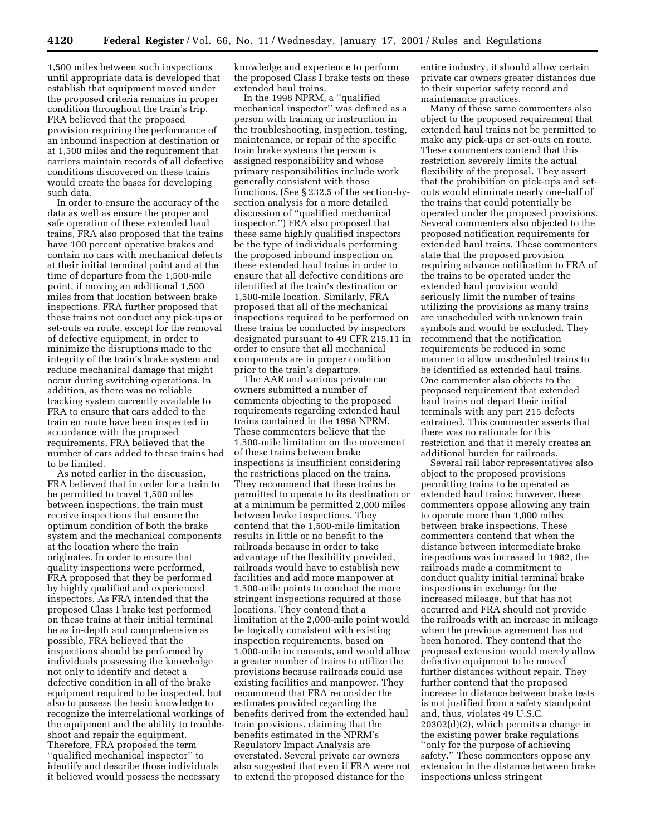1,500 miles between such inspections until appropriate data is developed that establish that equipment moved under the proposed criteria remains in proper condition throughout the train's trip. FRA believed that the proposed provision requiring the performance of an inbound inspection at destination or at 1,500 miles and the requirement that carriers maintain records of all defective conditions discovered on these trains would create the bases for developing such data.

In order to ensure the accuracy of the data as well as ensure the proper and safe operation of these extended haul trains, FRA also proposed that the trains have 100 percent operative brakes and contain no cars with mechanical defects at their initial terminal point and at the time of departure from the 1,500-mile point, if moving an additional 1,500 miles from that location between brake inspections. FRA further proposed that these trains not conduct any pick-ups or set-outs en route, except for the removal of defective equipment, in order to minimize the disruptions made to the integrity of the train's brake system and reduce mechanical damage that might occur during switching operations. In addition, as there was no reliable tracking system currently available to FRA to ensure that cars added to the train en route have been inspected in accordance with the proposed requirements, FRA believed that the number of cars added to these trains had to be limited.

As noted earlier in the discussion, FRA believed that in order for a train to be permitted to travel 1,500 miles between inspections, the train must receive inspections that ensure the optimum condition of both the brake system and the mechanical components at the location where the train originates. In order to ensure that quality inspections were performed, FRA proposed that they be performed by highly qualified and experienced inspectors. As FRA intended that the proposed Class I brake test performed on these trains at their initial terminal be as in-depth and comprehensive as possible, FRA believed that the inspections should be performed by individuals possessing the knowledge not only to identify and detect a defective condition in all of the brake equipment required to be inspected, but also to possess the basic knowledge to recognize the interrelational workings of the equipment and the ability to troubleshoot and repair the equipment. Therefore, FRA proposed the term ''qualified mechanical inspector'' to identify and describe those individuals it believed would possess the necessary

knowledge and experience to perform the proposed Class I brake tests on these extended haul trains.

In the 1998 NPRM, a ''qualified mechanical inspector'' was defined as a person with training or instruction in the troubleshooting, inspection, testing, maintenance, or repair of the specific train brake systems the person is assigned responsibility and whose primary responsibilities include work generally consistent with those functions. (See § 232.5 of the section-bysection analysis for a more detailed discussion of ''qualified mechanical inspector.'') FRA also proposed that these same highly qualified inspectors be the type of individuals performing the proposed inbound inspection on these extended haul trains in order to ensure that all defective conditions are identified at the train's destination or 1,500-mile location. Similarly, FRA proposed that all of the mechanical inspections required to be performed on these trains be conducted by inspectors designated pursuant to 49 CFR 215.11 in order to ensure that all mechanical components are in proper condition prior to the train's departure.

The AAR and various private car owners submitted a number of comments objecting to the proposed requirements regarding extended haul trains contained in the 1998 NPRM. These commenters believe that the 1,500-mile limitation on the movement of these trains between brake inspections is insufficient considering the restrictions placed on the trains. They recommend that these trains be permitted to operate to its destination or at a minimum be permitted 2,000 miles between brake inspections. They contend that the 1,500-mile limitation results in little or no benefit to the railroads because in order to take advantage of the flexibility provided, railroads would have to establish new facilities and add more manpower at 1,500-mile points to conduct the more stringent inspections required at those locations. They contend that a limitation at the 2,000-mile point would be logically consistent with existing inspection requirements, based on 1,000-mile increments, and would allow a greater number of trains to utilize the provisions because railroads could use existing facilities and manpower. They recommend that FRA reconsider the estimates provided regarding the benefits derived from the extended haul train provisions, claiming that the benefits estimated in the NPRM's Regulatory Impact Analysis are overstated. Several private car owners also suggested that even if FRA were not to extend the proposed distance for the

entire industry, it should allow certain private car owners greater distances due to their superior safety record and maintenance practices.

Many of these same commenters also object to the proposed requirement that extended haul trains not be permitted to make any pick-ups or set-outs en route. These commenters contend that this restriction severely limits the actual flexibility of the proposal. They assert that the prohibition on pick-ups and setouts would eliminate nearly one-half of the trains that could potentially be operated under the proposed provisions. Several commenters also objected to the proposed notification requirements for extended haul trains. These commenters state that the proposed provision requiring advance notification to FRA of the trains to be operated under the extended haul provision would seriously limit the number of trains utilizing the provisions as many trains are unscheduled with unknown train symbols and would be excluded. They recommend that the notification requirements be reduced in some manner to allow unscheduled trains to be identified as extended haul trains. One commenter also objects to the proposed requirement that extended haul trains not depart their initial terminals with any part 215 defects entrained. This commenter asserts that there was no rationale for this restriction and that it merely creates an additional burden for railroads.

Several rail labor representatives also object to the proposed provisions permitting trains to be operated as extended haul trains; however, these commenters oppose allowing any train to operate more than 1,000 miles between brake inspections. These commenters contend that when the distance between intermediate brake inspections was increased in 1982, the railroads made a commitment to conduct quality initial terminal brake inspections in exchange for the increased mileage, but that has not occurred and FRA should not provide the railroads with an increase in mileage when the previous agreement has not been honored. They contend that the proposed extension would merely allow defective equipment to be moved further distances without repair. They further contend that the proposed increase in distance between brake tests is not justified from a safety standpoint and, thus, violates 49 U.S.C. 20302(d)(2), which permits a change in the existing power brake regulations ''only for the purpose of achieving safety.'' These commenters oppose any extension in the distance between brake inspections unless stringent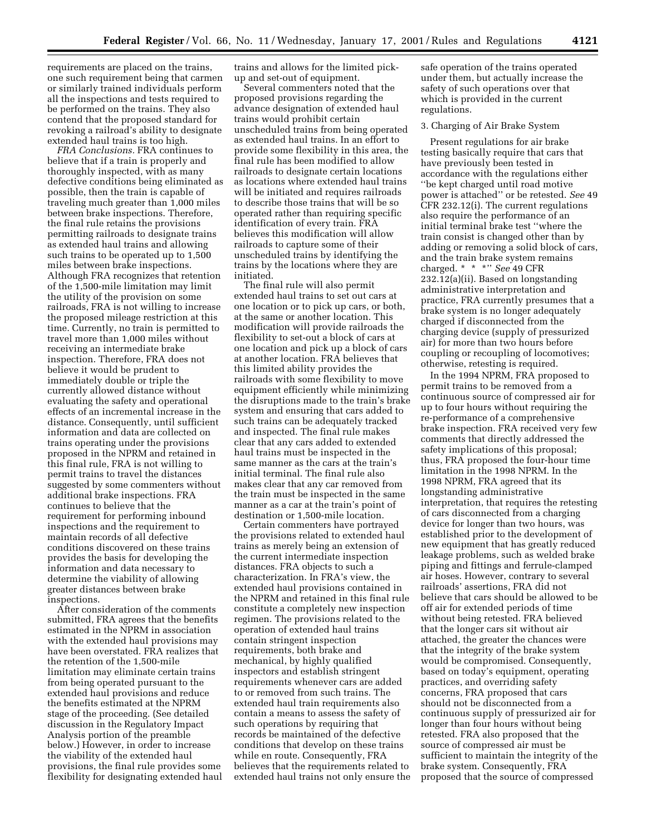requirements are placed on the trains, one such requirement being that carmen or similarly trained individuals perform all the inspections and tests required to be performed on the trains. They also contend that the proposed standard for revoking a railroad's ability to designate extended haul trains is too high.

*FRA Conclusions.* FRA continues to believe that if a train is properly and thoroughly inspected, with as many defective conditions being eliminated as possible, then the train is capable of traveling much greater than 1,000 miles between brake inspections. Therefore, the final rule retains the provisions permitting railroads to designate trains as extended haul trains and allowing such trains to be operated up to 1,500 miles between brake inspections. Although FRA recognizes that retention of the 1,500-mile limitation may limit the utility of the provision on some railroads, FRA is not willing to increase the proposed mileage restriction at this time. Currently, no train is permitted to travel more than 1,000 miles without receiving an intermediate brake inspection. Therefore, FRA does not believe it would be prudent to immediately double or triple the currently allowed distance without evaluating the safety and operational effects of an incremental increase in the distance. Consequently, until sufficient information and data are collected on trains operating under the provisions proposed in the NPRM and retained in this final rule, FRA is not willing to permit trains to travel the distances suggested by some commenters without additional brake inspections. FRA continues to believe that the requirement for performing inbound inspections and the requirement to maintain records of all defective conditions discovered on these trains provides the basis for developing the information and data necessary to determine the viability of allowing greater distances between brake inspections.

After consideration of the comments submitted, FRA agrees that the benefits estimated in the NPRM in association with the extended haul provisions may have been overstated. FRA realizes that the retention of the 1,500-mile limitation may eliminate certain trains from being operated pursuant to the extended haul provisions and reduce the benefits estimated at the NPRM stage of the proceeding. (See detailed discussion in the Regulatory Impact Analysis portion of the preamble below.) However, in order to increase the viability of the extended haul provisions, the final rule provides some flexibility for designating extended haul trains and allows for the limited pickup and set-out of equipment.

Several commenters noted that the proposed provisions regarding the advance designation of extended haul trains would prohibit certain unscheduled trains from being operated as extended haul trains. In an effort to provide some flexibility in this area, the final rule has been modified to allow railroads to designate certain locations as locations where extended haul trains will be initiated and requires railroads to describe those trains that will be so operated rather than requiring specific identification of every train. FRA believes this modification will allow railroads to capture some of their unscheduled trains by identifying the trains by the locations where they are initiated.

The final rule will also permit extended haul trains to set out cars at one location or to pick up cars, or both, at the same or another location. This modification will provide railroads the flexibility to set-out a block of cars at one location and pick up a block of cars at another location. FRA believes that this limited ability provides the railroads with some flexibility to move equipment efficiently while minimizing the disruptions made to the train's brake system and ensuring that cars added to such trains can be adequately tracked and inspected. The final rule makes clear that any cars added to extended haul trains must be inspected in the same manner as the cars at the train's initial terminal. The final rule also makes clear that any car removed from the train must be inspected in the same manner as a car at the train's point of destination or 1,500-mile location.

Certain commenters have portrayed the provisions related to extended haul trains as merely being an extension of the current intermediate inspection distances. FRA objects to such a characterization. In FRA's view, the extended haul provisions contained in the NPRM and retained in this final rule constitute a completely new inspection regimen. The provisions related to the operation of extended haul trains contain stringent inspection requirements, both brake and mechanical, by highly qualified inspectors and establish stringent requirements whenever cars are added to or removed from such trains. The extended haul train requirements also contain a means to assess the safety of such operations by requiring that records be maintained of the defective conditions that develop on these trains while en route. Consequently, FRA believes that the requirements related to extended haul trains not only ensure the

safe operation of the trains operated under them, but actually increase the safety of such operations over that which is provided in the current regulations.

#### 3. Charging of Air Brake System

Present regulations for air brake testing basically require that cars that have previously been tested in accordance with the regulations either ''be kept charged until road motive power is attached'' or be retested. *See* 49 CFR 232.12(i). The current regulations also require the performance of an initial terminal brake test ''where the train consist is changed other than by adding or removing a solid block of cars, and the train brake system remains charged. \* \* \*'' *See* 49 CFR 232.12(a)(ii). Based on longstanding administrative interpretation and practice, FRA currently presumes that a brake system is no longer adequately charged if disconnected from the charging device (supply of pressurized air) for more than two hours before coupling or recoupling of locomotives; otherwise, retesting is required.

In the 1994 NPRM, FRA proposed to permit trains to be removed from a continuous source of compressed air for up to four hours without requiring the re-performance of a comprehensive brake inspection. FRA received very few comments that directly addressed the safety implications of this proposal; thus, FRA proposed the four-hour time limitation in the 1998 NPRM. In the 1998 NPRM, FRA agreed that its longstanding administrative interpretation, that requires the retesting of cars disconnected from a charging device for longer than two hours, was established prior to the development of new equipment that has greatly reduced leakage problems, such as welded brake piping and fittings and ferrule-clamped air hoses. However, contrary to several railroads' assertions, FRA did not believe that cars should be allowed to be off air for extended periods of time without being retested. FRA believed that the longer cars sit without air attached, the greater the chances were that the integrity of the brake system would be compromised. Consequently, based on today's equipment, operating practices, and overriding safety concerns, FRA proposed that cars should not be disconnected from a continuous supply of pressurized air for longer than four hours without being retested. FRA also proposed that the source of compressed air must be sufficient to maintain the integrity of the brake system. Consequently, FRA proposed that the source of compressed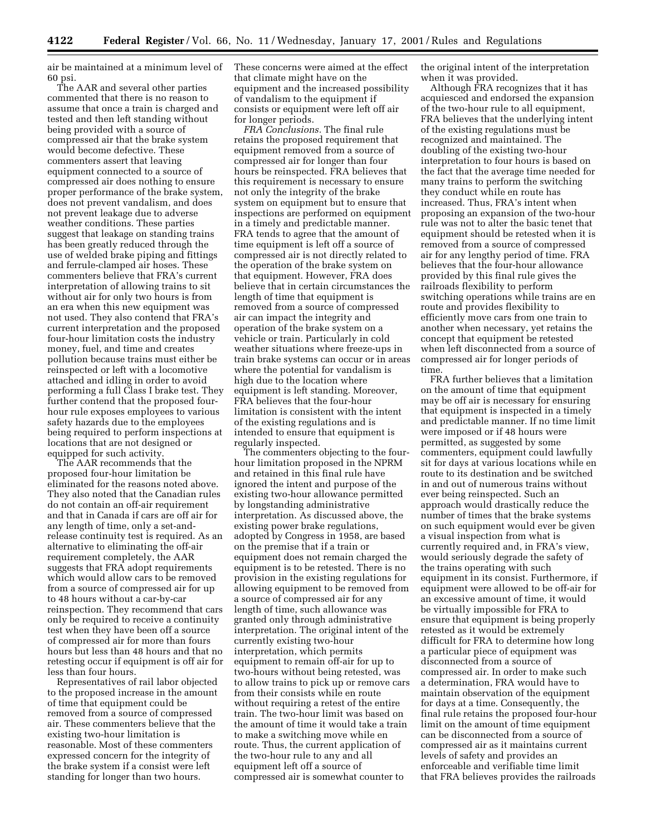air be maintained at a minimum level of 60 psi.

The AAR and several other parties commented that there is no reason to assume that once a train is charged and tested and then left standing without being provided with a source of compressed air that the brake system would become defective. These commenters assert that leaving equipment connected to a source of compressed air does nothing to ensure proper performance of the brake system, does not prevent vandalism, and does not prevent leakage due to adverse weather conditions. These parties suggest that leakage on standing trains has been greatly reduced through the use of welded brake piping and fittings and ferrule-clamped air hoses. These commenters believe that FRA's current interpretation of allowing trains to sit without air for only two hours is from an era when this new equipment was not used. They also contend that FRA's current interpretation and the proposed four-hour limitation costs the industry money, fuel, and time and creates pollution because trains must either be reinspected or left with a locomotive attached and idling in order to avoid performing a full Class I brake test. They further contend that the proposed fourhour rule exposes employees to various safety hazards due to the employees being required to perform inspections at locations that are not designed or equipped for such activity.

The AAR recommends that the proposed four-hour limitation be eliminated for the reasons noted above. They also noted that the Canadian rules do not contain an off-air requirement and that in Canada if cars are off air for any length of time, only a set-andrelease continuity test is required. As an alternative to eliminating the off-air requirement completely, the AAR suggests that FRA adopt requirements which would allow cars to be removed from a source of compressed air for up to 48 hours without a car-by-car reinspection. They recommend that cars only be required to receive a continuity test when they have been off a source of compressed air for more than fours hours but less than 48 hours and that no retesting occur if equipment is off air for less than four hours.

Representatives of rail labor objected to the proposed increase in the amount of time that equipment could be removed from a source of compressed air. These commenters believe that the existing two-hour limitation is reasonable. Most of these commenters expressed concern for the integrity of the brake system if a consist were left standing for longer than two hours.

These concerns were aimed at the effect that climate might have on the equipment and the increased possibility of vandalism to the equipment if consists or equipment were left off air for longer periods.

*FRA Conclusions.* The final rule retains the proposed requirement that equipment removed from a source of compressed air for longer than four hours be reinspected. FRA believes that this requirement is necessary to ensure not only the integrity of the brake system on equipment but to ensure that inspections are performed on equipment in a timely and predictable manner. FRA tends to agree that the amount of time equipment is left off a source of compressed air is not directly related to the operation of the brake system on that equipment. However, FRA does believe that in certain circumstances the length of time that equipment is removed from a source of compressed air can impact the integrity and operation of the brake system on a vehicle or train. Particularly in cold weather situations where freeze-ups in train brake systems can occur or in areas where the potential for vandalism is high due to the location where equipment is left standing. Moreover, FRA believes that the four-hour limitation is consistent with the intent of the existing regulations and is intended to ensure that equipment is regularly inspected.

The commenters objecting to the fourhour limitation proposed in the NPRM and retained in this final rule have ignored the intent and purpose of the existing two-hour allowance permitted by longstanding administrative interpretation. As discussed above, the existing power brake regulations, adopted by Congress in 1958, are based on the premise that if a train or equipment does not remain charged the equipment is to be retested. There is no provision in the existing regulations for allowing equipment to be removed from a source of compressed air for any length of time, such allowance was granted only through administrative interpretation. The original intent of the currently existing two-hour interpretation, which permits equipment to remain off-air for up to two-hours without being retested, was to allow trains to pick up or remove cars from their consists while en route without requiring a retest of the entire train. The two-hour limit was based on the amount of time it would take a train to make a switching move while en route. Thus, the current application of the two-hour rule to any and all equipment left off a source of compressed air is somewhat counter to

the original intent of the interpretation when it was provided.

Although FRA recognizes that it has acquiesced and endorsed the expansion of the two-hour rule to all equipment, FRA believes that the underlying intent of the existing regulations must be recognized and maintained. The doubling of the existing two-hour interpretation to four hours is based on the fact that the average time needed for many trains to perform the switching they conduct while en route has increased. Thus, FRA's intent when proposing an expansion of the two-hour rule was not to alter the basic tenet that equipment should be retested when it is removed from a source of compressed air for any lengthy period of time. FRA believes that the four-hour allowance provided by this final rule gives the railroads flexibility to perform switching operations while trains are en route and provides flexibility to efficiently move cars from one train to another when necessary, yet retains the concept that equipment be retested when left disconnected from a source of compressed air for longer periods of time.

FRA further believes that a limitation on the amount of time that equipment may be off air is necessary for ensuring that equipment is inspected in a timely and predictable manner. If no time limit were imposed or if 48 hours were permitted, as suggested by some commenters, equipment could lawfully sit for days at various locations while en route to its destination and be switched in and out of numerous trains without ever being reinspected. Such an approach would drastically reduce the number of times that the brake systems on such equipment would ever be given a visual inspection from what is currently required and, in FRA's view, would seriously degrade the safety of the trains operating with such equipment in its consist. Furthermore, if equipment were allowed to be off-air for an excessive amount of time, it would be virtually impossible for FRA to ensure that equipment is being properly retested as it would be extremely difficult for FRA to determine how long a particular piece of equipment was disconnected from a source of compressed air. In order to make such a determination, FRA would have to maintain observation of the equipment for days at a time. Consequently, the final rule retains the proposed four-hour limit on the amount of time equipment can be disconnected from a source of compressed air as it maintains current levels of safety and provides an enforceable and verifiable time limit that FRA believes provides the railroads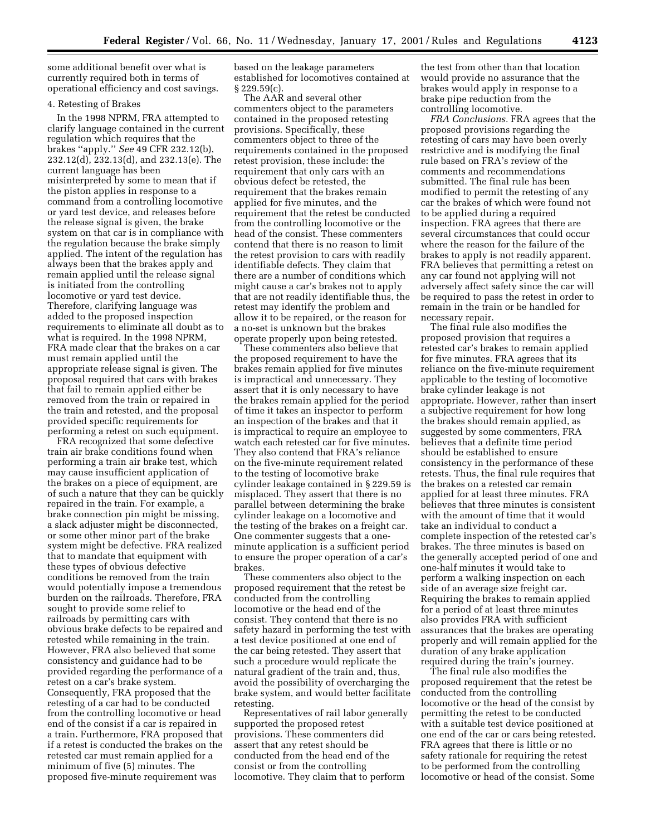some additional benefit over what is currently required both in terms of operational efficiency and cost savings.

### 4. Retesting of Brakes

In the 1998 NPRM, FRA attempted to clarify language contained in the current regulation which requires that the brakes ''apply.'' *See* 49 CFR 232.12(b), 232.12(d), 232.13(d), and 232.13(e). The current language has been misinterpreted by some to mean that if the piston applies in response to a command from a controlling locomotive or yard test device, and releases before the release signal is given, the brake system on that car is in compliance with the regulation because the brake simply applied. The intent of the regulation has always been that the brakes apply and remain applied until the release signal is initiated from the controlling locomotive or yard test device. Therefore, clarifying language was added to the proposed inspection requirements to eliminate all doubt as to what is required. In the 1998 NPRM, FRA made clear that the brakes on a car must remain applied until the appropriate release signal is given. The proposal required that cars with brakes that fail to remain applied either be removed from the train or repaired in the train and retested, and the proposal provided specific requirements for performing a retest on such equipment.

FRA recognized that some defective train air brake conditions found when performing a train air brake test, which may cause insufficient application of the brakes on a piece of equipment, are of such a nature that they can be quickly repaired in the train. For example, a brake connection pin might be missing, a slack adjuster might be disconnected, or some other minor part of the brake system might be defective. FRA realized that to mandate that equipment with these types of obvious defective conditions be removed from the train would potentially impose a tremendous burden on the railroads. Therefore, FRA sought to provide some relief to railroads by permitting cars with obvious brake defects to be repaired and retested while remaining in the train. However, FRA also believed that some consistency and guidance had to be provided regarding the performance of a retest on a car's brake system. Consequently, FRA proposed that the retesting of a car had to be conducted from the controlling locomotive or head end of the consist if a car is repaired in a train. Furthermore, FRA proposed that if a retest is conducted the brakes on the retested car must remain applied for a minimum of five (5) minutes. The proposed five-minute requirement was

based on the leakage parameters established for locomotives contained at  $\S 229.59(c)$ .

The AAR and several other commenters object to the parameters contained in the proposed retesting provisions. Specifically, these commenters object to three of the requirements contained in the proposed retest provision, these include: the requirement that only cars with an obvious defect be retested, the requirement that the brakes remain applied for five minutes, and the requirement that the retest be conducted from the controlling locomotive or the head of the consist. These commenters contend that there is no reason to limit the retest provision to cars with readily identifiable defects. They claim that there are a number of conditions which might cause a car's brakes not to apply that are not readily identifiable thus, the retest may identify the problem and allow it to be repaired, or the reason for a no-set is unknown but the brakes operate properly upon being retested.

These commenters also believe that the proposed requirement to have the brakes remain applied for five minutes is impractical and unnecessary. They assert that it is only necessary to have the brakes remain applied for the period of time it takes an inspector to perform an inspection of the brakes and that it is impractical to require an employee to watch each retested car for five minutes. They also contend that FRA's reliance on the five-minute requirement related to the testing of locomotive brake cylinder leakage contained in § 229.59 is misplaced. They assert that there is no parallel between determining the brake cylinder leakage on a locomotive and the testing of the brakes on a freight car. One commenter suggests that a oneminute application is a sufficient period to ensure the proper operation of a car's brakes.

These commenters also object to the proposed requirement that the retest be conducted from the controlling locomotive or the head end of the consist. They contend that there is no safety hazard in performing the test with a test device positioned at one end of the car being retested. They assert that such a procedure would replicate the natural gradient of the train and, thus, avoid the possibility of overcharging the brake system, and would better facilitate retesting.

Representatives of rail labor generally supported the proposed retest provisions. These commenters did assert that any retest should be conducted from the head end of the consist or from the controlling locomotive. They claim that to perform

the test from other than that location would provide no assurance that the brakes would apply in response to a brake pipe reduction from the controlling locomotive.

*FRA Conclusions.* FRA agrees that the proposed provisions regarding the retesting of cars may have been overly restrictive and is modifying the final rule based on FRA's review of the comments and recommendations submitted. The final rule has been modified to permit the retesting of any car the brakes of which were found not to be applied during a required inspection. FRA agrees that there are several circumstances that could occur where the reason for the failure of the brakes to apply is not readily apparent. FRA believes that permitting a retest on any car found not applying will not adversely affect safety since the car will be required to pass the retest in order to remain in the train or be handled for necessary repair.

The final rule also modifies the proposed provision that requires a retested car's brakes to remain applied for five minutes. FRA agrees that its reliance on the five-minute requirement applicable to the testing of locomotive brake cylinder leakage is not appropriate. However, rather than insert a subjective requirement for how long the brakes should remain applied, as suggested by some commenters, FRA believes that a definite time period should be established to ensure consistency in the performance of these retests. Thus, the final rule requires that the brakes on a retested car remain applied for at least three minutes. FRA believes that three minutes is consistent with the amount of time that it would take an individual to conduct a complete inspection of the retested car's brakes. The three minutes is based on the generally accepted period of one and one-half minutes it would take to perform a walking inspection on each side of an average size freight car. Requiring the brakes to remain applied for a period of at least three minutes also provides FRA with sufficient assurances that the brakes are operating properly and will remain applied for the duration of any brake application required during the train's journey.

The final rule also modifies the proposed requirement that the retest be conducted from the controlling locomotive or the head of the consist by permitting the retest to be conducted with a suitable test device positioned at one end of the car or cars being retested. FRA agrees that there is little or no safety rationale for requiring the retest to be performed from the controlling locomotive or head of the consist. Some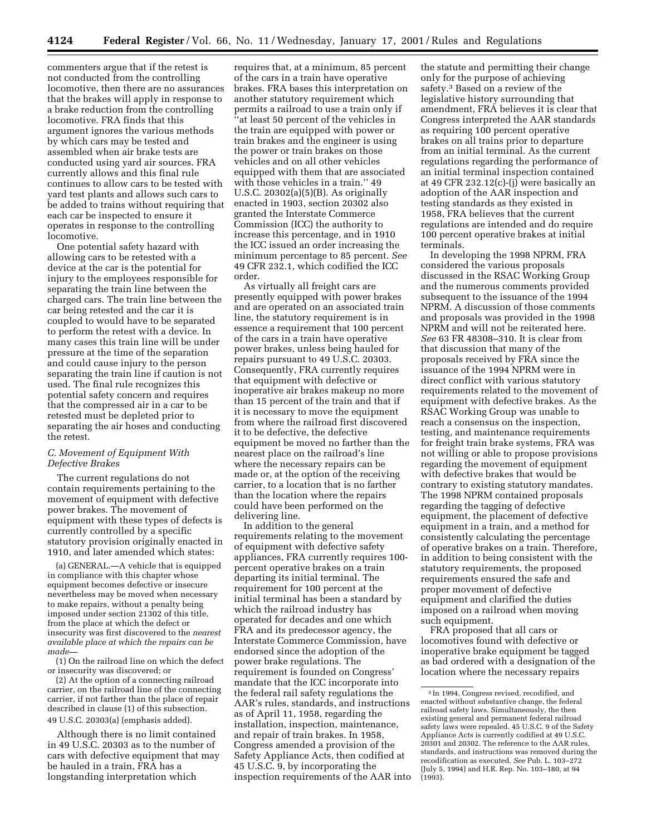commenters argue that if the retest is not conducted from the controlling locomotive, then there are no assurances that the brakes will apply in response to a brake reduction from the controlling locomotive. FRA finds that this argument ignores the various methods by which cars may be tested and assembled when air brake tests are conducted using yard air sources. FRA currently allows and this final rule continues to allow cars to be tested with yard test plants and allows such cars to be added to trains without requiring that each car be inspected to ensure it operates in response to the controlling locomotive.

One potential safety hazard with allowing cars to be retested with a device at the car is the potential for injury to the employees responsible for separating the train line between the charged cars. The train line between the car being retested and the car it is coupled to would have to be separated to perform the retest with a device. In many cases this train line will be under pressure at the time of the separation and could cause injury to the person separating the train line if caution is not used. The final rule recognizes this potential safety concern and requires that the compressed air in a car to be retested must be depleted prior to separating the air hoses and conducting the retest.

#### *C. Movement of Equipment With Defective Brakes*

The current regulations do not contain requirements pertaining to the movement of equipment with defective power brakes. The movement of equipment with these types of defects is currently controlled by a specific statutory provision originally enacted in 1910, and later amended which states:

(a) GENERAL.—A vehicle that is equipped in compliance with this chapter whose equipment becomes defective or insecure nevertheless may be moved when necessary to make repairs, without a penalty being imposed under section 21302 of this title, from the place at which the defect or insecurity was first discovered to the *nearest available place at which the repairs can be made—*

(1) On the railroad line on which the defect or insecurity was discovered; or

(2) At the option of a connecting railroad carrier, on the railroad line of the connecting carrier, if not farther than the place of repair described in clause (1) of this subsection. 49 U.S.C. 20303(a) (emphasis added).

Although there is no limit contained in 49 U.S.C. 20303 as to the number of cars with defective equipment that may be hauled in a train, FRA has a longstanding interpretation which

requires that, at a minimum, 85 percent of the cars in a train have operative brakes. FRA bases this interpretation on another statutory requirement which permits a railroad to use a train only if ''at least 50 percent of the vehicles in the train are equipped with power or train brakes and the engineer is using the power or train brakes on those vehicles and on all other vehicles equipped with them that are associated with those vehicles in a train.'' 49 U.S.C. 20302(a)(5)(B). As originally enacted in 1903, section 20302 also granted the Interstate Commerce Commission (ICC) the authority to increase this percentage, and in 1910 the ICC issued an order increasing the minimum percentage to 85 percent. *See* 49 CFR 232.1, which codified the ICC order.

As virtually all freight cars are presently equipped with power brakes and are operated on an associated train line, the statutory requirement is in essence a requirement that 100 percent of the cars in a train have operative power brakes, unless being hauled for repairs pursuant to 49 U.S.C. 20303. Consequently, FRA currently requires that equipment with defective or inoperative air brakes makeup no more than 15 percent of the train and that if it is necessary to move the equipment from where the railroad first discovered it to be defective, the defective equipment be moved no farther than the nearest place on the railroad's line where the necessary repairs can be made or, at the option of the receiving carrier, to a location that is no farther than the location where the repairs could have been performed on the delivering line.

In addition to the general requirements relating to the movement of equipment with defective safety appliances, FRA currently requires 100 percent operative brakes on a train departing its initial terminal. The requirement for 100 percent at the initial terminal has been a standard by which the railroad industry has operated for decades and one which FRA and its predecessor agency, the Interstate Commerce Commission, have endorsed since the adoption of the power brake regulations. The requirement is founded on Congress' mandate that the ICC incorporate into the federal rail safety regulations the AAR's rules, standards, and instructions as of April 11, 1958, regarding the installation, inspection, maintenance, and repair of train brakes. In 1958, Congress amended a provision of the Safety Appliance Acts, then codified at 45 U.S.C. 9, by incorporating the inspection requirements of the AAR into

the statute and permitting their change only for the purpose of achieving safety.3 Based on a review of the legislative history surrounding that amendment, FRA believes it is clear that Congress interpreted the AAR standards as requiring 100 percent operative brakes on all trains prior to departure from an initial terminal. As the current regulations regarding the performance of an initial terminal inspection contained at 49 CFR 232.12(c)-(j) were basically an adoption of the AAR inspection and testing standards as they existed in 1958, FRA believes that the current regulations are intended and do require 100 percent operative brakes at initial terminals.

In developing the 1998 NPRM, FRA considered the various proposals discussed in the RSAC Working Group and the numerous comments provided subsequent to the issuance of the 1994 NPRM. A discussion of those comments and proposals was provided in the 1998 NPRM and will not be reiterated here. *See* 63 FR 48308–310. It is clear from that discussion that many of the proposals received by FRA since the issuance of the 1994 NPRM were in direct conflict with various statutory requirements related to the movement of equipment with defective brakes. As the RSAC Working Group was unable to reach a consensus on the inspection, testing, and maintenance requirements for freight train brake systems, FRA was not willing or able to propose provisions regarding the movement of equipment with defective brakes that would be contrary to existing statutory mandates. The 1998 NPRM contained proposals regarding the tagging of defective equipment, the placement of defective equipment in a train, and a method for consistently calculating the percentage of operative brakes on a train. Therefore, in addition to being consistent with the statutory requirements, the proposed requirements ensured the safe and proper movement of defective equipment and clarified the duties imposed on a railroad when moving such equipment.

FRA proposed that all cars or locomotives found with defective or inoperative brake equipment be tagged as bad ordered with a designation of the location where the necessary repairs

<sup>3</sup> In 1994, Congress revised, recodified, and enacted without substantive change, the federal railroad safety laws. Simultaneously, the then existing general and permanent federal railroad safety laws were repealed. 45 U.S.C. 9 of the Safety Appliance Acts is currently codified at 49 U.S.C. 20301 and 20302. The reference to the AAR rules, standards, and instructions was removed during the recodification as executed. *See* Pub. L. 103–272 (July 5, 1994) and H.R. Rep. No. 103–180, at 94  $(1993)$ .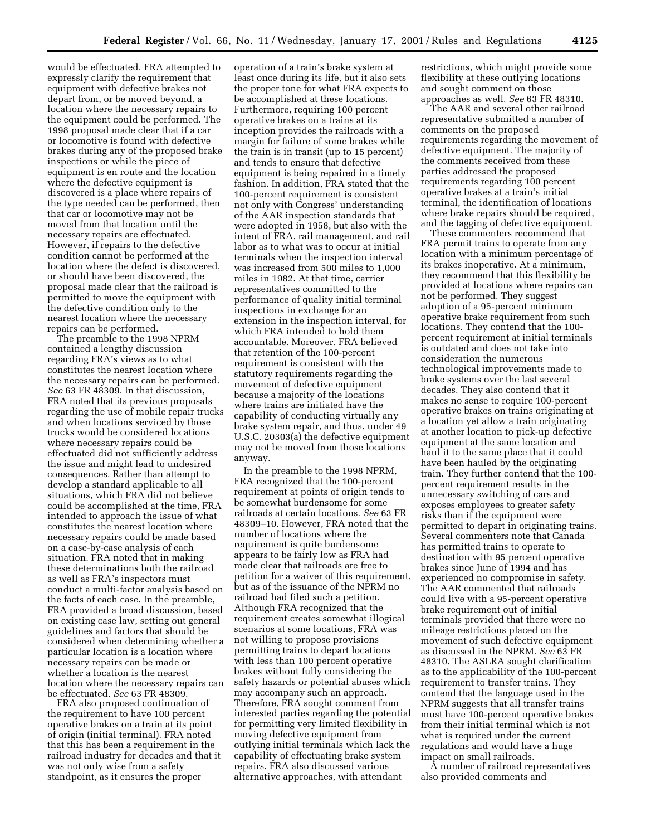would be effectuated. FRA attempted to expressly clarify the requirement that equipment with defective brakes not depart from, or be moved beyond, a location where the necessary repairs to the equipment could be performed. The 1998 proposal made clear that if a car or locomotive is found with defective brakes during any of the proposed brake inspections or while the piece of equipment is en route and the location where the defective equipment is discovered is a place where repairs of the type needed can be performed, then that car or locomotive may not be moved from that location until the necessary repairs are effectuated. However, if repairs to the defective condition cannot be performed at the location where the defect is discovered, or should have been discovered, the proposal made clear that the railroad is permitted to move the equipment with the defective condition only to the nearest location where the necessary repairs can be performed.

The preamble to the 1998 NPRM contained a lengthy discussion regarding FRA's views as to what constitutes the nearest location where the necessary repairs can be performed. *See* 63 FR 48309. In that discussion, FRA noted that its previous proposals regarding the use of mobile repair trucks and when locations serviced by those trucks would be considered locations where necessary repairs could be effectuated did not sufficiently address the issue and might lead to undesired consequences. Rather than attempt to develop a standard applicable to all situations, which FRA did not believe could be accomplished at the time, FRA intended to approach the issue of what constitutes the nearest location where necessary repairs could be made based on a case-by-case analysis of each situation. FRA noted that in making these determinations both the railroad as well as FRA's inspectors must conduct a multi-factor analysis based on the facts of each case. In the preamble, FRA provided a broad discussion, based on existing case law, setting out general guidelines and factors that should be considered when determining whether a particular location is a location where necessary repairs can be made or whether a location is the nearest location where the necessary repairs can be effectuated. *See* 63 FR 48309.

FRA also proposed continuation of the requirement to have 100 percent operative brakes on a train at its point of origin (initial terminal). FRA noted that this has been a requirement in the railroad industry for decades and that it was not only wise from a safety standpoint, as it ensures the proper

operation of a train's brake system at least once during its life, but it also sets the proper tone for what FRA expects to be accomplished at these locations. Furthermore, requiring 100 percent operative brakes on a trains at its inception provides the railroads with a margin for failure of some brakes while the train is in transit (up to 15 percent) and tends to ensure that defective equipment is being repaired in a timely fashion. In addition, FRA stated that the 100-percent requirement is consistent not only with Congress' understanding of the AAR inspection standards that were adopted in 1958, but also with the intent of FRA, rail management, and rail labor as to what was to occur at initial terminals when the inspection interval was increased from 500 miles to 1,000 miles in 1982. At that time, carrier representatives committed to the performance of quality initial terminal inspections in exchange for an extension in the inspection interval, for which FRA intended to hold them accountable. Moreover, FRA believed that retention of the 100-percent requirement is consistent with the statutory requirements regarding the movement of defective equipment because a majority of the locations where trains are initiated have the capability of conducting virtually any brake system repair, and thus, under 49 U.S.C. 20303(a) the defective equipment may not be moved from those locations anyway.

In the preamble to the 1998 NPRM, FRA recognized that the 100-percent requirement at points of origin tends to be somewhat burdensome for some railroads at certain locations. *See* 63 FR 48309–10. However, FRA noted that the number of locations where the requirement is quite burdensome appears to be fairly low as FRA had made clear that railroads are free to petition for a waiver of this requirement, but as of the issuance of the NPRM no railroad had filed such a petition. Although FRA recognized that the requirement creates somewhat illogical scenarios at some locations, FRA was not willing to propose provisions permitting trains to depart locations with less than 100 percent operative brakes without fully considering the safety hazards or potential abuses which may accompany such an approach. Therefore, FRA sought comment from interested parties regarding the potential for permitting very limited flexibility in moving defective equipment from outlying initial terminals which lack the capability of effectuating brake system repairs. FRA also discussed various alternative approaches, with attendant

restrictions, which might provide some flexibility at these outlying locations and sought comment on those approaches as well. *See* 63 FR 48310.

The AAR and several other railroad representative submitted a number of comments on the proposed requirements regarding the movement of defective equipment. The majority of the comments received from these parties addressed the proposed requirements regarding 100 percent operative brakes at a train's initial terminal, the identification of locations where brake repairs should be required, and the tagging of defective equipment.

These commenters recommend that FRA permit trains to operate from any location with a minimum percentage of its brakes inoperative. At a minimum, they recommend that this flexibility be provided at locations where repairs can not be performed. They suggest adoption of a 95-percent minimum operative brake requirement from such locations. They contend that the 100 percent requirement at initial terminals is outdated and does not take into consideration the numerous technological improvements made to brake systems over the last several decades. They also contend that it makes no sense to require 100-percent operative brakes on trains originating at a location yet allow a train originating at another location to pick-up defective equipment at the same location and haul it to the same place that it could have been hauled by the originating train. They further contend that the 100 percent requirement results in the unnecessary switching of cars and exposes employees to greater safety risks than if the equipment were permitted to depart in originating trains. Several commenters note that Canada has permitted trains to operate to destination with 95 percent operative brakes since June of 1994 and has experienced no compromise in safety. The AAR commented that railroads could live with a 95-percent operative brake requirement out of initial terminals provided that there were no mileage restrictions placed on the movement of such defective equipment as discussed in the NPRM. *See* 63 FR 48310. The ASLRA sought clarification as to the applicability of the 100-percent requirement to transfer trains. They contend that the language used in the NPRM suggests that all transfer trains must have 100-percent operative brakes from their initial terminal which is not what is required under the current regulations and would have a huge impact on small railroads.

A number of railroad representatives also provided comments and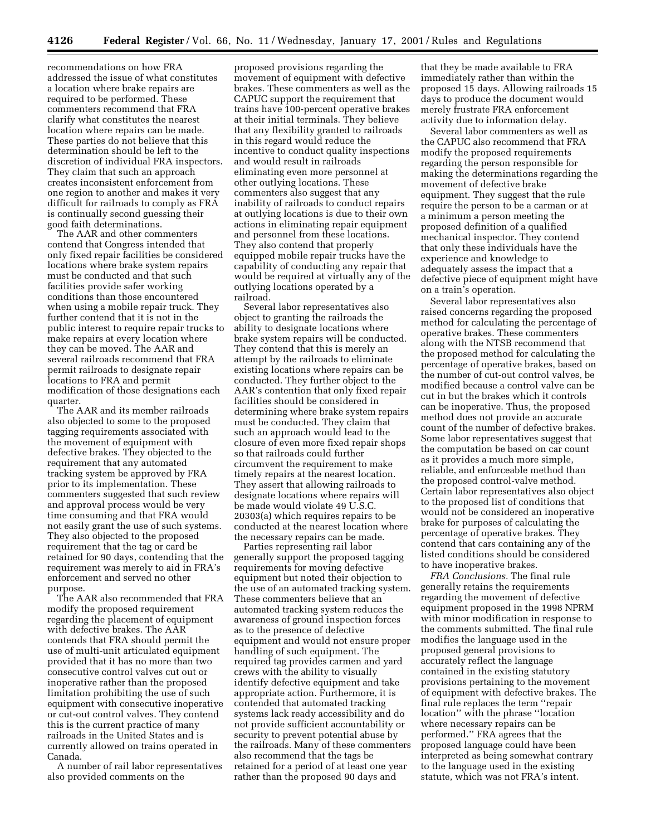recommendations on how FRA addressed the issue of what constitutes a location where brake repairs are required to be performed. These commenters recommend that FRA clarify what constitutes the nearest location where repairs can be made. These parties do not believe that this determination should be left to the discretion of individual FRA inspectors. They claim that such an approach creates inconsistent enforcement from one region to another and makes it very difficult for railroads to comply as FRA is continually second guessing their good faith determinations.

The AAR and other commenters contend that Congress intended that only fixed repair facilities be considered locations where brake system repairs must be conducted and that such facilities provide safer working conditions than those encountered when using a mobile repair truck. They further contend that it is not in the public interest to require repair trucks to make repairs at every location where they can be moved. The AAR and several railroads recommend that FRA permit railroads to designate repair locations to FRA and permit modification of those designations each quarter.

The AAR and its member railroads also objected to some to the proposed tagging requirements associated with the movement of equipment with defective brakes. They objected to the requirement that any automated tracking system be approved by FRA prior to its implementation. These commenters suggested that such review and approval process would be very time consuming and that FRA would not easily grant the use of such systems. They also objected to the proposed requirement that the tag or card be retained for 90 days, contending that the requirement was merely to aid in FRA's enforcement and served no other purpose.

The AAR also recommended that FRA modify the proposed requirement regarding the placement of equipment with defective brakes. The AAR contends that FRA should permit the use of multi-unit articulated equipment provided that it has no more than two consecutive control valves cut out or inoperative rather than the proposed limitation prohibiting the use of such equipment with consecutive inoperative or cut-out control valves. They contend this is the current practice of many railroads in the United States and is currently allowed on trains operated in Canada.

A number of rail labor representatives also provided comments on the

proposed provisions regarding the movement of equipment with defective brakes. These commenters as well as the CAPUC support the requirement that trains have 100-percent operative brakes at their initial terminals. They believe that any flexibility granted to railroads in this regard would reduce the incentive to conduct quality inspections and would result in railroads eliminating even more personnel at other outlying locations. These commenters also suggest that any inability of railroads to conduct repairs at outlying locations is due to their own actions in eliminating repair equipment and personnel from these locations. They also contend that properly equipped mobile repair trucks have the capability of conducting any repair that would be required at virtually any of the outlying locations operated by a railroad.

Several labor representatives also object to granting the railroads the ability to designate locations where brake system repairs will be conducted. They contend that this is merely an attempt by the railroads to eliminate existing locations where repairs can be conducted. They further object to the AAR's contention that only fixed repair facilities should be considered in determining where brake system repairs must be conducted. They claim that such an approach would lead to the closure of even more fixed repair shops so that railroads could further circumvent the requirement to make timely repairs at the nearest location. They assert that allowing railroads to designate locations where repairs will be made would violate 49 U.S.C. 20303(a) which requires repairs to be conducted at the nearest location where the necessary repairs can be made.

Parties representing rail labor generally support the proposed tagging requirements for moving defective equipment but noted their objection to the use of an automated tracking system. These commenters believe that an automated tracking system reduces the awareness of ground inspection forces as to the presence of defective equipment and would not ensure proper handling of such equipment. The required tag provides carmen and yard crews with the ability to visually identify defective equipment and take appropriate action. Furthermore, it is contended that automated tracking systems lack ready accessibility and do not provide sufficient accountability or security to prevent potential abuse by the railroads. Many of these commenters also recommend that the tags be retained for a period of at least one year rather than the proposed 90 days and

that they be made available to FRA immediately rather than within the proposed 15 days. Allowing railroads 15 days to produce the document would merely frustrate FRA enforcement activity due to information delay.

Several labor commenters as well as the CAPUC also recommend that FRA modify the proposed requirements regarding the person responsible for making the determinations regarding the movement of defective brake equipment. They suggest that the rule require the person to be a carman or at a minimum a person meeting the proposed definition of a qualified mechanical inspector. They contend that only these individuals have the experience and knowledge to adequately assess the impact that a defective piece of equipment might have on a train's operation.

Several labor representatives also raised concerns regarding the proposed method for calculating the percentage of operative brakes. These commenters along with the NTSB recommend that the proposed method for calculating the percentage of operative brakes, based on the number of cut-out control valves, be modified because a control valve can be cut in but the brakes which it controls can be inoperative. Thus, the proposed method does not provide an accurate count of the number of defective brakes. Some labor representatives suggest that the computation be based on car count as it provides a much more simple, reliable, and enforceable method than the proposed control-valve method. Certain labor representatives also object to the proposed list of conditions that would not be considered an inoperative brake for purposes of calculating the percentage of operative brakes. They contend that cars containing any of the listed conditions should be considered to have inoperative brakes.

*FRA Conclusions.* The final rule generally retains the requirements regarding the movement of defective equipment proposed in the 1998 NPRM with minor modification in response to the comments submitted. The final rule modifies the language used in the proposed general provisions to accurately reflect the language contained in the existing statutory provisions pertaining to the movement of equipment with defective brakes. The final rule replaces the term ''repair location'' with the phrase ''location where necessary repairs can be performed.'' FRA agrees that the proposed language could have been interpreted as being somewhat contrary to the language used in the existing statute, which was not FRA's intent.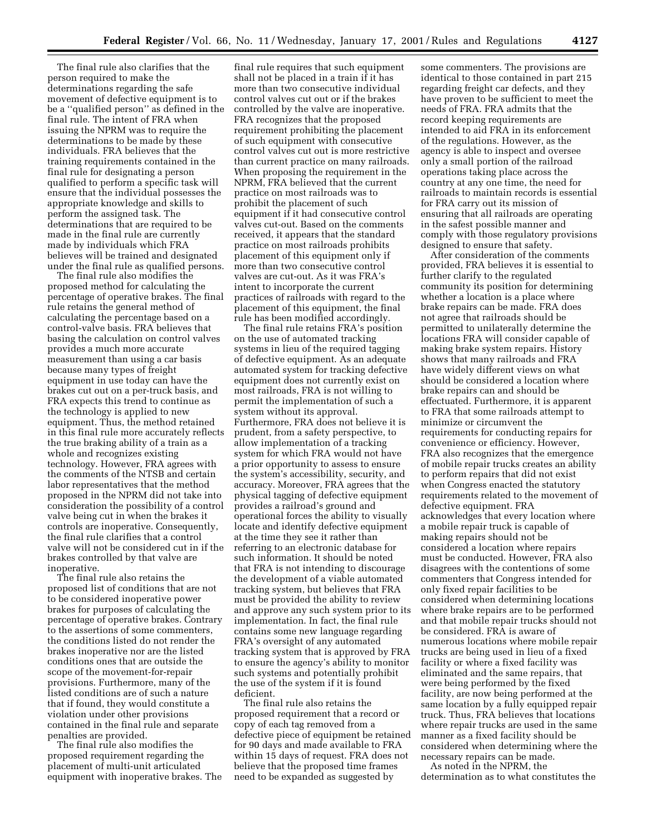The final rule also clarifies that the person required to make the determinations regarding the safe movement of defective equipment is to be a ''qualified person'' as defined in the final rule. The intent of FRA when issuing the NPRM was to require the determinations to be made by these individuals. FRA believes that the training requirements contained in the final rule for designating a person qualified to perform a specific task will ensure that the individual possesses the appropriate knowledge and skills to perform the assigned task. The determinations that are required to be made in the final rule are currently made by individuals which FRA believes will be trained and designated under the final rule as qualified persons.

The final rule also modifies the proposed method for calculating the percentage of operative brakes. The final rule retains the general method of calculating the percentage based on a control-valve basis. FRA believes that basing the calculation on control valves provides a much more accurate measurement than using a car basis because many types of freight equipment in use today can have the brakes cut out on a per-truck basis, and FRA expects this trend to continue as the technology is applied to new equipment. Thus, the method retained in this final rule more accurately reflects the true braking ability of a train as a whole and recognizes existing technology. However, FRA agrees with the comments of the NTSB and certain labor representatives that the method proposed in the NPRM did not take into consideration the possibility of a control valve being cut in when the brakes it controls are inoperative. Consequently, the final rule clarifies that a control valve will not be considered cut in if the brakes controlled by that valve are inoperative.

The final rule also retains the proposed list of conditions that are not to be considered inoperative power brakes for purposes of calculating the percentage of operative brakes. Contrary to the assertions of some commenters, the conditions listed do not render the brakes inoperative nor are the listed conditions ones that are outside the scope of the movement-for-repair provisions. Furthermore, many of the listed conditions are of such a nature that if found, they would constitute a violation under other provisions contained in the final rule and separate penalties are provided.

The final rule also modifies the proposed requirement regarding the placement of multi-unit articulated equipment with inoperative brakes. The

final rule requires that such equipment shall not be placed in a train if it has more than two consecutive individual control valves cut out or if the brakes controlled by the valve are inoperative. FRA recognizes that the proposed requirement prohibiting the placement of such equipment with consecutive control valves cut out is more restrictive than current practice on many railroads. When proposing the requirement in the NPRM, FRA believed that the current practice on most railroads was to prohibit the placement of such equipment if it had consecutive control valves cut-out. Based on the comments received, it appears that the standard practice on most railroads prohibits placement of this equipment only if more than two consecutive control valves are cut-out. As it was FRA's intent to incorporate the current practices of railroads with regard to the placement of this equipment, the final rule has been modified accordingly.

The final rule retains FRA's position on the use of automated tracking systems in lieu of the required tagging of defective equipment. As an adequate automated system for tracking defective equipment does not currently exist on most railroads, FRA is not willing to permit the implementation of such a system without its approval. Furthermore, FRA does not believe it is prudent, from a safety perspective, to allow implementation of a tracking system for which FRA would not have a prior opportunity to assess to ensure the system's accessibility, security, and accuracy. Moreover, FRA agrees that the physical tagging of defective equipment provides a railroad's ground and operational forces the ability to visually locate and identify defective equipment at the time they see it rather than referring to an electronic database for such information. It should be noted that FRA is not intending to discourage the development of a viable automated tracking system, but believes that FRA must be provided the ability to review and approve any such system prior to its implementation. In fact, the final rule contains some new language regarding FRA's oversight of any automated tracking system that is approved by FRA to ensure the agency's ability to monitor such systems and potentially prohibit the use of the system if it is found deficient.

The final rule also retains the proposed requirement that a record or copy of each tag removed from a defective piece of equipment be retained for 90 days and made available to FRA within 15 days of request. FRA does not believe that the proposed time frames need to be expanded as suggested by

some commenters. The provisions are identical to those contained in part 215 regarding freight car defects, and they have proven to be sufficient to meet the needs of FRA. FRA admits that the record keeping requirements are intended to aid FRA in its enforcement of the regulations. However, as the agency is able to inspect and oversee only a small portion of the railroad operations taking place across the country at any one time, the need for railroads to maintain records is essential for FRA carry out its mission of ensuring that all railroads are operating in the safest possible manner and comply with those regulatory provisions designed to ensure that safety.

After consideration of the comments provided, FRA believes it is essential to further clarify to the regulated community its position for determining whether a location is a place where brake repairs can be made. FRA does not agree that railroads should be permitted to unilaterally determine the locations FRA will consider capable of making brake system repairs. History shows that many railroads and FRA have widely different views on what should be considered a location where brake repairs can and should be effectuated. Furthermore, it is apparent to FRA that some railroads attempt to minimize or circumvent the requirements for conducting repairs for convenience or efficiency. However, FRA also recognizes that the emergence of mobile repair trucks creates an ability to perform repairs that did not exist when Congress enacted the statutory requirements related to the movement of defective equipment. FRA acknowledges that every location where a mobile repair truck is capable of making repairs should not be considered a location where repairs must be conducted. However, FRA also disagrees with the contentions of some commenters that Congress intended for only fixed repair facilities to be considered when determining locations where brake repairs are to be performed and that mobile repair trucks should not be considered. FRA is aware of numerous locations where mobile repair trucks are being used in lieu of a fixed facility or where a fixed facility was eliminated and the same repairs, that were being performed by the fixed facility, are now being performed at the same location by a fully equipped repair truck. Thus, FRA believes that locations where repair trucks are used in the same manner as a fixed facility should be considered when determining where the necessary repairs can be made. As noted in the NPRM, the

determination as to what constitutes the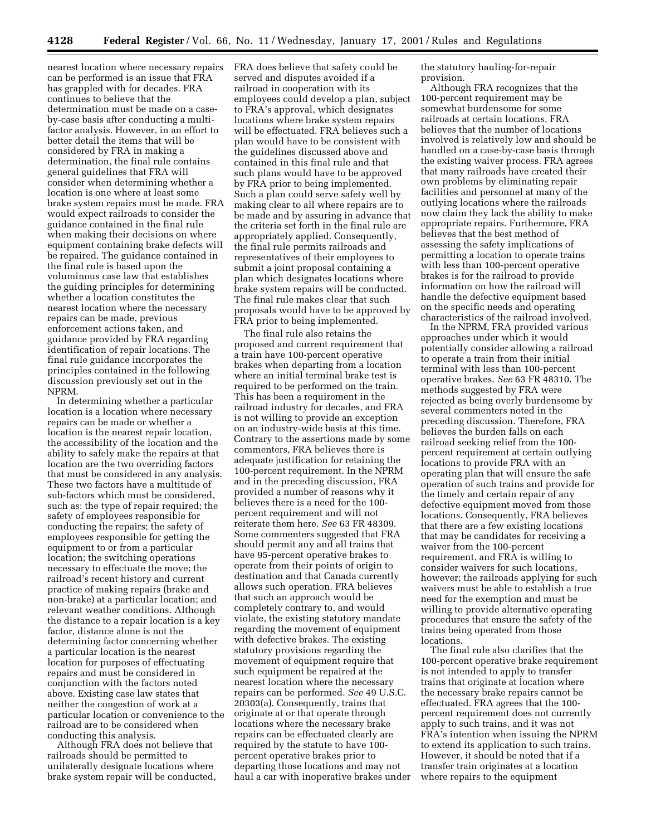nearest location where necessary repairs can be performed is an issue that FRA has grappled with for decades. FRA continues to believe that the determination must be made on a caseby-case basis after conducting a multifactor analysis. However, in an effort to better detail the items that will be considered by FRA in making a determination, the final rule contains general guidelines that FRA will consider when determining whether a location is one where at least some brake system repairs must be made. FRA would expect railroads to consider the guidance contained in the final rule when making their decisions on where equipment containing brake defects will be repaired. The guidance contained in the final rule is based upon the voluminous case law that establishes the guiding principles for determining whether a location constitutes the nearest location where the necessary repairs can be made, previous enforcement actions taken, and guidance provided by FRA regarding identification of repair locations. The final rule guidance incorporates the principles contained in the following discussion previously set out in the NPRM.

In determining whether a particular location is a location where necessary repairs can be made or whether a location is the nearest repair location, the accessibility of the location and the ability to safely make the repairs at that location are the two overriding factors that must be considered in any analysis. These two factors have a multitude of sub-factors which must be considered, such as: the type of repair required; the safety of employees responsible for conducting the repairs; the safety of employees responsible for getting the equipment to or from a particular location; the switching operations necessary to effectuate the move; the railroad's recent history and current practice of making repairs (brake and non-brake) at a particular location; and relevant weather conditions. Although the distance to a repair location is a key factor, distance alone is not the determining factor concerning whether a particular location is the nearest location for purposes of effectuating repairs and must be considered in conjunction with the factors noted above. Existing case law states that neither the congestion of work at a particular location or convenience to the railroad are to be considered when conducting this analysis.

Although FRA does not believe that railroads should be permitted to unilaterally designate locations where brake system repair will be conducted, FRA does believe that safety could be served and disputes avoided if a railroad in cooperation with its employees could develop a plan, subject to FRA's approval, which designates locations where brake system repairs will be effectuated. FRA believes such a plan would have to be consistent with the guidelines discussed above and contained in this final rule and that such plans would have to be approved by FRA prior to being implemented. Such a plan could serve safety well by making clear to all where repairs are to be made and by assuring in advance that the criteria set forth in the final rule are appropriately applied. Consequently, the final rule permits railroads and representatives of their employees to submit a joint proposal containing a plan which designates locations where brake system repairs will be conducted. The final rule makes clear that such proposals would have to be approved by FRA prior to being implemented.

The final rule also retains the proposed and current requirement that a train have 100-percent operative brakes when departing from a location where an initial terminal brake test is required to be performed on the train. This has been a requirement in the railroad industry for decades, and FRA is not willing to provide an exception on an industry-wide basis at this time. Contrary to the assertions made by some commenters, FRA believes there is adequate justification for retaining the 100-percent requirement. In the NPRM and in the preceding discussion, FRA provided a number of reasons why it believes there is a need for the 100 percent requirement and will not reiterate them here. *See* 63 FR 48309. Some commenters suggested that FRA should permit any and all trains that have 95-percent operative brakes to operate from their points of origin to destination and that Canada currently allows such operation. FRA believes that such an approach would be completely contrary to, and would violate, the existing statutory mandate regarding the movement of equipment with defective brakes. The existing statutory provisions regarding the movement of equipment require that such equipment be repaired at the nearest location where the necessary repairs can be performed. *See* 49 U.S.C. 20303(a). Consequently, trains that originate at or that operate through locations where the necessary brake repairs can be effectuated clearly are required by the statute to have 100 percent operative brakes prior to departing those locations and may not haul a car with inoperative brakes under the statutory hauling-for-repair provision.

Although FRA recognizes that the 100-percent requirement may be somewhat burdensome for some railroads at certain locations, FRA believes that the number of locations involved is relatively low and should be handled on a case-by-case basis through the existing waiver process. FRA agrees that many railroads have created their own problems by eliminating repair facilities and personnel at many of the outlying locations where the railroads now claim they lack the ability to make appropriate repairs. Furthermore, FRA believes that the best method of assessing the safety implications of permitting a location to operate trains with less than 100-percent operative brakes is for the railroad to provide information on how the railroad will handle the defective equipment based on the specific needs and operating characteristics of the railroad involved.

In the NPRM, FRA provided various approaches under which it would potentially consider allowing a railroad to operate a train from their initial terminal with less than 100-percent operative brakes. *See* 63 FR 48310. The methods suggested by FRA were rejected as being overly burdensome by several commenters noted in the preceding discussion. Therefore, FRA believes the burden falls on each railroad seeking relief from the 100 percent requirement at certain outlying locations to provide FRA with an operating plan that will ensure the safe operation of such trains and provide for the timely and certain repair of any defective equipment moved from those locations. Consequently, FRA believes that there are a few existing locations that may be candidates for receiving a waiver from the 100-percent requirement, and FRA is willing to consider waivers for such locations, however; the railroads applying for such waivers must be able to establish a true need for the exemption and must be willing to provide alternative operating procedures that ensure the safety of the trains being operated from those locations.

The final rule also clarifies that the 100-percent operative brake requirement is not intended to apply to transfer trains that originate at location where the necessary brake repairs cannot be effectuated. FRA agrees that the 100 percent requirement does not currently apply to such trains, and it was not FRA's intention when issuing the NPRM to extend its application to such trains. However, it should be noted that if a transfer train originates at a location where repairs to the equipment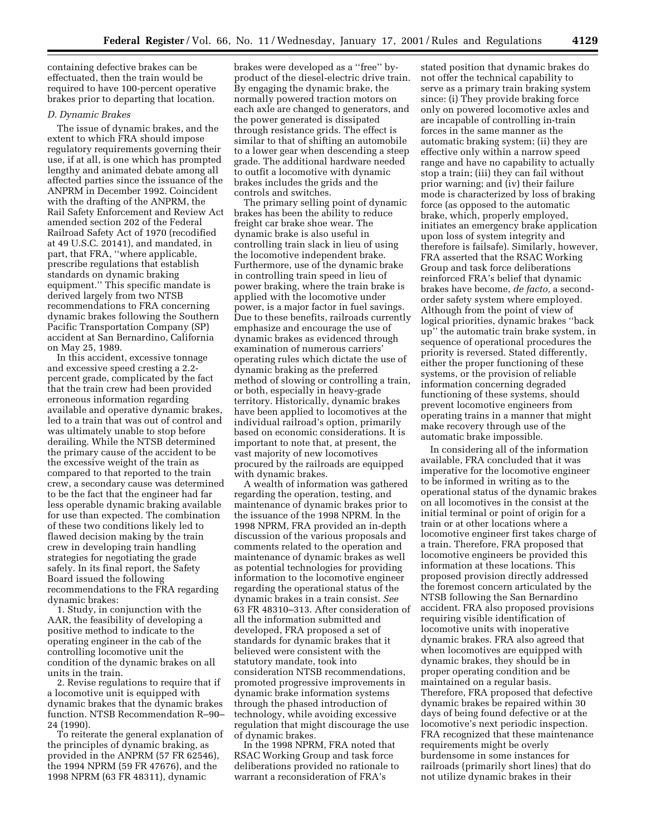containing defective brakes can be effectuated, then the train would be required to have 100-percent operative brakes prior to departing that location.

### *D. Dynamic Brakes*

The issue of dynamic brakes, and the extent to which FRA should impose regulatory requirements governing their use, if at all, is one which has prompted lengthy and animated debate among all affected parties since the issuance of the ANPRM in December 1992. Coincident with the drafting of the ANPRM, the Rail Safety Enforcement and Review Act amended section 202 of the Federal Railroad Safety Act of 1970 (recodified at 49 U.S.C. 20141), and mandated, in part, that FRA, ''where applicable, prescribe regulations that establish standards on dynamic braking equipment.'' This specific mandate is derived largely from two NTSB recommendations to FRA concerning dynamic brakes following the Southern Pacific Transportation Company (SP) accident at San Bernardino, California on May 25, 1989.

In this accident, excessive tonnage and excessive speed cresting a 2.2 percent grade, complicated by the fact that the train crew had been provided erroneous information regarding available and operative dynamic brakes, led to a train that was out of control and was ultimately unable to stop before derailing. While the NTSB determined the primary cause of the accident to be the excessive weight of the train as compared to that reported to the train crew, a secondary cause was determined to be the fact that the engineer had far less operable dynamic braking available for use than expected. The combination of these two conditions likely led to flawed decision making by the train crew in developing train handling strategies for negotiating the grade safely. In its final report, the Safety Board issued the following recommendations to the FRA regarding dynamic brakes:

1. Study, in conjunction with the AAR, the feasibility of developing a positive method to indicate to the operating engineer in the cab of the controlling locomotive unit the condition of the dynamic brakes on all units in the train.

2. Revise regulations to require that if a locomotive unit is equipped with dynamic brakes that the dynamic brakes function. NTSB Recommendation R–90– 24 (1990).

To reiterate the general explanation of the principles of dynamic braking, as provided in the ANPRM (57 FR 62546), the 1994 NPRM (59 FR 47676), and the 1998 NPRM (63 FR 48311), dynamic

brakes were developed as a ''free'' byproduct of the diesel-electric drive train. By engaging the dynamic brake, the normally powered traction motors on each axle are changed to generators, and the power generated is dissipated through resistance grids. The effect is similar to that of shifting an automobile to a lower gear when descending a steep grade. The additional hardware needed to outfit a locomotive with dynamic brakes includes the grids and the controls and switches.

The primary selling point of dynamic brakes has been the ability to reduce freight car brake shoe wear. The dynamic brake is also useful in controlling train slack in lieu of using the locomotive independent brake. Furthermore, use of the dynamic brake in controlling train speed in lieu of power braking, where the train brake is applied with the locomotive under power, is a major factor in fuel savings. Due to these benefits, railroads currently emphasize and encourage the use of dynamic brakes as evidenced through examination of numerous carriers' operating rules which dictate the use of dynamic braking as the preferred method of slowing or controlling a train, or both, especially in heavy-grade territory. Historically, dynamic brakes have been applied to locomotives at the individual railroad's option, primarily based on economic considerations. It is important to note that, at present, the vast majority of new locomotives procured by the railroads are equipped with dynamic brakes.

A wealth of information was gathered regarding the operation, testing, and maintenance of dynamic brakes prior to the issuance of the 1998 NPRM. In the 1998 NPRM, FRA provided an in-depth discussion of the various proposals and comments related to the operation and maintenance of dynamic brakes as well as potential technologies for providing information to the locomotive engineer regarding the operational status of the dynamic brakes in a train consist. *See* 63 FR 48310–313. After consideration of all the information submitted and developed, FRA proposed a set of standards for dynamic brakes that it believed were consistent with the statutory mandate, took into consideration NTSB recommendations, promoted progressive improvements in dynamic brake information systems through the phased introduction of technology, while avoiding excessive regulation that might discourage the use of dynamic brakes.

In the 1998 NPRM, FRA noted that RSAC Working Group and task force deliberations provided no rationale to warrant a reconsideration of FRA's

stated position that dynamic brakes do not offer the technical capability to serve as a primary train braking system since: (i) They provide braking force only on powered locomotive axles and are incapable of controlling in-train forces in the same manner as the automatic braking system; (ii) they are effective only within a narrow speed range and have no capability to actually stop a train; (iii) they can fail without prior warning; and (iv) their failure mode is characterized by loss of braking force (as opposed to the automatic brake, which, properly employed, initiates an emergency brake application upon loss of system integrity and therefore is failsafe). Similarly, however, FRA asserted that the RSAC Working Group and task force deliberations reinforced FRA's belief that dynamic brakes have become, *de facto,* a secondorder safety system where employed. Although from the point of view of logical priorities, dynamic brakes ''back up'' the automatic train brake system, in sequence of operational procedures the priority is reversed. Stated differently, either the proper functioning of these systems, or the provision of reliable information concerning degraded functioning of these systems, should prevent locomotive engineers from operating trains in a manner that might make recovery through use of the automatic brake impossible.

In considering all of the information available, FRA concluded that it was imperative for the locomotive engineer to be informed in writing as to the operational status of the dynamic brakes on all locomotives in the consist at the initial terminal or point of origin for a train or at other locations where a locomotive engineer first takes charge of a train. Therefore, FRA proposed that locomotive engineers be provided this information at these locations. This proposed provision directly addressed the foremost concern articulated by the NTSB following the San Bernardino accident. FRA also proposed provisions requiring visible identification of locomotive units with inoperative dynamic brakes. FRA also agreed that when locomotives are equipped with dynamic brakes, they should be in proper operating condition and be maintained on a regular basis. Therefore, FRA proposed that defective dynamic brakes be repaired within 30 days of being found defective or at the locomotive's next periodic inspection. FRA recognized that these maintenance requirements might be overly burdensome in some instances for railroads (primarily short lines) that do not utilize dynamic brakes in their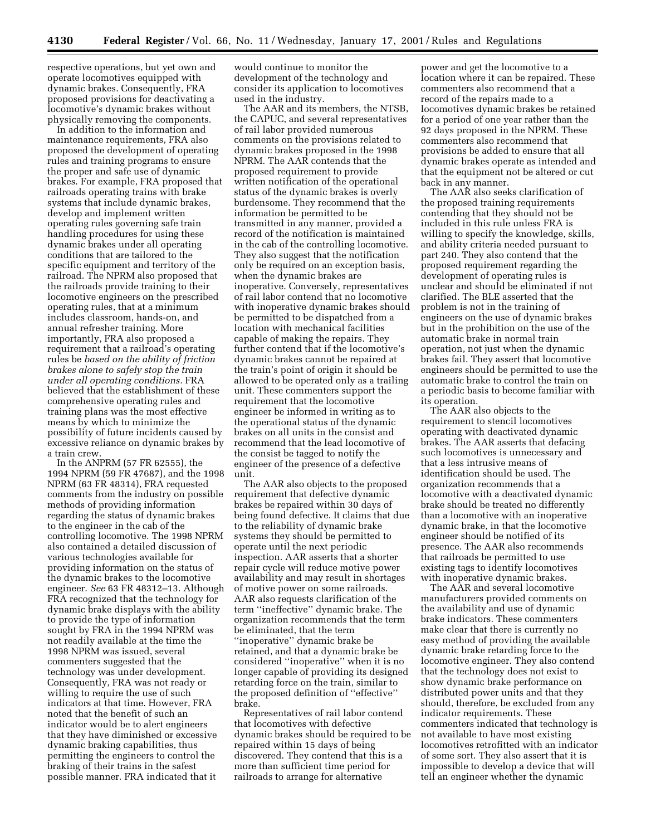respective operations, but yet own and operate locomotives equipped with dynamic brakes. Consequently, FRA proposed provisions for deactivating a locomotive's dynamic brakes without physically removing the components.

In addition to the information and maintenance requirements, FRA also proposed the development of operating rules and training programs to ensure the proper and safe use of dynamic brakes. For example, FRA proposed that railroads operating trains with brake systems that include dynamic brakes, develop and implement written operating rules governing safe train handling procedures for using these dynamic brakes under all operating conditions that are tailored to the specific equipment and territory of the railroad. The NPRM also proposed that the railroads provide training to their locomotive engineers on the prescribed operating rules, that at a minimum includes classroom, hands-on, and annual refresher training. More importantly, FRA also proposed a requirement that a railroad's operating rules be *based on the ability of friction brakes alone to safely stop the train under all operating conditions.* FRA believed that the establishment of these comprehensive operating rules and training plans was the most effective means by which to minimize the possibility of future incidents caused by excessive reliance on dynamic brakes by a train crew.

In the ANPRM (57 FR 62555), the 1994 NPRM (59 FR 47687), and the 1998 NPRM (63 FR 48314), FRA requested comments from the industry on possible methods of providing information regarding the status of dynamic brakes to the engineer in the cab of the controlling locomotive. The 1998 NPRM also contained a detailed discussion of various technologies available for providing information on the status of the dynamic brakes to the locomotive engineer. *See* 63 FR 48312–13. Although FRA recognized that the technology for dynamic brake displays with the ability to provide the type of information sought by FRA in the 1994 NPRM was not readily available at the time the 1998 NPRM was issued, several commenters suggested that the technology was under development. Consequently, FRA was not ready or willing to require the use of such indicators at that time. However, FRA noted that the benefit of such an indicator would be to alert engineers that they have diminished or excessive dynamic braking capabilities, thus permitting the engineers to control the braking of their trains in the safest possible manner. FRA indicated that it

would continue to monitor the development of the technology and consider its application to locomotives used in the industry.

The AAR and its members, the NTSB, the CAPUC, and several representatives of rail labor provided numerous comments on the provisions related to dynamic brakes proposed in the 1998 NPRM. The AAR contends that the proposed requirement to provide written notification of the operational status of the dynamic brakes is overly burdensome. They recommend that the information be permitted to be transmitted in any manner, provided a record of the notification is maintained in the cab of the controlling locomotive. They also suggest that the notification only be required on an exception basis, when the dynamic brakes are inoperative. Conversely, representatives of rail labor contend that no locomotive with inoperative dynamic brakes should be permitted to be dispatched from a location with mechanical facilities capable of making the repairs. They further contend that if the locomotive's dynamic brakes cannot be repaired at the train's point of origin it should be allowed to be operated only as a trailing unit. These commenters support the requirement that the locomotive engineer be informed in writing as to the operational status of the dynamic brakes on all units in the consist and recommend that the lead locomotive of the consist be tagged to notify the engineer of the presence of a defective unit.

The AAR also objects to the proposed requirement that defective dynamic brakes be repaired within 30 days of being found defective. It claims that due to the reliability of dynamic brake systems they should be permitted to operate until the next periodic inspection. AAR asserts that a shorter repair cycle will reduce motive power availability and may result in shortages of motive power on some railroads. AAR also requests clarification of the term ''ineffective'' dynamic brake. The organization recommends that the term be eliminated, that the term ''inoperative'' dynamic brake be retained, and that a dynamic brake be considered ''inoperative'' when it is no longer capable of providing its designed retarding force on the train, similar to the proposed definition of ''effective'' brake.

Representatives of rail labor contend that locomotives with defective dynamic brakes should be required to be repaired within 15 days of being discovered. They contend that this is a more than sufficient time period for railroads to arrange for alternative

power and get the locomotive to a location where it can be repaired. These commenters also recommend that a record of the repairs made to a locomotives dynamic brakes be retained for a period of one year rather than the 92 days proposed in the NPRM. These commenters also recommend that provisions be added to ensure that all dynamic brakes operate as intended and that the equipment not be altered or cut back in any manner.

The AAR also seeks clarification of the proposed training requirements contending that they should not be included in this rule unless FRA is willing to specify the knowledge, skills, and ability criteria needed pursuant to part 240. They also contend that the proposed requirement regarding the development of operating rules is unclear and should be eliminated if not clarified. The BLE asserted that the problem is not in the training of engineers on the use of dynamic brakes but in the prohibition on the use of the automatic brake in normal train operation, not just when the dynamic brakes fail. They assert that locomotive engineers should be permitted to use the automatic brake to control the train on a periodic basis to become familiar with its operation.

The AAR also objects to the requirement to stencil locomotives operating with deactivated dynamic brakes. The AAR asserts that defacing such locomotives is unnecessary and that a less intrusive means of identification should be used. The organization recommends that a locomotive with a deactivated dynamic brake should be treated no differently than a locomotive with an inoperative dynamic brake, in that the locomotive engineer should be notified of its presence. The AAR also recommends that railroads be permitted to use existing tags to identify locomotives with inoperative dynamic brakes.

The AAR and several locomotive manufacturers provided comments on the availability and use of dynamic brake indicators. These commenters make clear that there is currently no easy method of providing the available dynamic brake retarding force to the locomotive engineer. They also contend that the technology does not exist to show dynamic brake performance on distributed power units and that they should, therefore, be excluded from any indicator requirements. These commenters indicated that technology is not available to have most existing locomotives retrofitted with an indicator of some sort. They also assert that it is impossible to develop a device that will tell an engineer whether the dynamic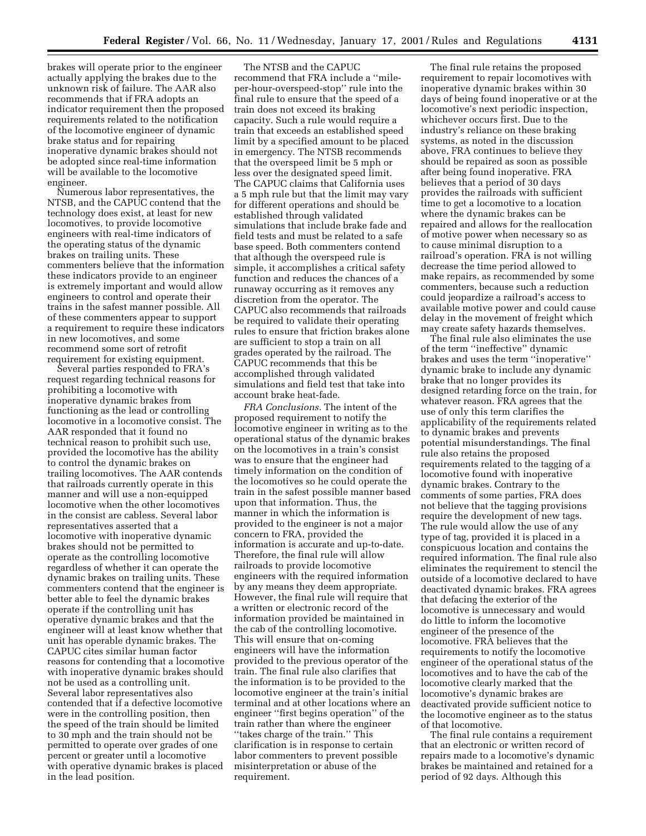brakes will operate prior to the engineer actually applying the brakes due to the unknown risk of failure. The AAR also recommends that if FRA adopts an indicator requirement then the proposed requirements related to the notification of the locomotive engineer of dynamic brake status and for repairing inoperative dynamic brakes should not be adopted since real-time information will be available to the locomotive engineer.

Numerous labor representatives, the NTSB, and the CAPUC contend that the technology does exist, at least for new locomotives, to provide locomotive engineers with real-time indicators of the operating status of the dynamic brakes on trailing units. These commenters believe that the information these indicators provide to an engineer is extremely important and would allow engineers to control and operate their trains in the safest manner possible. All of these commenters appear to support a requirement to require these indicators in new locomotives, and some recommend some sort of retrofit requirement for existing equipment.

Several parties responded to FRA's request regarding technical reasons for prohibiting a locomotive with inoperative dynamic brakes from functioning as the lead or controlling locomotive in a locomotive consist. The AAR responded that it found no technical reason to prohibit such use, provided the locomotive has the ability to control the dynamic brakes on trailing locomotives. The AAR contends that railroads currently operate in this manner and will use a non-equipped locomotive when the other locomotives in the consist are cabless. Several labor representatives asserted that a locomotive with inoperative dynamic brakes should not be permitted to operate as the controlling locomotive regardless of whether it can operate the dynamic brakes on trailing units. These commenters contend that the engineer is better able to feel the dynamic brakes operate if the controlling unit has operative dynamic brakes and that the engineer will at least know whether that unit has operable dynamic brakes. The CAPUC cites similar human factor reasons for contending that a locomotive with inoperative dynamic brakes should not be used as a controlling unit. Several labor representatives also contended that if a defective locomotive were in the controlling position, then the speed of the train should be limited to 30 mph and the train should not be permitted to operate over grades of one percent or greater until a locomotive with operative dynamic brakes is placed in the lead position.

The NTSB and the CAPUC recommend that FRA include a ''mileper-hour-overspeed-stop'' rule into the final rule to ensure that the speed of a train does not exceed its braking capacity. Such a rule would require a train that exceeds an established speed limit by a specified amount to be placed in emergency. The NTSB recommends that the overspeed limit be 5 mph or less over the designated speed limit. The CAPUC claims that California uses a 5 mph rule but that the limit may vary for different operations and should be established through validated simulations that include brake fade and field tests and must be related to a safe base speed. Both commenters contend that although the overspeed rule is simple, it accomplishes a critical safety function and reduces the chances of a runaway occurring as it removes any discretion from the operator. The CAPUC also recommends that railroads be required to validate their operating rules to ensure that friction brakes alone are sufficient to stop a train on all grades operated by the railroad. The CAPUC recommends that this be accomplished through validated simulations and field test that take into account brake heat-fade.

*FRA Conclusions.* The intent of the proposed requirement to notify the locomotive engineer in writing as to the operational status of the dynamic brakes on the locomotives in a train's consist was to ensure that the engineer had timely information on the condition of the locomotives so he could operate the train in the safest possible manner based upon that information. Thus, the manner in which the information is provided to the engineer is not a major concern to FRA, provided the information is accurate and up-to-date. Therefore, the final rule will allow railroads to provide locomotive engineers with the required information by any means they deem appropriate. However, the final rule will require that a written or electronic record of the information provided be maintained in the cab of the controlling locomotive. This will ensure that on-coming engineers will have the information provided to the previous operator of the train. The final rule also clarifies that the information is to be provided to the locomotive engineer at the train's initial terminal and at other locations where an engineer ''first begins operation'' of the train rather than where the engineer ''takes charge of the train.'' This clarification is in response to certain labor commenters to prevent possible misinterpretation or abuse of the requirement.

The final rule retains the proposed requirement to repair locomotives with inoperative dynamic brakes within 30 days of being found inoperative or at the locomotive's next periodic inspection, whichever occurs first. Due to the industry's reliance on these braking systems, as noted in the discussion above, FRA continues to believe they should be repaired as soon as possible after being found inoperative. FRA believes that a period of 30 days provides the railroads with sufficient time to get a locomotive to a location where the dynamic brakes can be repaired and allows for the reallocation of motive power when necessary so as to cause minimal disruption to a railroad's operation. FRA is not willing decrease the time period allowed to make repairs, as recommended by some commenters, because such a reduction could jeopardize a railroad's access to available motive power and could cause delay in the movement of freight which may create safety hazards themselves.

The final rule also eliminates the use of the term ''ineffective'' dynamic brakes and uses the term ''inoperative'' dynamic brake to include any dynamic brake that no longer provides its designed retarding force on the train, for whatever reason. FRA agrees that the use of only this term clarifies the applicability of the requirements related to dynamic brakes and prevents potential misunderstandings. The final rule also retains the proposed requirements related to the tagging of a locomotive found with inoperative dynamic brakes. Contrary to the comments of some parties, FRA does not believe that the tagging provisions require the development of new tags. The rule would allow the use of any type of tag, provided it is placed in a conspicuous location and contains the required information. The final rule also eliminates the requirement to stencil the outside of a locomotive declared to have deactivated dynamic brakes. FRA agrees that defacing the exterior of the locomotive is unnecessary and would do little to inform the locomotive engineer of the presence of the locomotive. FRA believes that the requirements to notify the locomotive engineer of the operational status of the locomotives and to have the cab of the locomotive clearly marked that the locomotive's dynamic brakes are deactivated provide sufficient notice to the locomotive engineer as to the status of that locomotive.

The final rule contains a requirement that an electronic or written record of repairs made to a locomotive's dynamic brakes be maintained and retained for a period of 92 days. Although this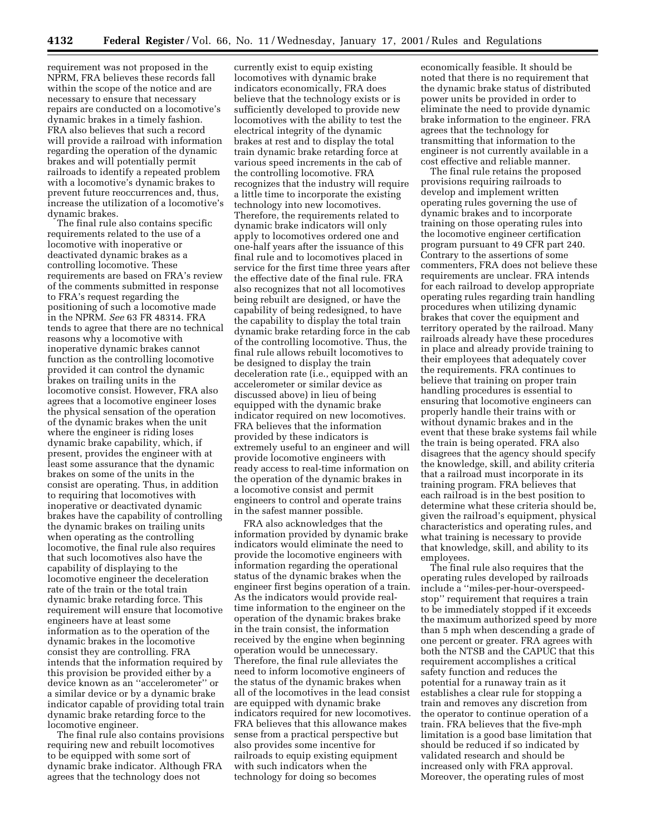requirement was not proposed in the NPRM, FRA believes these records fall within the scope of the notice and are necessary to ensure that necessary repairs are conducted on a locomotive's dynamic brakes in a timely fashion. FRA also believes that such a record will provide a railroad with information regarding the operation of the dynamic brakes and will potentially permit railroads to identify a repeated problem with a locomotive's dynamic brakes to prevent future reoccurrences and, thus, increase the utilization of a locomotive's dynamic brakes.

The final rule also contains specific requirements related to the use of a locomotive with inoperative or deactivated dynamic brakes as a controlling locomotive. These requirements are based on FRA's review of the comments submitted in response to FRA's request regarding the positioning of such a locomotive made in the NPRM. *See* 63 FR 48314. FRA tends to agree that there are no technical reasons why a locomotive with inoperative dynamic brakes cannot function as the controlling locomotive provided it can control the dynamic brakes on trailing units in the locomotive consist. However, FRA also agrees that a locomotive engineer loses the physical sensation of the operation of the dynamic brakes when the unit where the engineer is riding loses dynamic brake capability, which, if present, provides the engineer with at least some assurance that the dynamic brakes on some of the units in the consist are operating. Thus, in addition to requiring that locomotives with inoperative or deactivated dynamic brakes have the capability of controlling the dynamic brakes on trailing units when operating as the controlling locomotive, the final rule also requires that such locomotives also have the capability of displaying to the locomotive engineer the deceleration rate of the train or the total train dynamic brake retarding force. This requirement will ensure that locomotive engineers have at least some information as to the operation of the dynamic brakes in the locomotive consist they are controlling. FRA intends that the information required by this provision be provided either by a device known as an ''accelerometer'' or a similar device or by a dynamic brake indicator capable of providing total train dynamic brake retarding force to the locomotive engineer.

The final rule also contains provisions requiring new and rebuilt locomotives to be equipped with some sort of dynamic brake indicator. Although FRA agrees that the technology does not

currently exist to equip existing locomotives with dynamic brake indicators economically, FRA does believe that the technology exists or is sufficiently developed to provide new locomotives with the ability to test the electrical integrity of the dynamic brakes at rest and to display the total train dynamic brake retarding force at various speed increments in the cab of the controlling locomotive. FRA recognizes that the industry will require a little time to incorporate the existing technology into new locomotives. Therefore, the requirements related to dynamic brake indicators will only apply to locomotives ordered one and one-half years after the issuance of this final rule and to locomotives placed in service for the first time three years after the effective date of the final rule. FRA also recognizes that not all locomotives being rebuilt are designed, or have the capability of being redesigned, to have the capability to display the total train dynamic brake retarding force in the cab of the controlling locomotive. Thus, the final rule allows rebuilt locomotives to be designed to display the train deceleration rate (i.e., equipped with an accelerometer or similar device as discussed above) in lieu of being equipped with the dynamic brake indicator required on new locomotives. FRA believes that the information provided by these indicators is extremely useful to an engineer and will provide locomotive engineers with ready access to real-time information on the operation of the dynamic brakes in a locomotive consist and permit engineers to control and operate trains in the safest manner possible.

FRA also acknowledges that the information provided by dynamic brake indicators would eliminate the need to provide the locomotive engineers with information regarding the operational status of the dynamic brakes when the engineer first begins operation of a train. As the indicators would provide realtime information to the engineer on the operation of the dynamic brakes brake in the train consist, the information received by the engine when beginning operation would be unnecessary. Therefore, the final rule alleviates the need to inform locomotive engineers of the status of the dynamic brakes when all of the locomotives in the lead consist are equipped with dynamic brake indicators required for new locomotives. FRA believes that this allowance makes sense from a practical perspective but also provides some incentive for railroads to equip existing equipment with such indicators when the technology for doing so becomes

economically feasible. It should be noted that there is no requirement that the dynamic brake status of distributed power units be provided in order to eliminate the need to provide dynamic brake information to the engineer. FRA agrees that the technology for transmitting that information to the engineer is not currently available in a cost effective and reliable manner.

The final rule retains the proposed provisions requiring railroads to develop and implement written operating rules governing the use of dynamic brakes and to incorporate training on those operating rules into the locomotive engineer certification program pursuant to 49 CFR part 240. Contrary to the assertions of some commenters, FRA does not believe these requirements are unclear. FRA intends for each railroad to develop appropriate operating rules regarding train handling procedures when utilizing dynamic brakes that cover the equipment and territory operated by the railroad. Many railroads already have these procedures in place and already provide training to their employees that adequately cover the requirements. FRA continues to believe that training on proper train handling procedures is essential to ensuring that locomotive engineers can properly handle their trains with or without dynamic brakes and in the event that these brake systems fail while the train is being operated. FRA also disagrees that the agency should specify the knowledge, skill, and ability criteria that a railroad must incorporate in its training program. FRA believes that each railroad is in the best position to determine what these criteria should be, given the railroad's equipment, physical characteristics and operating rules, and what training is necessary to provide that knowledge, skill, and ability to its employees.

The final rule also requires that the operating rules developed by railroads include a ''miles-per-hour-overspeedstop'' requirement that requires a train to be immediately stopped if it exceeds the maximum authorized speed by more than 5 mph when descending a grade of one percent or greater. FRA agrees with both the NTSB and the CAPUC that this requirement accomplishes a critical safety function and reduces the potential for a runaway train as it establishes a clear rule for stopping a train and removes any discretion from the operator to continue operation of a train. FRA believes that the five-mph limitation is a good base limitation that should be reduced if so indicated by validated research and should be increased only with FRA approval. Moreover, the operating rules of most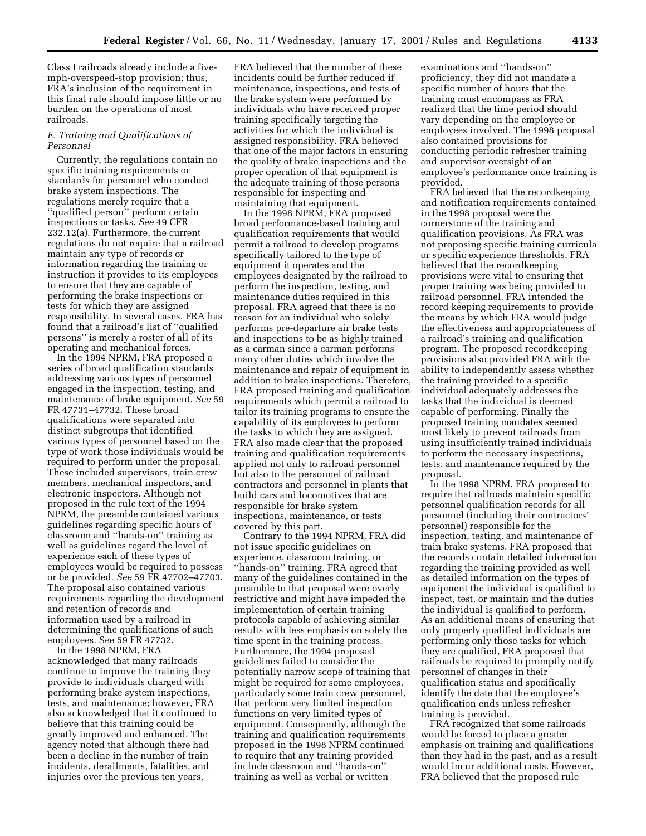Class I railroads already include a fivemph-overspeed-stop provision; thus, FRA's inclusion of the requirement in this final rule should impose little or no burden on the operations of most railroads.

### *E. Training and Qualifications of Personnel*

Currently, the regulations contain no specific training requirements or standards for personnel who conduct brake system inspections. The regulations merely require that a ''qualified person'' perform certain inspections or tasks. *See* 49 CFR 232.12(a). Furthermore, the current regulations do not require that a railroad maintain any type of records or information regarding the training or instruction it provides to its employees to ensure that they are capable of performing the brake inspections or tests for which they are assigned responsibility. In several cases, FRA has found that a railroad's list of ''qualified persons'' is merely a roster of all of its operating and mechanical forces.

In the 1994 NPRM, FRA proposed a series of broad qualification standards addressing various types of personnel engaged in the inspection, testing, and maintenance of brake equipment. *See* 59 FR 47731–47732. These broad qualifications were separated into distinct subgroups that identified various types of personnel based on the type of work those individuals would be required to perform under the proposal. These included supervisors, train crew members, mechanical inspectors, and electronic inspectors. Although not proposed in the rule text of the 1994 NPRM, the preamble contained various guidelines regarding specific hours of classroom and ''hands-on'' training as well as guidelines regard the level of experience each of these types of employees would be required to possess or be provided. *See* 59 FR 47702–47703. The proposal also contained various requirements regarding the development and retention of records and information used by a railroad in determining the qualifications of such employees. See 59 FR 47732.

In the 1998 NPRM, FRA acknowledged that many railroads continue to improve the training they provide to individuals charged with performing brake system inspections, tests, and maintenance; however, FRA also acknowledged that it continued to believe that this training could be greatly improved and enhanced. The agency noted that although there had been a decline in the number of train incidents, derailments, fatalities, and injuries over the previous ten years,

FRA believed that the number of these incidents could be further reduced if maintenance, inspections, and tests of the brake system were performed by individuals who have received proper training specifically targeting the activities for which the individual is assigned responsibility. FRA believed that one of the major factors in ensuring the quality of brake inspections and the proper operation of that equipment is the adequate training of those persons responsible for inspecting and maintaining that equipment.

In the 1998 NPRM, FRA proposed broad performance-based training and qualification requirements that would permit a railroad to develop programs specifically tailored to the type of equipment it operates and the employees designated by the railroad to perform the inspection, testing, and maintenance duties required in this proposal. FRA agreed that there is no reason for an individual who solely performs pre-departure air brake tests and inspections to be as highly trained as a carman since a carman performs many other duties which involve the maintenance and repair of equipment in addition to brake inspections. Therefore, FRA proposed training and qualification requirements which permit a railroad to tailor its training programs to ensure the capability of its employees to perform the tasks to which they are assigned. FRA also made clear that the proposed training and qualification requirements applied not only to railroad personnel but also to the personnel of railroad contractors and personnel in plants that build cars and locomotives that are responsible for brake system inspections, maintenance, or tests covered by this part.

Contrary to the 1994 NPRM, FRA did not issue specific guidelines on experience, classroom training, or ''hands-on'' training. FRA agreed that many of the guidelines contained in the preamble to that proposal were overly restrictive and might have impeded the implementation of certain training protocols capable of achieving similar results with less emphasis on solely the time spent in the training process. Furthermore, the 1994 proposed guidelines failed to consider the potentially narrow scope of training that might be required for some employees, particularly some train crew personnel, that perform very limited inspection functions on very limited types of equipment. Consequently, although the training and qualification requirements proposed in the 1998 NPRM continued to require that any training provided include classroom and ''hands-on'' training as well as verbal or written

examinations and ''hands-on'' proficiency, they did not mandate a specific number of hours that the training must encompass as FRA realized that the time period should vary depending on the employee or employees involved. The 1998 proposal also contained provisions for conducting periodic refresher training and supervisor oversight of an employee's performance once training is provided.

FRA believed that the recordkeeping and notification requirements contained in the 1998 proposal were the cornerstone of the training and qualification provisions. As FRA was not proposing specific training curricula or specific experience thresholds, FRA believed that the recordkeeping provisions were vital to ensuring that proper training was being provided to railroad personnel. FRA intended the record keeping requirements to provide the means by which FRA would judge the effectiveness and appropriateness of a railroad's training and qualification program. The proposed recordkeeping provisions also provided FRA with the ability to independently assess whether the training provided to a specific individual adequately addresses the tasks that the individual is deemed capable of performing. Finally the proposed training mandates seemed most likely to prevent railroads from using insufficiently trained individuals to perform the necessary inspections, tests, and maintenance required by the proposal.

In the 1998 NPRM, FRA proposed to require that railroads maintain specific personnel qualification records for all personnel (including their contractors' personnel) responsible for the inspection, testing, and maintenance of train brake systems. FRA proposed that the records contain detailed information regarding the training provided as well as detailed information on the types of equipment the individual is qualified to inspect, test, or maintain and the duties the individual is qualified to perform. As an additional means of ensuring that only properly qualified individuals are performing only those tasks for which they are qualified, FRA proposed that railroads be required to promptly notify personnel of changes in their qualification status and specifically identify the date that the employee's qualification ends unless refresher training is provided.

FRA recognized that some railroads would be forced to place a greater emphasis on training and qualifications than they had in the past, and as a result would incur additional costs. However, FRA believed that the proposed rule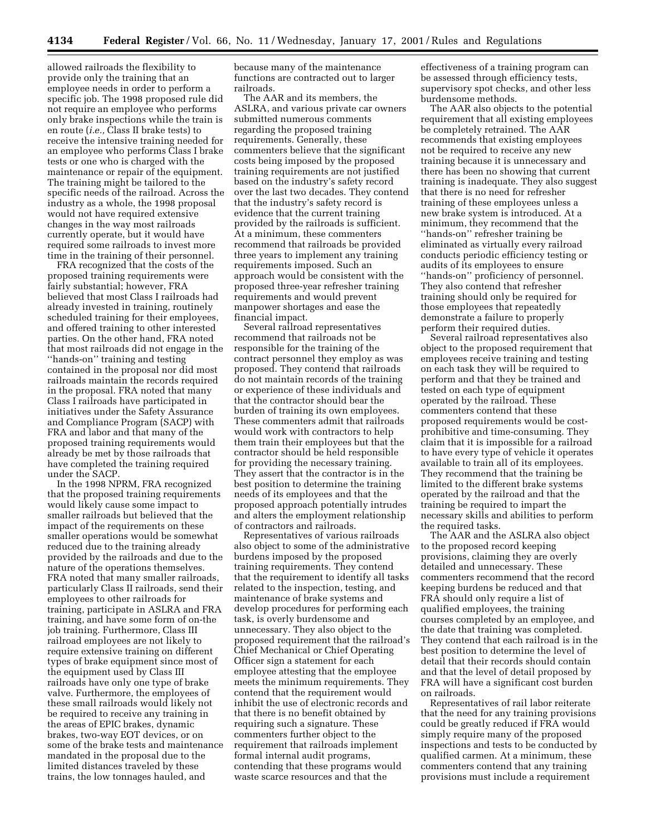allowed railroads the flexibility to provide only the training that an employee needs in order to perform a specific job. The 1998 proposed rule did not require an employee who performs only brake inspections while the train is en route (*i.e.,* Class II brake tests) to receive the intensive training needed for an employee who performs Class I brake tests or one who is charged with the maintenance or repair of the equipment. The training might be tailored to the specific needs of the railroad. Across the industry as a whole, the 1998 proposal would not have required extensive changes in the way most railroads currently operate, but it would have required some railroads to invest more time in the training of their personnel.

FRA recognized that the costs of the proposed training requirements were fairly substantial; however, FRA believed that most Class I railroads had already invested in training, routinely scheduled training for their employees, and offered training to other interested parties. On the other hand, FRA noted that most railroads did not engage in the ''hands-on'' training and testing contained in the proposal nor did most railroads maintain the records required in the proposal. FRA noted that many Class I railroads have participated in initiatives under the Safety Assurance and Compliance Program (SACP) with FRA and labor and that many of the proposed training requirements would already be met by those railroads that have completed the training required under the SACP.

In the 1998 NPRM, FRA recognized that the proposed training requirements would likely cause some impact to smaller railroads but believed that the impact of the requirements on these smaller operations would be somewhat reduced due to the training already provided by the railroads and due to the nature of the operations themselves. FRA noted that many smaller railroads, particularly Class II railroads, send their employees to other railroads for training, participate in ASLRA and FRA training, and have some form of on-the job training. Furthermore, Class III railroad employees are not likely to require extensive training on different types of brake equipment since most of the equipment used by Class III railroads have only one type of brake valve. Furthermore, the employees of these small railroads would likely not be required to receive any training in the areas of EPIC brakes, dynamic brakes, two-way EOT devices, or on some of the brake tests and maintenance mandated in the proposal due to the limited distances traveled by these trains, the low tonnages hauled, and

because many of the maintenance functions are contracted out to larger railroads.

The AAR and its members, the ASLRA, and various private car owners submitted numerous comments regarding the proposed training requirements. Generally, these commenters believe that the significant costs being imposed by the proposed training requirements are not justified based on the industry's safety record over the last two decades. They contend that the industry's safety record is evidence that the current training provided by the railroads is sufficient. At a minimum, these commenters recommend that railroads be provided three years to implement any training requirements imposed. Such an approach would be consistent with the proposed three-year refresher training requirements and would prevent manpower shortages and ease the financial impact.

Several railroad representatives recommend that railroads not be responsible for the training of the contract personnel they employ as was proposed. They contend that railroads do not maintain records of the training or experience of these individuals and that the contractor should bear the burden of training its own employees. These commenters admit that railroads would work with contractors to help them train their employees but that the contractor should be held responsible for providing the necessary training. They assert that the contractor is in the best position to determine the training needs of its employees and that the proposed approach potentially intrudes and alters the employment relationship of contractors and railroads.

Representatives of various railroads also object to some of the administrative burdens imposed by the proposed training requirements. They contend that the requirement to identify all tasks related to the inspection, testing, and maintenance of brake systems and develop procedures for performing each task, is overly burdensome and unnecessary. They also object to the proposed requirement that the railroad's Chief Mechanical or Chief Operating Officer sign a statement for each employee attesting that the employee meets the minimum requirements. They contend that the requirement would inhibit the use of electronic records and that there is no benefit obtained by requiring such a signature. These commenters further object to the requirement that railroads implement formal internal audit programs, contending that these programs would waste scarce resources and that the

effectiveness of a training program can be assessed through efficiency tests, supervisory spot checks, and other less burdensome methods.

The AAR also objects to the potential requirement that all existing employees be completely retrained. The AAR recommends that existing employees not be required to receive any new training because it is unnecessary and there has been no showing that current training is inadequate. They also suggest that there is no need for refresher training of these employees unless a new brake system is introduced. At a minimum, they recommend that the ''hands-on'' refresher training be eliminated as virtually every railroad conducts periodic efficiency testing or audits of its employees to ensure ''hands-on'' proficiency of personnel. They also contend that refresher training should only be required for those employees that repeatedly demonstrate a failure to properly perform their required duties.

Several railroad representatives also object to the proposed requirement that employees receive training and testing on each task they will be required to perform and that they be trained and tested on each type of equipment operated by the railroad. These commenters contend that these proposed requirements would be costprohibitive and time-consuming. They claim that it is impossible for a railroad to have every type of vehicle it operates available to train all of its employees. They recommend that the training be limited to the different brake systems operated by the railroad and that the training be required to impart the necessary skills and abilities to perform the required tasks.

The AAR and the ASLRA also object to the proposed record keeping provisions, claiming they are overly detailed and unnecessary. These commenters recommend that the record keeping burdens be reduced and that FRA should only require a list of qualified employees, the training courses completed by an employee, and the date that training was completed. They contend that each railroad is in the best position to determine the level of detail that their records should contain and that the level of detail proposed by FRA will have a significant cost burden on railroads.

Representatives of rail labor reiterate that the need for any training provisions could be greatly reduced if FRA would simply require many of the proposed inspections and tests to be conducted by qualified carmen. At a minimum, these commenters contend that any training provisions must include a requirement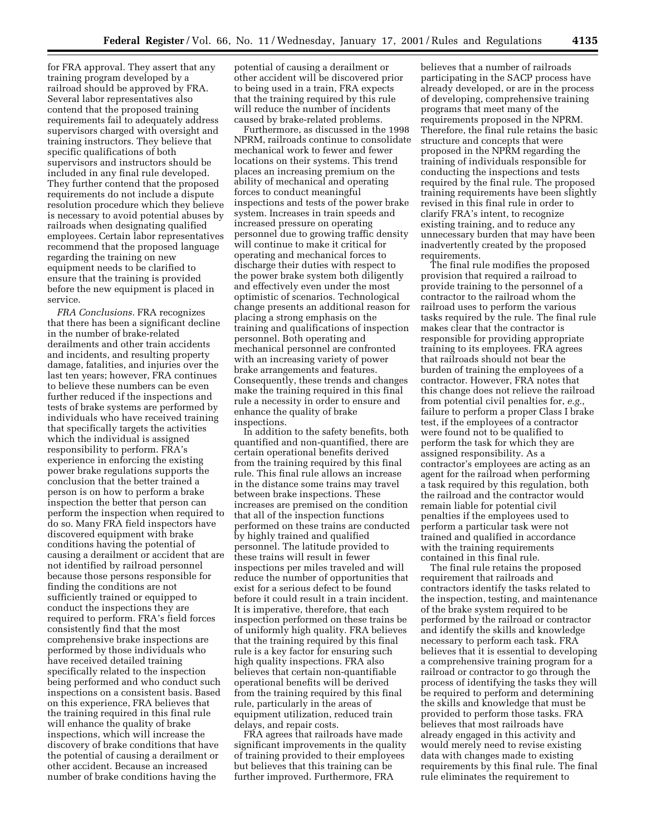for FRA approval. They assert that any training program developed by a railroad should be approved by FRA. Several labor representatives also contend that the proposed training requirements fail to adequately address supervisors charged with oversight and training instructors. They believe that specific qualifications of both supervisors and instructors should be included in any final rule developed. They further contend that the proposed requirements do not include a dispute resolution procedure which they believe is necessary to avoid potential abuses by railroads when designating qualified employees. Certain labor representatives recommend that the proposed language regarding the training on new equipment needs to be clarified to ensure that the training is provided before the new equipment is placed in service.

*FRA Conclusions.* FRA recognizes that there has been a significant decline in the number of brake-related derailments and other train accidents and incidents, and resulting property damage, fatalities, and injuries over the last ten years; however, FRA continues to believe these numbers can be even further reduced if the inspections and tests of brake systems are performed by individuals who have received training that specifically targets the activities which the individual is assigned responsibility to perform. FRA's experience in enforcing the existing power brake regulations supports the conclusion that the better trained a person is on how to perform a brake inspection the better that person can perform the inspection when required to do so. Many FRA field inspectors have discovered equipment with brake conditions having the potential of causing a derailment or accident that are not identified by railroad personnel because those persons responsible for finding the conditions are not sufficiently trained or equipped to conduct the inspections they are required to perform. FRA's field forces consistently find that the most comprehensive brake inspections are performed by those individuals who have received detailed training specifically related to the inspection being performed and who conduct such inspections on a consistent basis. Based on this experience, FRA believes that the training required in this final rule will enhance the quality of brake inspections, which will increase the discovery of brake conditions that have the potential of causing a derailment or other accident. Because an increased number of brake conditions having the

potential of causing a derailment or other accident will be discovered prior to being used in a train, FRA expects that the training required by this rule will reduce the number of incidents caused by brake-related problems.

Furthermore, as discussed in the 1998 NPRM, railroads continue to consolidate mechanical work to fewer and fewer locations on their systems. This trend places an increasing premium on the ability of mechanical and operating forces to conduct meaningful inspections and tests of the power brake system. Increases in train speeds and increased pressure on operating personnel due to growing traffic density will continue to make it critical for operating and mechanical forces to discharge their duties with respect to the power brake system both diligently and effectively even under the most optimistic of scenarios. Technological change presents an additional reason for placing a strong emphasis on the training and qualifications of inspection personnel. Both operating and mechanical personnel are confronted with an increasing variety of power brake arrangements and features. Consequently, these trends and changes make the training required in this final rule a necessity in order to ensure and enhance the quality of brake inspections.

In addition to the safety benefits, both quantified and non-quantified, there are certain operational benefits derived from the training required by this final rule. This final rule allows an increase in the distance some trains may travel between brake inspections. These increases are premised on the condition that all of the inspection functions performed on these trains are conducted by highly trained and qualified personnel. The latitude provided to these trains will result in fewer inspections per miles traveled and will reduce the number of opportunities that exist for a serious defect to be found before it could result in a train incident. It is imperative, therefore, that each inspection performed on these trains be of uniformly high quality. FRA believes that the training required by this final rule is a key factor for ensuring such high quality inspections. FRA also believes that certain non-quantifiable operational benefits will be derived from the training required by this final rule, particularly in the areas of equipment utilization, reduced train delays, and repair costs.

FRA agrees that railroads have made significant improvements in the quality of training provided to their employees but believes that this training can be further improved. Furthermore, FRA

believes that a number of railroads participating in the SACP process have already developed, or are in the process of developing, comprehensive training programs that meet many of the requirements proposed in the NPRM. Therefore, the final rule retains the basic structure and concepts that were proposed in the NPRM regarding the training of individuals responsible for conducting the inspections and tests required by the final rule. The proposed training requirements have been slightly revised in this final rule in order to clarify FRA's intent, to recognize existing training, and to reduce any unnecessary burden that may have been inadvertently created by the proposed requirements.

The final rule modifies the proposed provision that required a railroad to provide training to the personnel of a contractor to the railroad whom the railroad uses to perform the various tasks required by the rule. The final rule makes clear that the contractor is responsible for providing appropriate training to its employees. FRA agrees that railroads should not bear the burden of training the employees of a contractor. However, FRA notes that this change does not relieve the railroad from potential civil penalties for, *e.g.,* failure to perform a proper Class I brake test, if the employees of a contractor were found not to be qualified to perform the task for which they are assigned responsibility. As a contractor's employees are acting as an agent for the railroad when performing a task required by this regulation, both the railroad and the contractor would remain liable for potential civil penalties if the employees used to perform a particular task were not trained and qualified in accordance with the training requirements contained in this final rule.

The final rule retains the proposed requirement that railroads and contractors identify the tasks related to the inspection, testing, and maintenance of the brake system required to be performed by the railroad or contractor and identify the skills and knowledge necessary to perform each task. FRA believes that it is essential to developing a comprehensive training program for a railroad or contractor to go through the process of identifying the tasks they will be required to perform and determining the skills and knowledge that must be provided to perform those tasks. FRA believes that most railroads have already engaged in this activity and would merely need to revise existing data with changes made to existing requirements by this final rule. The final rule eliminates the requirement to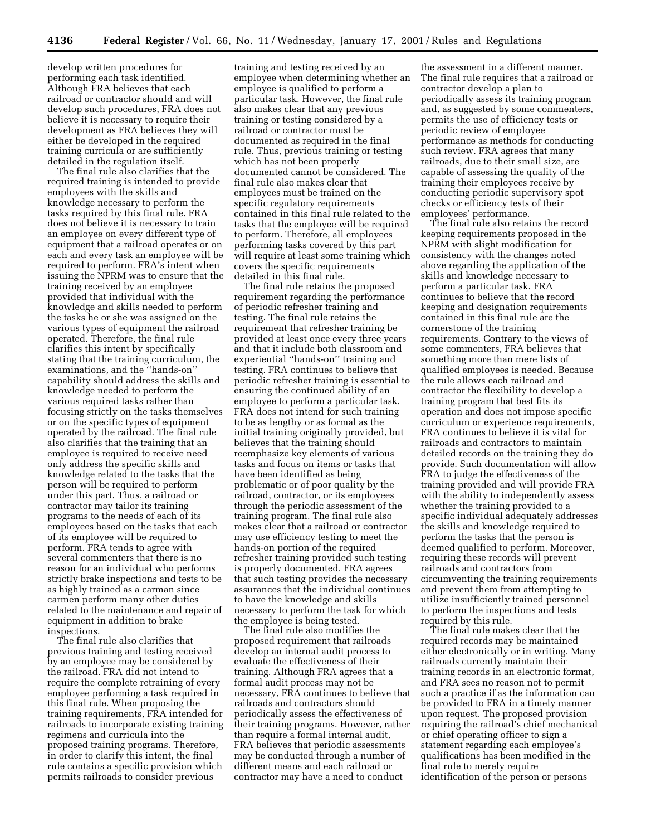develop written procedures for performing each task identified. Although FRA believes that each railroad or contractor should and will develop such procedures, FRA does not believe it is necessary to require their development as FRA believes they will either be developed in the required training curricula or are sufficiently detailed in the regulation itself.

The final rule also clarifies that the required training is intended to provide employees with the skills and knowledge necessary to perform the tasks required by this final rule. FRA does not believe it is necessary to train an employee on every different type of equipment that a railroad operates or on each and every task an employee will be required to perform. FRA's intent when issuing the NPRM was to ensure that the training received by an employee provided that individual with the knowledge and skills needed to perform the tasks he or she was assigned on the various types of equipment the railroad operated. Therefore, the final rule clarifies this intent by specifically stating that the training curriculum, the examinations, and the ''hands-on'' capability should address the skills and knowledge needed to perform the various required tasks rather than focusing strictly on the tasks themselves or on the specific types of equipment operated by the railroad. The final rule also clarifies that the training that an employee is required to receive need only address the specific skills and knowledge related to the tasks that the person will be required to perform under this part. Thus, a railroad or contractor may tailor its training programs to the needs of each of its employees based on the tasks that each of its employee will be required to perform. FRA tends to agree with several commenters that there is no reason for an individual who performs strictly brake inspections and tests to be as highly trained as a carman since carmen perform many other duties related to the maintenance and repair of equipment in addition to brake inspections.

The final rule also clarifies that previous training and testing received by an employee may be considered by the railroad. FRA did not intend to require the complete retraining of every employee performing a task required in this final rule. When proposing the training requirements, FRA intended for railroads to incorporate existing training regimens and curricula into the proposed training programs. Therefore, in order to clarify this intent, the final rule contains a specific provision which permits railroads to consider previous

training and testing received by an employee when determining whether an employee is qualified to perform a particular task. However, the final rule also makes clear that any previous training or testing considered by a railroad or contractor must be documented as required in the final rule. Thus, previous training or testing which has not been properly documented cannot be considered. The final rule also makes clear that employees must be trained on the specific regulatory requirements contained in this final rule related to the tasks that the employee will be required to perform. Therefore, all employees performing tasks covered by this part will require at least some training which covers the specific requirements detailed in this final rule.

The final rule retains the proposed requirement regarding the performance of periodic refresher training and testing. The final rule retains the requirement that refresher training be provided at least once every three years and that it include both classroom and experiential ''hands-on'' training and testing. FRA continues to believe that periodic refresher training is essential to ensuring the continued ability of an employee to perform a particular task. FRA does not intend for such training to be as lengthy or as formal as the initial training originally provided, but believes that the training should reemphasize key elements of various tasks and focus on items or tasks that have been identified as being problematic or of poor quality by the railroad, contractor, or its employees through the periodic assessment of the training program. The final rule also makes clear that a railroad or contractor may use efficiency testing to meet the hands-on portion of the required refresher training provided such testing is properly documented. FRA agrees that such testing provides the necessary assurances that the individual continues to have the knowledge and skills necessary to perform the task for which the employee is being tested.

The final rule also modifies the proposed requirement that railroads develop an internal audit process to evaluate the effectiveness of their training. Although FRA agrees that a formal audit process may not be necessary, FRA continues to believe that railroads and contractors should periodically assess the effectiveness of their training programs. However, rather than require a formal internal audit, FRA believes that periodic assessments may be conducted through a number of different means and each railroad or contractor may have a need to conduct

the assessment in a different manner. The final rule requires that a railroad or contractor develop a plan to periodically assess its training program and, as suggested by some commenters, permits the use of efficiency tests or periodic review of employee performance as methods for conducting such review. FRA agrees that many railroads, due to their small size, are capable of assessing the quality of the training their employees receive by conducting periodic supervisory spot checks or efficiency tests of their employees' performance.

The final rule also retains the record keeping requirements proposed in the NPRM with slight modification for consistency with the changes noted above regarding the application of the skills and knowledge necessary to perform a particular task. FRA continues to believe that the record keeping and designation requirements contained in this final rule are the cornerstone of the training requirements. Contrary to the views of some commenters, FRA believes that something more than mere lists of qualified employees is needed. Because the rule allows each railroad and contractor the flexibility to develop a training program that best fits its operation and does not impose specific curriculum or experience requirements, FRA continues to believe it is vital for railroads and contractors to maintain detailed records on the training they do provide. Such documentation will allow FRA to judge the effectiveness of the training provided and will provide FRA with the ability to independently assess whether the training provided to a specific individual adequately addresses the skills and knowledge required to perform the tasks that the person is deemed qualified to perform. Moreover, requiring these records will prevent railroads and contractors from circumventing the training requirements and prevent them from attempting to utilize insufficiently trained personnel to perform the inspections and tests required by this rule.

The final rule makes clear that the required records may be maintained either electronically or in writing. Many railroads currently maintain their training records in an electronic format, and FRA sees no reason not to permit such a practice if as the information can be provided to FRA in a timely manner upon request. The proposed provision requiring the railroad's chief mechanical or chief operating officer to sign a statement regarding each employee's qualifications has been modified in the final rule to merely require identification of the person or persons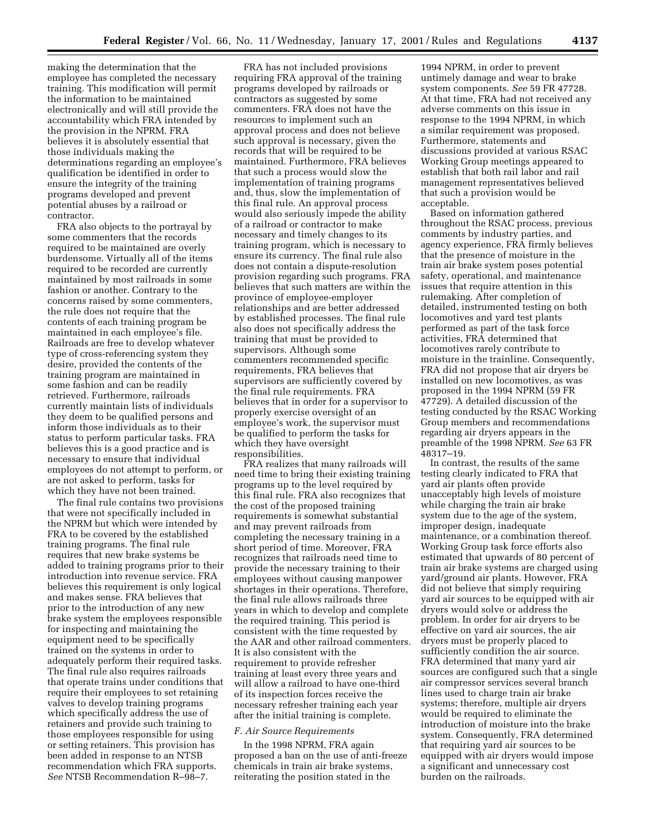making the determination that the employee has completed the necessary training. This modification will permit the information to be maintained electronically and will still provide the accountability which FRA intended by the provision in the NPRM. FRA believes it is absolutely essential that those individuals making the determinations regarding an employee's qualification be identified in order to ensure the integrity of the training programs developed and prevent potential abuses by a railroad or contractor.

FRA also objects to the portrayal by some commenters that the records required to be maintained are overly burdensome. Virtually all of the items required to be recorded are currently maintained by most railroads in some fashion or another. Contrary to the concerns raised by some commenters, the rule does not require that the contents of each training program be maintained in each employee's file. Railroads are free to develop whatever type of cross-referencing system they desire, provided the contents of the training program are maintained in some fashion and can be readily retrieved. Furthermore, railroads currently maintain lists of individuals they deem to be qualified persons and inform those individuals as to their status to perform particular tasks. FRA believes this is a good practice and is necessary to ensure that individual employees do not attempt to perform, or are not asked to perform, tasks for which they have not been trained.

The final rule contains two provisions that were not specifically included in the NPRM but which were intended by FRA to be covered by the established training programs. The final rule requires that new brake systems be added to training programs prior to their introduction into revenue service. FRA believes this requirement is only logical and makes sense. FRA believes that prior to the introduction of any new brake system the employees responsible for inspecting and maintaining the equipment need to be specifically trained on the systems in order to adequately perform their required tasks. The final rule also requires railroads that operate trains under conditions that require their employees to set retaining valves to develop training programs which specifically address the use of retainers and provide such training to those employees responsible for using or setting retainers. This provision has been added in response to an NTSB recommendation which FRA supports. *See* NTSB Recommendation R–98–7.

FRA has not included provisions requiring FRA approval of the training programs developed by railroads or contractors as suggested by some commenters. FRA does not have the resources to implement such an approval process and does not believe such approval is necessary, given the records that will be required to be maintained. Furthermore, FRA believes that such a process would slow the implementation of training programs and, thus, slow the implementation of this final rule. An approval process would also seriously impede the ability of a railroad or contractor to make necessary and timely changes to its training program, which is necessary to ensure its currency. The final rule also does not contain a dispute-resolution provision regarding such programs. FRA believes that such matters are within the province of employee-employer relationships and are better addressed by established processes. The final rule also does not specifically address the training that must be provided to supervisors. Although some commenters recommended specific requirements, FRA believes that supervisors are sufficiently covered by the final rule requirements. FRA believes that in order for a supervisor to properly exercise oversight of an employee's work, the supervisor must be qualified to perform the tasks for which they have oversight responsibilities.

FRA realizes that many railroads will need time to bring their existing training programs up to the level required by this final rule. FRA also recognizes that the cost of the proposed training requirements is somewhat substantial and may prevent railroads from completing the necessary training in a short period of time. Moreover, FRA recognizes that railroads need time to provide the necessary training to their employees without causing manpower shortages in their operations. Therefore, the final rule allows railroads three years in which to develop and complete the required training. This period is consistent with the time requested by the AAR and other railroad commenters. It is also consistent with the requirement to provide refresher training at least every three years and will allow a railroad to have one-third of its inspection forces receive the necessary refresher training each year after the initial training is complete.

#### *F. Air Source Requirements*

In the 1998 NPRM, FRA again proposed a ban on the use of anti-freeze chemicals in train air brake systems, reiterating the position stated in the

1994 NPRM, in order to prevent untimely damage and wear to brake system components. *See* 59 FR 47728. At that time, FRA had not received any adverse comments on this issue in response to the 1994 NPRM, in which a similar requirement was proposed. Furthermore, statements and discussions provided at various RSAC Working Group meetings appeared to establish that both rail labor and rail management representatives believed that such a provision would be acceptable.

Based on information gathered throughout the RSAC process, previous comments by industry parties, and agency experience, FRA firmly believes that the presence of moisture in the train air brake system poses potential safety, operational, and maintenance issues that require attention in this rulemaking. After completion of detailed, instrumented testing on both locomotives and yard test plants performed as part of the task force activities, FRA determined that locomotives rarely contribute to moisture in the trainline. Consequently, FRA did not propose that air dryers be installed on new locomotives, as was proposed in the 1994 NPRM (59 FR 47729). A detailed discussion of the testing conducted by the RSAC Working Group members and recommendations regarding air dryers appears in the preamble of the 1998 NPRM. *See* 63 FR 48317–19.

In contrast, the results of the same testing clearly indicated to FRA that yard air plants often provide unacceptably high levels of moisture while charging the train air brake system due to the age of the system, improper design, inadequate maintenance, or a combination thereof. Working Group task force efforts also estimated that upwards of 80 percent of train air brake systems are charged using yard/ground air plants. However, FRA did not believe that simply requiring yard air sources to be equipped with air dryers would solve or address the problem. In order for air dryers to be effective on yard air sources, the air dryers must be properly placed to sufficiently condition the air source. FRA determined that many yard air sources are configured such that a single air compressor services several branch lines used to charge train air brake systems; therefore, multiple air dryers would be required to eliminate the introduction of moisture into the brake system. Consequently, FRA determined that requiring yard air sources to be equipped with air dryers would impose a significant and unnecessary cost burden on the railroads.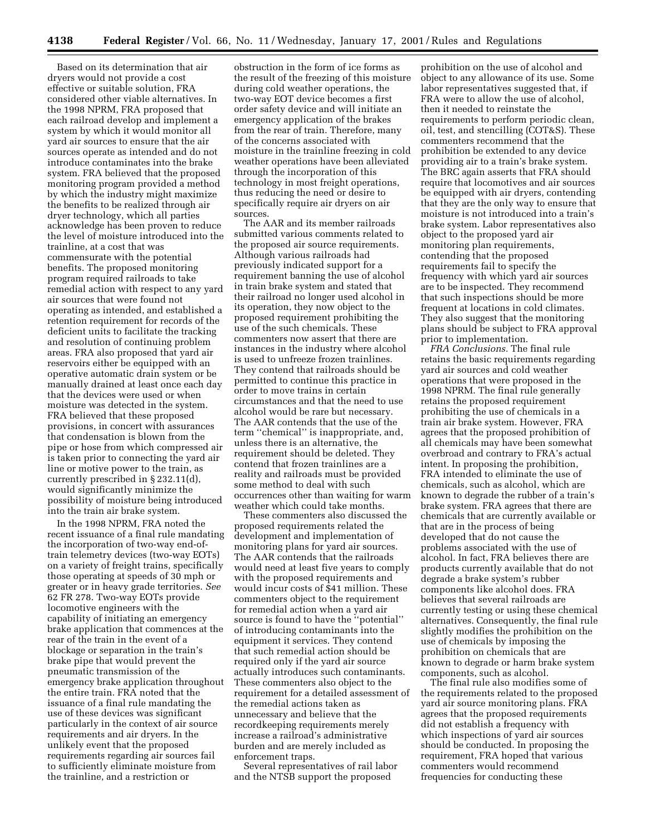Based on its determination that air dryers would not provide a cost effective or suitable solution, FRA considered other viable alternatives. In the 1998 NPRM, FRA proposed that each railroad develop and implement a system by which it would monitor all yard air sources to ensure that the air sources operate as intended and do not introduce contaminates into the brake system. FRA believed that the proposed monitoring program provided a method by which the industry might maximize the benefits to be realized through air dryer technology, which all parties acknowledge has been proven to reduce the level of moisture introduced into the trainline, at a cost that was commensurate with the potential benefits. The proposed monitoring program required railroads to take remedial action with respect to any yard air sources that were found not operating as intended, and established a retention requirement for records of the deficient units to facilitate the tracking and resolution of continuing problem areas. FRA also proposed that yard air reservoirs either be equipped with an operative automatic drain system or be manually drained at least once each day that the devices were used or when moisture was detected in the system. FRA believed that these proposed provisions, in concert with assurances that condensation is blown from the pipe or hose from which compressed air is taken prior to connecting the yard air line or motive power to the train, as currently prescribed in § 232.11(d), would significantly minimize the possibility of moisture being introduced into the train air brake system.

In the 1998 NPRM, FRA noted the recent issuance of a final rule mandating the incorporation of two-way end-oftrain telemetry devices (two-way EOTs) on a variety of freight trains, specifically those operating at speeds of 30 mph or greater or in heavy grade territories. *See* 62 FR 278. Two-way EOTs provide locomotive engineers with the capability of initiating an emergency brake application that commences at the rear of the train in the event of a blockage or separation in the train's brake pipe that would prevent the pneumatic transmission of the emergency brake application throughout the entire train. FRA noted that the issuance of a final rule mandating the use of these devices was significant particularly in the context of air source requirements and air dryers. In the unlikely event that the proposed requirements regarding air sources fail to sufficiently eliminate moisture from the trainline, and a restriction or

obstruction in the form of ice forms as the result of the freezing of this moisture during cold weather operations, the two-way EOT device becomes a first order safety device and will initiate an emergency application of the brakes from the rear of train. Therefore, many of the concerns associated with moisture in the trainline freezing in cold weather operations have been alleviated through the incorporation of this technology in most freight operations, thus reducing the need or desire to specifically require air dryers on air sources.

The AAR and its member railroads submitted various comments related to the proposed air source requirements. Although various railroads had previously indicated support for a requirement banning the use of alcohol in train brake system and stated that their railroad no longer used alcohol in its operation, they now object to the proposed requirement prohibiting the use of the such chemicals. These commenters now assert that there are instances in the industry where alcohol is used to unfreeze frozen trainlines. They contend that railroads should be permitted to continue this practice in order to move trains in certain circumstances and that the need to use alcohol would be rare but necessary. The AAR contends that the use of the term ''chemical'' is inappropriate, and, unless there is an alternative, the requirement should be deleted. They contend that frozen trainlines are a reality and railroads must be provided some method to deal with such occurrences other than waiting for warm weather which could take months.

These commenters also discussed the proposed requirements related the development and implementation of monitoring plans for yard air sources. The AAR contends that the railroads would need at least five years to comply with the proposed requirements and would incur costs of \$41 million. These commenters object to the requirement for remedial action when a yard air source is found to have the ''potential'' of introducing contaminants into the equipment it services. They contend that such remedial action should be required only if the yard air source actually introduces such contaminants. These commenters also object to the requirement for a detailed assessment of the remedial actions taken as unnecessary and believe that the recordkeeping requirements merely increase a railroad's administrative burden and are merely included as enforcement traps.

Several representatives of rail labor and the NTSB support the proposed

prohibition on the use of alcohol and object to any allowance of its use. Some labor representatives suggested that, if FRA were to allow the use of alcohol, then it needed to reinstate the requirements to perform periodic clean, oil, test, and stencilling (COT&S). These commenters recommend that the prohibition be extended to any device providing air to a train's brake system. The BRC again asserts that FRA should require that locomotives and air sources be equipped with air dryers, contending that they are the only way to ensure that moisture is not introduced into a train's brake system. Labor representatives also object to the proposed yard air monitoring plan requirements, contending that the proposed requirements fail to specify the frequency with which yard air sources are to be inspected. They recommend that such inspections should be more frequent at locations in cold climates. They also suggest that the monitoring plans should be subject to FRA approval prior to implementation.

*FRA Conclusions.* The final rule retains the basic requirements regarding yard air sources and cold weather operations that were proposed in the 1998 NPRM. The final rule generally retains the proposed requirement prohibiting the use of chemicals in a train air brake system. However, FRA agrees that the proposed prohibition of all chemicals may have been somewhat overbroad and contrary to FRA's actual intent. In proposing the prohibition, FRA intended to eliminate the use of chemicals, such as alcohol, which are known to degrade the rubber of a train's brake system. FRA agrees that there are chemicals that are currently available or that are in the process of being developed that do not cause the problems associated with the use of alcohol. In fact, FRA believes there are products currently available that do not degrade a brake system's rubber components like alcohol does. FRA believes that several railroads are currently testing or using these chemical alternatives. Consequently, the final rule slightly modifies the prohibition on the use of chemicals by imposing the prohibition on chemicals that are known to degrade or harm brake system components, such as alcohol.

The final rule also modifies some of the requirements related to the proposed yard air source monitoring plans. FRA agrees that the proposed requirements did not establish a frequency with which inspections of yard air sources should be conducted. In proposing the requirement, FRA hoped that various commenters would recommend frequencies for conducting these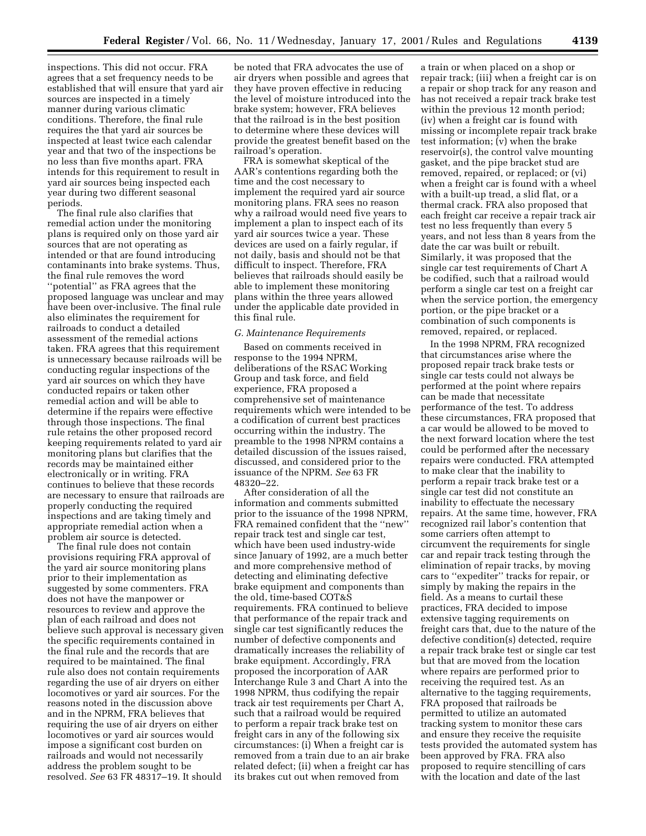inspections. This did not occur. FRA agrees that a set frequency needs to be established that will ensure that yard air sources are inspected in a timely manner during various climatic conditions. Therefore, the final rule requires the that yard air sources be inspected at least twice each calendar year and that two of the inspections be no less than five months apart. FRA intends for this requirement to result in yard air sources being inspected each year during two different seasonal periods.

The final rule also clarifies that remedial action under the monitoring plans is required only on those yard air sources that are not operating as intended or that are found introducing contaminants into brake systems. Thus, the final rule removes the word ''potential'' as FRA agrees that the proposed language was unclear and may have been over-inclusive. The final rule also eliminates the requirement for railroads to conduct a detailed assessment of the remedial actions taken. FRA agrees that this requirement is unnecessary because railroads will be conducting regular inspections of the yard air sources on which they have conducted repairs or taken other remedial action and will be able to determine if the repairs were effective through those inspections. The final rule retains the other proposed record keeping requirements related to yard air monitoring plans but clarifies that the records may be maintained either electronically or in writing. FRA continues to believe that these records are necessary to ensure that railroads are properly conducting the required inspections and are taking timely and appropriate remedial action when a problem air source is detected.

The final rule does not contain provisions requiring FRA approval of the yard air source monitoring plans prior to their implementation as suggested by some commenters. FRA does not have the manpower or resources to review and approve the plan of each railroad and does not believe such approval is necessary given the specific requirements contained in the final rule and the records that are required to be maintained. The final rule also does not contain requirements regarding the use of air dryers on either locomotives or yard air sources. For the reasons noted in the discussion above and in the NPRM, FRA believes that requiring the use of air dryers on either locomotives or yard air sources would impose a significant cost burden on railroads and would not necessarily address the problem sought to be resolved. *See* 63 FR 48317–19. It should

be noted that FRA advocates the use of air dryers when possible and agrees that they have proven effective in reducing the level of moisture introduced into the brake system; however, FRA believes that the railroad is in the best position to determine where these devices will provide the greatest benefit based on the railroad's operation.

FRA is somewhat skeptical of the AAR's contentions regarding both the time and the cost necessary to implement the required yard air source monitoring plans. FRA sees no reason why a railroad would need five years to implement a plan to inspect each of its yard air sources twice a year. These devices are used on a fairly regular, if not daily, basis and should not be that difficult to inspect. Therefore, FRA believes that railroads should easily be able to implement these monitoring plans within the three years allowed under the applicable date provided in this final rule.

#### *G. Maintenance Requirements*

Based on comments received in response to the 1994 NPRM, deliberations of the RSAC Working Group and task force, and field experience, FRA proposed a comprehensive set of maintenance requirements which were intended to be a codification of current best practices occurring within the industry. The preamble to the 1998 NPRM contains a detailed discussion of the issues raised, discussed, and considered prior to the issuance of the NPRM. *See* 63 FR 48320–22.

After consideration of all the information and comments submitted prior to the issuance of the 1998 NPRM, FRA remained confident that the ''new'' repair track test and single car test, which have been used industry-wide since January of 1992, are a much better and more comprehensive method of detecting and eliminating defective brake equipment and components than the old, time-based COT&S requirements. FRA continued to believe that performance of the repair track and single car test significantly reduces the number of defective components and dramatically increases the reliability of brake equipment. Accordingly, FRA proposed the incorporation of AAR Interchange Rule 3 and Chart A into the 1998 NPRM, thus codifying the repair track air test requirements per Chart A, such that a railroad would be required to perform a repair track brake test on freight cars in any of the following six circumstances: (i) When a freight car is removed from a train due to an air brake related defect; (ii) when a freight car has its brakes cut out when removed from

a train or when placed on a shop or repair track; (iii) when a freight car is on a repair or shop track for any reason and has not received a repair track brake test within the previous 12 month period; (iv) when a freight car is found with missing or incomplete repair track brake test information; (v) when the brake reservoir(s), the control valve mounting gasket, and the pipe bracket stud are removed, repaired, or replaced; or (vi) when a freight car is found with a wheel with a built-up tread, a slid flat, or a thermal crack. FRA also proposed that each freight car receive a repair track air test no less frequently than every 5 years, and not less than 8 years from the date the car was built or rebuilt. Similarly, it was proposed that the single car test requirements of Chart A be codified, such that a railroad would perform a single car test on a freight car when the service portion, the emergency portion, or the pipe bracket or a combination of such components is removed, repaired, or replaced.

In the 1998 NPRM, FRA recognized that circumstances arise where the proposed repair track brake tests or single car tests could not always be performed at the point where repairs can be made that necessitate performance of the test. To address these circumstances, FRA proposed that a car would be allowed to be moved to the next forward location where the test could be performed after the necessary repairs were conducted. FRA attempted to make clear that the inability to perform a repair track brake test or a single car test did not constitute an inability to effectuate the necessary repairs. At the same time, however, FRA recognized rail labor's contention that some carriers often attempt to circumvent the requirements for single car and repair track testing through the elimination of repair tracks, by moving cars to ''expediter'' tracks for repair, or simply by making the repairs in the field. As a means to curtail these practices, FRA decided to impose extensive tagging requirements on freight cars that, due to the nature of the defective condition(s) detected, require a repair track brake test or single car test but that are moved from the location where repairs are performed prior to receiving the required test. As an alternative to the tagging requirements, FRA proposed that railroads be permitted to utilize an automated tracking system to monitor these cars and ensure they receive the requisite tests provided the automated system has been approved by FRA. FRA also proposed to require stencilling of cars with the location and date of the last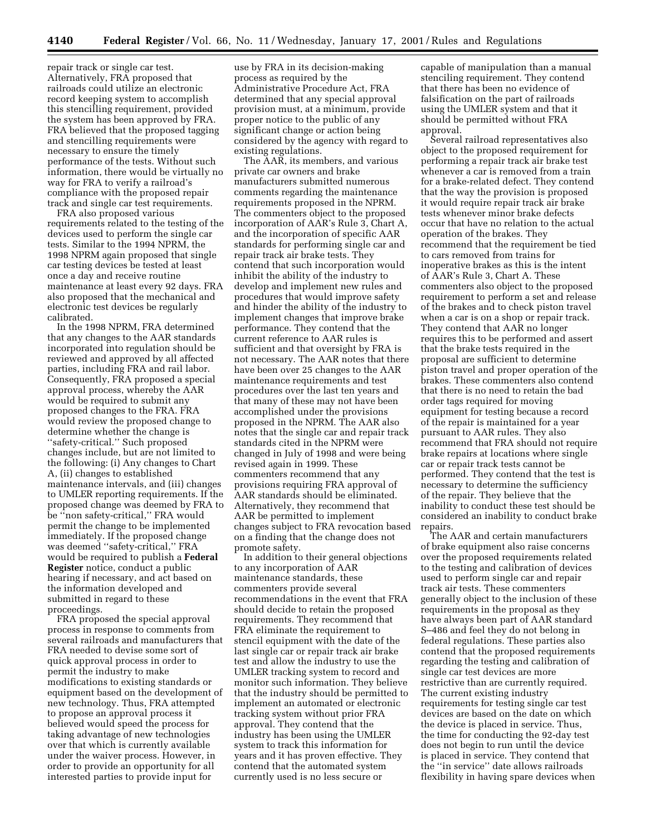repair track or single car test. Alternatively, FRA proposed that railroads could utilize an electronic record keeping system to accomplish this stencilling requirement, provided the system has been approved by FRA. FRA believed that the proposed tagging and stencilling requirements were necessary to ensure the timely performance of the tests. Without such information, there would be virtually no way for FRA to verify a railroad's compliance with the proposed repair track and single car test requirements.

FRA also proposed various requirements related to the testing of the devices used to perform the single car tests. Similar to the 1994 NPRM, the 1998 NPRM again proposed that single car testing devices be tested at least once a day and receive routine maintenance at least every 92 days. FRA also proposed that the mechanical and electronic test devices be regularly calibrated.

In the 1998 NPRM, FRA determined that any changes to the AAR standards incorporated into regulation should be reviewed and approved by all affected parties, including FRA and rail labor. Consequently, FRA proposed a special approval process, whereby the AAR would be required to submit any proposed changes to the FRA. FRA would review the proposed change to determine whether the change is ''safety-critical.'' Such proposed changes include, but are not limited to the following: (i) Any changes to Chart A, (ii) changes to established maintenance intervals, and (iii) changes to UMLER reporting requirements. If the proposed change was deemed by FRA to be "non safety-critical," FRA would permit the change to be implemented immediately. If the proposed change was deemed ''safety-critical,'' FRA would be required to publish a **Federal Register** notice, conduct a public hearing if necessary, and act based on the information developed and submitted in regard to these proceedings.

FRA proposed the special approval process in response to comments from several railroads and manufacturers that FRA needed to devise some sort of quick approval process in order to permit the industry to make modifications to existing standards or equipment based on the development of new technology. Thus, FRA attempted to propose an approval process it believed would speed the process for taking advantage of new technologies over that which is currently available under the waiver process. However, in order to provide an opportunity for all interested parties to provide input for

use by FRA in its decision-making process as required by the Administrative Procedure Act, FRA determined that any special approval provision must, at a minimum, provide proper notice to the public of any significant change or action being considered by the agency with regard to existing regulations.

The AAR, its members, and various private car owners and brake manufacturers submitted numerous comments regarding the maintenance requirements proposed in the NPRM. The commenters object to the proposed incorporation of AAR's Rule 3, Chart A, and the incorporation of specific AAR standards for performing single car and repair track air brake tests. They contend that such incorporation would inhibit the ability of the industry to develop and implement new rules and procedures that would improve safety and hinder the ability of the industry to implement changes that improve brake performance. They contend that the current reference to AAR rules is sufficient and that oversight by FRA is not necessary. The AAR notes that there have been over 25 changes to the AAR maintenance requirements and test procedures over the last ten years and that many of these may not have been accomplished under the provisions proposed in the NPRM. The AAR also notes that the single car and repair track standards cited in the NPRM were changed in July of 1998 and were being revised again in 1999. These commenters recommend that any provisions requiring FRA approval of AAR standards should be eliminated. Alternatively, they recommend that AAR be permitted to implement changes subject to FRA revocation based on a finding that the change does not promote safety.

In addition to their general objections to any incorporation of AAR maintenance standards, these commenters provide several recommendations in the event that FRA should decide to retain the proposed requirements. They recommend that FRA eliminate the requirement to stencil equipment with the date of the last single car or repair track air brake test and allow the industry to use the UMLER tracking system to record and monitor such information. They believe that the industry should be permitted to implement an automated or electronic tracking system without prior FRA approval. They contend that the industry has been using the UMLER system to track this information for years and it has proven effective. They contend that the automated system currently used is no less secure or

capable of manipulation than a manual stenciling requirement. They contend that there has been no evidence of falsification on the part of railroads using the UMLER system and that it should be permitted without FRA approval.

Several railroad representatives also object to the proposed requirement for performing a repair track air brake test whenever a car is removed from a train for a brake-related defect. They contend that the way the provision is proposed it would require repair track air brake tests whenever minor brake defects occur that have no relation to the actual operation of the brakes. They recommend that the requirement be tied to cars removed from trains for inoperative brakes as this is the intent of AAR's Rule 3, Chart A. These commenters also object to the proposed requirement to perform a set and release of the brakes and to check piston travel when a car is on a shop or repair track. They contend that AAR no longer requires this to be performed and assert that the brake tests required in the proposal are sufficient to determine piston travel and proper operation of the brakes. These commenters also contend that there is no need to retain the bad order tags required for moving equipment for testing because a record of the repair is maintained for a year pursuant to AAR rules. They also recommend that FRA should not require brake repairs at locations where single car or repair track tests cannot be performed. They contend that the test is necessary to determine the sufficiency of the repair. They believe that the inability to conduct these test should be considered an inability to conduct brake repairs.

The AAR and certain manufacturers of brake equipment also raise concerns over the proposed requirements related to the testing and calibration of devices used to perform single car and repair track air tests. These commenters generally object to the inclusion of these requirements in the proposal as they have always been part of AAR standard S–486 and feel they do not belong in federal regulations. These parties also contend that the proposed requirements regarding the testing and calibration of single car test devices are more restrictive than are currently required. The current existing industry requirements for testing single car test devices are based on the date on which the device is placed in service. Thus, the time for conducting the 92-day test does not begin to run until the device is placed in service. They contend that the ''in service'' date allows railroads flexibility in having spare devices when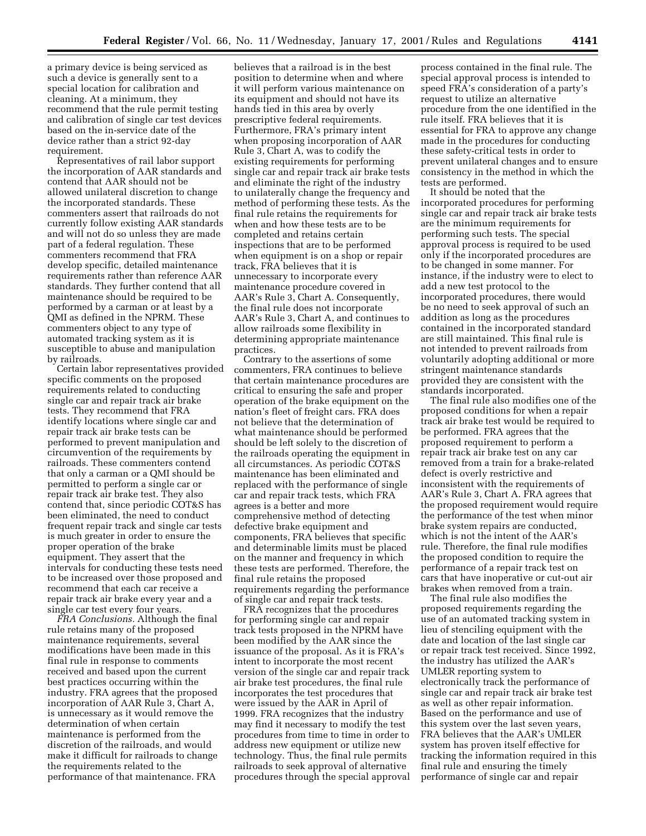a primary device is being serviced as such a device is generally sent to a special location for calibration and cleaning. At a minimum, they recommend that the rule permit testing and calibration of single car test devices based on the in-service date of the device rather than a strict 92-day requirement.

Representatives of rail labor support the incorporation of AAR standards and contend that AAR should not be allowed unilateral discretion to change the incorporated standards. These commenters assert that railroads do not currently follow existing AAR standards and will not do so unless they are made part of a federal regulation. These commenters recommend that FRA develop specific, detailed maintenance requirements rather than reference AAR standards. They further contend that all maintenance should be required to be performed by a carman or at least by a QMI as defined in the NPRM. These commenters object to any type of automated tracking system as it is susceptible to abuse and manipulation by railroads.

Certain labor representatives provided specific comments on the proposed requirements related to conducting single car and repair track air brake tests. They recommend that FRA identify locations where single car and repair track air brake tests can be performed to prevent manipulation and circumvention of the requirements by railroads. These commenters contend that only a carman or a QMI should be permitted to perform a single car or repair track air brake test. They also contend that, since periodic COT&S has been eliminated, the need to conduct frequent repair track and single car tests is much greater in order to ensure the proper operation of the brake equipment. They assert that the intervals for conducting these tests need to be increased over those proposed and recommend that each car receive a repair track air brake every year and a single car test every four years.

*FRA Conclusions.* Although the final rule retains many of the proposed maintenance requirements, several modifications have been made in this final rule in response to comments received and based upon the current best practices occurring within the industry. FRA agrees that the proposed incorporation of AAR Rule 3, Chart A, is unnecessary as it would remove the determination of when certain maintenance is performed from the discretion of the railroads, and would make it difficult for railroads to change the requirements related to the performance of that maintenance. FRA

believes that a railroad is in the best position to determine when and where it will perform various maintenance on its equipment and should not have its hands tied in this area by overly prescriptive federal requirements. Furthermore, FRA's primary intent when proposing incorporation of AAR Rule 3, Chart A, was to codify the existing requirements for performing single car and repair track air brake tests and eliminate the right of the industry to unilaterally change the frequency and method of performing these tests. As the final rule retains the requirements for when and how these tests are to be completed and retains certain inspections that are to be performed when equipment is on a shop or repair track, FRA believes that it is unnecessary to incorporate every maintenance procedure covered in AAR's Rule 3, Chart A. Consequently, the final rule does not incorporate AAR's Rule 3, Chart A, and continues to allow railroads some flexibility in determining appropriate maintenance practices.

Contrary to the assertions of some commenters, FRA continues to believe that certain maintenance procedures are critical to ensuring the safe and proper operation of the brake equipment on the nation's fleet of freight cars. FRA does not believe that the determination of what maintenance should be performed should be left solely to the discretion of the railroads operating the equipment in all circumstances. As periodic COT&S maintenance has been eliminated and replaced with the performance of single car and repair track tests, which FRA agrees is a better and more comprehensive method of detecting defective brake equipment and components, FRA believes that specific and determinable limits must be placed on the manner and frequency in which these tests are performed. Therefore, the final rule retains the proposed requirements regarding the performance of single car and repair track tests.

FRA recognizes that the procedures for performing single car and repair track tests proposed in the NPRM have been modified by the AAR since the issuance of the proposal. As it is FRA's intent to incorporate the most recent version of the single car and repair track air brake test procedures, the final rule incorporates the test procedures that were issued by the AAR in April of 1999. FRA recognizes that the industry may find it necessary to modify the test procedures from time to time in order to address new equipment or utilize new technology. Thus, the final rule permits railroads to seek approval of alternative procedures through the special approval

process contained in the final rule. The special approval process is intended to speed FRA's consideration of a party's request to utilize an alternative procedure from the one identified in the rule itself. FRA believes that it is essential for FRA to approve any change made in the procedures for conducting these safety-critical tests in order to prevent unilateral changes and to ensure consistency in the method in which the tests are performed.

It should be noted that the incorporated procedures for performing single car and repair track air brake tests are the minimum requirements for performing such tests. The special approval process is required to be used only if the incorporated procedures are to be changed in some manner. For instance, if the industry were to elect to add a new test protocol to the incorporated procedures, there would be no need to seek approval of such an addition as long as the procedures contained in the incorporated standard are still maintained. This final rule is not intended to prevent railroads from voluntarily adopting additional or more stringent maintenance standards provided they are consistent with the standards incorporated.

The final rule also modifies one of the proposed conditions for when a repair track air brake test would be required to be performed. FRA agrees that the proposed requirement to perform a repair track air brake test on any car removed from a train for a brake-related defect is overly restrictive and inconsistent with the requirements of AAR's Rule 3, Chart A. FRA agrees that the proposed requirement would require the performance of the test when minor brake system repairs are conducted, which is not the intent of the AAR's rule. Therefore, the final rule modifies the proposed condition to require the performance of a repair track test on cars that have inoperative or cut-out air brakes when removed from a train.

The final rule also modifies the proposed requirements regarding the use of an automated tracking system in lieu of stenciling equipment with the date and location of the last single car or repair track test received. Since 1992, the industry has utilized the AAR's UMLER reporting system to electronically track the performance of single car and repair track air brake test as well as other repair information. Based on the performance and use of this system over the last seven years, FRA believes that the AAR's UMLER system has proven itself effective for tracking the information required in this final rule and ensuring the timely performance of single car and repair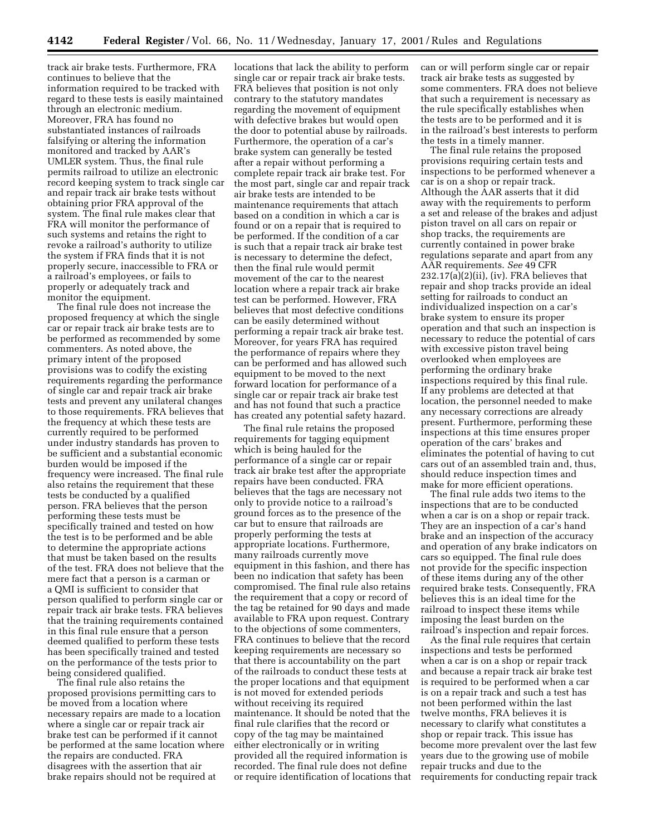track air brake tests. Furthermore, FRA continues to believe that the information required to be tracked with regard to these tests is easily maintained through an electronic medium. Moreover, FRA has found no substantiated instances of railroads falsifying or altering the information monitored and tracked by AAR's UMLER system. Thus, the final rule permits railroad to utilize an electronic record keeping system to track single car and repair track air brake tests without obtaining prior FRA approval of the system. The final rule makes clear that FRA will monitor the performance of such systems and retains the right to revoke a railroad's authority to utilize the system if FRA finds that it is not properly secure, inaccessible to FRA or a railroad's employees, or fails to properly or adequately track and monitor the equipment.

The final rule does not increase the proposed frequency at which the single car or repair track air brake tests are to be performed as recommended by some commenters. As noted above, the primary intent of the proposed provisions was to codify the existing requirements regarding the performance of single car and repair track air brake tests and prevent any unilateral changes to those requirements. FRA believes that the frequency at which these tests are currently required to be performed under industry standards has proven to be sufficient and a substantial economic burden would be imposed if the frequency were increased. The final rule also retains the requirement that these tests be conducted by a qualified person. FRA believes that the person performing these tests must be specifically trained and tested on how the test is to be performed and be able to determine the appropriate actions that must be taken based on the results of the test. FRA does not believe that the mere fact that a person is a carman or a QMI is sufficient to consider that person qualified to perform single car or repair track air brake tests. FRA believes that the training requirements contained in this final rule ensure that a person deemed qualified to perform these tests has been specifically trained and tested on the performance of the tests prior to being considered qualified.

The final rule also retains the proposed provisions permitting cars to be moved from a location where necessary repairs are made to a location where a single car or repair track air brake test can be performed if it cannot be performed at the same location where the repairs are conducted. FRA disagrees with the assertion that air brake repairs should not be required at

locations that lack the ability to perform single car or repair track air brake tests. FRA believes that position is not only contrary to the statutory mandates regarding the movement of equipment with defective brakes but would open the door to potential abuse by railroads. Furthermore, the operation of a car's brake system can generally be tested after a repair without performing a complete repair track air brake test. For the most part, single car and repair track air brake tests are intended to be maintenance requirements that attach based on a condition in which a car is found or on a repair that is required to be performed. If the condition of a car is such that a repair track air brake test is necessary to determine the defect, then the final rule would permit movement of the car to the nearest location where a repair track air brake test can be performed. However, FRA believes that most defective conditions can be easily determined without performing a repair track air brake test. Moreover, for years FRA has required the performance of repairs where they can be performed and has allowed such equipment to be moved to the next forward location for performance of a single car or repair track air brake test and has not found that such a practice has created any potential safety hazard.

The final rule retains the proposed requirements for tagging equipment which is being hauled for the performance of a single car or repair track air brake test after the appropriate repairs have been conducted. FRA believes that the tags are necessary not only to provide notice to a railroad's ground forces as to the presence of the car but to ensure that railroads are properly performing the tests at appropriate locations. Furthermore, many railroads currently move equipment in this fashion, and there has been no indication that safety has been compromised. The final rule also retains the requirement that a copy or record of the tag be retained for 90 days and made available to FRA upon request. Contrary to the objections of some commenters, FRA continues to believe that the record keeping requirements are necessary so that there is accountability on the part of the railroads to conduct these tests at the proper locations and that equipment is not moved for extended periods without receiving its required maintenance. It should be noted that the final rule clarifies that the record or copy of the tag may be maintained either electronically or in writing provided all the required information is recorded. The final rule does not define or require identification of locations that can or will perform single car or repair track air brake tests as suggested by some commenters. FRA does not believe that such a requirement is necessary as the rule specifically establishes when the tests are to be performed and it is in the railroad's best interests to perform the tests in a timely manner.

The final rule retains the proposed provisions requiring certain tests and inspections to be performed whenever a car is on a shop or repair track. Although the AAR asserts that it did away with the requirements to perform a set and release of the brakes and adjust piston travel on all cars on repair or shop tracks, the requirements are currently contained in power brake regulations separate and apart from any AAR requirements. *See* 49 CFR  $232.17(a)(2)(ii)$ , (iv). FRA believes that repair and shop tracks provide an ideal setting for railroads to conduct an individualized inspection on a car's brake system to ensure its proper operation and that such an inspection is necessary to reduce the potential of cars with excessive piston travel being overlooked when employees are performing the ordinary brake inspections required by this final rule. If any problems are detected at that location, the personnel needed to make any necessary corrections are already present. Furthermore, performing these inspections at this time ensures proper operation of the cars' brakes and eliminates the potential of having to cut cars out of an assembled train and, thus, should reduce inspection times and make for more efficient operations.

The final rule adds two items to the inspections that are to be conducted when a car is on a shop or repair track. They are an inspection of a car's hand brake and an inspection of the accuracy and operation of any brake indicators on cars so equipped. The final rule does not provide for the specific inspection of these items during any of the other required brake tests. Consequently, FRA believes this is an ideal time for the railroad to inspect these items while imposing the least burden on the railroad's inspection and repair forces.

As the final rule requires that certain inspections and tests be performed when a car is on a shop or repair track and because a repair track air brake test is required to be performed when a car is on a repair track and such a test has not been performed within the last twelve months, FRA believes it is necessary to clarify what constitutes a shop or repair track. This issue has become more prevalent over the last few years due to the growing use of mobile repair trucks and due to the requirements for conducting repair track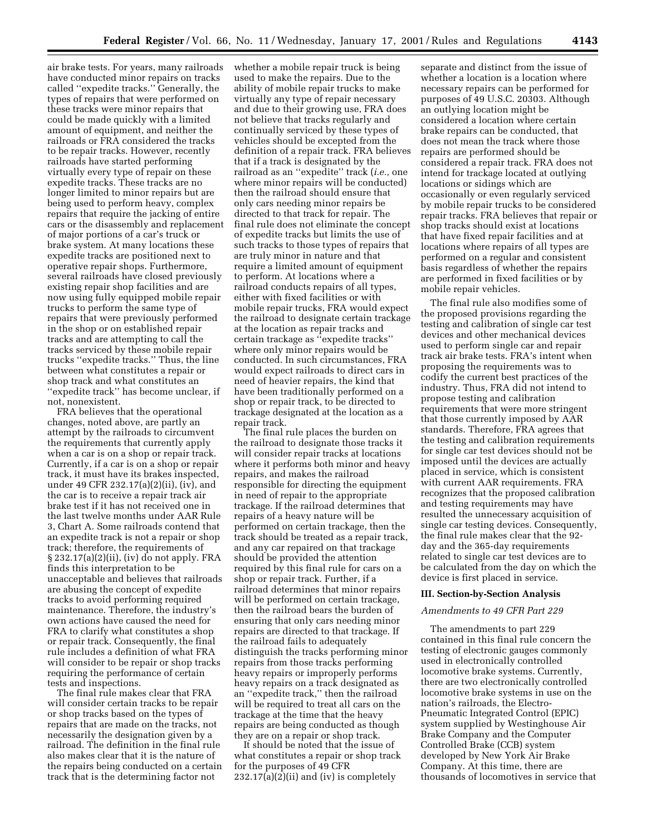air brake tests. For years, many railroads have conducted minor repairs on tracks called ''expedite tracks.'' Generally, the types of repairs that were performed on these tracks were minor repairs that could be made quickly with a limited amount of equipment, and neither the railroads or FRA considered the tracks to be repair tracks. However, recently railroads have started performing virtually every type of repair on these expedite tracks. These tracks are no longer limited to minor repairs but are being used to perform heavy, complex repairs that require the jacking of entire cars or the disassembly and replacement of major portions of a car's truck or brake system. At many locations these expedite tracks are positioned next to operative repair shops. Furthermore, several railroads have closed previously existing repair shop facilities and are now using fully equipped mobile repair trucks to perform the same type of repairs that were previously performed in the shop or on established repair tracks and are attempting to call the tracks serviced by these mobile repair trucks ''expedite tracks.'' Thus, the line between what constitutes a repair or shop track and what constitutes an ''expedite track'' has become unclear, if not, nonexistent.

FRA believes that the operational changes, noted above, are partly an attempt by the railroads to circumvent the requirements that currently apply when a car is on a shop or repair track. Currently, if a car is on a shop or repair track, it must have its brakes inspected, under 49 CFR 232.17(a)(2)(ii), (iv), and the car is to receive a repair track air brake test if it has not received one in the last twelve months under AAR Rule 3, Chart A. Some railroads contend that an expedite track is not a repair or shop track; therefore, the requirements of § 232.17(a)(2)(ii), (iv) do not apply. FRA finds this interpretation to be unacceptable and believes that railroads are abusing the concept of expedite tracks to avoid performing required maintenance. Therefore, the industry's own actions have caused the need for FRA to clarify what constitutes a shop or repair track. Consequently, the final rule includes a definition of what FRA will consider to be repair or shop tracks requiring the performance of certain tests and inspections.

The final rule makes clear that FRA will consider certain tracks to be repair or shop tracks based on the types of repairs that are made on the tracks, not necessarily the designation given by a railroad. The definition in the final rule also makes clear that it is the nature of the repairs being conducted on a certain track that is the determining factor not

whether a mobile repair truck is being used to make the repairs. Due to the ability of mobile repair trucks to make virtually any type of repair necessary and due to their growing use, FRA does not believe that tracks regularly and continually serviced by these types of vehicles should be excepted from the definition of a repair track. FRA believes that if a track is designated by the railroad as an ''expedite'' track (*i.e.,* one where minor repairs will be conducted) then the railroad should ensure that only cars needing minor repairs be directed to that track for repair. The final rule does not eliminate the concept of expedite tracks but limits the use of such tracks to those types of repairs that are truly minor in nature and that require a limited amount of equipment to perform. At locations where a railroad conducts repairs of all types, either with fixed facilities or with mobile repair trucks, FRA would expect the railroad to designate certain trackage at the location as repair tracks and certain trackage as ''expedite tracks'' where only minor repairs would be conducted. In such circumstances, FRA would expect railroads to direct cars in need of heavier repairs, the kind that have been traditionally performed on a shop or repair track, to be directed to trackage designated at the location as a repair track.

The final rule places the burden on the railroad to designate those tracks it will consider repair tracks at locations where it performs both minor and heavy repairs, and makes the railroad responsible for directing the equipment in need of repair to the appropriate trackage. If the railroad determines that repairs of a heavy nature will be performed on certain trackage, then the track should be treated as a repair track, and any car repaired on that trackage should be provided the attention required by this final rule for cars on a shop or repair track. Further, if a railroad determines that minor repairs will be performed on certain trackage, then the railroad bears the burden of ensuring that only cars needing minor repairs are directed to that trackage. If the railroad fails to adequately distinguish the tracks performing minor repairs from those tracks performing heavy repairs or improperly performs heavy repairs on a track designated as an ''expedite track,'' then the railroad will be required to treat all cars on the trackage at the time that the heavy repairs are being conducted as though they are on a repair or shop track.

It should be noted that the issue of what constitutes a repair or shop track for the purposes of 49 CFR  $232.17(a)(2)(ii)$  and (iv) is completely

separate and distinct from the issue of whether a location is a location where necessary repairs can be performed for purposes of 49 U.S.C. 20303. Although an outlying location might be considered a location where certain brake repairs can be conducted, that does not mean the track where those repairs are performed should be considered a repair track. FRA does not intend for trackage located at outlying locations or sidings which are occasionally or even regularly serviced by mobile repair trucks to be considered repair tracks. FRA believes that repair or shop tracks should exist at locations that have fixed repair facilities and at locations where repairs of all types are performed on a regular and consistent basis regardless of whether the repairs are performed in fixed facilities or by mobile repair vehicles.

The final rule also modifies some of the proposed provisions regarding the testing and calibration of single car test devices and other mechanical devices used to perform single car and repair track air brake tests. FRA's intent when proposing the requirements was to codify the current best practices of the industry. Thus, FRA did not intend to propose testing and calibration requirements that were more stringent that those currently imposed by AAR standards. Therefore, FRA agrees that the testing and calibration requirements for single car test devices should not be imposed until the devices are actually placed in service, which is consistent with current AAR requirements. FRA recognizes that the proposed calibration and testing requirements may have resulted the unnecessary acquisition of single car testing devices. Consequently, the final rule makes clear that the 92 day and the 365-day requirements related to single car test devices are to be calculated from the day on which the device is first placed in service.

#### **III. Section-by-Section Analysis**

### *Amendments to 49 CFR Part 229*

The amendments to part 229 contained in this final rule concern the testing of electronic gauges commonly used in electronically controlled locomotive brake systems. Currently, there are two electronically controlled locomotive brake systems in use on the nation's railroads, the Electro-Pneumatic Integrated Control (EPIC) system supplied by Westinghouse Air Brake Company and the Computer Controlled Brake (CCB) system developed by New York Air Brake Company. At this time, there are thousands of locomotives in service that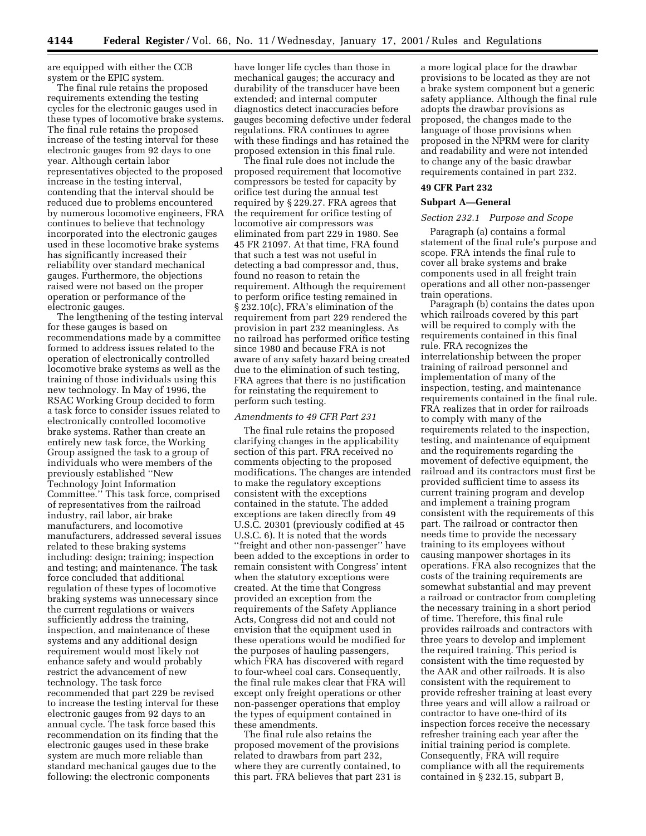are equipped with either the CCB system or the EPIC system.

The final rule retains the proposed requirements extending the testing cycles for the electronic gauges used in these types of locomotive brake systems. The final rule retains the proposed increase of the testing interval for these electronic gauges from 92 days to one year. Although certain labor representatives objected to the proposed increase in the testing interval, contending that the interval should be reduced due to problems encountered by numerous locomotive engineers, FRA continues to believe that technology incorporated into the electronic gauges used in these locomotive brake systems has significantly increased their reliability over standard mechanical gauges. Furthermore, the objections raised were not based on the proper operation or performance of the electronic gauges.

The lengthening of the testing interval for these gauges is based on recommendations made by a committee formed to address issues related to the operation of electronically controlled locomotive brake systems as well as the training of those individuals using this new technology. In May of 1996, the RSAC Working Group decided to form a task force to consider issues related to electronically controlled locomotive brake systems. Rather than create an entirely new task force, the Working Group assigned the task to a group of individuals who were members of the previously established ''New Technology Joint Information Committee.'' This task force, comprised of representatives from the railroad industry, rail labor, air brake manufacturers, and locomotive manufacturers, addressed several issues related to these braking systems including: design; training; inspection and testing; and maintenance. The task force concluded that additional regulation of these types of locomotive braking systems was unnecessary since the current regulations or waivers sufficiently address the training, inspection, and maintenance of these systems and any additional design requirement would most likely not enhance safety and would probably restrict the advancement of new technology. The task force recommended that part 229 be revised to increase the testing interval for these electronic gauges from 92 days to an annual cycle. The task force based this recommendation on its finding that the electronic gauges used in these brake system are much more reliable than standard mechanical gauges due to the following: the electronic components

have longer life cycles than those in mechanical gauges; the accuracy and durability of the transducer have been extended; and internal computer diagnostics detect inaccuracies before gauges becoming defective under federal regulations. FRA continues to agree with these findings and has retained the proposed extension in this final rule.

The final rule does not include the proposed requirement that locomotive compressors be tested for capacity by orifice test during the annual test required by § 229.27. FRA agrees that the requirement for orifice testing of locomotive air compressors was eliminated from part 229 in 1980. See 45 FR 21097. At that time, FRA found that such a test was not useful in detecting a bad compressor and, thus, found no reason to retain the requirement. Although the requirement to perform orifice testing remained in § 232.10(c), FRA's elimination of the requirement from part 229 rendered the provision in part 232 meaningless. As no railroad has performed orifice testing since 1980 and because FRA is not aware of any safety hazard being created due to the elimination of such testing, FRA agrees that there is no justification for reinstating the requirement to perform such testing.

### *Amendments to 49 CFR Part 231*

The final rule retains the proposed clarifying changes in the applicability section of this part. FRA received no comments objecting to the proposed modifications. The changes are intended to make the regulatory exceptions consistent with the exceptions contained in the statute. The added exceptions are taken directly from 49 U.S.C. 20301 (previously codified at 45 U.S.C. 6). It is noted that the words ''freight and other non-passenger'' have been added to the exceptions in order to remain consistent with Congress' intent when the statutory exceptions were created. At the time that Congress provided an exception from the requirements of the Safety Appliance Acts, Congress did not and could not envision that the equipment used in these operations would be modified for the purposes of hauling passengers, which FRA has discovered with regard to four-wheel coal cars. Consequently, the final rule makes clear that FRA will except only freight operations or other non-passenger operations that employ the types of equipment contained in these amendments.

The final rule also retains the proposed movement of the provisions related to drawbars from part 232, where they are currently contained, to this part. FRA believes that part 231 is a more logical place for the drawbar provisions to be located as they are not a brake system component but a generic safety appliance. Although the final rule adopts the drawbar provisions as proposed, the changes made to the language of those provisions when proposed in the NPRM were for clarity and readability and were not intended to change any of the basic drawbar requirements contained in part 232.

### **49 CFR Part 232**

### **Subpart A—General**

### *Section 232.1 Purpose and Scope*

Paragraph (a) contains a formal statement of the final rule's purpose and scope. FRA intends the final rule to cover all brake systems and brake components used in all freight train operations and all other non-passenger train operations.

Paragraph (b) contains the dates upon which railroads covered by this part will be required to comply with the requirements contained in this final rule. FRA recognizes the interrelationship between the proper training of railroad personnel and implementation of many of the inspection, testing, and maintenance requirements contained in the final rule. FRA realizes that in order for railroads to comply with many of the requirements related to the inspection, testing, and maintenance of equipment and the requirements regarding the movement of defective equipment, the railroad and its contractors must first be provided sufficient time to assess its current training program and develop and implement a training program consistent with the requirements of this part. The railroad or contractor then needs time to provide the necessary training to its employees without causing manpower shortages in its operations. FRA also recognizes that the costs of the training requirements are somewhat substantial and may prevent a railroad or contractor from completing the necessary training in a short period of time. Therefore, this final rule provides railroads and contractors with three years to develop and implement the required training. This period is consistent with the time requested by the AAR and other railroads. It is also consistent with the requirement to provide refresher training at least every three years and will allow a railroad or contractor to have one-third of its inspection forces receive the necessary refresher training each year after the initial training period is complete. Consequently, FRA will require compliance with all the requirements contained in § 232.15, subpart B,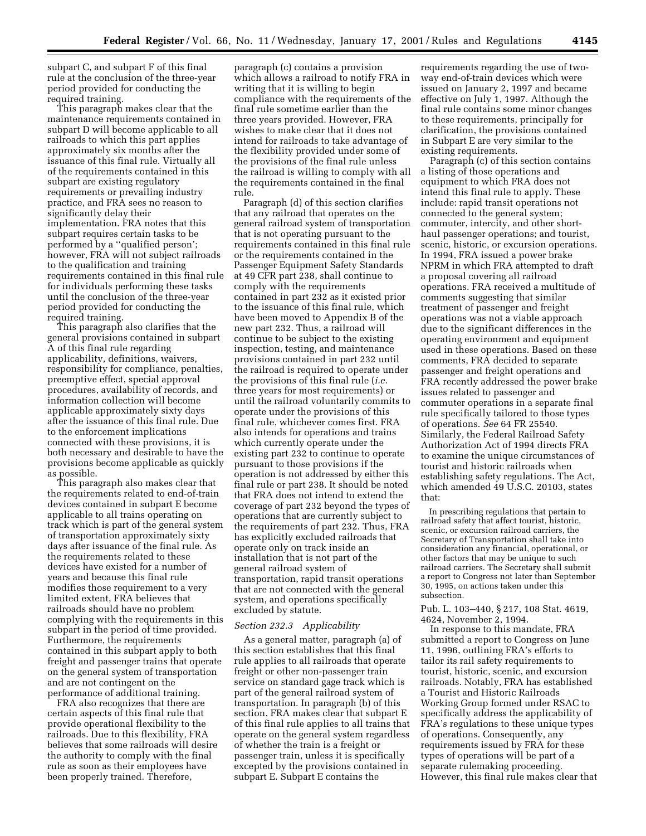subpart C, and subpart F of this final rule at the conclusion of the three-year period provided for conducting the required training.

This paragraph makes clear that the maintenance requirements contained in subpart D will become applicable to all railroads to which this part applies approximately six months after the issuance of this final rule. Virtually all of the requirements contained in this subpart are existing regulatory requirements or prevailing industry practice, and FRA sees no reason to significantly delay their implementation. FRA notes that this subpart requires certain tasks to be performed by a ''qualified person'; however, FRA will not subject railroads to the qualification and training requirements contained in this final rule for individuals performing these tasks until the conclusion of the three-year period provided for conducting the required training.

This paragraph also clarifies that the general provisions contained in subpart A of this final rule regarding applicability, definitions, waivers, responsibility for compliance, penalties, preemptive effect, special approval procedures, availability of records, and information collection will become applicable approximately sixty days after the issuance of this final rule. Due to the enforcement implications connected with these provisions, it is both necessary and desirable to have the provisions become applicable as quickly as possible.

This paragraph also makes clear that the requirements related to end-of-train devices contained in subpart E become applicable to all trains operating on track which is part of the general system of transportation approximately sixty days after issuance of the final rule. As the requirements related to these devices have existed for a number of years and because this final rule modifies those requirement to a very limited extent, FRA believes that railroads should have no problem complying with the requirements in this subpart in the period of time provided. Furthermore, the requirements contained in this subpart apply to both freight and passenger trains that operate on the general system of transportation and are not contingent on the performance of additional training.

FRA also recognizes that there are certain aspects of this final rule that provide operational flexibility to the railroads. Due to this flexibility, FRA believes that some railroads will desire the authority to comply with the final rule as soon as their employees have been properly trained. Therefore,

paragraph (c) contains a provision which allows a railroad to notify FRA in writing that it is willing to begin compliance with the requirements of the final rule sometime earlier than the three years provided. However, FRA wishes to make clear that it does not intend for railroads to take advantage of the flexibility provided under some of the provisions of the final rule unless the railroad is willing to comply with all the requirements contained in the final rule.

Paragraph (d) of this section clarifies that any railroad that operates on the general railroad system of transportation that is not operating pursuant to the requirements contained in this final rule or the requirements contained in the Passenger Equipment Safety Standards at 49 CFR part 238, shall continue to comply with the requirements contained in part 232 as it existed prior to the issuance of this final rule, which have been moved to Appendix B of the new part 232. Thus, a railroad will continue to be subject to the existing inspection, testing, and maintenance provisions contained in part 232 until the railroad is required to operate under the provisions of this final rule (*i.e.* three years for most requirements) or until the railroad voluntarily commits to operate under the provisions of this final rule, whichever comes first. FRA also intends for operations and trains which currently operate under the existing part 232 to continue to operate pursuant to those provisions if the operation is not addressed by either this final rule or part 238. It should be noted that FRA does not intend to extend the coverage of part 232 beyond the types of operations that are currently subject to the requirements of part 232. Thus, FRA has explicitly excluded railroads that operate only on track inside an installation that is not part of the general railroad system of transportation, rapid transit operations that are not connected with the general system, and operations specifically excluded by statute.

#### *Section 232.3 Applicability*

As a general matter, paragraph (a) of this section establishes that this final rule applies to all railroads that operate freight or other non-passenger train service on standard gage track which is part of the general railroad system of transportation. In paragraph (b) of this section, FRA makes clear that subpart E of this final rule applies to all trains that operate on the general system regardless of whether the train is a freight or passenger train, unless it is specifically excepted by the provisions contained in subpart E. Subpart E contains the

requirements regarding the use of twoway end-of-train devices which were issued on January 2, 1997 and became effective on July 1, 1997. Although the final rule contains some minor changes to these requirements, principally for clarification, the provisions contained in Subpart E are very similar to the existing requirements.

Paragraph (c) of this section contains a listing of those operations and equipment to which FRA does not intend this final rule to apply. These include: rapid transit operations not connected to the general system; commuter, intercity, and other shorthaul passenger operations; and tourist, scenic, historic, or excursion operations. In 1994, FRA issued a power brake NPRM in which FRA attempted to draft a proposal covering all railroad operations. FRA received a multitude of comments suggesting that similar treatment of passenger and freight operations was not a viable approach due to the significant differences in the operating environment and equipment used in these operations. Based on these comments, FRA decided to separate passenger and freight operations and FRA recently addressed the power brake issues related to passenger and commuter operations in a separate final rule specifically tailored to those types of operations. *See* 64 FR 25540. Similarly, the Federal Railroad Safety Authorization Act of 1994 directs FRA to examine the unique circumstances of tourist and historic railroads when establishing safety regulations. The Act, which amended 49 U.S.C. 20103, states that:

In prescribing regulations that pertain to railroad safety that affect tourist, historic, scenic, or excursion railroad carriers, the Secretary of Transportation shall take into consideration any financial, operational, or other factors that may be unique to such railroad carriers. The Secretary shall submit a report to Congress not later than September 30, 1995, on actions taken under this subsection.

Pub. L. 103–440, § 217, 108 Stat. 4619, 4624, November 2, 1994.

In response to this mandate, FRA submitted a report to Congress on June 11, 1996, outlining FRA's efforts to tailor its rail safety requirements to tourist, historic, scenic, and excursion railroads. Notably, FRA has established a Tourist and Historic Railroads Working Group formed under RSAC to specifically address the applicability of FRA's regulations to these unique types of operations. Consequently, any requirements issued by FRA for these types of operations will be part of a separate rulemaking proceeding. However, this final rule makes clear that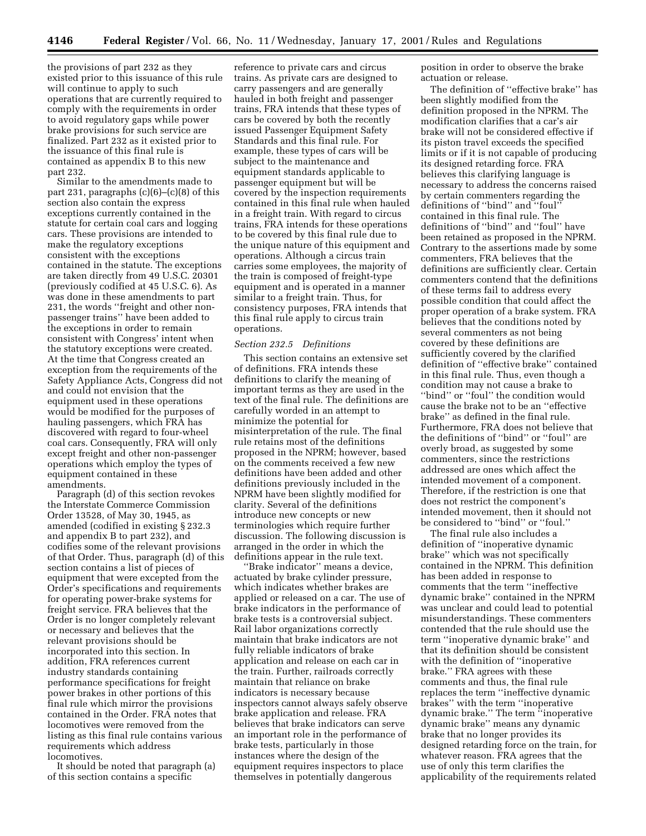the provisions of part 232 as they existed prior to this issuance of this rule will continue to apply to such operations that are currently required to comply with the requirements in order to avoid regulatory gaps while power brake provisions for such service are finalized. Part 232 as it existed prior to the issuance of this final rule is contained as appendix B to this new part 232.

Similar to the amendments made to part 231, paragraphs  $(c)(6)$ – $(c)(8)$  of this section also contain the express exceptions currently contained in the statute for certain coal cars and logging cars. These provisions are intended to make the regulatory exceptions consistent with the exceptions contained in the statute. The exceptions are taken directly from 49 U.S.C. 20301 (previously codified at 45 U.S.C. 6). As was done in these amendments to part 231, the words ''freight and other nonpassenger trains'' have been added to the exceptions in order to remain consistent with Congress' intent when the statutory exceptions were created. At the time that Congress created an exception from the requirements of the Safety Appliance Acts, Congress did not and could not envision that the equipment used in these operations would be modified for the purposes of hauling passengers, which FRA has discovered with regard to four-wheel coal cars. Consequently, FRA will only except freight and other non-passenger operations which employ the types of equipment contained in these amendments.

Paragraph (d) of this section revokes the Interstate Commerce Commission Order 13528, of May 30, 1945, as amended (codified in existing § 232.3 and appendix B to part 232), and codifies some of the relevant provisions of that Order. Thus, paragraph (d) of this section contains a list of pieces of equipment that were excepted from the Order's specifications and requirements for operating power-brake systems for freight service. FRA believes that the Order is no longer completely relevant or necessary and believes that the relevant provisions should be incorporated into this section. In addition, FRA references current industry standards containing performance specifications for freight power brakes in other portions of this final rule which mirror the provisions contained in the Order. FRA notes that locomotives were removed from the listing as this final rule contains various requirements which address locomotives.

It should be noted that paragraph (a) of this section contains a specific

reference to private cars and circus trains. As private cars are designed to carry passengers and are generally hauled in both freight and passenger trains, FRA intends that these types of cars be covered by both the recently issued Passenger Equipment Safety Standards and this final rule. For example, these types of cars will be subject to the maintenance and equipment standards applicable to passenger equipment but will be covered by the inspection requirements contained in this final rule when hauled in a freight train. With regard to circus trains, FRA intends for these operations to be covered by this final rule due to the unique nature of this equipment and operations. Although a circus train carries some employees, the majority of the train is composed of freight-type equipment and is operated in a manner similar to a freight train. Thus, for consistency purposes, FRA intends that this final rule apply to circus train operations.

#### *Section 232.5 Definitions*

This section contains an extensive set of definitions. FRA intends these definitions to clarify the meaning of important terms as they are used in the text of the final rule. The definitions are carefully worded in an attempt to minimize the potential for misinterpretation of the rule. The final rule retains most of the definitions proposed in the NPRM; however, based on the comments received a few new definitions have been added and other definitions previously included in the NPRM have been slightly modified for clarity. Several of the definitions introduce new concepts or new terminologies which require further discussion. The following discussion is arranged in the order in which the definitions appear in the rule text.

''Brake indicator'' means a device, actuated by brake cylinder pressure, which indicates whether brakes are applied or released on a car. The use of brake indicators in the performance of brake tests is a controversial subject. Rail labor organizations correctly maintain that brake indicators are not fully reliable indicators of brake application and release on each car in the train. Further, railroads correctly maintain that reliance on brake indicators is necessary because inspectors cannot always safely observe brake application and release. FRA believes that brake indicators can serve an important role in the performance of brake tests, particularly in those instances where the design of the equipment requires inspectors to place themselves in potentially dangerous

position in order to observe the brake actuation or release.

The definition of ''effective brake'' has been slightly modified from the definition proposed in the NPRM. The modification clarifies that a car's air brake will not be considered effective if its piston travel exceeds the specified limits or if it is not capable of producing its designed retarding force. FRA believes this clarifying language is necessary to address the concerns raised by certain commenters regarding the definitions of ''bind'' and ''foul'' contained in this final rule. The definitions of ''bind'' and ''foul'' have been retained as proposed in the NPRM. Contrary to the assertions made by some commenters, FRA believes that the definitions are sufficiently clear. Certain commenters contend that the definitions of these terms fail to address every possible condition that could affect the proper operation of a brake system. FRA believes that the conditions noted by several commenters as not being covered by these definitions are sufficiently covered by the clarified definition of ''effective brake'' contained in this final rule. Thus, even though a condition may not cause a brake to "bind" or "foul" the condition would cause the brake not to be an ''effective brake'' as defined in the final rule. Furthermore, FRA does not believe that the definitions of ''bind'' or ''foul'' are overly broad, as suggested by some commenters, since the restrictions addressed are ones which affect the intended movement of a component. Therefore, if the restriction is one that does not restrict the component's intended movement, then it should not be considered to ''bind'' or ''foul.''

The final rule also includes a definition of ''inoperative dynamic brake'' which was not specifically contained in the NPRM. This definition has been added in response to comments that the term ''ineffective dynamic brake'' contained in the NPRM was unclear and could lead to potential misunderstandings. These commenters contended that the rule should use the term ''inoperative dynamic brake'' and that its definition should be consistent with the definition of ''inoperative brake.'' FRA agrees with these comments and thus, the final rule replaces the term ''ineffective dynamic brakes'' with the term ''inoperative dynamic brake.'' The term ''inoperative dynamic brake'' means any dynamic brake that no longer provides its designed retarding force on the train, for whatever reason. FRA agrees that the use of only this term clarifies the applicability of the requirements related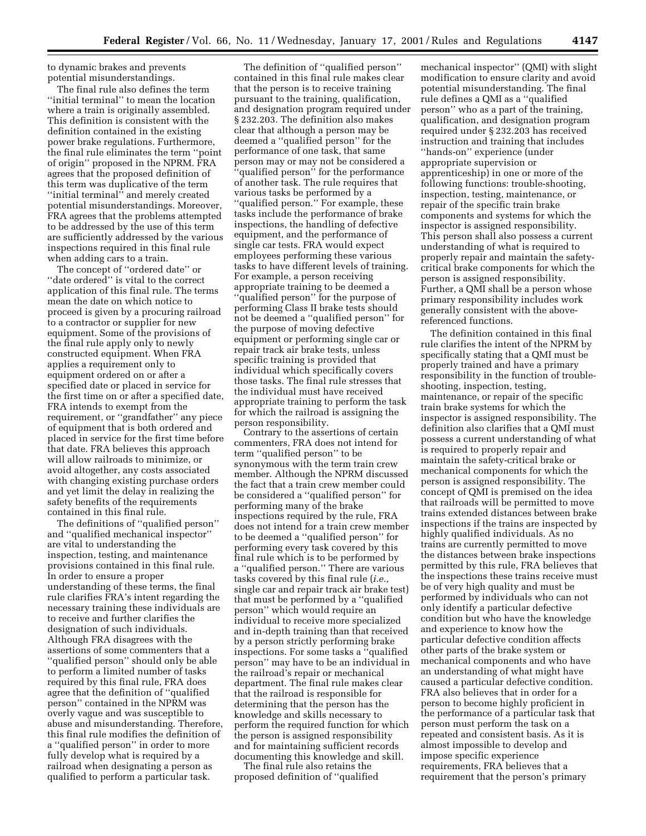to dynamic brakes and prevents potential misunderstandings.

The final rule also defines the term ''initial terminal'' to mean the location where a train is originally assembled. This definition is consistent with the definition contained in the existing power brake regulations. Furthermore, the final rule eliminates the term ''point of origin'' proposed in the NPRM. FRA agrees that the proposed definition of this term was duplicative of the term ''initial terminal'' and merely created potential misunderstandings. Moreover, FRA agrees that the problems attempted to be addressed by the use of this term are sufficiently addressed by the various inspections required in this final rule when adding cars to a train.

The concept of ''ordered date'' or "date ordered" is vital to the correct application of this final rule. The terms mean the date on which notice to proceed is given by a procuring railroad to a contractor or supplier for new equipment. Some of the provisions of the final rule apply only to newly constructed equipment. When FRA applies a requirement only to equipment ordered on or after a specified date or placed in service for the first time on or after a specified date, FRA intends to exempt from the requirement, or ''grandfather'' any piece of equipment that is both ordered and placed in service for the first time before that date. FRA believes this approach will allow railroads to minimize, or avoid altogether, any costs associated with changing existing purchase orders and yet limit the delay in realizing the safety benefits of the requirements contained in this final rule.

The definitions of ''qualified person'' and ''qualified mechanical inspector'' are vital to understanding the inspection, testing, and maintenance provisions contained in this final rule. In order to ensure a proper understanding of these terms, the final rule clarifies FRA's intent regarding the necessary training these individuals are to receive and further clarifies the designation of such individuals. Although FRA disagrees with the assertions of some commenters that a ''qualified person'' should only be able to perform a limited number of tasks required by this final rule, FRA does agree that the definition of ''qualified person'' contained in the NPRM was overly vague and was susceptible to abuse and misunderstanding. Therefore, this final rule modifies the definition of a ''qualified person'' in order to more fully develop what is required by a railroad when designating a person as qualified to perform a particular task.

The definition of ''qualified person'' contained in this final rule makes clear that the person is to receive training pursuant to the training, qualification, and designation program required under § 232.203. The definition also makes clear that although a person may be deemed a ''qualified person'' for the performance of one task, that same person may or may not be considered a ''qualified person'' for the performance of another task. The rule requires that various tasks be performed by a "qualified person." For example, these tasks include the performance of brake inspections, the handling of defective equipment, and the performance of single car tests. FRA would expect employees performing these various tasks to have different levels of training. For example, a person receiving appropriate training to be deemed a ''qualified person'' for the purpose of performing Class II brake tests should not be deemed a ''qualified person'' for the purpose of moving defective equipment or performing single car or repair track air brake tests, unless specific training is provided that individual which specifically covers those tasks. The final rule stresses that the individual must have received appropriate training to perform the task for which the railroad is assigning the person responsibility.

Contrary to the assertions of certain commenters, FRA does not intend for term ''qualified person'' to be synonymous with the term train crew member. Although the NPRM discussed the fact that a train crew member could be considered a ''qualified person'' for performing many of the brake inspections required by the rule, FRA does not intend for a train crew member to be deemed a ''qualified person'' for performing every task covered by this final rule which is to be performed by a ''qualified person.'' There are various tasks covered by this final rule (*i.e.,* single car and repair track air brake test) that must be performed by a ''qualified person'' which would require an individual to receive more specialized and in-depth training than that received by a person strictly performing brake inspections. For some tasks a ''qualified person'' may have to be an individual in the railroad's repair or mechanical department. The final rule makes clear that the railroad is responsible for determining that the person has the knowledge and skills necessary to perform the required function for which the person is assigned responsibility and for maintaining sufficient records documenting this knowledge and skill.

The final rule also retains the proposed definition of ''qualified

mechanical inspector'' (QMI) with slight modification to ensure clarity and avoid potential misunderstanding. The final rule defines a QMI as a ''qualified person'' who as a part of the training, qualification, and designation program required under § 232.203 has received instruction and training that includes ''hands-on'' experience (under appropriate supervision or apprenticeship) in one or more of the following functions: trouble-shooting, inspection, testing, maintenance, or repair of the specific train brake components and systems for which the inspector is assigned responsibility. This person shall also possess a current understanding of what is required to properly repair and maintain the safetycritical brake components for which the person is assigned responsibility. Further, a QMI shall be a person whose primary responsibility includes work generally consistent with the abovereferenced functions.

The definition contained in this final rule clarifies the intent of the NPRM by specifically stating that a QMI must be properly trained and have a primary responsibility in the function of troubleshooting, inspection, testing, maintenance, or repair of the specific train brake systems for which the inspector is assigned responsibility. The definition also clarifies that a QMI must possess a current understanding of what is required to properly repair and maintain the safety-critical brake or mechanical components for which the person is assigned responsibility. The concept of QMI is premised on the idea that railroads will be permitted to move trains extended distances between brake inspections if the trains are inspected by highly qualified individuals. As no trains are currently permitted to move the distances between brake inspections permitted by this rule, FRA believes that the inspections these trains receive must be of very high quality and must be performed by individuals who can not only identify a particular defective condition but who have the knowledge and experience to know how the particular defective condition affects other parts of the brake system or mechanical components and who have an understanding of what might have caused a particular defective condition. FRA also believes that in order for a person to become highly proficient in the performance of a particular task that person must perform the task on a repeated and consistent basis. As it is almost impossible to develop and impose specific experience requirements, FRA believes that a requirement that the person's primary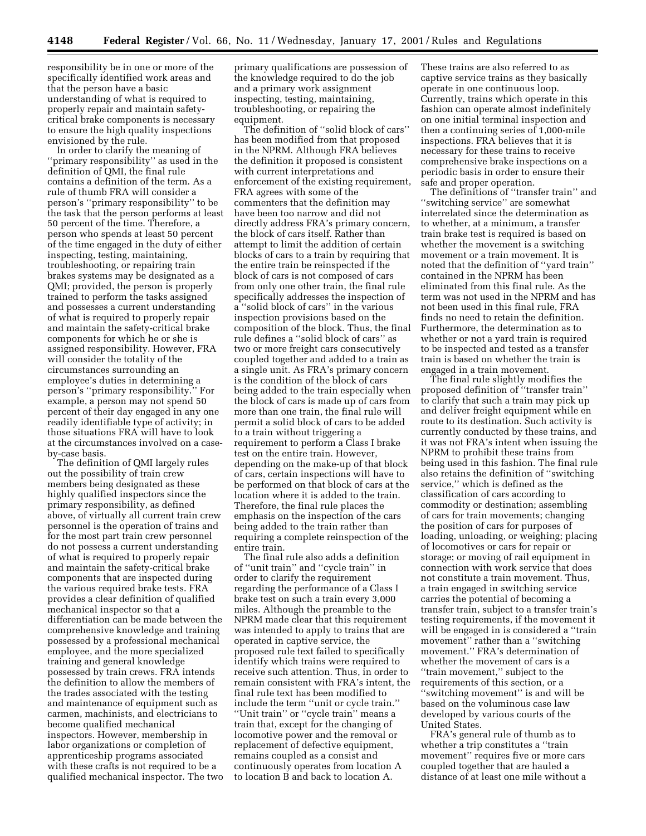responsibility be in one or more of the specifically identified work areas and that the person have a basic understanding of what is required to properly repair and maintain safetycritical brake components is necessary to ensure the high quality inspections envisioned by the rule.

In order to clarify the meaning of ''primary responsibility'' as used in the definition of QMI, the final rule contains a definition of the term. As a rule of thumb FRA will consider a person's ''primary responsibility'' to be the task that the person performs at least 50 percent of the time. Therefore, a person who spends at least 50 percent of the time engaged in the duty of either inspecting, testing, maintaining, troubleshooting, or repairing train brakes systems may be designated as a QMI; provided, the person is properly trained to perform the tasks assigned and possesses a current understanding of what is required to properly repair and maintain the safety-critical brake components for which he or she is assigned responsibility. However, FRA will consider the totality of the circumstances surrounding an employee's duties in determining a person's ''primary responsibility.'' For example, a person may not spend 50 percent of their day engaged in any one readily identifiable type of activity; in those situations FRA will have to look at the circumstances involved on a caseby-case basis.

The definition of QMI largely rules out the possibility of train crew members being designated as these highly qualified inspectors since the primary responsibility, as defined above, of virtually all current train crew personnel is the operation of trains and for the most part train crew personnel do not possess a current understanding of what is required to properly repair and maintain the safety-critical brake components that are inspected during the various required brake tests. FRA provides a clear definition of qualified mechanical inspector so that a differentiation can be made between the comprehensive knowledge and training possessed by a professional mechanical employee, and the more specialized training and general knowledge possessed by train crews. FRA intends the definition to allow the members of the trades associated with the testing and maintenance of equipment such as carmen, machinists, and electricians to become qualified mechanical inspectors. However, membership in labor organizations or completion of apprenticeship programs associated with these crafts is not required to be a qualified mechanical inspector. The two primary qualifications are possession of the knowledge required to do the job and a primary work assignment inspecting, testing, maintaining, troubleshooting, or repairing the equipment.

The definition of ''solid block of cars'' has been modified from that proposed in the NPRM. Although FRA believes the definition it proposed is consistent with current interpretations and enforcement of the existing requirement, FRA agrees with some of the commenters that the definition may have been too narrow and did not directly address FRA's primary concern, the block of cars itself. Rather than attempt to limit the addition of certain blocks of cars to a train by requiring that the entire train be reinspected if the block of cars is not composed of cars from only one other train, the final rule specifically addresses the inspection of a ''solid block of cars'' in the various inspection provisions based on the composition of the block. Thus, the final rule defines a ''solid block of cars'' as two or more freight cars consecutively coupled together and added to a train as a single unit. As FRA's primary concern is the condition of the block of cars being added to the train especially when the block of cars is made up of cars from more than one train, the final rule will permit a solid block of cars to be added to a train without triggering a requirement to perform a Class I brake test on the entire train. However, depending on the make-up of that block of cars, certain inspections will have to be performed on that block of cars at the location where it is added to the train. Therefore, the final rule places the emphasis on the inspection of the cars being added to the train rather than requiring a complete reinspection of the entire train.

The final rule also adds a definition of ''unit train'' and ''cycle train'' in order to clarify the requirement regarding the performance of a Class I brake test on such a train every 3,000 miles. Although the preamble to the NPRM made clear that this requirement was intended to apply to trains that are operated in captive service, the proposed rule text failed to specifically identify which trains were required to receive such attention. Thus, in order to remain consistent with FRA's intent, the final rule text has been modified to include the term ''unit or cycle train.'' ''Unit train'' or ''cycle train'' means a train that, except for the changing of locomotive power and the removal or replacement of defective equipment, remains coupled as a consist and continuously operates from location A to location B and back to location A.

These trains are also referred to as captive service trains as they basically operate in one continuous loop. Currently, trains which operate in this fashion can operate almost indefinitely on one initial terminal inspection and then a continuing series of 1,000-mile inspections. FRA believes that it is necessary for these trains to receive comprehensive brake inspections on a periodic basis in order to ensure their safe and proper operation.

The definitions of ''transfer train'' and ''switching service'' are somewhat interrelated since the determination as to whether, at a minimum, a transfer train brake test is required is based on whether the movement is a switching movement or a train movement. It is noted that the definition of ''yard train'' contained in the NPRM has been eliminated from this final rule. As the term was not used in the NPRM and has not been used in this final rule, FRA finds no need to retain the definition. Furthermore, the determination as to whether or not a yard train is required to be inspected and tested as a transfer train is based on whether the train is engaged in a train movement.

The final rule slightly modifies the proposed definition of ''transfer train'' to clarify that such a train may pick up and deliver freight equipment while en route to its destination. Such activity is currently conducted by these trains, and it was not FRA's intent when issuing the NPRM to prohibit these trains from being used in this fashion. The final rule also retains the definition of ''switching service,'' which is defined as the classification of cars according to commodity or destination; assembling of cars for train movements; changing the position of cars for purposes of loading, unloading, or weighing; placing of locomotives or cars for repair or storage; or moving of rail equipment in connection with work service that does not constitute a train movement. Thus, a train engaged in switching service carries the potential of becoming a transfer train, subject to a transfer train's testing requirements, if the movement it will be engaged in is considered a ''train movement'' rather than a ''switching movement.'' FRA's determination of whether the movement of cars is a ''train movement,'' subject to the requirements of this section, or a ''switching movement'' is and will be based on the voluminous case law developed by various courts of the United States.

FRA's general rule of thumb as to whether a trip constitutes a ''train movement'' requires five or more cars coupled together that are hauled a distance of at least one mile without a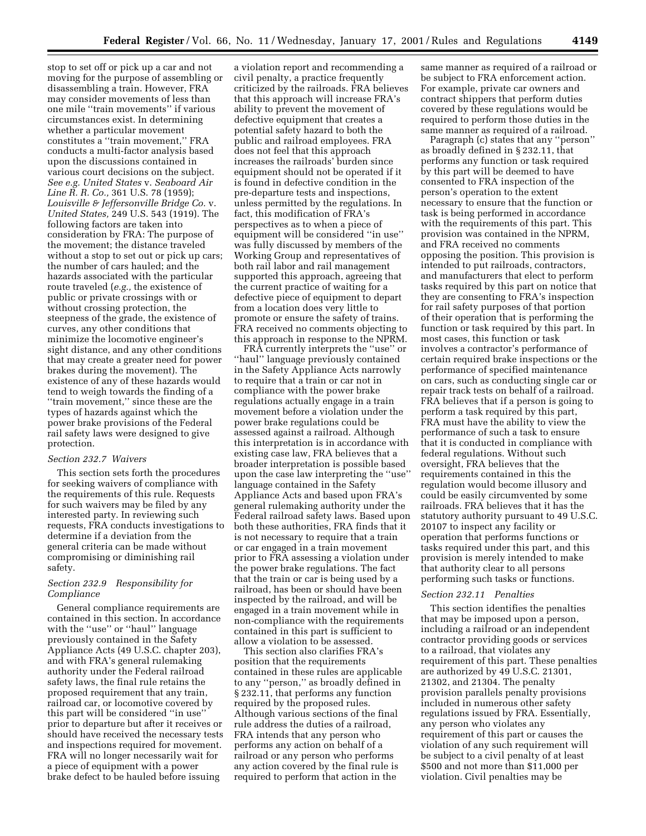stop to set off or pick up a car and not moving for the purpose of assembling or disassembling a train. However, FRA may consider movements of less than one mile ''train movements'' if various circumstances exist. In determining whether a particular movement constitutes a ''train movement,'' FRA conducts a multi-factor analysis based upon the discussions contained in various court decisions on the subject. *See e.g. United States* v. *Seaboard Air Line R. R. Co.,* 361 U.S. 78 (1959); *Louisville & Jeffersonville Bridge Co.* v. *United States,* 249 U.S. 543 (1919). The following factors are taken into consideration by FRA: The purpose of the movement; the distance traveled without a stop to set out or pick up cars; the number of cars hauled; and the hazards associated with the particular route traveled (*e.g.,* the existence of public or private crossings with or without crossing protection, the steepness of the grade, the existence of curves, any other conditions that minimize the locomotive engineer's sight distance, and any other conditions that may create a greater need for power brakes during the movement). The existence of any of these hazards would tend to weigh towards the finding of a ''train movement,'' since these are the types of hazards against which the power brake provisions of the Federal rail safety laws were designed to give protection.

### *Section 232.7 Waivers*

This section sets forth the procedures for seeking waivers of compliance with the requirements of this rule. Requests for such waivers may be filed by any interested party. In reviewing such requests, FRA conducts investigations to determine if a deviation from the general criteria can be made without compromising or diminishing rail safety.

## *Section 232.9 Responsibility for Compliance*

General compliance requirements are contained in this section. In accordance with the "use" or "haul" language previously contained in the Safety Appliance Acts (49 U.S.C. chapter 203), and with FRA's general rulemaking authority under the Federal railroad safety laws, the final rule retains the proposed requirement that any train, railroad car, or locomotive covered by this part will be considered ''in use'' prior to departure but after it receives or should have received the necessary tests and inspections required for movement. FRA will no longer necessarily wait for a piece of equipment with a power brake defect to be hauled before issuing

a violation report and recommending a civil penalty, a practice frequently criticized by the railroads. FRA believes that this approach will increase FRA's ability to prevent the movement of defective equipment that creates a potential safety hazard to both the public and railroad employees. FRA does not feel that this approach increases the railroads' burden since equipment should not be operated if it is found in defective condition in the pre-departure tests and inspections, unless permitted by the regulations. In fact, this modification of FRA's perspectives as to when a piece of equipment will be considered ''in use'' was fully discussed by members of the Working Group and representatives of both rail labor and rail management supported this approach, agreeing that the current practice of waiting for a defective piece of equipment to depart from a location does very little to promote or ensure the safety of trains. FRA received no comments objecting to this approach in response to the NPRM.

FRA currently interprets the ''use'' or ''haul'' language previously contained in the Safety Appliance Acts narrowly to require that a train or car not in compliance with the power brake regulations actually engage in a train movement before a violation under the power brake regulations could be assessed against a railroad. Although this interpretation is in accordance with existing case law, FRA believes that a broader interpretation is possible based upon the case law interpreting the ''use'' language contained in the Safety Appliance Acts and based upon FRA's general rulemaking authority under the Federal railroad safety laws. Based upon both these authorities, FRA finds that it is not necessary to require that a train or car engaged in a train movement prior to FRA assessing a violation under the power brake regulations. The fact that the train or car is being used by a railroad, has been or should have been inspected by the railroad, and will be engaged in a train movement while in non-compliance with the requirements contained in this part is sufficient to allow a violation to be assessed.

This section also clarifies FRA's position that the requirements contained in these rules are applicable to any ''person,'' as broadly defined in § 232.11, that performs any function required by the proposed rules. Although various sections of the final rule address the duties of a railroad, FRA intends that any person who performs any action on behalf of a railroad or any person who performs any action covered by the final rule is required to perform that action in the

same manner as required of a railroad or be subject to FRA enforcement action. For example, private car owners and contract shippers that perform duties covered by these regulations would be required to perform those duties in the same manner as required of a railroad.

Paragraph (c) states that any ''person'' as broadly defined in § 232.11, that performs any function or task required by this part will be deemed to have consented to FRA inspection of the person's operation to the extent necessary to ensure that the function or task is being performed in accordance with the requirements of this part. This provision was contained in the NPRM, and FRA received no comments opposing the position. This provision is intended to put railroads, contractors, and manufacturers that elect to perform tasks required by this part on notice that they are consenting to FRA's inspection for rail safety purposes of that portion of their operation that is performing the function or task required by this part. In most cases, this function or task involves a contractor's performance of certain required brake inspections or the performance of specified maintenance on cars, such as conducting single car or repair track tests on behalf of a railroad. FRA believes that if a person is going to perform a task required by this part, FRA must have the ability to view the performance of such a task to ensure that it is conducted in compliance with federal regulations. Without such oversight, FRA believes that the requirements contained in this the regulation would become illusory and could be easily circumvented by some railroads. FRA believes that it has the statutory authority pursuant to 49 U.S.C. 20107 to inspect any facility or operation that performs functions or tasks required under this part, and this provision is merely intended to make that authority clear to all persons performing such tasks or functions.

#### *Section 232.11 Penalties*

This section identifies the penalties that may be imposed upon a person, including a railroad or an independent contractor providing goods or services to a railroad, that violates any requirement of this part. These penalties are authorized by 49 U.S.C. 21301, 21302, and 21304. The penalty provision parallels penalty provisions included in numerous other safety regulations issued by FRA. Essentially, any person who violates any requirement of this part or causes the violation of any such requirement will be subject to a civil penalty of at least \$500 and not more than \$11,000 per violation. Civil penalties may be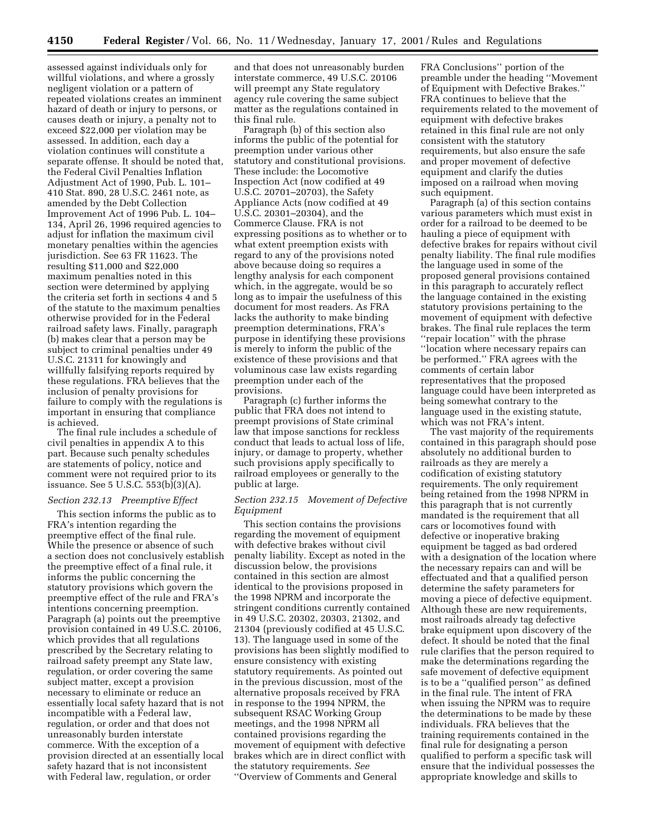assessed against individuals only for willful violations, and where a grossly negligent violation or a pattern of repeated violations creates an imminent hazard of death or injury to persons, or causes death or injury, a penalty not to exceed \$22,000 per violation may be assessed. In addition, each day a violation continues will constitute a separate offense. It should be noted that, the Federal Civil Penalties Inflation Adjustment Act of 1990, Pub. L. 101– 410 Stat. 890, 28 U.S.C. 2461 note, as amended by the Debt Collection Improvement Act of 1996 Pub. L. 104– 134, April 26, 1996 required agencies to adjust for inflation the maximum civil monetary penalties within the agencies jurisdiction. See 63 FR 11623. The resulting \$11,000 and \$22,000 maximum penalties noted in this section were determined by applying the criteria set forth in sections 4 and 5 of the statute to the maximum penalties otherwise provided for in the Federal railroad safety laws. Finally, paragraph (b) makes clear that a person may be subject to criminal penalties under 49 U.S.C. 21311 for knowingly and willfully falsifying reports required by these regulations. FRA believes that the inclusion of penalty provisions for failure to comply with the regulations is important in ensuring that compliance is achieved.

The final rule includes a schedule of civil penalties in appendix A to this part. Because such penalty schedules are statements of policy, notice and comment were not required prior to its issuance. See 5 U.S.C. 553(b)(3)(A).

#### *Section 232.13 Preemptive Effect*

This section informs the public as to FRA's intention regarding the preemptive effect of the final rule. While the presence or absence of such a section does not conclusively establish the preemptive effect of a final rule, it informs the public concerning the statutory provisions which govern the preemptive effect of the rule and FRA's intentions concerning preemption. Paragraph (a) points out the preemptive provision contained in 49 U.S.C. 20106, which provides that all regulations prescribed by the Secretary relating to railroad safety preempt any State law, regulation, or order covering the same subject matter, except a provision necessary to eliminate or reduce an essentially local safety hazard that is not incompatible with a Federal law, regulation, or order and that does not unreasonably burden interstate commerce. With the exception of a provision directed at an essentially local safety hazard that is not inconsistent with Federal law, regulation, or order

and that does not unreasonably burden interstate commerce, 49 U.S.C. 20106 will preempt any State regulatory agency rule covering the same subject matter as the regulations contained in this final rule.

Paragraph (b) of this section also informs the public of the potential for preemption under various other statutory and constitutional provisions. These include: the Locomotive Inspection Act (now codified at 49 U.S.C. 20701–20703), the Safety Appliance Acts (now codified at 49 U.S.C. 20301–20304), and the Commerce Clause. FRA is not expressing positions as to whether or to what extent preemption exists with regard to any of the provisions noted above because doing so requires a lengthy analysis for each component which, in the aggregate, would be so long as to impair the usefulness of this document for most readers. As FRA lacks the authority to make binding preemption determinations, FRA's purpose in identifying these provisions is merely to inform the public of the existence of these provisions and that voluminous case law exists regarding preemption under each of the provisions.

Paragraph (c) further informs the public that FRA does not intend to preempt provisions of State criminal law that impose sanctions for reckless conduct that leads to actual loss of life, injury, or damage to property, whether such provisions apply specifically to railroad employees or generally to the public at large.

## *Section 232.15 Movement of Defective Equipment*

This section contains the provisions regarding the movement of equipment with defective brakes without civil penalty liability. Except as noted in the discussion below, the provisions contained in this section are almost identical to the provisions proposed in the 1998 NPRM and incorporate the stringent conditions currently contained in 49 U.S.C. 20302, 20303, 21302, and 21304 (previously codified at 45 U.S.C. 13). The language used in some of the provisions has been slightly modified to ensure consistency with existing statutory requirements. As pointed out in the previous discussion, most of the alternative proposals received by FRA in response to the 1994 NPRM, the subsequent RSAC Working Group meetings, and the 1998 NPRM all contained provisions regarding the movement of equipment with defective brakes which are in direct conflict with the statutory requirements. *See* ''Overview of Comments and General

FRA Conclusions'' portion of the preamble under the heading ''Movement of Equipment with Defective Brakes.'' FRA continues to believe that the requirements related to the movement of equipment with defective brakes retained in this final rule are not only consistent with the statutory requirements, but also ensure the safe and proper movement of defective equipment and clarify the duties imposed on a railroad when moving such equipment.

Paragraph (a) of this section contains various parameters which must exist in order for a railroad to be deemed to be hauling a piece of equipment with defective brakes for repairs without civil penalty liability. The final rule modifies the language used in some of the proposed general provisions contained in this paragraph to accurately reflect the language contained in the existing statutory provisions pertaining to the movement of equipment with defective brakes. The final rule replaces the term ''repair location'' with the phrase ''location where necessary repairs can be performed.'' FRA agrees with the comments of certain labor representatives that the proposed language could have been interpreted as being somewhat contrary to the language used in the existing statute, which was not FRA's intent.

The vast majority of the requirements contained in this paragraph should pose absolutely no additional burden to railroads as they are merely a codification of existing statutory requirements. The only requirement being retained from the 1998 NPRM in this paragraph that is not currently mandated is the requirement that all cars or locomotives found with defective or inoperative braking equipment be tagged as bad ordered with a designation of the location where the necessary repairs can and will be effectuated and that a qualified person determine the safety parameters for moving a piece of defective equipment. Although these are new requirements, most railroads already tag defective brake equipment upon discovery of the defect. It should be noted that the final rule clarifies that the person required to make the determinations regarding the safe movement of defective equipment is to be a ''qualified person'' as defined in the final rule. The intent of FRA when issuing the NPRM was to require the determinations to be made by these individuals. FRA believes that the training requirements contained in the final rule for designating a person qualified to perform a specific task will ensure that the individual possesses the appropriate knowledge and skills to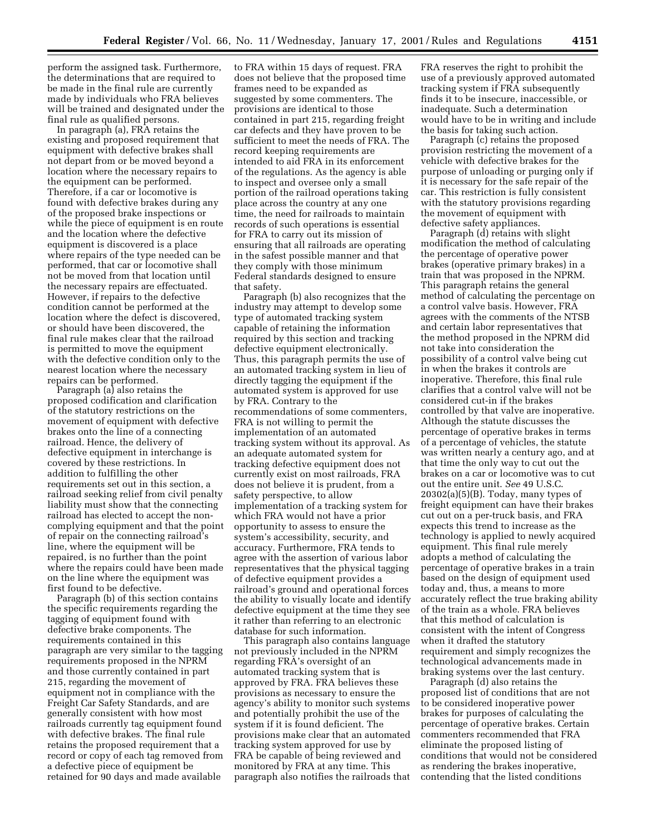perform the assigned task. Furthermore, the determinations that are required to be made in the final rule are currently made by individuals who FRA believes will be trained and designated under the final rule as qualified persons.

In paragraph (a), FRA retains the existing and proposed requirement that equipment with defective brakes shall not depart from or be moved beyond a location where the necessary repairs to the equipment can be performed. Therefore, if a car or locomotive is found with defective brakes during any of the proposed brake inspections or while the piece of equipment is en route and the location where the defective equipment is discovered is a place where repairs of the type needed can be performed, that car or locomotive shall not be moved from that location until the necessary repairs are effectuated. However, if repairs to the defective condition cannot be performed at the location where the defect is discovered, or should have been discovered, the final rule makes clear that the railroad is permitted to move the equipment with the defective condition only to the nearest location where the necessary repairs can be performed.

Paragraph (a) also retains the proposed codification and clarification of the statutory restrictions on the movement of equipment with defective brakes onto the line of a connecting railroad. Hence, the delivery of defective equipment in interchange is covered by these restrictions. In addition to fulfilling the other requirements set out in this section, a railroad seeking relief from civil penalty liability must show that the connecting railroad has elected to accept the noncomplying equipment and that the point of repair on the connecting railroad's line, where the equipment will be repaired, is no further than the point where the repairs could have been made on the line where the equipment was first found to be defective.

Paragraph (b) of this section contains the specific requirements regarding the tagging of equipment found with defective brake components. The requirements contained in this paragraph are very similar to the tagging requirements proposed in the NPRM and those currently contained in part 215, regarding the movement of equipment not in compliance with the Freight Car Safety Standards, and are generally consistent with how most railroads currently tag equipment found with defective brakes. The final rule retains the proposed requirement that a record or copy of each tag removed from a defective piece of equipment be retained for 90 days and made available

to FRA within 15 days of request. FRA does not believe that the proposed time frames need to be expanded as suggested by some commenters. The provisions are identical to those contained in part 215, regarding freight car defects and they have proven to be sufficient to meet the needs of FRA. The record keeping requirements are intended to aid FRA in its enforcement of the regulations. As the agency is able to inspect and oversee only a small portion of the railroad operations taking place across the country at any one time, the need for railroads to maintain records of such operations is essential for FRA to carry out its mission of ensuring that all railroads are operating in the safest possible manner and that they comply with those minimum Federal standards designed to ensure that safety.

Paragraph (b) also recognizes that the industry may attempt to develop some type of automated tracking system capable of retaining the information required by this section and tracking defective equipment electronically. Thus, this paragraph permits the use of an automated tracking system in lieu of directly tagging the equipment if the automated system is approved for use by FRA. Contrary to the recommendations of some commenters, FRA is not willing to permit the implementation of an automated tracking system without its approval. As an adequate automated system for tracking defective equipment does not currently exist on most railroads, FRA does not believe it is prudent, from a safety perspective, to allow implementation of a tracking system for which FRA would not have a prior opportunity to assess to ensure the system's accessibility, security, and accuracy. Furthermore, FRA tends to agree with the assertion of various labor representatives that the physical tagging of defective equipment provides a railroad's ground and operational forces the ability to visually locate and identify defective equipment at the time they see it rather than referring to an electronic database for such information.

This paragraph also contains language not previously included in the NPRM regarding FRA's oversight of an automated tracking system that is approved by FRA. FRA believes these provisions as necessary to ensure the agency's ability to monitor such systems and potentially prohibit the use of the system if it is found deficient. The provisions make clear that an automated tracking system approved for use by FRA be capable of being reviewed and monitored by FRA at any time. This paragraph also notifies the railroads that FRA reserves the right to prohibit the use of a previously approved automated tracking system if FRA subsequently finds it to be insecure, inaccessible, or inadequate. Such a determination would have to be in writing and include the basis for taking such action.

Paragraph (c) retains the proposed provision restricting the movement of a vehicle with defective brakes for the purpose of unloading or purging only if it is necessary for the safe repair of the car. This restriction is fully consistent with the statutory provisions regarding the movement of equipment with defective safety appliances.

Paragraph (d) retains with slight modification the method of calculating the percentage of operative power brakes (operative primary brakes) in a train that was proposed in the NPRM. This paragraph retains the general method of calculating the percentage on a control valve basis. However, FRA agrees with the comments of the NTSB and certain labor representatives that the method proposed in the NPRM did not take into consideration the possibility of a control valve being cut in when the brakes it controls are inoperative. Therefore, this final rule clarifies that a control valve will not be considered cut-in if the brakes controlled by that valve are inoperative. Although the statute discusses the percentage of operative brakes in terms of a percentage of vehicles, the statute was written nearly a century ago, and at that time the only way to cut out the brakes on a car or locomotive was to cut out the entire unit. *See* 49 U.S.C. 20302(a)(5)(B). Today, many types of freight equipment can have their brakes cut out on a per-truck basis, and FRA expects this trend to increase as the technology is applied to newly acquired equipment. This final rule merely adopts a method of calculating the percentage of operative brakes in a train based on the design of equipment used today and, thus, a means to more accurately reflect the true braking ability of the train as a whole. FRA believes that this method of calculation is consistent with the intent of Congress when it drafted the statutory requirement and simply recognizes the technological advancements made in braking systems over the last century.

Paragraph (d) also retains the proposed list of conditions that are not to be considered inoperative power brakes for purposes of calculating the percentage of operative brakes. Certain commenters recommended that FRA eliminate the proposed listing of conditions that would not be considered as rendering the brakes inoperative, contending that the listed conditions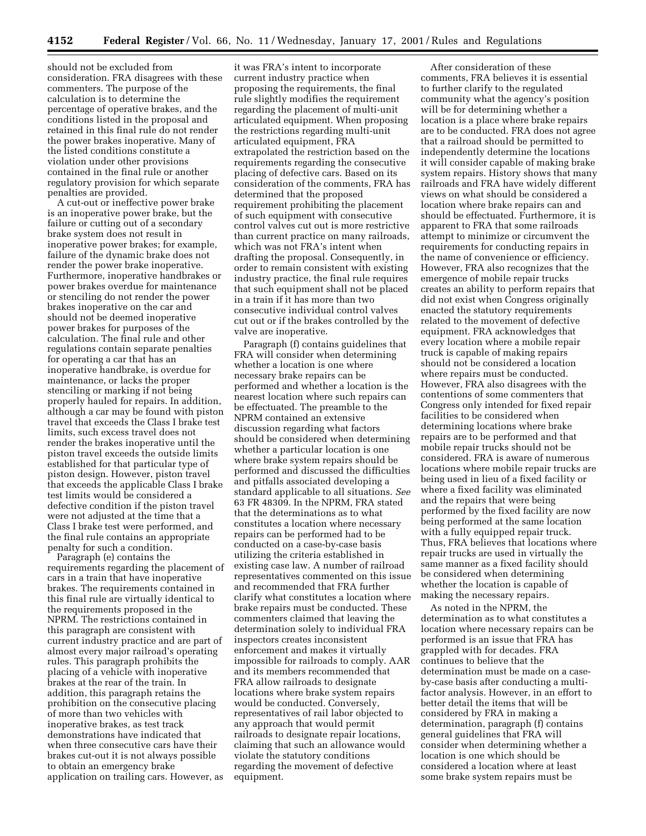should not be excluded from consideration. FRA disagrees with these commenters. The purpose of the calculation is to determine the percentage of operative brakes, and the conditions listed in the proposal and retained in this final rule do not render the power brakes inoperative. Many of the listed conditions constitute a violation under other provisions contained in the final rule or another regulatory provision for which separate penalties are provided.

A cut-out or ineffective power brake is an inoperative power brake, but the failure or cutting out of a secondary brake system does not result in inoperative power brakes; for example, failure of the dynamic brake does not render the power brake inoperative. Furthermore, inoperative handbrakes or power brakes overdue for maintenance or stenciling do not render the power brakes inoperative on the car and should not be deemed inoperative power brakes for purposes of the calculation. The final rule and other regulations contain separate penalties for operating a car that has an inoperative handbrake, is overdue for maintenance, or lacks the proper stenciling or marking if not being properly hauled for repairs. In addition, although a car may be found with piston travel that exceeds the Class I brake test limits, such excess travel does not render the brakes inoperative until the piston travel exceeds the outside limits established for that particular type of piston design. However, piston travel that exceeds the applicable Class I brake test limits would be considered a defective condition if the piston travel were not adjusted at the time that a Class I brake test were performed, and the final rule contains an appropriate penalty for such a condition.

Paragraph (e) contains the requirements regarding the placement of cars in a train that have inoperative brakes. The requirements contained in this final rule are virtually identical to the requirements proposed in the NPRM. The restrictions contained in this paragraph are consistent with current industry practice and are part of almost every major railroad's operating rules. This paragraph prohibits the placing of a vehicle with inoperative brakes at the rear of the train. In addition, this paragraph retains the prohibition on the consecutive placing of more than two vehicles with inoperative brakes, as test track demonstrations have indicated that when three consecutive cars have their brakes cut-out it is not always possible to obtain an emergency brake application on trailing cars. However, as

it was FRA's intent to incorporate current industry practice when proposing the requirements, the final rule slightly modifies the requirement regarding the placement of multi-unit articulated equipment. When proposing the restrictions regarding multi-unit articulated equipment, FRA extrapolated the restriction based on the requirements regarding the consecutive placing of defective cars. Based on its consideration of the comments, FRA has determined that the proposed requirement prohibiting the placement of such equipment with consecutive control valves cut out is more restrictive than current practice on many railroads, which was not FRA's intent when drafting the proposal. Consequently, in order to remain consistent with existing industry practice, the final rule requires that such equipment shall not be placed in a train if it has more than two consecutive individual control valves cut out or if the brakes controlled by the valve are inoperative.

Paragraph (f) contains guidelines that FRA will consider when determining whether a location is one where necessary brake repairs can be performed and whether a location is the nearest location where such repairs can be effectuated. The preamble to the NPRM contained an extensive discussion regarding what factors should be considered when determining whether a particular location is one where brake system repairs should be performed and discussed the difficulties and pitfalls associated developing a standard applicable to all situations. *See* 63 FR 48309. In the NPRM, FRA stated that the determinations as to what constitutes a location where necessary repairs can be performed had to be conducted on a case-by-case basis utilizing the criteria established in existing case law. A number of railroad representatives commented on this issue and recommended that FRA further clarify what constitutes a location where brake repairs must be conducted. These commenters claimed that leaving the determination solely to individual FRA inspectors creates inconsistent enforcement and makes it virtually impossible for railroads to comply. AAR and its members recommended that FRA allow railroads to designate locations where brake system repairs would be conducted. Conversely, representatives of rail labor objected to any approach that would permit railroads to designate repair locations, claiming that such an allowance would violate the statutory conditions regarding the movement of defective equipment.

After consideration of these comments, FRA believes it is essential to further clarify to the regulated community what the agency's position will be for determining whether a location is a place where brake repairs are to be conducted. FRA does not agree that a railroad should be permitted to independently determine the locations it will consider capable of making brake system repairs. History shows that many railroads and FRA have widely different views on what should be considered a location where brake repairs can and should be effectuated. Furthermore, it is apparent to FRA that some railroads attempt to minimize or circumvent the requirements for conducting repairs in the name of convenience or efficiency. However, FRA also recognizes that the emergence of mobile repair trucks creates an ability to perform repairs that did not exist when Congress originally enacted the statutory requirements related to the movement of defective equipment. FRA acknowledges that every location where a mobile repair truck is capable of making repairs should not be considered a location where repairs must be conducted. However, FRA also disagrees with the contentions of some commenters that Congress only intended for fixed repair facilities to be considered when determining locations where brake repairs are to be performed and that mobile repair trucks should not be considered. FRA is aware of numerous locations where mobile repair trucks are being used in lieu of a fixed facility or where a fixed facility was eliminated and the repairs that were being performed by the fixed facility are now being performed at the same location with a fully equipped repair truck. Thus, FRA believes that locations where repair trucks are used in virtually the same manner as a fixed facility should be considered when determining whether the location is capable of making the necessary repairs.

As noted in the NPRM, the determination as to what constitutes a location where necessary repairs can be performed is an issue that FRA has grappled with for decades. FRA continues to believe that the determination must be made on a caseby-case basis after conducting a multifactor analysis. However, in an effort to better detail the items that will be considered by FRA in making a determination, paragraph (f) contains general guidelines that FRA will consider when determining whether a location is one which should be considered a location where at least some brake system repairs must be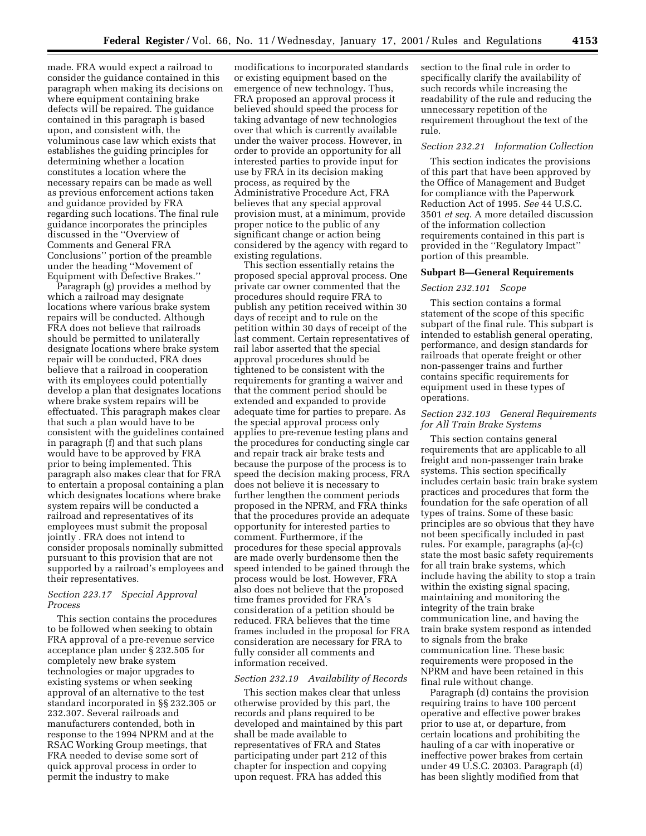made. FRA would expect a railroad to consider the guidance contained in this paragraph when making its decisions on where equipment containing brake defects will be repaired. The guidance contained in this paragraph is based upon, and consistent with, the voluminous case law which exists that establishes the guiding principles for determining whether a location constitutes a location where the necessary repairs can be made as well as previous enforcement actions taken and guidance provided by FRA regarding such locations. The final rule guidance incorporates the principles discussed in the ''Overview of Comments and General FRA Conclusions'' portion of the preamble under the heading ''Movement of Equipment with Defective Brakes.''

Paragraph (g) provides a method by which a railroad may designate locations where various brake system repairs will be conducted. Although FRA does not believe that railroads should be permitted to unilaterally designate locations where brake system repair will be conducted, FRA does believe that a railroad in cooperation with its employees could potentially develop a plan that designates locations where brake system repairs will be effectuated. This paragraph makes clear that such a plan would have to be consistent with the guidelines contained in paragraph (f) and that such plans would have to be approved by FRA prior to being implemented. This paragraph also makes clear that for FRA to entertain a proposal containing a plan which designates locations where brake system repairs will be conducted a railroad and representatives of its employees must submit the proposal jointly . FRA does not intend to consider proposals nominally submitted pursuant to this provision that are not supported by a railroad's employees and their representatives.

### *Section 223.17 Special Approval Process*

This section contains the procedures to be followed when seeking to obtain FRA approval of a pre-revenue service acceptance plan under § 232.505 for completely new brake system technologies or major upgrades to existing systems or when seeking approval of an alternative to the test standard incorporated in §§ 232.305 or 232.307. Several railroads and manufacturers contended, both in response to the 1994 NPRM and at the RSAC Working Group meetings, that FRA needed to devise some sort of quick approval process in order to permit the industry to make

modifications to incorporated standards or existing equipment based on the emergence of new technology. Thus, FRA proposed an approval process it believed should speed the process for taking advantage of new technologies over that which is currently available under the waiver process. However, in order to provide an opportunity for all interested parties to provide input for use by FRA in its decision making process, as required by the Administrative Procedure Act, FRA believes that any special approval provision must, at a minimum, provide proper notice to the public of any significant change or action being considered by the agency with regard to existing regulations.

This section essentially retains the proposed special approval process. One private car owner commented that the procedures should require FRA to publish any petition received within 30 days of receipt and to rule on the petition within 30 days of receipt of the last comment. Certain representatives of rail labor asserted that the special approval procedures should be tightened to be consistent with the requirements for granting a waiver and that the comment period should be extended and expanded to provide adequate time for parties to prepare. As the special approval process only applies to pre-revenue testing plans and the procedures for conducting single car and repair track air brake tests and because the purpose of the process is to speed the decision making process, FRA does not believe it is necessary to further lengthen the comment periods proposed in the NPRM, and FRA thinks that the procedures provide an adequate opportunity for interested parties to comment. Furthermore, if the procedures for these special approvals are made overly burdensome then the speed intended to be gained through the process would be lost. However, FRA also does not believe that the proposed time frames provided for FRA's consideration of a petition should be reduced. FRA believes that the time frames included in the proposal for FRA consideration are necessary for FRA to fully consider all comments and information received.

### *Section 232.19 Availability of Records*

This section makes clear that unless otherwise provided by this part, the records and plans required to be developed and maintained by this part shall be made available to representatives of FRA and States participating under part 212 of this chapter for inspection and copying upon request. FRA has added this

section to the final rule in order to specifically clarify the availability of such records while increasing the readability of the rule and reducing the unnecessary repetition of the requirement throughout the text of the rule.

#### *Section 232.21 Information Collection*

This section indicates the provisions of this part that have been approved by the Office of Management and Budget for compliance with the Paperwork Reduction Act of 1995. *See* 44 U.S.C. 3501 *et seq.* A more detailed discussion of the information collection requirements contained in this part is provided in the ''Regulatory Impact'' portion of this preamble.

### **Subpart B—General Requirements**

## *Section 232.101 Scope*

This section contains a formal statement of the scope of this specific subpart of the final rule. This subpart is intended to establish general operating, performance, and design standards for railroads that operate freight or other non-passenger trains and further contains specific requirements for equipment used in these types of operations.

## *Section 232.103 General Requirements for All Train Brake Systems*

This section contains general requirements that are applicable to all freight and non-passenger train brake systems. This section specifically includes certain basic train brake system practices and procedures that form the foundation for the safe operation of all types of trains. Some of these basic principles are so obvious that they have not been specifically included in past rules. For example, paragraphs (a)-(c) state the most basic safety requirements for all train brake systems, which include having the ability to stop a train within the existing signal spacing, maintaining and monitoring the integrity of the train brake communication line, and having the train brake system respond as intended to signals from the brake communication line. These basic requirements were proposed in the NPRM and have been retained in this final rule without change.

Paragraph (d) contains the provision requiring trains to have 100 percent operative and effective power brakes prior to use at, or departure, from certain locations and prohibiting the hauling of a car with inoperative or ineffective power brakes from certain under 49 U.S.C. 20303. Paragraph (d) has been slightly modified from that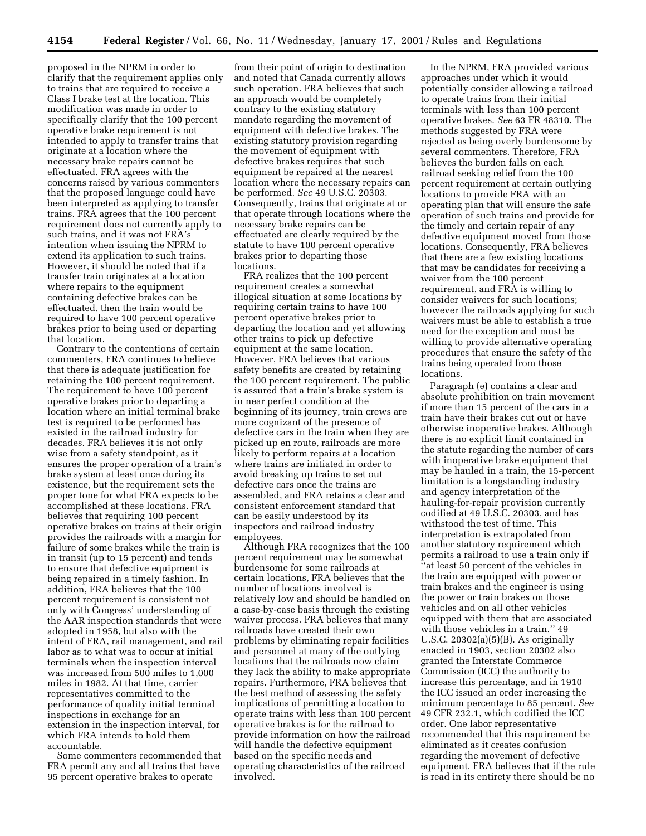proposed in the NPRM in order to clarify that the requirement applies only to trains that are required to receive a Class I brake test at the location. This modification was made in order to specifically clarify that the 100 percent operative brake requirement is not intended to apply to transfer trains that originate at a location where the necessary brake repairs cannot be effectuated. FRA agrees with the concerns raised by various commenters that the proposed language could have been interpreted as applying to transfer trains. FRA agrees that the 100 percent requirement does not currently apply to such trains, and it was not FRA's intention when issuing the NPRM to extend its application to such trains. However, it should be noted that if a transfer train originates at a location where repairs to the equipment containing defective brakes can be effectuated, then the train would be required to have 100 percent operative brakes prior to being used or departing that location.

Contrary to the contentions of certain commenters, FRA continues to believe that there is adequate justification for retaining the 100 percent requirement. The requirement to have 100 percent operative brakes prior to departing a location where an initial terminal brake test is required to be performed has existed in the railroad industry for decades. FRA believes it is not only wise from a safety standpoint, as it ensures the proper operation of a train's brake system at least once during its existence, but the requirement sets the proper tone for what FRA expects to be accomplished at these locations. FRA believes that requiring 100 percent operative brakes on trains at their origin provides the railroads with a margin for failure of some brakes while the train is in transit (up to 15 percent) and tends to ensure that defective equipment is being repaired in a timely fashion. In addition, FRA believes that the 100 percent requirement is consistent not only with Congress' understanding of the AAR inspection standards that were adopted in 1958, but also with the intent of FRA, rail management, and rail labor as to what was to occur at initial terminals when the inspection interval was increased from 500 miles to 1,000 miles in 1982. At that time, carrier representatives committed to the performance of quality initial terminal inspections in exchange for an extension in the inspection interval, for which FRA intends to hold them accountable.

Some commenters recommended that FRA permit any and all trains that have 95 percent operative brakes to operate

from their point of origin to destination and noted that Canada currently allows such operation. FRA believes that such an approach would be completely contrary to the existing statutory mandate regarding the movement of equipment with defective brakes. The existing statutory provision regarding the movement of equipment with defective brakes requires that such equipment be repaired at the nearest location where the necessary repairs can be performed. *See* 49 U.S.C. 20303. Consequently, trains that originate at or that operate through locations where the necessary brake repairs can be effectuated are clearly required by the statute to have 100 percent operative brakes prior to departing those locations.

FRA realizes that the 100 percent requirement creates a somewhat illogical situation at some locations by requiring certain trains to have 100 percent operative brakes prior to departing the location and yet allowing other trains to pick up defective equipment at the same location. However, FRA believes that various safety benefits are created by retaining the 100 percent requirement. The public is assured that a train's brake system is in near perfect condition at the beginning of its journey, train crews are more cognizant of the presence of defective cars in the train when they are picked up en route, railroads are more likely to perform repairs at a location where trains are initiated in order to avoid breaking up trains to set out defective cars once the trains are assembled, and FRA retains a clear and consistent enforcement standard that can be easily understood by its inspectors and railroad industry employees.

Although FRA recognizes that the 100 percent requirement may be somewhat burdensome for some railroads at certain locations, FRA believes that the number of locations involved is relatively low and should be handled on a case-by-case basis through the existing waiver process. FRA believes that many railroads have created their own problems by eliminating repair facilities and personnel at many of the outlying locations that the railroads now claim they lack the ability to make appropriate repairs. Furthermore, FRA believes that the best method of assessing the safety implications of permitting a location to operate trains with less than 100 percent operative brakes is for the railroad to provide information on how the railroad will handle the defective equipment based on the specific needs and operating characteristics of the railroad involved.

In the NPRM, FRA provided various approaches under which it would potentially consider allowing a railroad to operate trains from their initial terminals with less than 100 percent operative brakes. *See* 63 FR 48310. The methods suggested by FRA were rejected as being overly burdensome by several commenters. Therefore, FRA believes the burden falls on each railroad seeking relief from the 100 percent requirement at certain outlying locations to provide FRA with an operating plan that will ensure the safe operation of such trains and provide for the timely and certain repair of any defective equipment moved from those locations. Consequently, FRA believes that there are a few existing locations that may be candidates for receiving a waiver from the 100 percent requirement, and FRA is willing to consider waivers for such locations; however the railroads applying for such waivers must be able to establish a true need for the exception and must be willing to provide alternative operating procedures that ensure the safety of the trains being operated from those locations.

Paragraph (e) contains a clear and absolute prohibition on train movement if more than 15 percent of the cars in a train have their brakes cut out or have otherwise inoperative brakes. Although there is no explicit limit contained in the statute regarding the number of cars with inoperative brake equipment that may be hauled in a train, the 15-percent limitation is a longstanding industry and agency interpretation of the hauling-for-repair provision currently codified at 49 U.S.C. 20303, and has withstood the test of time. This interpretation is extrapolated from another statutory requirement which permits a railroad to use a train only if ''at least 50 percent of the vehicles in the train are equipped with power or train brakes and the engineer is using the power or train brakes on those vehicles and on all other vehicles equipped with them that are associated with those vehicles in a train.'' 49 U.S.C. 20302(a)(5)(B). As originally enacted in 1903, section 20302 also granted the Interstate Commerce Commission (ICC) the authority to increase this percentage, and in 1910 the ICC issued an order increasing the minimum percentage to 85 percent. *See* 49 CFR 232.1, which codified the ICC order. One labor representative recommended that this requirement be eliminated as it creates confusion regarding the movement of defective equipment. FRA believes that if the rule is read in its entirety there should be no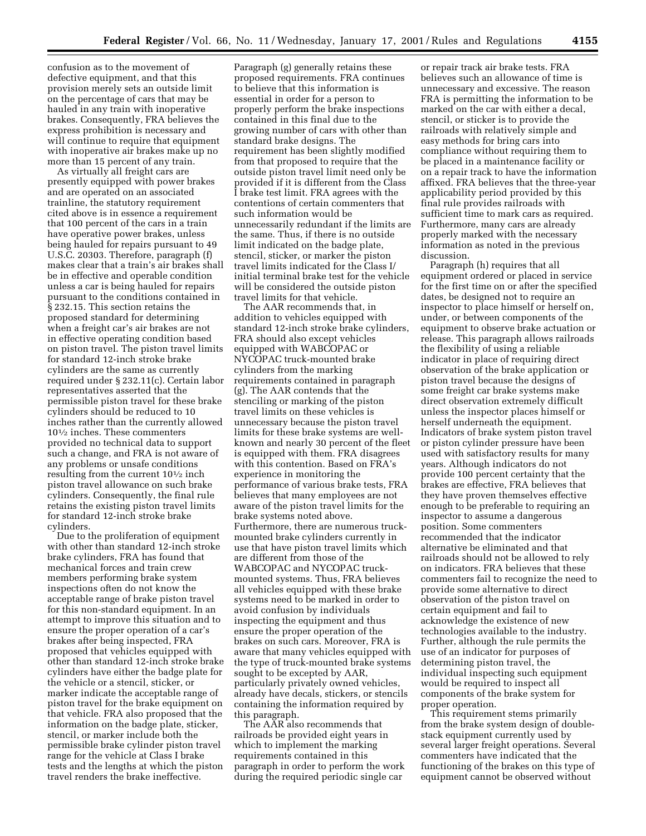confusion as to the movement of defective equipment, and that this provision merely sets an outside limit on the percentage of cars that may be hauled in any train with inoperative brakes. Consequently, FRA believes the express prohibition is necessary and will continue to require that equipment with inoperative air brakes make up no more than 15 percent of any train.

As virtually all freight cars are presently equipped with power brakes and are operated on an associated trainline, the statutory requirement cited above is in essence a requirement that 100 percent of the cars in a train have operative power brakes, unless being hauled for repairs pursuant to 49 U.S.C. 20303. Therefore, paragraph (f) makes clear that a train's air brakes shall be in effective and operable condition unless a car is being hauled for repairs pursuant to the conditions contained in § 232.15. This section retains the proposed standard for determining when a freight car's air brakes are not in effective operating condition based on piston travel. The piston travel limits for standard 12-inch stroke brake cylinders are the same as currently required under § 232.11(c). Certain labor representatives asserted that the permissible piston travel for these brake cylinders should be reduced to 10 inches rather than the currently allowed 101⁄2 inches. These commenters provided no technical data to support such a change, and FRA is not aware of any problems or unsafe conditions resulting from the current 101⁄2 inch piston travel allowance on such brake cylinders. Consequently, the final rule retains the existing piston travel limits for standard 12-inch stroke brake cylinders.

Due to the proliferation of equipment with other than standard 12-inch stroke brake cylinders, FRA has found that mechanical forces and train crew members performing brake system inspections often do not know the acceptable range of brake piston travel for this non-standard equipment. In an attempt to improve this situation and to ensure the proper operation of a car's brakes after being inspected, FRA proposed that vehicles equipped with other than standard 12-inch stroke brake cylinders have either the badge plate for the vehicle or a stencil, sticker, or marker indicate the acceptable range of piston travel for the brake equipment on that vehicle. FRA also proposed that the information on the badge plate, sticker, stencil, or marker include both the permissible brake cylinder piston travel range for the vehicle at Class I brake tests and the lengths at which the piston travel renders the brake ineffective.

Paragraph (g) generally retains these proposed requirements. FRA continues to believe that this information is essential in order for a person to properly perform the brake inspections contained in this final due to the growing number of cars with other than standard brake designs. The requirement has been slightly modified from that proposed to require that the outside piston travel limit need only be provided if it is different from the Class I brake test limit. FRA agrees with the contentions of certain commenters that such information would be unnecessarily redundant if the limits are the same. Thus, if there is no outside limit indicated on the badge plate, stencil, sticker, or marker the piston travel limits indicated for the Class I/ initial terminal brake test for the vehicle will be considered the outside piston travel limits for that vehicle.

The AAR recommends that, in addition to vehicles equipped with standard 12-inch stroke brake cylinders, FRA should also except vehicles equipped with WABCOPAC or NYCOPAC truck-mounted brake cylinders from the marking requirements contained in paragraph (g). The AAR contends that the stenciling or marking of the piston travel limits on these vehicles is unnecessary because the piston travel limits for these brake systems are wellknown and nearly 30 percent of the fleet is equipped with them. FRA disagrees with this contention. Based on FRA's experience in monitoring the performance of various brake tests, FRA believes that many employees are not aware of the piston travel limits for the brake systems noted above. Furthermore, there are numerous truckmounted brake cylinders currently in use that have piston travel limits which are different from those of the WABCOPAC and NYCOPAC truckmounted systems. Thus, FRA believes all vehicles equipped with these brake systems need to be marked in order to avoid confusion by individuals inspecting the equipment and thus ensure the proper operation of the brakes on such cars. Moreover, FRA is aware that many vehicles equipped with the type of truck-mounted brake systems sought to be excepted by AAR, particularly privately owned vehicles, already have decals, stickers, or stencils containing the information required by this paragraph.

The AAR also recommends that railroads be provided eight years in which to implement the marking requirements contained in this paragraph in order to perform the work during the required periodic single car

or repair track air brake tests. FRA believes such an allowance of time is unnecessary and excessive. The reason FRA is permitting the information to be marked on the car with either a decal, stencil, or sticker is to provide the railroads with relatively simple and easy methods for bring cars into compliance without requiring them to be placed in a maintenance facility or on a repair track to have the information affixed. FRA believes that the three-year applicability period provided by this final rule provides railroads with sufficient time to mark cars as required. Furthermore, many cars are already properly marked with the necessary information as noted in the previous discussion.

Paragraph (h) requires that all equipment ordered or placed in service for the first time on or after the specified dates, be designed not to require an inspector to place himself or herself on, under, or between components of the equipment to observe brake actuation or release. This paragraph allows railroads the flexibility of using a reliable indicator in place of requiring direct observation of the brake application or piston travel because the designs of some freight car brake systems make direct observation extremely difficult unless the inspector places himself or herself underneath the equipment. Indicators of brake system piston travel or piston cylinder pressure have been used with satisfactory results for many years. Although indicators do not provide 100 percent certainty that the brakes are effective, FRA believes that they have proven themselves effective enough to be preferable to requiring an inspector to assume a dangerous position. Some commenters recommended that the indicator alternative be eliminated and that railroads should not be allowed to rely on indicators. FRA believes that these commenters fail to recognize the need to provide some alternative to direct observation of the piston travel on certain equipment and fail to acknowledge the existence of new technologies available to the industry. Further, although the rule permits the use of an indicator for purposes of determining piston travel, the individual inspecting such equipment would be required to inspect all components of the brake system for proper operation.

This requirement stems primarily from the brake system design of doublestack equipment currently used by several larger freight operations. Several commenters have indicated that the functioning of the brakes on this type of equipment cannot be observed without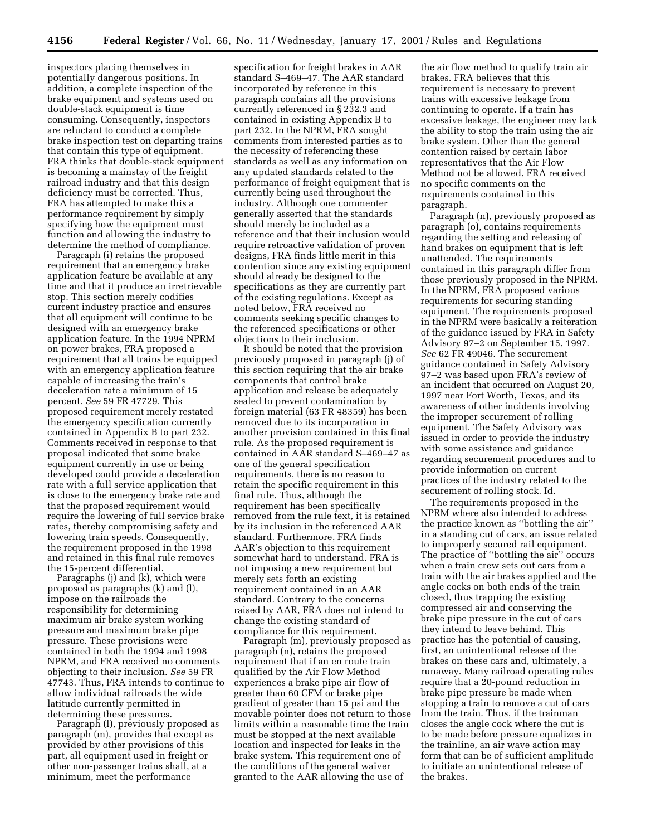inspectors placing themselves in potentially dangerous positions. In addition, a complete inspection of the brake equipment and systems used on double-stack equipment is time consuming. Consequently, inspectors are reluctant to conduct a complete brake inspection test on departing trains that contain this type of equipment. FRA thinks that double-stack equipment is becoming a mainstay of the freight railroad industry and that this design deficiency must be corrected. Thus, FRA has attempted to make this a performance requirement by simply specifying how the equipment must function and allowing the industry to determine the method of compliance.

Paragraph (i) retains the proposed requirement that an emergency brake application feature be available at any time and that it produce an irretrievable stop. This section merely codifies current industry practice and ensures that all equipment will continue to be designed with an emergency brake application feature. In the 1994 NPRM on power brakes, FRA proposed a requirement that all trains be equipped with an emergency application feature capable of increasing the train's deceleration rate a minimum of 15 percent. *See* 59 FR 47729. This proposed requirement merely restated the emergency specification currently contained in Appendix B to part 232. Comments received in response to that proposal indicated that some brake equipment currently in use or being developed could provide a deceleration rate with a full service application that is close to the emergency brake rate and that the proposed requirement would require the lowering of full service brake rates, thereby compromising safety and lowering train speeds. Consequently, the requirement proposed in the 1998 and retained in this final rule removes the 15-percent differential.

Paragraphs (j) and (k), which were proposed as paragraphs (k) and (l), impose on the railroads the responsibility for determining maximum air brake system working pressure and maximum brake pipe pressure. These provisions were contained in both the 1994 and 1998 NPRM, and FRA received no comments objecting to their inclusion. *See* 59 FR 47743. Thus, FRA intends to continue to allow individual railroads the wide latitude currently permitted in determining these pressures.

Paragraph (l), previously proposed as paragraph (m), provides that except as provided by other provisions of this part, all equipment used in freight or other non-passenger trains shall, at a minimum, meet the performance

specification for freight brakes in AAR standard S–469–47. The AAR standard incorporated by reference in this paragraph contains all the provisions currently referenced in § 232.3 and contained in existing Appendix B to part 232. In the NPRM, FRA sought comments from interested parties as to the necessity of referencing these standards as well as any information on any updated standards related to the performance of freight equipment that is currently being used throughout the industry. Although one commenter generally asserted that the standards should merely be included as a reference and that their inclusion would require retroactive validation of proven designs, FRA finds little merit in this contention since any existing equipment should already be designed to the specifications as they are currently part of the existing regulations. Except as noted below, FRA received no comments seeking specific changes to the referenced specifications or other objections to their inclusion.

It should be noted that the provision previously proposed in paragraph (j) of this section requiring that the air brake components that control brake application and release be adequately sealed to prevent contamination by foreign material (63 FR 48359) has been removed due to its incorporation in another provision contained in this final rule. As the proposed requirement is contained in AAR standard S–469–47 as one of the general specification requirements, there is no reason to retain the specific requirement in this final rule. Thus, although the requirement has been specifically removed from the rule text, it is retained by its inclusion in the referenced AAR standard. Furthermore, FRA finds AAR's objection to this requirement somewhat hard to understand. FRA is not imposing a new requirement but merely sets forth an existing requirement contained in an AAR standard. Contrary to the concerns raised by AAR, FRA does not intend to change the existing standard of compliance for this requirement.

Paragraph (m), previously proposed as paragraph (n), retains the proposed requirement that if an en route train qualified by the Air Flow Method experiences a brake pipe air flow of greater than 60 CFM or brake pipe gradient of greater than 15 psi and the movable pointer does not return to those limits within a reasonable time the train must be stopped at the next available location and inspected for leaks in the brake system. This requirement one of the conditions of the general waiver granted to the AAR allowing the use of

the air flow method to qualify train air brakes. FRA believes that this requirement is necessary to prevent trains with excessive leakage from continuing to operate. If a train has excessive leakage, the engineer may lack the ability to stop the train using the air brake system. Other than the general contention raised by certain labor representatives that the Air Flow Method not be allowed, FRA received no specific comments on the requirements contained in this paragraph.

Paragraph (n), previously proposed as paragraph (o), contains requirements regarding the setting and releasing of hand brakes on equipment that is left unattended. The requirements contained in this paragraph differ from those previously proposed in the NPRM. In the NPRM, FRA proposed various requirements for securing standing equipment. The requirements proposed in the NPRM were basically a reiteration of the guidance issued by FRA in Safety Advisory 97–2 on September 15, 1997. *See* 62 FR 49046. The securement guidance contained in Safety Advisory 97–2 was based upon FRA's review of an incident that occurred on August 20, 1997 near Fort Worth, Texas, and its awareness of other incidents involving the improper securement of rolling equipment. The Safety Advisory was issued in order to provide the industry with some assistance and guidance regarding securement procedures and to provide information on current practices of the industry related to the securement of rolling stock. Id.

The requirements proposed in the NPRM where also intended to address the practice known as ''bottling the air'' in a standing cut of cars, an issue related to improperly secured rail equipment. The practice of ''bottling the air'' occurs when a train crew sets out cars from a train with the air brakes applied and the angle cocks on both ends of the train closed, thus trapping the existing compressed air and conserving the brake pipe pressure in the cut of cars they intend to leave behind. This practice has the potential of causing, first, an unintentional release of the brakes on these cars and, ultimately, a runaway. Many railroad operating rules require that a 20-pound reduction in brake pipe pressure be made when stopping a train to remove a cut of cars from the train. Thus, if the trainman closes the angle cock where the cut is to be made before pressure equalizes in the trainline, an air wave action may form that can be of sufficient amplitude to initiate an unintentional release of the brakes.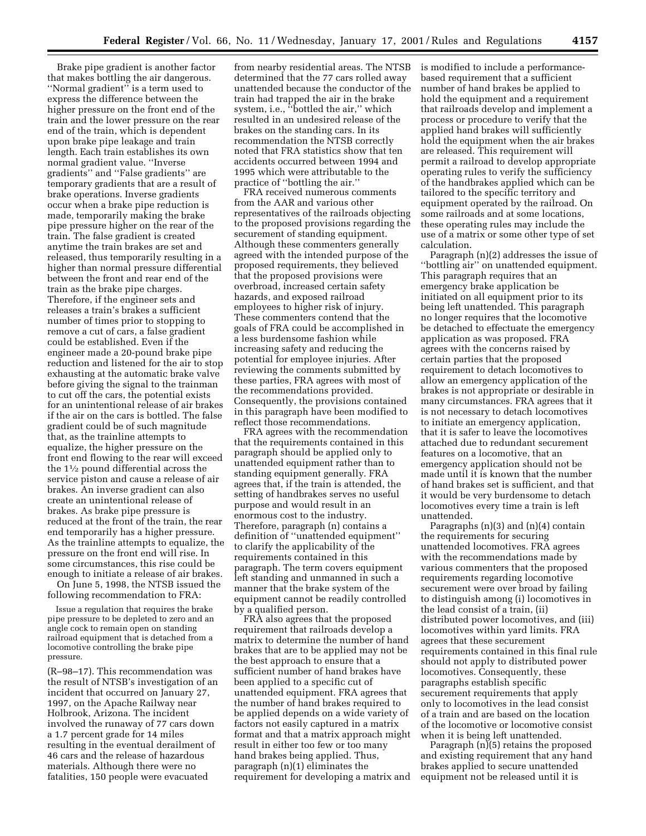Brake pipe gradient is another factor that makes bottling the air dangerous. ''Normal gradient'' is a term used to express the difference between the higher pressure on the front end of the train and the lower pressure on the rear end of the train, which is dependent upon brake pipe leakage and train length. Each train establishes its own normal gradient value. ''Inverse gradients'' and ''False gradients'' are temporary gradients that are a result of brake operations. Inverse gradients occur when a brake pipe reduction is made, temporarily making the brake pipe pressure higher on the rear of the train. The false gradient is created anytime the train brakes are set and released, thus temporarily resulting in a higher than normal pressure differential between the front and rear end of the train as the brake pipe charges. Therefore, if the engineer sets and releases a train's brakes a sufficient number of times prior to stopping to remove a cut of cars, a false gradient could be established. Even if the engineer made a 20-pound brake pipe reduction and listened for the air to stop exhausting at the automatic brake valve before giving the signal to the trainman to cut off the cars, the potential exists for an unintentional release of air brakes if the air on the cars is bottled. The false gradient could be of such magnitude that, as the trainline attempts to equalize, the higher pressure on the front end flowing to the rear will exceed the 11⁄2 pound differential across the service piston and cause a release of air brakes. An inverse gradient can also create an unintentional release of brakes. As brake pipe pressure is reduced at the front of the train, the rear end temporarily has a higher pressure. As the trainline attempts to equalize, the pressure on the front end will rise. In some circumstances, this rise could be enough to initiate a release of air brakes.

On June 5, 1998, the NTSB issued the following recommendation to FRA:

Issue a regulation that requires the brake pipe pressure to be depleted to zero and an angle cock to remain open on standing railroad equipment that is detached from a locomotive controlling the brake pipe pressure.

(R–98–17). This recommendation was the result of NTSB's investigation of an incident that occurred on January 27, 1997, on the Apache Railway near Holbrook, Arizona. The incident involved the runaway of 77 cars down a 1.7 percent grade for 14 miles resulting in the eventual derailment of 46 cars and the release of hazardous materials. Although there were no fatalities, 150 people were evacuated

from nearby residential areas. The NTSB determined that the 77 cars rolled away unattended because the conductor of the train had trapped the air in the brake system, i.e., ''bottled the air,'' which resulted in an undesired release of the brakes on the standing cars. In its recommendation the NTSB correctly noted that FRA statistics show that ten accidents occurred between 1994 and 1995 which were attributable to the practice of ''bottling the air.''

FRA received numerous comments from the AAR and various other representatives of the railroads objecting to the proposed provisions regarding the securement of standing equipment. Although these commenters generally agreed with the intended purpose of the proposed requirements, they believed that the proposed provisions were overbroad, increased certain safety hazards, and exposed railroad employees to higher risk of injury. These commenters contend that the goals of FRA could be accomplished in a less burdensome fashion while increasing safety and reducing the potential for employee injuries. After reviewing the comments submitted by these parties, FRA agrees with most of the recommendations provided. Consequently, the provisions contained in this paragraph have been modified to reflect those recommendations.

FRA agrees with the recommendation that the requirements contained in this paragraph should be applied only to unattended equipment rather than to standing equipment generally. FRA agrees that, if the train is attended, the setting of handbrakes serves no useful purpose and would result in an enormous cost to the industry. Therefore, paragraph (n) contains a definition of ''unattended equipment'' to clarify the applicability of the requirements contained in this paragraph. The term covers equipment left standing and unmanned in such a manner that the brake system of the equipment cannot be readily controlled by a qualified person.

FRA also agrees that the proposed requirement that railroads develop a matrix to determine the number of hand brakes that are to be applied may not be the best approach to ensure that a sufficient number of hand brakes have been applied to a specific cut of unattended equipment. FRA agrees that the number of hand brakes required to be applied depends on a wide variety of factors not easily captured in a matrix format and that a matrix approach might result in either too few or too many hand brakes being applied. Thus, paragraph (n)(1) eliminates the requirement for developing a matrix and is modified to include a performancebased requirement that a sufficient number of hand brakes be applied to hold the equipment and a requirement that railroads develop and implement a process or procedure to verify that the applied hand brakes will sufficiently hold the equipment when the air brakes are released. This requirement will permit a railroad to develop appropriate operating rules to verify the sufficiency of the handbrakes applied which can be tailored to the specific territory and equipment operated by the railroad. On some railroads and at some locations, these operating rules may include the use of a matrix or some other type of set calculation.

Paragraph (n)(2) addresses the issue of ''bottling air'' on unattended equipment. This paragraph requires that an emergency brake application be initiated on all equipment prior to its being left unattended. This paragraph no longer requires that the locomotive be detached to effectuate the emergency application as was proposed. FRA agrees with the concerns raised by certain parties that the proposed requirement to detach locomotives to allow an emergency application of the brakes is not appropriate or desirable in many circumstances. FRA agrees that it is not necessary to detach locomotives to initiate an emergency application, that it is safer to leave the locomotives attached due to redundant securement features on a locomotive, that an emergency application should not be made until it is known that the number of hand brakes set is sufficient, and that it would be very burdensome to detach locomotives every time a train is left unattended.

Paragraphs  $(n)(3)$  and  $(n)(4)$  contain the requirements for securing unattended locomotives. FRA agrees with the recommendations made by various commenters that the proposed requirements regarding locomotive securement were over broad by failing to distinguish among (i) locomotives in the lead consist of a train, (ii) distributed power locomotives, and (iii) locomotives within yard limits. FRA agrees that these securement requirements contained in this final rule should not apply to distributed power locomotives. Consequently, these paragraphs establish specific securement requirements that apply only to locomotives in the lead consist of a train and are based on the location of the locomotive or locomotive consist when it is being left unattended.

Paragraph (n)(5) retains the proposed and existing requirement that any hand brakes applied to secure unattended equipment not be released until it is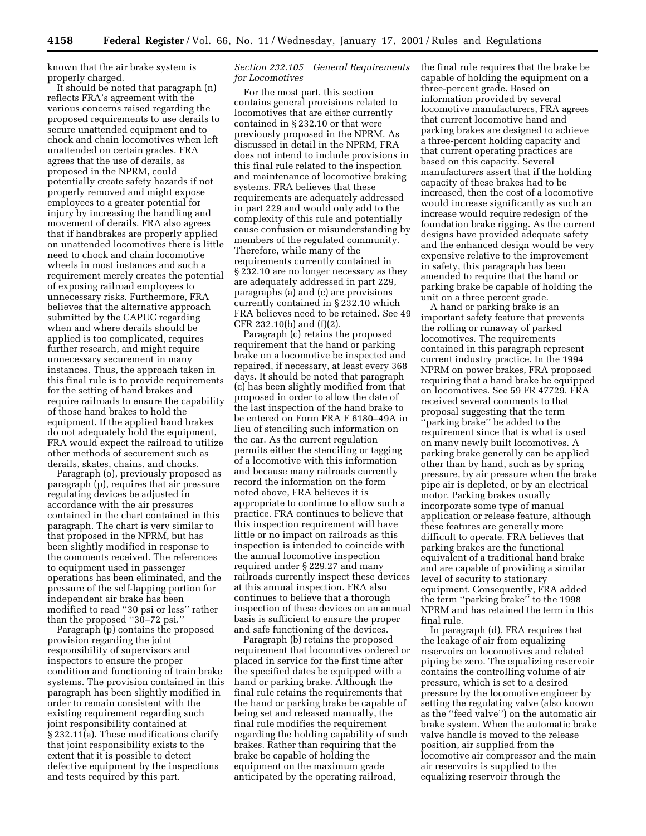known that the air brake system is properly charged.

It should be noted that paragraph (n) reflects FRA's agreement with the various concerns raised regarding the proposed requirements to use derails to secure unattended equipment and to chock and chain locomotives when left unattended on certain grades. FRA agrees that the use of derails, as proposed in the NPRM, could potentially create safety hazards if not properly removed and might expose employees to a greater potential for injury by increasing the handling and movement of derails. FRA also agrees that if handbrakes are properly applied on unattended locomotives there is little need to chock and chain locomotive wheels in most instances and such a requirement merely creates the potential of exposing railroad employees to unnecessary risks. Furthermore, FRA believes that the alternative approach submitted by the CAPUC regarding when and where derails should be applied is too complicated, requires further research, and might require unnecessary securement in many instances. Thus, the approach taken in this final rule is to provide requirements for the setting of hand brakes and require railroads to ensure the capability of those hand brakes to hold the equipment. If the applied hand brakes do not adequately hold the equipment, FRA would expect the railroad to utilize other methods of securement such as derails, skates, chains, and chocks.

Paragraph (o), previously proposed as paragraph (p), requires that air pressure regulating devices be adjusted in accordance with the air pressures contained in the chart contained in this paragraph. The chart is very similar to that proposed in the NPRM, but has been slightly modified in response to the comments received. The references to equipment used in passenger operations has been eliminated, and the pressure of the self-lapping portion for independent air brake has been modified to read ''30 psi or less'' rather than the proposed ''30–72 psi.''

Paragraph (p) contains the proposed provision regarding the joint responsibility of supervisors and inspectors to ensure the proper condition and functioning of train brake systems. The provision contained in this paragraph has been slightly modified in order to remain consistent with the existing requirement regarding such joint responsibility contained at § 232.11(a). These modifications clarify that joint responsibility exists to the extent that it is possible to detect defective equipment by the inspections and tests required by this part.

## *Section 232.105 General Requirements for Locomotives*

For the most part, this section contains general provisions related to locomotives that are either currently contained in § 232.10 or that were previously proposed in the NPRM. As discussed in detail in the NPRM, FRA does not intend to include provisions in this final rule related to the inspection and maintenance of locomotive braking systems. FRA believes that these requirements are adequately addressed in part 229 and would only add to the complexity of this rule and potentially cause confusion or misunderstanding by members of the regulated community. Therefore, while many of the requirements currently contained in § 232.10 are no longer necessary as they are adequately addressed in part 229, paragraphs (a) and (c) are provisions currently contained in § 232.10 which FRA believes need to be retained. See 49 CFR 232.10(b) and (f)(2).

Paragraph (c) retains the proposed requirement that the hand or parking brake on a locomotive be inspected and repaired, if necessary, at least every 368 days. It should be noted that paragraph (c) has been slightly modified from that proposed in order to allow the date of the last inspection of the hand brake to be entered on Form FRA F 6180–49A in lieu of stenciling such information on the car. As the current regulation permits either the stenciling or tagging of a locomotive with this information and because many railroads currently record the information on the form noted above, FRA believes it is appropriate to continue to allow such a practice. FRA continues to believe that this inspection requirement will have little or no impact on railroads as this inspection is intended to coincide with the annual locomotive inspection required under § 229.27 and many railroads currently inspect these devices at this annual inspection. FRA also continues to believe that a thorough inspection of these devices on an annual basis is sufficient to ensure the proper and safe functioning of the devices.

Paragraph (b) retains the proposed requirement that locomotives ordered or placed in service for the first time after the specified dates be equipped with a hand or parking brake. Although the final rule retains the requirements that the hand or parking brake be capable of being set and released manually, the final rule modifies the requirement regarding the holding capability of such brakes. Rather than requiring that the brake be capable of holding the equipment on the maximum grade anticipated by the operating railroad,

the final rule requires that the brake be capable of holding the equipment on a three-percent grade. Based on information provided by several locomotive manufacturers, FRA agrees that current locomotive hand and parking brakes are designed to achieve a three-percent holding capacity and that current operating practices are based on this capacity. Several manufacturers assert that if the holding capacity of these brakes had to be increased, then the cost of a locomotive would increase significantly as such an increase would require redesign of the foundation brake rigging. As the current designs have provided adequate safety and the enhanced design would be very expensive relative to the improvement in safety, this paragraph has been amended to require that the hand or parking brake be capable of holding the unit on a three percent grade.

A hand or parking brake is an important safety feature that prevents the rolling or runaway of parked locomotives. The requirements contained in this paragraph represent current industry practice. In the 1994 NPRM on power brakes, FRA proposed requiring that a hand brake be equipped on locomotives. See 59 FR 47729. FRA received several comments to that proposal suggesting that the term 'parking brake'' be added to the requirement since that is what is used on many newly built locomotives. A parking brake generally can be applied other than by hand, such as by spring pressure, by air pressure when the brake pipe air is depleted, or by an electrical motor. Parking brakes usually incorporate some type of manual application or release feature, although these features are generally more difficult to operate. FRA believes that parking brakes are the functional equivalent of a traditional hand brake and are capable of providing a similar level of security to stationary equipment. Consequently, FRA added the term ''parking brake'' to the 1998 NPRM and has retained the term in this final rule.

In paragraph (d), FRA requires that the leakage of air from equalizing reservoirs on locomotives and related piping be zero. The equalizing reservoir contains the controlling volume of air pressure, which is set to a desired pressure by the locomotive engineer by setting the regulating valve (also known as the ''feed valve'') on the automatic air brake system. When the automatic brake valve handle is moved to the release position, air supplied from the locomotive air compressor and the main air reservoirs is supplied to the equalizing reservoir through the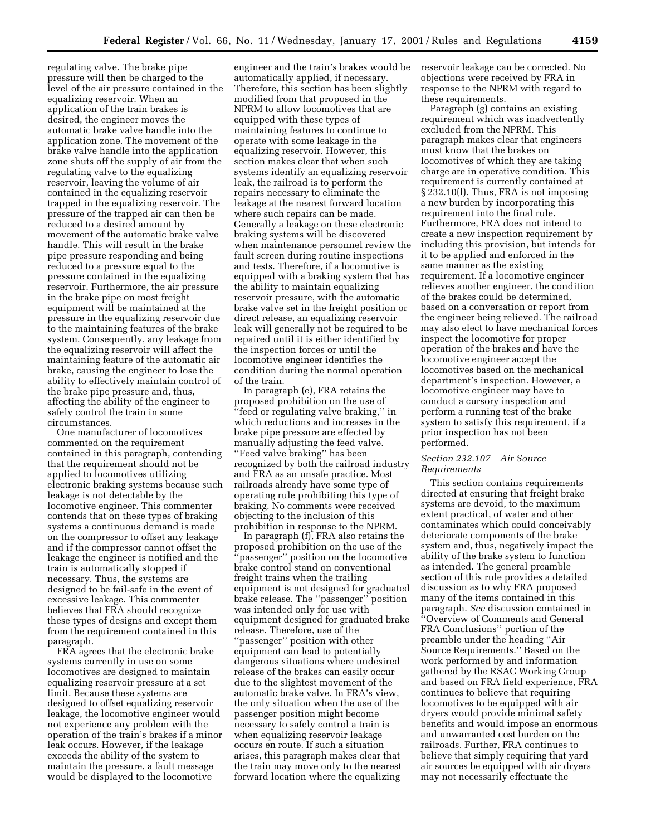regulating valve. The brake pipe pressure will then be charged to the level of the air pressure contained in the equalizing reservoir. When an application of the train brakes is desired, the engineer moves the automatic brake valve handle into the application zone. The movement of the brake valve handle into the application zone shuts off the supply of air from the regulating valve to the equalizing reservoir, leaving the volume of air contained in the equalizing reservoir trapped in the equalizing reservoir. The pressure of the trapped air can then be reduced to a desired amount by movement of the automatic brake valve handle. This will result in the brake pipe pressure responding and being reduced to a pressure equal to the pressure contained in the equalizing reservoir. Furthermore, the air pressure in the brake pipe on most freight equipment will be maintained at the pressure in the equalizing reservoir due to the maintaining features of the brake system. Consequently, any leakage from the equalizing reservoir will affect the maintaining feature of the automatic air brake, causing the engineer to lose the ability to effectively maintain control of the brake pipe pressure and, thus, affecting the ability of the engineer to safely control the train in some circumstances.

One manufacturer of locomotives commented on the requirement contained in this paragraph, contending that the requirement should not be applied to locomotives utilizing electronic braking systems because such leakage is not detectable by the locomotive engineer. This commenter contends that on these types of braking systems a continuous demand is made on the compressor to offset any leakage and if the compressor cannot offset the leakage the engineer is notified and the train is automatically stopped if necessary. Thus, the systems are designed to be fail-safe in the event of excessive leakage. This commenter believes that FRA should recognize these types of designs and except them from the requirement contained in this paragraph.

FRA agrees that the electronic brake systems currently in use on some locomotives are designed to maintain equalizing reservoir pressure at a set limit. Because these systems are designed to offset equalizing reservoir leakage, the locomotive engineer would not experience any problem with the operation of the train's brakes if a minor leak occurs. However, if the leakage exceeds the ability of the system to maintain the pressure, a fault message would be displayed to the locomotive

engineer and the train's brakes would be automatically applied, if necessary. Therefore, this section has been slightly modified from that proposed in the NPRM to allow locomotives that are equipped with these types of maintaining features to continue to operate with some leakage in the equalizing reservoir. However, this section makes clear that when such systems identify an equalizing reservoir leak, the railroad is to perform the repairs necessary to eliminate the leakage at the nearest forward location where such repairs can be made. Generally a leakage on these electronic braking systems will be discovered when maintenance personnel review the fault screen during routine inspections and tests. Therefore, if a locomotive is equipped with a braking system that has the ability to maintain equalizing reservoir pressure, with the automatic brake valve set in the freight position or direct release, an equalizing reservoir leak will generally not be required to be repaired until it is either identified by the inspection forces or until the locomotive engineer identifies the condition during the normal operation of the train.

In paragraph (e), FRA retains the proposed prohibition on the use of 'feed or regulating valve braking," in which reductions and increases in the brake pipe pressure are effected by manually adjusting the feed valve. ''Feed valve braking'' has been recognized by both the railroad industry and FRA as an unsafe practice. Most railroads already have some type of operating rule prohibiting this type of braking. No comments were received objecting to the inclusion of this prohibition in response to the NPRM.

In paragraph (f), FRA also retains the proposed prohibition on the use of the 'passenger'' position on the locomotive brake control stand on conventional freight trains when the trailing equipment is not designed for graduated brake release. The ''passenger'' position was intended only for use with equipment designed for graduated brake release. Therefore, use of the ''passenger'' position with other equipment can lead to potentially dangerous situations where undesired release of the brakes can easily occur due to the slightest movement of the automatic brake valve. In FRA's view, the only situation when the use of the passenger position might become necessary to safely control a train is when equalizing reservoir leakage occurs en route. If such a situation arises, this paragraph makes clear that the train may move only to the nearest forward location where the equalizing

reservoir leakage can be corrected. No objections were received by FRA in response to the NPRM with regard to these requirements.

Paragraph (g) contains an existing requirement which was inadvertently excluded from the NPRM. This paragraph makes clear that engineers must know that the brakes on locomotives of which they are taking charge are in operative condition. This requirement is currently contained at § 232.10(l). Thus, FRA is not imposing a new burden by incorporating this requirement into the final rule. Furthermore, FRA does not intend to create a new inspection requirement by including this provision, but intends for it to be applied and enforced in the same manner as the existing requirement. If a locomotive engineer relieves another engineer, the condition of the brakes could be determined, based on a conversation or report from the engineer being relieved. The railroad may also elect to have mechanical forces inspect the locomotive for proper operation of the brakes and have the locomotive engineer accept the locomotives based on the mechanical department's inspection. However, a locomotive engineer may have to conduct a cursory inspection and perform a running test of the brake system to satisfy this requirement, if a prior inspection has not been performed.

# *Section 232.107 Air Source Requirements*

This section contains requirements directed at ensuring that freight brake systems are devoid, to the maximum extent practical, of water and other contaminates which could conceivably deteriorate components of the brake system and, thus, negatively impact the ability of the brake system to function as intended. The general preamble section of this rule provides a detailed discussion as to why FRA proposed many of the items contained in this paragraph. *See* discussion contained in ''Overview of Comments and General FRA Conclusions'' portion of the preamble under the heading ''Air Source Requirements.'' Based on the work performed by and information gathered by the RSAC Working Group and based on FRA field experience, FRA continues to believe that requiring locomotives to be equipped with air dryers would provide minimal safety benefits and would impose an enormous and unwarranted cost burden on the railroads. Further, FRA continues to believe that simply requiring that yard air sources be equipped with air dryers may not necessarily effectuate the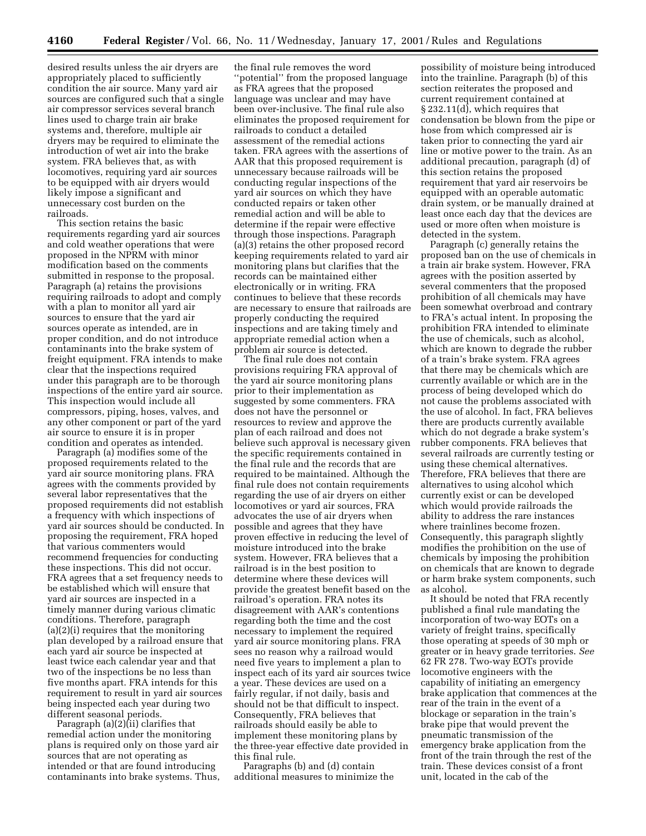desired results unless the air dryers are appropriately placed to sufficiently condition the air source. Many yard air sources are configured such that a single air compressor services several branch lines used to charge train air brake systems and, therefore, multiple air dryers may be required to eliminate the introduction of wet air into the brake system. FRA believes that, as with locomotives, requiring yard air sources to be equipped with air dryers would likely impose a significant and unnecessary cost burden on the railroads.

This section retains the basic requirements regarding yard air sources and cold weather operations that were proposed in the NPRM with minor modification based on the comments submitted in response to the proposal. Paragraph (a) retains the provisions requiring railroads to adopt and comply with a plan to monitor all yard air sources to ensure that the yard air sources operate as intended, are in proper condition, and do not introduce contaminants into the brake system of freight equipment. FRA intends to make clear that the inspections required under this paragraph are to be thorough inspections of the entire yard air source. This inspection would include all compressors, piping, hoses, valves, and any other component or part of the yard air source to ensure it is in proper condition and operates as intended.

Paragraph (a) modifies some of the proposed requirements related to the yard air source monitoring plans. FRA agrees with the comments provided by several labor representatives that the proposed requirements did not establish a frequency with which inspections of yard air sources should be conducted. In proposing the requirement, FRA hoped that various commenters would recommend frequencies for conducting these inspections. This did not occur. FRA agrees that a set frequency needs to be established which will ensure that yard air sources are inspected in a timely manner during various climatic conditions. Therefore, paragraph (a)(2)(i) requires that the monitoring plan developed by a railroad ensure that each yard air source be inspected at least twice each calendar year and that two of the inspections be no less than five months apart. FRA intends for this requirement to result in yard air sources being inspected each year during two different seasonal periods.

Paragraph (a)(2)(ii) clarifies that remedial action under the monitoring plans is required only on those yard air sources that are not operating as intended or that are found introducing contaminants into brake systems. Thus,

the final rule removes the word ''potential'' from the proposed language as FRA agrees that the proposed language was unclear and may have been over-inclusive. The final rule also eliminates the proposed requirement for railroads to conduct a detailed assessment of the remedial actions taken. FRA agrees with the assertions of AAR that this proposed requirement is unnecessary because railroads will be conducting regular inspections of the yard air sources on which they have conducted repairs or taken other remedial action and will be able to determine if the repair were effective through those inspections. Paragraph (a)(3) retains the other proposed record keeping requirements related to yard air monitoring plans but clarifies that the records can be maintained either electronically or in writing. FRA continues to believe that these records are necessary to ensure that railroads are properly conducting the required inspections and are taking timely and appropriate remedial action when a problem air source is detected.

The final rule does not contain provisions requiring FRA approval of the yard air source monitoring plans prior to their implementation as suggested by some commenters. FRA does not have the personnel or resources to review and approve the plan of each railroad and does not believe such approval is necessary given the specific requirements contained in the final rule and the records that are required to be maintained. Although the final rule does not contain requirements regarding the use of air dryers on either locomotives or yard air sources, FRA advocates the use of air dryers when possible and agrees that they have proven effective in reducing the level of moisture introduced into the brake system. However, FRA believes that a railroad is in the best position to determine where these devices will provide the greatest benefit based on the railroad's operation. FRA notes its disagreement with AAR's contentions regarding both the time and the cost necessary to implement the required yard air source monitoring plans. FRA sees no reason why a railroad would need five years to implement a plan to inspect each of its yard air sources twice a year. These devices are used on a fairly regular, if not daily, basis and should not be that difficult to inspect. Consequently, FRA believes that railroads should easily be able to implement these monitoring plans by the three-year effective date provided in this final rule.

Paragraphs (b) and (d) contain additional measures to minimize the

possibility of moisture being introduced into the trainline. Paragraph (b) of this section reiterates the proposed and current requirement contained at § 232.11(d), which requires that condensation be blown from the pipe or hose from which compressed air is taken prior to connecting the yard air line or motive power to the train. As an additional precaution, paragraph (d) of this section retains the proposed requirement that yard air reservoirs be equipped with an operable automatic drain system, or be manually drained at least once each day that the devices are used or more often when moisture is detected in the system.

Paragraph (c) generally retains the proposed ban on the use of chemicals in a train air brake system. However, FRA agrees with the position asserted by several commenters that the proposed prohibition of all chemicals may have been somewhat overbroad and contrary to FRA's actual intent. In proposing the prohibition FRA intended to eliminate the use of chemicals, such as alcohol, which are known to degrade the rubber of a train's brake system. FRA agrees that there may be chemicals which are currently available or which are in the process of being developed which do not cause the problems associated with the use of alcohol. In fact, FRA believes there are products currently available which do not degrade a brake system's rubber components. FRA believes that several railroads are currently testing or using these chemical alternatives. Therefore, FRA believes that there are alternatives to using alcohol which currently exist or can be developed which would provide railroads the ability to address the rare instances where trainlines become frozen. Consequently, this paragraph slightly modifies the prohibition on the use of chemicals by imposing the prohibition on chemicals that are known to degrade or harm brake system components, such as alcohol.

It should be noted that FRA recently published a final rule mandating the incorporation of two-way EOTs on a variety of freight trains, specifically those operating at speeds of 30 mph or greater or in heavy grade territories. *See* 62 FR 278. Two-way EOTs provide locomotive engineers with the capability of initiating an emergency brake application that commences at the rear of the train in the event of a blockage or separation in the train's brake pipe that would prevent the pneumatic transmission of the emergency brake application from the front of the train through the rest of the train. These devices consist of a front unit, located in the cab of the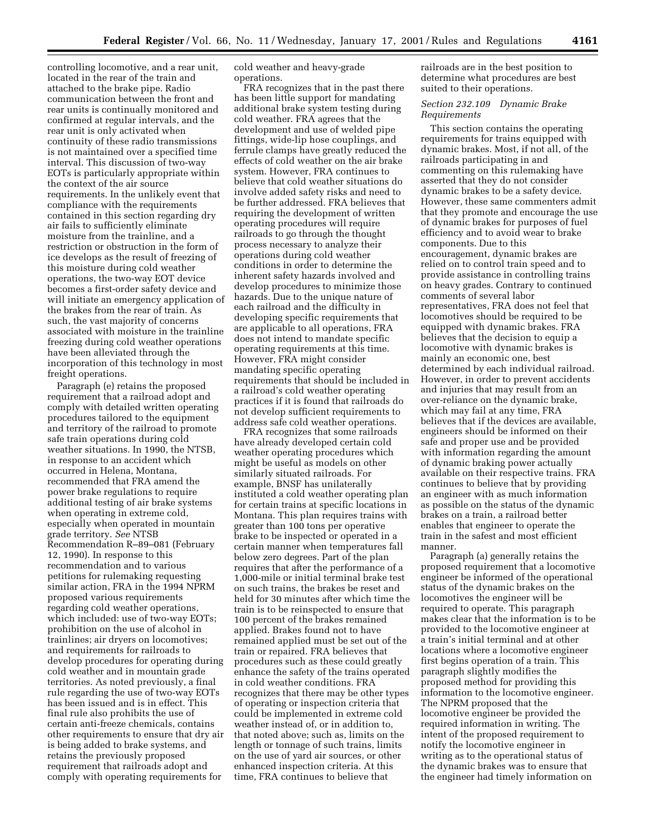controlling locomotive, and a rear unit, located in the rear of the train and attached to the brake pipe. Radio communication between the front and rear units is continually monitored and confirmed at regular intervals, and the rear unit is only activated when continuity of these radio transmissions is not maintained over a specified time interval. This discussion of two-way EOTs is particularly appropriate within the context of the air source requirements. In the unlikely event that compliance with the requirements contained in this section regarding dry air fails to sufficiently eliminate moisture from the trainline, and a restriction or obstruction in the form of ice develops as the result of freezing of this moisture during cold weather operations, the two-way EOT device becomes a first-order safety device and will initiate an emergency application of the brakes from the rear of train. As such, the vast majority of concerns associated with moisture in the trainline freezing during cold weather operations have been alleviated through the incorporation of this technology in most freight operations.

Paragraph (e) retains the proposed requirement that a railroad adopt and comply with detailed written operating procedures tailored to the equipment and territory of the railroad to promote safe train operations during cold weather situations. In 1990, the NTSB, in response to an accident which occurred in Helena, Montana, recommended that FRA amend the power brake regulations to require additional testing of air brake systems when operating in extreme cold, especially when operated in mountain grade territory. *See* NTSB Recommendation R–89–081 (February 12, 1990). In response to this recommendation and to various petitions for rulemaking requesting similar action, FRA in the 1994 NPRM proposed various requirements regarding cold weather operations, which included: use of two-way EOTs; prohibition on the use of alcohol in trainlines; air dryers on locomotives; and requirements for railroads to develop procedures for operating during cold weather and in mountain grade territories. As noted previously, a final rule regarding the use of two-way EOTs has been issued and is in effect. This final rule also prohibits the use of certain anti-freeze chemicals, contains other requirements to ensure that dry air is being added to brake systems, and retains the previously proposed requirement that railroads adopt and comply with operating requirements for

cold weather and heavy-grade operations.

FRA recognizes that in the past there has been little support for mandating additional brake system testing during cold weather. FRA agrees that the development and use of welded pipe fittings, wide-lip hose couplings, and ferrule clamps have greatly reduced the effects of cold weather on the air brake system. However, FRA continues to believe that cold weather situations do involve added safety risks and need to be further addressed. FRA believes that requiring the development of written operating procedures will require railroads to go through the thought process necessary to analyze their operations during cold weather conditions in order to determine the inherent safety hazards involved and develop procedures to minimize those hazards. Due to the unique nature of each railroad and the difficulty in developing specific requirements that are applicable to all operations, FRA does not intend to mandate specific operating requirements at this time. However, FRA might consider mandating specific operating requirements that should be included in a railroad's cold weather operating practices if it is found that railroads do not develop sufficient requirements to address safe cold weather operations.

FRA recognizes that some railroads have already developed certain cold weather operating procedures which might be useful as models on other similarly situated railroads. For example, BNSF has unilaterally instituted a cold weather operating plan for certain trains at specific locations in Montana. This plan requires trains with greater than 100 tons per operative brake to be inspected or operated in a certain manner when temperatures fall below zero degrees. Part of the plan requires that after the performance of a 1,000-mile or initial terminal brake test on such trains, the brakes be reset and held for 30 minutes after which time the train is to be reinspected to ensure that 100 percent of the brakes remained applied. Brakes found not to have remained applied must be set out of the train or repaired. FRA believes that procedures such as these could greatly enhance the safety of the trains operated in cold weather conditions. FRA recognizes that there may be other types of operating or inspection criteria that could be implemented in extreme cold weather instead of, or in addition to, that noted above; such as, limits on the length or tonnage of such trains, limits on the use of yard air sources, or other enhanced inspection criteria. At this time, FRA continues to believe that

railroads are in the best position to determine what procedures are best suited to their operations.

# *Section 232.109 Dynamic Brake Requirements*

This section contains the operating requirements for trains equipped with dynamic brakes. Most, if not all, of the railroads participating in and commenting on this rulemaking have asserted that they do not consider dynamic brakes to be a safety device. However, these same commenters admit that they promote and encourage the use of dynamic brakes for purposes of fuel efficiency and to avoid wear to brake components. Due to this encouragement, dynamic brakes are relied on to control train speed and to provide assistance in controlling trains on heavy grades. Contrary to continued comments of several labor representatives, FRA does not feel that locomotives should be required to be equipped with dynamic brakes. FRA believes that the decision to equip a locomotive with dynamic brakes is mainly an economic one, best determined by each individual railroad. However, in order to prevent accidents and injuries that may result from an over-reliance on the dynamic brake, which may fail at any time, FRA believes that if the devices are available, engineers should be informed on their safe and proper use and be provided with information regarding the amount of dynamic braking power actually available on their respective trains. FRA continues to believe that by providing an engineer with as much information as possible on the status of the dynamic brakes on a train, a railroad better enables that engineer to operate the train in the safest and most efficient manner.

Paragraph (a) generally retains the proposed requirement that a locomotive engineer be informed of the operational status of the dynamic brakes on the locomotives the engineer will be required to operate. This paragraph makes clear that the information is to be provided to the locomotive engineer at a train's initial terminal and at other locations where a locomotive engineer first begins operation of a train. This paragraph slightly modifies the proposed method for providing this information to the locomotive engineer. The NPRM proposed that the locomotive engineer be provided the required information in writing. The intent of the proposed requirement to notify the locomotive engineer in writing as to the operational status of the dynamic brakes was to ensure that the engineer had timely information on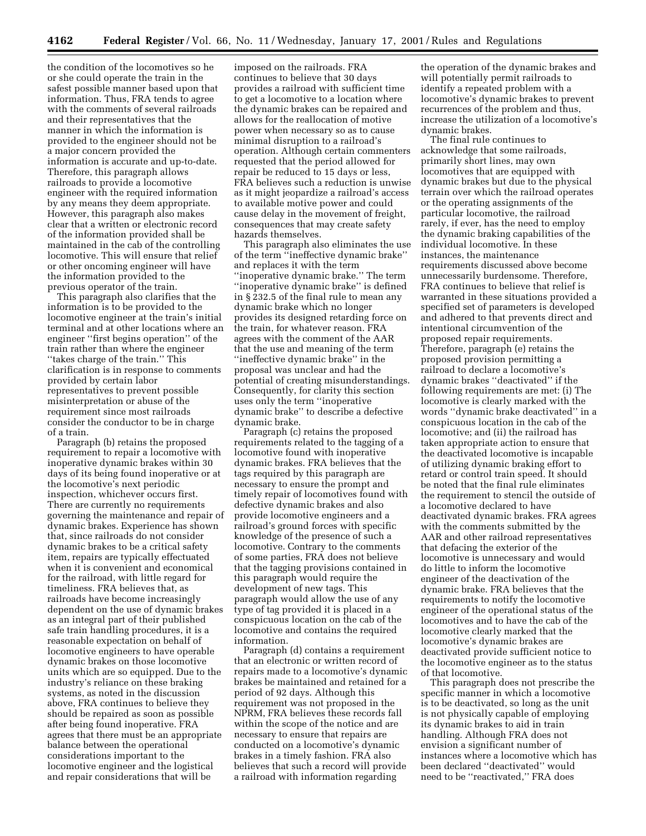the condition of the locomotives so he or she could operate the train in the safest possible manner based upon that information. Thus, FRA tends to agree with the comments of several railroads and their representatives that the manner in which the information is provided to the engineer should not be a major concern provided the information is accurate and up-to-date. Therefore, this paragraph allows railroads to provide a locomotive engineer with the required information by any means they deem appropriate. However, this paragraph also makes clear that a written or electronic record of the information provided shall be maintained in the cab of the controlling locomotive. This will ensure that relief or other oncoming engineer will have the information provided to the previous operator of the train.

This paragraph also clarifies that the information is to be provided to the locomotive engineer at the train's initial terminal and at other locations where an engineer ''first begins operation'' of the train rather than where the engineer ''takes charge of the train.'' This clarification is in response to comments provided by certain labor representatives to prevent possible misinterpretation or abuse of the requirement since most railroads consider the conductor to be in charge of a train.

Paragraph (b) retains the proposed requirement to repair a locomotive with inoperative dynamic brakes within 30 days of its being found inoperative or at the locomotive's next periodic inspection, whichever occurs first. There are currently no requirements governing the maintenance and repair of dynamic brakes. Experience has shown that, since railroads do not consider dynamic brakes to be a critical safety item, repairs are typically effectuated when it is convenient and economical for the railroad, with little regard for timeliness. FRA believes that, as railroads have become increasingly dependent on the use of dynamic brakes as an integral part of their published safe train handling procedures, it is a reasonable expectation on behalf of locomotive engineers to have operable dynamic brakes on those locomotive units which are so equipped. Due to the industry's reliance on these braking systems, as noted in the discussion above, FRA continues to believe they should be repaired as soon as possible after being found inoperative. FRA agrees that there must be an appropriate balance between the operational considerations important to the locomotive engineer and the logistical and repair considerations that will be

imposed on the railroads. FRA continues to believe that 30 days provides a railroad with sufficient time to get a locomotive to a location where the dynamic brakes can be repaired and allows for the reallocation of motive power when necessary so as to cause minimal disruption to a railroad's operation. Although certain commenters requested that the period allowed for repair be reduced to 15 days or less, FRA believes such a reduction is unwise as it might jeopardize a railroad's access to available motive power and could cause delay in the movement of freight, consequences that may create safety hazards themselves.

This paragraph also eliminates the use of the term ''ineffective dynamic brake'' and replaces it with the term ''inoperative dynamic brake.'' The term ''inoperative dynamic brake'' is defined in § 232.5 of the final rule to mean any dynamic brake which no longer provides its designed retarding force on the train, for whatever reason. FRA agrees with the comment of the AAR that the use and meaning of the term ''ineffective dynamic brake'' in the proposal was unclear and had the potential of creating misunderstandings. Consequently, for clarity this section uses only the term ''inoperative dynamic brake'' to describe a defective dynamic brake.

Paragraph (c) retains the proposed requirements related to the tagging of a locomotive found with inoperative dynamic brakes. FRA believes that the tags required by this paragraph are necessary to ensure the prompt and timely repair of locomotives found with defective dynamic brakes and also provide locomotive engineers and a railroad's ground forces with specific knowledge of the presence of such a locomotive. Contrary to the comments of some parties, FRA does not believe that the tagging provisions contained in this paragraph would require the development of new tags. This paragraph would allow the use of any type of tag provided it is placed in a conspicuous location on the cab of the locomotive and contains the required information.

Paragraph (d) contains a requirement that an electronic or written record of repairs made to a locomotive's dynamic brakes be maintained and retained for a period of 92 days. Although this requirement was not proposed in the NPRM, FRA believes these records fall within the scope of the notice and are necessary to ensure that repairs are conducted on a locomotive's dynamic brakes in a timely fashion. FRA also believes that such a record will provide a railroad with information regarding

the operation of the dynamic brakes and will potentially permit railroads to identify a repeated problem with a locomotive's dynamic brakes to prevent recurrences of the problem and thus, increase the utilization of a locomotive's dynamic brakes.

The final rule continues to acknowledge that some railroads, primarily short lines, may own locomotives that are equipped with dynamic brakes but due to the physical terrain over which the railroad operates or the operating assignments of the particular locomotive, the railroad rarely, if ever, has the need to employ the dynamic braking capabilities of the individual locomotive. In these instances, the maintenance requirements discussed above become unnecessarily burdensome. Therefore, FRA continues to believe that relief is warranted in these situations provided a specified set of parameters is developed and adhered to that prevents direct and intentional circumvention of the proposed repair requirements. Therefore, paragraph (e) retains the proposed provision permitting a railroad to declare a locomotive's dynamic brakes ''deactivated'' if the following requirements are met: (i) The locomotive is clearly marked with the words ''dynamic brake deactivated'' in a conspicuous location in the cab of the locomotive; and (ii) the railroad has taken appropriate action to ensure that the deactivated locomotive is incapable of utilizing dynamic braking effort to retard or control train speed. It should be noted that the final rule eliminates the requirement to stencil the outside of a locomotive declared to have deactivated dynamic brakes. FRA agrees with the comments submitted by the AAR and other railroad representatives that defacing the exterior of the locomotive is unnecessary and would do little to inform the locomotive engineer of the deactivation of the dynamic brake. FRA believes that the requirements to notify the locomotive engineer of the operational status of the locomotives and to have the cab of the locomotive clearly marked that the locomotive's dynamic brakes are deactivated provide sufficient notice to the locomotive engineer as to the status of that locomotive.

This paragraph does not prescribe the specific manner in which a locomotive is to be deactivated, so long as the unit is not physically capable of employing its dynamic brakes to aid in train handling. Although FRA does not envision a significant number of instances where a locomotive which has been declared ''deactivated'' would need to be ''reactivated,'' FRA does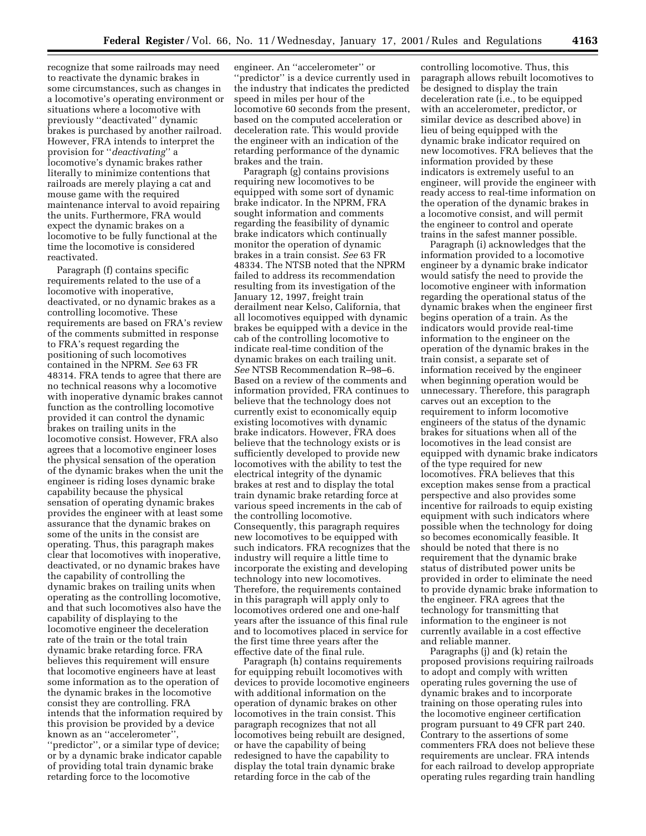recognize that some railroads may need to reactivate the dynamic brakes in some circumstances, such as changes in a locomotive's operating environment or situations where a locomotive with previously ''deactivated'' dynamic brakes is purchased by another railroad. However, FRA intends to interpret the provision for ''*deactivating*'' a locomotive's dynamic brakes rather literally to minimize contentions that railroads are merely playing a cat and mouse game with the required maintenance interval to avoid repairing the units. Furthermore, FRA would expect the dynamic brakes on a locomotive to be fully functional at the time the locomotive is considered reactivated.

Paragraph (f) contains specific requirements related to the use of a locomotive with inoperative, deactivated, or no dynamic brakes as a controlling locomotive. These requirements are based on FRA's review of the comments submitted in response to FRA's request regarding the positioning of such locomotives contained in the NPRM. *See* 63 FR 48314. FRA tends to agree that there are no technical reasons why a locomotive with inoperative dynamic brakes cannot function as the controlling locomotive provided it can control the dynamic brakes on trailing units in the locomotive consist. However, FRA also agrees that a locomotive engineer loses the physical sensation of the operation of the dynamic brakes when the unit the engineer is riding loses dynamic brake capability because the physical sensation of operating dynamic brakes provides the engineer with at least some assurance that the dynamic brakes on some of the units in the consist are operating. Thus, this paragraph makes clear that locomotives with inoperative, deactivated, or no dynamic brakes have the capability of controlling the dynamic brakes on trailing units when operating as the controlling locomotive, and that such locomotives also have the capability of displaying to the locomotive engineer the deceleration rate of the train or the total train dynamic brake retarding force. FRA believes this requirement will ensure that locomotive engineers have at least some information as to the operation of the dynamic brakes in the locomotive consist they are controlling. FRA intends that the information required by this provision be provided by a device known as an ''accelerometer'', ''predictor'', or a similar type of device; or by a dynamic brake indicator capable of providing total train dynamic brake retarding force to the locomotive

engineer. An ''accelerometer'' or 'predictor'' is a device currently used in the industry that indicates the predicted speed in miles per hour of the locomotive 60 seconds from the present, based on the computed acceleration or deceleration rate. This would provide the engineer with an indication of the retarding performance of the dynamic brakes and the train.

Paragraph (g) contains provisions requiring new locomotives to be equipped with some sort of dynamic brake indicator. In the NPRM, FRA sought information and comments regarding the feasibility of dynamic brake indicators which continually monitor the operation of dynamic brakes in a train consist. *See* 63 FR 48334. The NTSB noted that the NPRM failed to address its recommendation resulting from its investigation of the January 12, 1997, freight train derailment near Kelso, California, that all locomotives equipped with dynamic brakes be equipped with a device in the cab of the controlling locomotive to indicate real-time condition of the dynamic brakes on each trailing unit. *See* NTSB Recommendation R–98–6. Based on a review of the comments and information provided, FRA continues to believe that the technology does not currently exist to economically equip existing locomotives with dynamic brake indicators. However, FRA does believe that the technology exists or is sufficiently developed to provide new locomotives with the ability to test the electrical integrity of the dynamic brakes at rest and to display the total train dynamic brake retarding force at various speed increments in the cab of the controlling locomotive. Consequently, this paragraph requires new locomotives to be equipped with such indicators. FRA recognizes that the industry will require a little time to incorporate the existing and developing technology into new locomotives. Therefore, the requirements contained in this paragraph will apply only to locomotives ordered one and one-half years after the issuance of this final rule and to locomotives placed in service for the first time three years after the effective date of the final rule.

Paragraph (h) contains requirements for equipping rebuilt locomotives with devices to provide locomotive engineers with additional information on the operation of dynamic brakes on other locomotives in the train consist. This paragraph recognizes that not all locomotives being rebuilt are designed, or have the capability of being redesigned to have the capability to display the total train dynamic brake retarding force in the cab of the

controlling locomotive. Thus, this paragraph allows rebuilt locomotives to be designed to display the train deceleration rate (i.e., to be equipped with an accelerometer, predictor, or similar device as described above) in lieu of being equipped with the dynamic brake indicator required on new locomotives. FRA believes that the information provided by these indicators is extremely useful to an engineer, will provide the engineer with ready access to real-time information on the operation of the dynamic brakes in a locomotive consist, and will permit the engineer to control and operate trains in the safest manner possible.

Paragraph (i) acknowledges that the information provided to a locomotive engineer by a dynamic brake indicator would satisfy the need to provide the locomotive engineer with information regarding the operational status of the dynamic brakes when the engineer first begins operation of a train. As the indicators would provide real-time information to the engineer on the operation of the dynamic brakes in the train consist, a separate set of information received by the engineer when beginning operation would be unnecessary. Therefore, this paragraph carves out an exception to the requirement to inform locomotive engineers of the status of the dynamic brakes for situations when all of the locomotives in the lead consist are equipped with dynamic brake indicators of the type required for new locomotives. FRA believes that this exception makes sense from a practical perspective and also provides some incentive for railroads to equip existing equipment with such indicators where possible when the technology for doing so becomes economically feasible. It should be noted that there is no requirement that the dynamic brake status of distributed power units be provided in order to eliminate the need to provide dynamic brake information to the engineer. FRA agrees that the technology for transmitting that information to the engineer is not currently available in a cost effective and reliable manner.

Paragraphs (j) and (k) retain the proposed provisions requiring railroads to adopt and comply with written operating rules governing the use of dynamic brakes and to incorporate training on those operating rules into the locomotive engineer certification program pursuant to 49 CFR part 240. Contrary to the assertions of some commenters FRA does not believe these requirements are unclear. FRA intends for each railroad to develop appropriate operating rules regarding train handling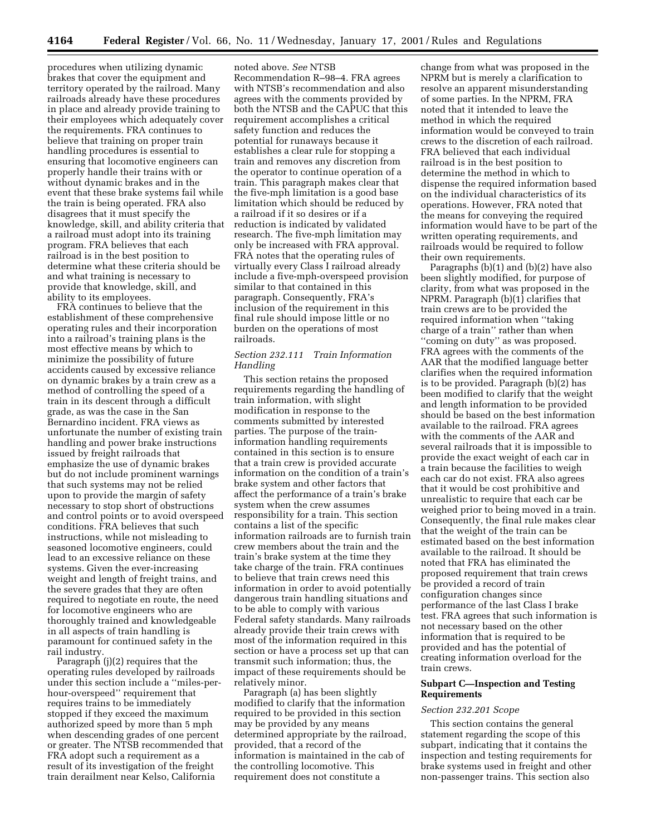procedures when utilizing dynamic brakes that cover the equipment and territory operated by the railroad. Many railroads already have these procedures in place and already provide training to their employees which adequately cover the requirements. FRA continues to believe that training on proper train handling procedures is essential to ensuring that locomotive engineers can properly handle their trains with or without dynamic brakes and in the event that these brake systems fail while the train is being operated. FRA also disagrees that it must specify the knowledge, skill, and ability criteria that a railroad must adopt into its training program. FRA believes that each railroad is in the best position to determine what these criteria should be and what training is necessary to provide that knowledge, skill, and ability to its employees.

FRA continues to believe that the establishment of these comprehensive operating rules and their incorporation into a railroad's training plans is the most effective means by which to minimize the possibility of future accidents caused by excessive reliance on dynamic brakes by a train crew as a method of controlling the speed of a train in its descent through a difficult grade, as was the case in the San Bernardino incident. FRA views as unfortunate the number of existing train handling and power brake instructions issued by freight railroads that emphasize the use of dynamic brakes but do not include prominent warnings that such systems may not be relied upon to provide the margin of safety necessary to stop short of obstructions and control points or to avoid overspeed conditions. FRA believes that such instructions, while not misleading to seasoned locomotive engineers, could lead to an excessive reliance on these systems. Given the ever-increasing weight and length of freight trains, and the severe grades that they are often required to negotiate en route, the need for locomotive engineers who are thoroughly trained and knowledgeable in all aspects of train handling is paramount for continued safety in the rail industry.

Paragraph (j)(2) requires that the operating rules developed by railroads under this section include a ''miles-perhour-overspeed'' requirement that requires trains to be immediately stopped if they exceed the maximum authorized speed by more than 5 mph when descending grades of one percent or greater. The NTSB recommended that FRA adopt such a requirement as a result of its investigation of the freight train derailment near Kelso, California

noted above. *See* NTSB Recommendation R–98–4. FRA agrees with NTSB's recommendation and also agrees with the comments provided by both the NTSB and the CAPUC that this requirement accomplishes a critical safety function and reduces the potential for runaways because it establishes a clear rule for stopping a train and removes any discretion from the operator to continue operation of a train. This paragraph makes clear that the five-mph limitation is a good base limitation which should be reduced by a railroad if it so desires or if a reduction is indicated by validated research. The five-mph limitation may only be increased with FRA approval. FRA notes that the operating rules of virtually every Class I railroad already include a five-mph-overspeed provision similar to that contained in this paragraph. Consequently, FRA's inclusion of the requirement in this final rule should impose little or no burden on the operations of most railroads.

# *Section 232.111 Train Information Handling*

This section retains the proposed requirements regarding the handling of train information, with slight modification in response to the comments submitted by interested parties. The purpose of the traininformation handling requirements contained in this section is to ensure that a train crew is provided accurate information on the condition of a train's brake system and other factors that affect the performance of a train's brake system when the crew assumes responsibility for a train. This section contains a list of the specific information railroads are to furnish train crew members about the train and the train's brake system at the time they take charge of the train. FRA continues to believe that train crews need this information in order to avoid potentially dangerous train handling situations and to be able to comply with various Federal safety standards. Many railroads already provide their train crews with most of the information required in this section or have a process set up that can transmit such information; thus, the impact of these requirements should be relatively minor.

Paragraph (a) has been slightly modified to clarify that the information required to be provided in this section may be provided by any means determined appropriate by the railroad, provided, that a record of the information is maintained in the cab of the controlling locomotive. This requirement does not constitute a

change from what was proposed in the NPRM but is merely a clarification to resolve an apparent misunderstanding of some parties. In the NPRM, FRA noted that it intended to leave the method in which the required information would be conveyed to train crews to the discretion of each railroad. FRA believed that each individual railroad is in the best position to determine the method in which to dispense the required information based on the individual characteristics of its operations. However, FRA noted that the means for conveying the required information would have to be part of the written operating requirements, and railroads would be required to follow their own requirements.

Paragraphs (b)(1) and (b)(2) have also been slightly modified, for purpose of clarity, from what was proposed in the NPRM. Paragraph (b)(1) clarifies that train crews are to be provided the required information when ''taking charge of a train'' rather than when ''coming on duty'' as was proposed. FRA agrees with the comments of the AAR that the modified language better clarifies when the required information is to be provided. Paragraph (b)(2) has been modified to clarify that the weight and length information to be provided should be based on the best information available to the railroad. FRA agrees with the comments of the AAR and several railroads that it is impossible to provide the exact weight of each car in a train because the facilities to weigh each car do not exist. FRA also agrees that it would be cost prohibitive and unrealistic to require that each car be weighed prior to being moved in a train. Consequently, the final rule makes clear that the weight of the train can be estimated based on the best information available to the railroad. It should be noted that FRA has eliminated the proposed requirement that train crews be provided a record of train configuration changes since performance of the last Class I brake test. FRA agrees that such information is not necessary based on the other information that is required to be provided and has the potential of creating information overload for the train crews.

## **Subpart C—Inspection and Testing Requirements**

### *Section 232.201 Scope*

This section contains the general statement regarding the scope of this subpart, indicating that it contains the inspection and testing requirements for brake systems used in freight and other non-passenger trains. This section also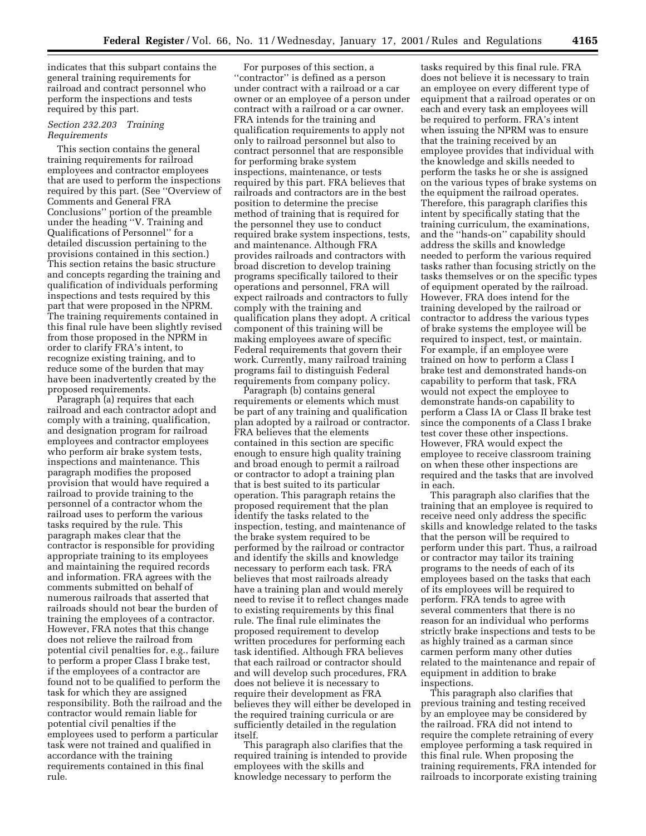indicates that this subpart contains the general training requirements for railroad and contract personnel who perform the inspections and tests required by this part.

### *Section 232.203 Training Requirements*

This section contains the general training requirements for railroad employees and contractor employees that are used to perform the inspections required by this part. (See ''Overview of Comments and General FRA Conclusions'' portion of the preamble under the heading ''V. Training and Qualifications of Personnel'' for a detailed discussion pertaining to the provisions contained in this section.) This section retains the basic structure and concepts regarding the training and qualification of individuals performing inspections and tests required by this part that were proposed in the NPRM. The training requirements contained in this final rule have been slightly revised from those proposed in the NPRM in order to clarify FRA's intent, to recognize existing training, and to reduce some of the burden that may have been inadvertently created by the proposed requirements.

Paragraph (a) requires that each railroad and each contractor adopt and comply with a training, qualification, and designation program for railroad employees and contractor employees who perform air brake system tests, inspections and maintenance. This paragraph modifies the proposed provision that would have required a railroad to provide training to the personnel of a contractor whom the railroad uses to perform the various tasks required by the rule. This paragraph makes clear that the contractor is responsible for providing appropriate training to its employees and maintaining the required records and information. FRA agrees with the comments submitted on behalf of numerous railroads that asserted that railroads should not bear the burden of training the employees of a contractor. However, FRA notes that this change does not relieve the railroad from potential civil penalties for, e.g., failure to perform a proper Class I brake test, if the employees of a contractor are found not to be qualified to perform the task for which they are assigned responsibility. Both the railroad and the contractor would remain liable for potential civil penalties if the employees used to perform a particular task were not trained and qualified in accordance with the training requirements contained in this final rule.

For purposes of this section, a ''contractor'' is defined as a person under contract with a railroad or a car owner or an employee of a person under contract with a railroad or a car owner. FRA intends for the training and qualification requirements to apply not only to railroad personnel but also to contract personnel that are responsible for performing brake system inspections, maintenance, or tests required by this part. FRA believes that railroads and contractors are in the best position to determine the precise method of training that is required for the personnel they use to conduct required brake system inspections, tests, and maintenance. Although FRA provides railroads and contractors with broad discretion to develop training programs specifically tailored to their operations and personnel, FRA will expect railroads and contractors to fully comply with the training and qualification plans they adopt. A critical component of this training will be making employees aware of specific Federal requirements that govern their work. Currently, many railroad training programs fail to distinguish Federal requirements from company policy.

Paragraph (b) contains general requirements or elements which must be part of any training and qualification plan adopted by a railroad or contractor. FRA believes that the elements contained in this section are specific enough to ensure high quality training and broad enough to permit a railroad or contractor to adopt a training plan that is best suited to its particular operation. This paragraph retains the proposed requirement that the plan identify the tasks related to the inspection, testing, and maintenance of the brake system required to be performed by the railroad or contractor and identify the skills and knowledge necessary to perform each task. FRA believes that most railroads already have a training plan and would merely need to revise it to reflect changes made to existing requirements by this final rule. The final rule eliminates the proposed requirement to develop written procedures for performing each task identified. Although FRA believes that each railroad or contractor should and will develop such procedures, FRA does not believe it is necessary to require their development as FRA believes they will either be developed in the required training curricula or are sufficiently detailed in the regulation itself.

This paragraph also clarifies that the required training is intended to provide employees with the skills and knowledge necessary to perform the

tasks required by this final rule. FRA does not believe it is necessary to train an employee on every different type of equipment that a railroad operates or on each and every task an employees will be required to perform. FRA's intent when issuing the NPRM was to ensure that the training received by an employee provides that individual with the knowledge and skills needed to perform the tasks he or she is assigned on the various types of brake systems on the equipment the railroad operates. Therefore, this paragraph clarifies this intent by specifically stating that the training curriculum, the examinations, and the ''hands-on'' capability should address the skills and knowledge needed to perform the various required tasks rather than focusing strictly on the tasks themselves or on the specific types of equipment operated by the railroad. However, FRA does intend for the training developed by the railroad or contractor to address the various types of brake systems the employee will be required to inspect, test, or maintain. For example, if an employee were trained on how to perform a Class I brake test and demonstrated hands-on capability to perform that task, FRA would not expect the employee to demonstrate hands-on capability to perform a Class IA or Class II brake test since the components of a Class I brake test cover these other inspections. However, FRA would expect the employee to receive classroom training on when these other inspections are required and the tasks that are involved in each.

This paragraph also clarifies that the training that an employee is required to receive need only address the specific skills and knowledge related to the tasks that the person will be required to perform under this part. Thus, a railroad or contractor may tailor its training programs to the needs of each of its employees based on the tasks that each of its employees will be required to perform. FRA tends to agree with several commenters that there is no reason for an individual who performs strictly brake inspections and tests to be as highly trained as a carman since carmen perform many other duties related to the maintenance and repair of equipment in addition to brake inspections.

This paragraph also clarifies that previous training and testing received by an employee may be considered by the railroad. FRA did not intend to require the complete retraining of every employee performing a task required in this final rule. When proposing the training requirements, FRA intended for railroads to incorporate existing training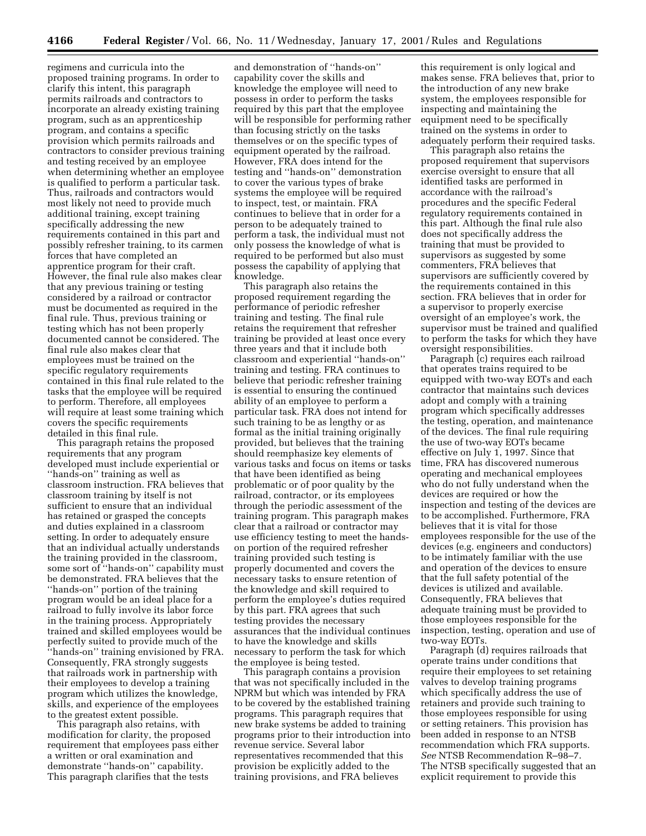regimens and curricula into the proposed training programs. In order to clarify this intent, this paragraph permits railroads and contractors to incorporate an already existing training program, such as an apprenticeship program, and contains a specific provision which permits railroads and contractors to consider previous training and testing received by an employee when determining whether an employee is qualified to perform a particular task. Thus, railroads and contractors would most likely not need to provide much additional training, except training specifically addressing the new requirements contained in this part and possibly refresher training, to its carmen forces that have completed an apprentice program for their craft. However, the final rule also makes clear that any previous training or testing considered by a railroad or contractor must be documented as required in the final rule. Thus, previous training or testing which has not been properly documented cannot be considered. The final rule also makes clear that employees must be trained on the specific regulatory requirements contained in this final rule related to the tasks that the employee will be required to perform. Therefore, all employees will require at least some training which covers the specific requirements detailed in this final rule.

This paragraph retains the proposed requirements that any program developed must include experiential or ''hands-on'' training as well as classroom instruction. FRA believes that classroom training by itself is not sufficient to ensure that an individual has retained or grasped the concepts and duties explained in a classroom setting. In order to adequately ensure that an individual actually understands the training provided in the classroom, some sort of ''hands-on'' capability must be demonstrated. FRA believes that the ''hands-on'' portion of the training program would be an ideal place for a railroad to fully involve its labor force in the training process. Appropriately trained and skilled employees would be perfectly suited to provide much of the ''hands-on'' training envisioned by FRA. Consequently, FRA strongly suggests that railroads work in partnership with their employees to develop a training program which utilizes the knowledge, skills, and experience of the employees to the greatest extent possible.

This paragraph also retains, with modification for clarity, the proposed requirement that employees pass either a written or oral examination and demonstrate ''hands-on'' capability. This paragraph clarifies that the tests

and demonstration of ''hands-on'' capability cover the skills and knowledge the employee will need to possess in order to perform the tasks required by this part that the employee will be responsible for performing rather than focusing strictly on the tasks themselves or on the specific types of equipment operated by the railroad. However, FRA does intend for the testing and ''hands-on'' demonstration to cover the various types of brake systems the employee will be required to inspect, test, or maintain. FRA continues to believe that in order for a person to be adequately trained to perform a task, the individual must not only possess the knowledge of what is required to be performed but also must possess the capability of applying that knowledge.

This paragraph also retains the proposed requirement regarding the performance of periodic refresher training and testing. The final rule retains the requirement that refresher training be provided at least once every three years and that it include both classroom and experiential ''hands-on'' training and testing. FRA continues to believe that periodic refresher training is essential to ensuring the continued ability of an employee to perform a particular task. FRA does not intend for such training to be as lengthy or as formal as the initial training originally provided, but believes that the training should reemphasize key elements of various tasks and focus on items or tasks that have been identified as being problematic or of poor quality by the railroad, contractor, or its employees through the periodic assessment of the training program. This paragraph makes clear that a railroad or contractor may use efficiency testing to meet the handson portion of the required refresher training provided such testing is properly documented and covers the necessary tasks to ensure retention of the knowledge and skill required to perform the employee's duties required by this part. FRA agrees that such testing provides the necessary assurances that the individual continues to have the knowledge and skills necessary to perform the task for which the employee is being tested.

This paragraph contains a provision that was not specifically included in the NPRM but which was intended by FRA to be covered by the established training programs. This paragraph requires that new brake systems be added to training programs prior to their introduction into revenue service. Several labor representatives recommended that this provision be explicitly added to the training provisions, and FRA believes

this requirement is only logical and makes sense. FRA believes that, prior to the introduction of any new brake system, the employees responsible for inspecting and maintaining the equipment need to be specifically trained on the systems in order to adequately perform their required tasks.

This paragraph also retains the proposed requirement that supervisors exercise oversight to ensure that all identified tasks are performed in accordance with the railroad's procedures and the specific Federal regulatory requirements contained in this part. Although the final rule also does not specifically address the training that must be provided to supervisors as suggested by some commenters, FRA believes that supervisors are sufficiently covered by the requirements contained in this section. FRA believes that in order for a supervisor to properly exercise oversight of an employee's work, the supervisor must be trained and qualified to perform the tasks for which they have oversight responsibilities.

Paragraph (c) requires each railroad that operates trains required to be equipped with two-way EOTs and each contractor that maintains such devices adopt and comply with a training program which specifically addresses the testing, operation, and maintenance of the devices. The final rule requiring the use of two-way EOTs became effective on July 1, 1997. Since that time, FRA has discovered numerous operating and mechanical employees who do not fully understand when the devices are required or how the inspection and testing of the devices are to be accomplished. Furthermore, FRA believes that it is vital for those employees responsible for the use of the devices (e.g. engineers and conductors) to be intimately familiar with the use and operation of the devices to ensure that the full safety potential of the devices is utilized and available. Consequently, FRA believes that adequate training must be provided to those employees responsible for the inspection, testing, operation and use of two-way EOTs.

Paragraph (d) requires railroads that operate trains under conditions that require their employees to set retaining valves to develop training programs which specifically address the use of retainers and provide such training to those employees responsible for using or setting retainers. This provision has been added in response to an NTSB recommendation which FRA supports. *See* NTSB Recommendation R–98–7. The NTSB specifically suggested that an explicit requirement to provide this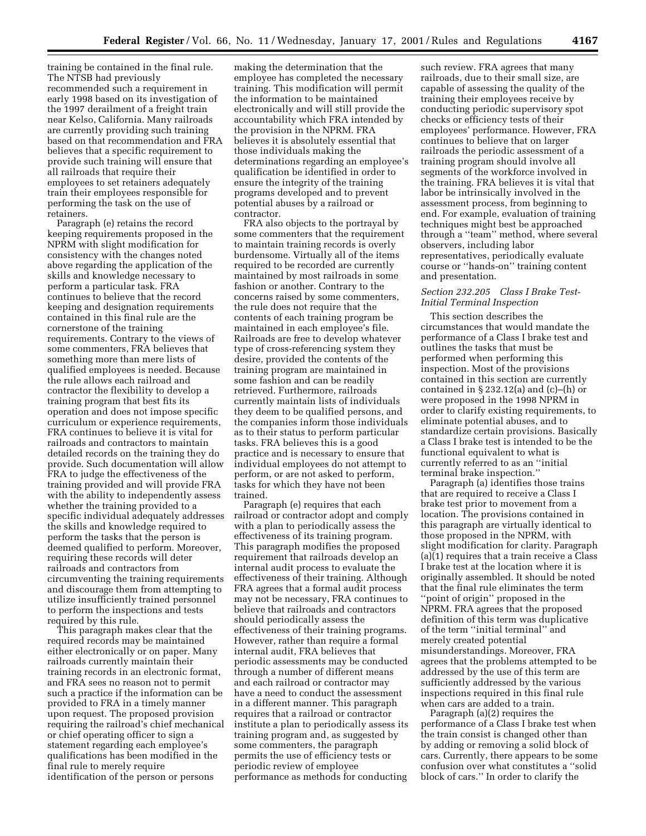training be contained in the final rule. The NTSB had previously recommended such a requirement in early 1998 based on its investigation of the 1997 derailment of a freight train near Kelso, California. Many railroads are currently providing such training based on that recommendation and FRA believes that a specific requirement to provide such training will ensure that all railroads that require their employees to set retainers adequately train their employees responsible for performing the task on the use of retainers.

Paragraph (e) retains the record keeping requirements proposed in the NPRM with slight modification for consistency with the changes noted above regarding the application of the skills and knowledge necessary to perform a particular task. FRA continues to believe that the record keeping and designation requirements contained in this final rule are the cornerstone of the training requirements. Contrary to the views of some commenters, FRA believes that something more than mere lists of qualified employees is needed. Because the rule allows each railroad and contractor the flexibility to develop a training program that best fits its operation and does not impose specific curriculum or experience requirements, FRA continues to believe it is vital for railroads and contractors to maintain detailed records on the training they do provide. Such documentation will allow FRA to judge the effectiveness of the training provided and will provide FRA with the ability to independently assess whether the training provided to a specific individual adequately addresses the skills and knowledge required to perform the tasks that the person is deemed qualified to perform. Moreover, requiring these records will deter railroads and contractors from circumventing the training requirements and discourage them from attempting to utilize insufficiently trained personnel to perform the inspections and tests required by this rule.

This paragraph makes clear that the required records may be maintained either electronically or on paper. Many railroads currently maintain their training records in an electronic format, and FRA sees no reason not to permit such a practice if the information can be provided to FRA in a timely manner upon request. The proposed provision requiring the railroad's chief mechanical or chief operating officer to sign a statement regarding each employee's qualifications has been modified in the final rule to merely require identification of the person or persons

making the determination that the employee has completed the necessary training. This modification will permit the information to be maintained electronically and will still provide the accountability which FRA intended by the provision in the NPRM. FRA believes it is absolutely essential that those individuals making the determinations regarding an employee's qualification be identified in order to ensure the integrity of the training programs developed and to prevent potential abuses by a railroad or contractor.

FRA also objects to the portrayal by some commenters that the requirement to maintain training records is overly burdensome. Virtually all of the items required to be recorded are currently maintained by most railroads in some fashion or another. Contrary to the concerns raised by some commenters, the rule does not require that the contents of each training program be maintained in each employee's file. Railroads are free to develop whatever type of cross-referencing system they desire, provided the contents of the training program are maintained in some fashion and can be readily retrieved. Furthermore, railroads currently maintain lists of individuals they deem to be qualified persons, and the companies inform those individuals as to their status to perform particular tasks. FRA believes this is a good practice and is necessary to ensure that individual employees do not attempt to perform, or are not asked to perform, tasks for which they have not been trained.

Paragraph (e) requires that each railroad or contractor adopt and comply with a plan to periodically assess the effectiveness of its training program. This paragraph modifies the proposed requirement that railroads develop an internal audit process to evaluate the effectiveness of their training. Although FRA agrees that a formal audit process may not be necessary, FRA continues to believe that railroads and contractors should periodically assess the effectiveness of their training programs. However, rather than require a formal internal audit, FRA believes that periodic assessments may be conducted through a number of different means and each railroad or contractor may have a need to conduct the assessment in a different manner. This paragraph requires that a railroad or contractor institute a plan to periodically assess its training program and, as suggested by some commenters, the paragraph permits the use of efficiency tests or periodic review of employee performance as methods for conducting

such review. FRA agrees that many railroads, due to their small size, are capable of assessing the quality of the training their employees receive by conducting periodic supervisory spot checks or efficiency tests of their employees' performance. However, FRA continues to believe that on larger railroads the periodic assessment of a training program should involve all segments of the workforce involved in the training. FRA believes it is vital that labor be intrinsically involved in the assessment process, from beginning to end. For example, evaluation of training techniques might best be approached through a ''team'' method, where several observers, including labor representatives, periodically evaluate course or ''hands-on'' training content and presentation.

## *Section 232.205 Class I Brake Test-Initial Terminal Inspection*

This section describes the circumstances that would mandate the performance of a Class I brake test and outlines the tasks that must be performed when performing this inspection. Most of the provisions contained in this section are currently contained in  $\S 232.12(a)$  and  $(c)$ –(h) or were proposed in the 1998 NPRM in order to clarify existing requirements, to eliminate potential abuses, and to standardize certain provisions. Basically a Class I brake test is intended to be the functional equivalent to what is currently referred to as an ''initial terminal brake inspection.

Paragraph (a) identifies those trains that are required to receive a Class I brake test prior to movement from a location. The provisions contained in this paragraph are virtually identical to those proposed in the NPRM, with slight modification for clarity. Paragraph (a)(1) requires that a train receive a Class I brake test at the location where it is originally assembled. It should be noted that the final rule eliminates the term ''point of origin'' proposed in the NPRM. FRA agrees that the proposed definition of this term was duplicative of the term ''initial terminal'' and merely created potential misunderstandings. Moreover, FRA agrees that the problems attempted to be addressed by the use of this term are sufficiently addressed by the various inspections required in this final rule when cars are added to a train.

Paragraph (a)(2) requires the performance of a Class I brake test when the train consist is changed other than by adding or removing a solid block of cars. Currently, there appears to be some confusion over what constitutes a ''solid block of cars.'' In order to clarify the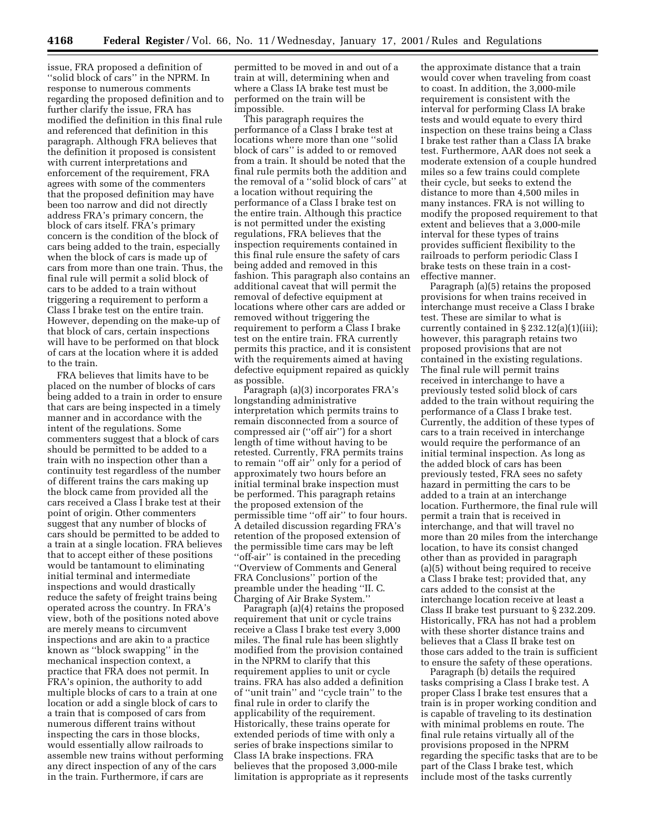issue, FRA proposed a definition of ''solid block of cars'' in the NPRM. In response to numerous comments regarding the proposed definition and to further clarify the issue, FRA has modified the definition in this final rule and referenced that definition in this paragraph. Although FRA believes that the definition it proposed is consistent with current interpretations and enforcement of the requirement, FRA agrees with some of the commenters that the proposed definition may have been too narrow and did not directly address FRA's primary concern, the block of cars itself. FRA's primary concern is the condition of the block of cars being added to the train, especially when the block of cars is made up of cars from more than one train. Thus, the final rule will permit a solid block of cars to be added to a train without triggering a requirement to perform a Class I brake test on the entire train. However, depending on the make-up of that block of cars, certain inspections will have to be performed on that block of cars at the location where it is added to the train.

FRA believes that limits have to be placed on the number of blocks of cars being added to a train in order to ensure that cars are being inspected in a timely manner and in accordance with the intent of the regulations. Some commenters suggest that a block of cars should be permitted to be added to a train with no inspection other than a continuity test regardless of the number of different trains the cars making up the block came from provided all the cars received a Class I brake test at their point of origin. Other commenters suggest that any number of blocks of cars should be permitted to be added to a train at a single location. FRA believes that to accept either of these positions would be tantamount to eliminating initial terminal and intermediate inspections and would drastically reduce the safety of freight trains being operated across the country. In FRA's view, both of the positions noted above are merely means to circumvent inspections and are akin to a practice known as ''block swapping'' in the mechanical inspection context, a practice that FRA does not permit. In FRA's opinion, the authority to add multiple blocks of cars to a train at one location or add a single block of cars to a train that is composed of cars from numerous different trains without inspecting the cars in those blocks, would essentially allow railroads to assemble new trains without performing any direct inspection of any of the cars in the train. Furthermore, if cars are

permitted to be moved in and out of a train at will, determining when and where a Class IA brake test must be performed on the train will be impossible.

This paragraph requires the performance of a Class I brake test at locations where more than one ''solid block of cars'' is added to or removed from a train. It should be noted that the final rule permits both the addition and the removal of a ''solid block of cars'' at a location without requiring the performance of a Class I brake test on the entire train. Although this practice is not permitted under the existing regulations, FRA believes that the inspection requirements contained in this final rule ensure the safety of cars being added and removed in this fashion. This paragraph also contains an additional caveat that will permit the removal of defective equipment at locations where other cars are added or removed without triggering the requirement to perform a Class I brake test on the entire train. FRA currently permits this practice, and it is consistent with the requirements aimed at having defective equipment repaired as quickly as possible.

Paragraph (a)(3) incorporates FRA's longstanding administrative interpretation which permits trains to remain disconnected from a source of compressed air (''off air'') for a short length of time without having to be retested. Currently, FRA permits trains to remain ''off air'' only for a period of approximately two hours before an initial terminal brake inspection must be performed. This paragraph retains the proposed extension of the permissible time ''off air'' to four hours. A detailed discussion regarding FRA's retention of the proposed extension of the permissible time cars may be left ''off-air'' is contained in the preceding ''Overview of Comments and General FRA Conclusions'' portion of the preamble under the heading ''II. C. Charging of Air Brake System.''

Paragraph (a)(4) retains the proposed requirement that unit or cycle trains receive a Class I brake test every 3,000 miles. The final rule has been slightly modified from the provision contained in the NPRM to clarify that this requirement applies to unit or cycle trains. FRA has also added a definition of ''unit train'' and ''cycle train'' to the final rule in order to clarify the applicability of the requirement. Historically, these trains operate for extended periods of time with only a series of brake inspections similar to Class IA brake inspections. FRA believes that the proposed 3,000-mile limitation is appropriate as it represents

the approximate distance that a train would cover when traveling from coast to coast. In addition, the 3,000-mile requirement is consistent with the interval for performing Class IA brake tests and would equate to every third inspection on these trains being a Class I brake test rather than a Class IA brake test. Furthermore, AAR does not seek a moderate extension of a couple hundred miles so a few trains could complete their cycle, but seeks to extend the distance to more than 4,500 miles in many instances. FRA is not willing to modify the proposed requirement to that extent and believes that a 3,000-mile interval for these types of trains provides sufficient flexibility to the railroads to perform periodic Class I brake tests on these train in a costeffective manner.

Paragraph (a)(5) retains the proposed provisions for when trains received in interchange must receive a Class I brake test. These are similar to what is currently contained in § 232.12(a)(1)(iii); however, this paragraph retains two proposed provisions that are not contained in the existing regulations. The final rule will permit trains received in interchange to have a previously tested solid block of cars added to the train without requiring the performance of a Class I brake test. Currently, the addition of these types of cars to a train received in interchange would require the performance of an initial terminal inspection. As long as the added block of cars has been previously tested, FRA sees no safety hazard in permitting the cars to be added to a train at an interchange location. Furthermore, the final rule will permit a train that is received in interchange, and that will travel no more than 20 miles from the interchange location, to have its consist changed other than as provided in paragraph (a)(5) without being required to receive a Class I brake test; provided that, any cars added to the consist at the interchange location receive at least a Class II brake test pursuant to § 232.209. Historically, FRA has not had a problem with these shorter distance trains and believes that a Class II brake test on those cars added to the train is sufficient to ensure the safety of these operations.

Paragraph (b) details the required tasks comprising a Class I brake test. A proper Class I brake test ensures that a train is in proper working condition and is capable of traveling to its destination with minimal problems en route. The final rule retains virtually all of the provisions proposed in the NPRM regarding the specific tasks that are to be part of the Class I brake test, which include most of the tasks currently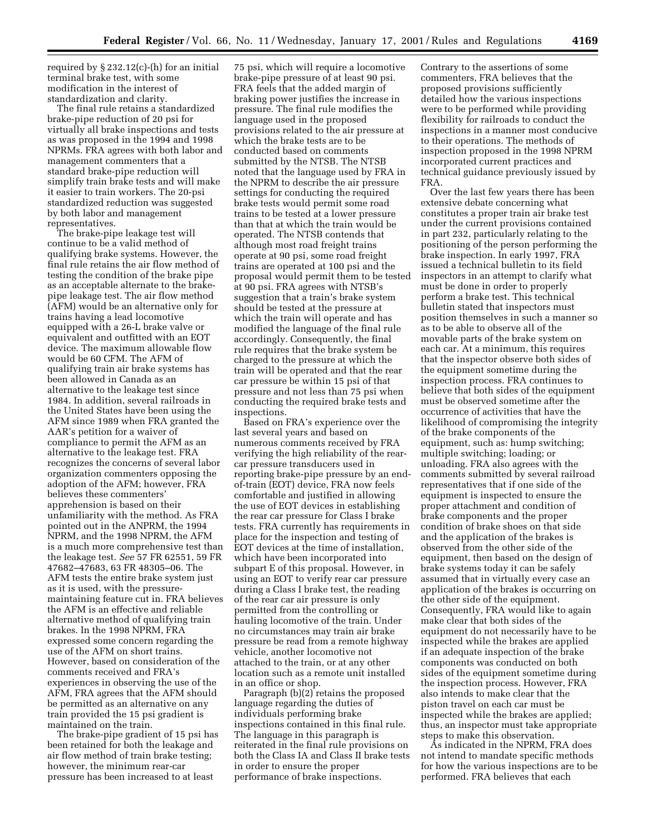required by  $\S 232.12(c)$ -(h) for an initial terminal brake test, with some modification in the interest of standardization and clarity.

The final rule retains a standardized brake-pipe reduction of 20 psi for virtually all brake inspections and tests as was proposed in the 1994 and 1998 NPRMs. FRA agrees with both labor and management commenters that a standard brake-pipe reduction will simplify train brake tests and will make it easier to train workers. The 20-psi standardized reduction was suggested by both labor and management representatives.

The brake-pipe leakage test will continue to be a valid method of qualifying brake systems. However, the final rule retains the air flow method of testing the condition of the brake pipe as an acceptable alternate to the brakepipe leakage test. The air flow method (AFM) would be an alternative only for trains having a lead locomotive equipped with a 26-L brake valve or equivalent and outfitted with an EOT device. The maximum allowable flow would be 60 CFM. The AFM of qualifying train air brake systems has been allowed in Canada as an alternative to the leakage test since 1984. In addition, several railroads in the United States have been using the AFM since 1989 when FRA granted the AAR's petition for a waiver of compliance to permit the AFM as an alternative to the leakage test. FRA recognizes the concerns of several labor organization commenters opposing the adoption of the AFM; however, FRA believes these commenters' apprehension is based on their unfamiliarity with the method. As FRA pointed out in the ANPRM, the 1994 NPRM, and the 1998 NPRM, the AFM is a much more comprehensive test than the leakage test. *See* 57 FR 62551, 59 FR 47682–47683, 63 FR 48305–06. The AFM tests the entire brake system just as it is used, with the pressuremaintaining feature cut in. FRA believes the AFM is an effective and reliable alternative method of qualifying train brakes. In the 1998 NPRM, FRA expressed some concern regarding the use of the AFM on short trains. However, based on consideration of the comments received and FRA's experiences in observing the use of the AFM, FRA agrees that the AFM should be permitted as an alternative on any train provided the 15 psi gradient is maintained on the train.

The brake-pipe gradient of 15 psi has been retained for both the leakage and air flow method of train brake testing; however, the minimum rear-car pressure has been increased to at least

75 psi, which will require a locomotive brake-pipe pressure of at least 90 psi. FRA feels that the added margin of braking power justifies the increase in pressure. The final rule modifies the language used in the proposed provisions related to the air pressure at which the brake tests are to be conducted based on comments submitted by the NTSB. The NTSB noted that the language used by FRA in the NPRM to describe the air pressure settings for conducting the required brake tests would permit some road trains to be tested at a lower pressure than that at which the train would be operated. The NTSB contends that although most road freight trains operate at 90 psi, some road freight trains are operated at 100 psi and the proposal would permit them to be tested at 90 psi. FRA agrees with NTSB's suggestion that a train's brake system should be tested at the pressure at which the train will operate and has modified the language of the final rule accordingly. Consequently, the final rule requires that the brake system be charged to the pressure at which the train will be operated and that the rear car pressure be within 15 psi of that pressure and not less than 75 psi when conducting the required brake tests and inspections.

Based on FRA's experience over the last several years and based on numerous comments received by FRA verifying the high reliability of the rearcar pressure transducers used in reporting brake-pipe pressure by an endof-train (EOT) device, FRA now feels comfortable and justified in allowing the use of EOT devices in establishing the rear car pressure for Class I brake tests. FRA currently has requirements in place for the inspection and testing of EOT devices at the time of installation, which have been incorporated into subpart E of this proposal. However, in using an EOT to verify rear car pressure during a Class I brake test, the reading of the rear car air pressure is only permitted from the controlling or hauling locomotive of the train. Under no circumstances may train air brake pressure be read from a remote highway vehicle, another locomotive not attached to the train, or at any other location such as a remote unit installed in an office or shop.

Paragraph (b)(2) retains the proposed language regarding the duties of individuals performing brake inspections contained in this final rule. The language in this paragraph is reiterated in the final rule provisions on both the Class IA and Class II brake tests in order to ensure the proper performance of brake inspections.

Contrary to the assertions of some commenters, FRA believes that the proposed provisions sufficiently detailed how the various inspections were to be performed while providing flexibility for railroads to conduct the inspections in a manner most conducive to their operations. The methods of inspection proposed in the 1998 NPRM incorporated current practices and technical guidance previously issued by FRA.

Over the last few years there has been extensive debate concerning what constitutes a proper train air brake test under the current provisions contained in part 232, particularly relating to the positioning of the person performing the brake inspection. In early 1997, FRA issued a technical bulletin to its field inspectors in an attempt to clarify what must be done in order to properly perform a brake test. This technical bulletin stated that inspectors must position themselves in such a manner so as to be able to observe all of the movable parts of the brake system on each car. At a minimum, this requires that the inspector observe both sides of the equipment sometime during the inspection process. FRA continues to believe that both sides of the equipment must be observed sometime after the occurrence of activities that have the likelihood of compromising the integrity of the brake components of the equipment, such as: hump switching; multiple switching; loading; or unloading. FRA also agrees with the comments submitted by several railroad representatives that if one side of the equipment is inspected to ensure the proper attachment and condition of brake components and the proper condition of brake shoes on that side and the application of the brakes is observed from the other side of the equipment, then based on the design of brake systems today it can be safely assumed that in virtually every case an application of the brakes is occurring on the other side of the equipment. Consequently, FRA would like to again make clear that both sides of the equipment do not necessarily have to be inspected while the brakes are applied if an adequate inspection of the brake components was conducted on both sides of the equipment sometime during the inspection process. However, FRA also intends to make clear that the piston travel on each car must be inspected while the brakes are applied; thus, an inspector must take appropriate steps to make this observation.

As indicated in the NPRM, FRA does not intend to mandate specific methods for how the various inspections are to be performed. FRA believes that each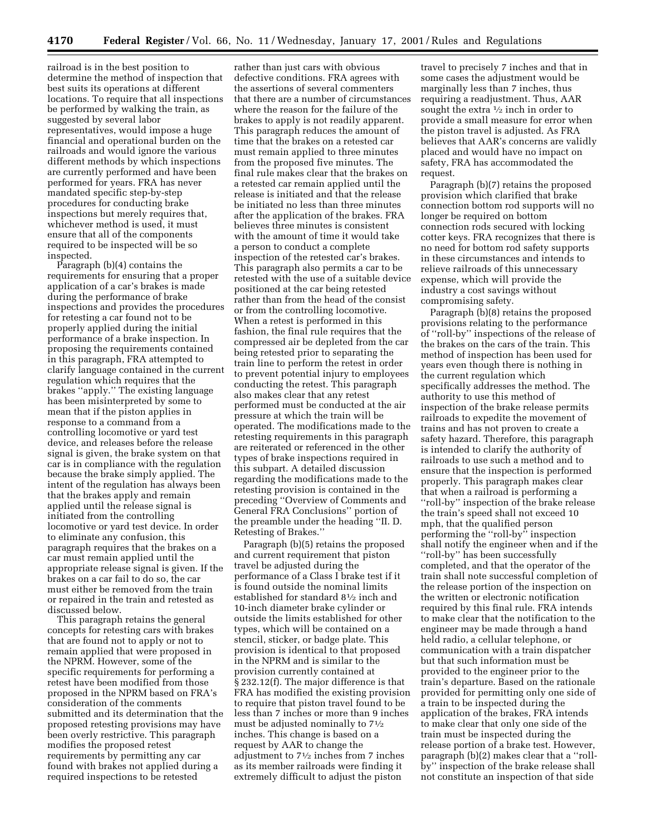railroad is in the best position to determine the method of inspection that best suits its operations at different locations. To require that all inspections be performed by walking the train, as suggested by several labor representatives, would impose a huge financial and operational burden on the railroads and would ignore the various different methods by which inspections are currently performed and have been performed for years. FRA has never mandated specific step-by-step procedures for conducting brake inspections but merely requires that, whichever method is used, it must ensure that all of the components required to be inspected will be so inspected.

Paragraph (b)(4) contains the requirements for ensuring that a proper application of a car's brakes is made during the performance of brake inspections and provides the procedures for retesting a car found not to be properly applied during the initial performance of a brake inspection. In proposing the requirements contained in this paragraph, FRA attempted to clarify language contained in the current regulation which requires that the brakes ''apply.'' The existing language has been misinterpreted by some to mean that if the piston applies in response to a command from a controlling locomotive or yard test device, and releases before the release signal is given, the brake system on that car is in compliance with the regulation because the brake simply applied. The intent of the regulation has always been that the brakes apply and remain applied until the release signal is initiated from the controlling locomotive or yard test device. In order to eliminate any confusion, this paragraph requires that the brakes on a car must remain applied until the appropriate release signal is given. If the brakes on a car fail to do so, the car must either be removed from the train or repaired in the train and retested as discussed below.

This paragraph retains the general concepts for retesting cars with brakes that are found not to apply or not to remain applied that were proposed in the NPRM. However, some of the specific requirements for performing a retest have been modified from those proposed in the NPRM based on FRA's consideration of the comments submitted and its determination that the proposed retesting provisions may have been overly restrictive. This paragraph modifies the proposed retest requirements by permitting any car found with brakes not applied during a required inspections to be retested

rather than just cars with obvious defective conditions. FRA agrees with the assertions of several commenters that there are a number of circumstances where the reason for the failure of the brakes to apply is not readily apparent. This paragraph reduces the amount of time that the brakes on a retested car must remain applied to three minutes from the proposed five minutes. The final rule makes clear that the brakes on a retested car remain applied until the release is initiated and that the release be initiated no less than three minutes after the application of the brakes. FRA believes three minutes is consistent with the amount of time it would take a person to conduct a complete inspection of the retested car's brakes. This paragraph also permits a car to be retested with the use of a suitable device positioned at the car being retested rather than from the head of the consist or from the controlling locomotive. When a retest is performed in this fashion, the final rule requires that the compressed air be depleted from the car being retested prior to separating the train line to perform the retest in order to prevent potential injury to employees conducting the retest. This paragraph also makes clear that any retest performed must be conducted at the air pressure at which the train will be operated. The modifications made to the retesting requirements in this paragraph are reiterated or referenced in the other types of brake inspections required in this subpart. A detailed discussion regarding the modifications made to the retesting provision is contained in the preceding ''Overview of Comments and General FRA Conclusions'' portion of the preamble under the heading ''II. D. Retesting of Brakes.''

Paragraph (b)(5) retains the proposed and current requirement that piston travel be adjusted during the performance of a Class I brake test if it is found outside the nominal limits established for standard 81⁄2 inch and 10-inch diameter brake cylinder or outside the limits established for other types, which will be contained on a stencil, sticker, or badge plate. This provision is identical to that proposed in the NPRM and is similar to the provision currently contained at § 232.12(f). The major difference is that FRA has modified the existing provision to require that piston travel found to be less than 7 inches or more than 9 inches must be adjusted nominally to 71⁄2 inches. This change is based on a request by AAR to change the adjustment to 71⁄2 inches from 7 inches as its member railroads were finding it extremely difficult to adjust the piston

travel to precisely 7 inches and that in some cases the adjustment would be marginally less than 7 inches, thus requiring a readjustment. Thus, AAR sought the extra  $\frac{1}{2}$  inch in order to provide a small measure for error when the piston travel is adjusted. As FRA believes that AAR's concerns are validly placed and would have no impact on safety, FRA has accommodated the request.

Paragraph (b)(7) retains the proposed provision which clarified that brake connection bottom rod supports will no longer be required on bottom connection rods secured with locking cotter keys. FRA recognizes that there is no need for bottom rod safety supports in these circumstances and intends to relieve railroads of this unnecessary expense, which will provide the industry a cost savings without compromising safety.

Paragraph (b)(8) retains the proposed provisions relating to the performance of ''roll-by'' inspections of the release of the brakes on the cars of the train. This method of inspection has been used for years even though there is nothing in the current regulation which specifically addresses the method. The authority to use this method of inspection of the brake release permits railroads to expedite the movement of trains and has not proven to create a safety hazard. Therefore, this paragraph is intended to clarify the authority of railroads to use such a method and to ensure that the inspection is performed properly. This paragraph makes clear that when a railroad is performing a ''roll-by'' inspection of the brake release the train's speed shall not exceed 10 mph, that the qualified person performing the ''roll-by'' inspection shall notify the engineer when and if the ''roll-by'' has been successfully completed, and that the operator of the train shall note successful completion of the release portion of the inspection on the written or electronic notification required by this final rule. FRA intends to make clear that the notification to the engineer may be made through a hand held radio, a cellular telephone, or communication with a train dispatcher but that such information must be provided to the engineer prior to the train's departure. Based on the rationale provided for permitting only one side of a train to be inspected during the application of the brakes, FRA intends to make clear that only one side of the train must be inspected during the release portion of a brake test. However, paragraph (b)(2) makes clear that a ''rollby'' inspection of the brake release shall not constitute an inspection of that side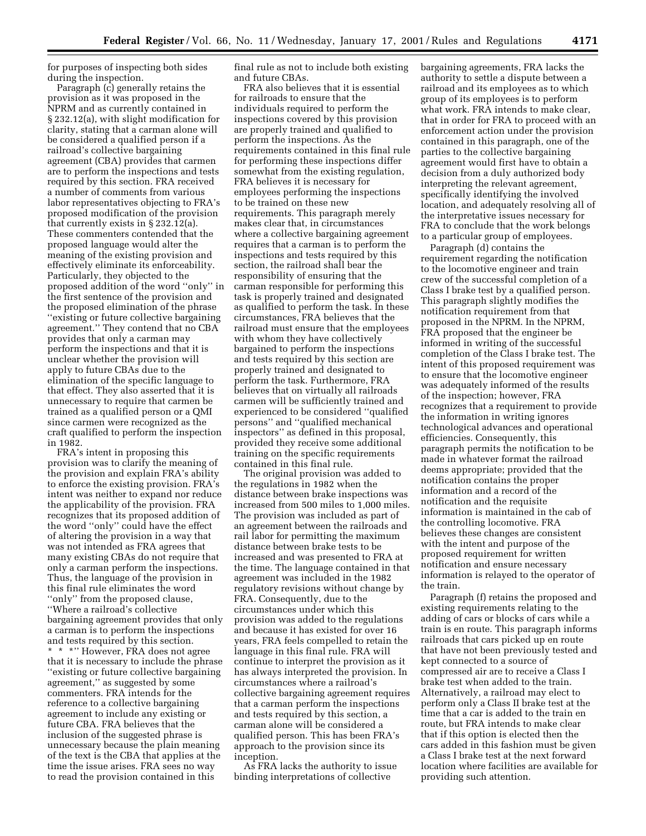for purposes of inspecting both sides during the inspection.

Paragraph (c) generally retains the provision as it was proposed in the NPRM and as currently contained in § 232.12(a), with slight modification for clarity, stating that a carman alone will be considered a qualified person if a railroad's collective bargaining agreement (CBA) provides that carmen are to perform the inspections and tests required by this section. FRA received a number of comments from various labor representatives objecting to FRA's proposed modification of the provision that currently exists in § 232.12(a). These commenters contended that the proposed language would alter the meaning of the existing provision and effectively eliminate its enforceability. Particularly, they objected to the proposed addition of the word ''only'' in the first sentence of the provision and the proposed elimination of the phrase ''existing or future collective bargaining agreement.'' They contend that no CBA provides that only a carman may perform the inspections and that it is unclear whether the provision will apply to future CBAs due to the elimination of the specific language to that effect. They also asserted that it is unnecessary to require that carmen be trained as a qualified person or a QMI since carmen were recognized as the craft qualified to perform the inspection in 1982.

FRA's intent in proposing this provision was to clarify the meaning of the provision and explain FRA's ability to enforce the existing provision. FRA's intent was neither to expand nor reduce the applicability of the provision. FRA recognizes that its proposed addition of the word ''only'' could have the effect of altering the provision in a way that was not intended as FRA agrees that many existing CBAs do not require that only a carman perform the inspections. Thus, the language of the provision in this final rule eliminates the word ''only'' from the proposed clause, ''Where a railroad's collective bargaining agreement provides that only a carman is to perform the inspections and tests required by this section. \*\*\*'' However, FRA does not agree that it is necessary to include the phrase ''existing or future collective bargaining agreement,'' as suggested by some commenters. FRA intends for the reference to a collective bargaining agreement to include any existing or future CBA. FRA believes that the inclusion of the suggested phrase is unnecessary because the plain meaning of the text is the CBA that applies at the time the issue arises. FRA sees no way to read the provision contained in this

final rule as not to include both existing and future CBAs.

FRA also believes that it is essential for railroads to ensure that the individuals required to perform the inspections covered by this provision are properly trained and qualified to perform the inspections. As the requirements contained in this final rule for performing these inspections differ somewhat from the existing regulation, FRA believes it is necessary for employees performing the inspections to be trained on these new requirements. This paragraph merely makes clear that, in circumstances where a collective bargaining agreement requires that a carman is to perform the inspections and tests required by this section, the railroad shall bear the responsibility of ensuring that the carman responsible for performing this task is properly trained and designated as qualified to perform the task. In these circumstances, FRA believes that the railroad must ensure that the employees with whom they have collectively bargained to perform the inspections and tests required by this section are properly trained and designated to perform the task. Furthermore, FRA believes that on virtually all railroads carmen will be sufficiently trained and experienced to be considered ''qualified persons'' and ''qualified mechanical inspectors'' as defined in this proposal, provided they receive some additional training on the specific requirements contained in this final rule.

The original provision was added to the regulations in 1982 when the distance between brake inspections was increased from 500 miles to 1,000 miles. The provision was included as part of an agreement between the railroads and rail labor for permitting the maximum distance between brake tests to be increased and was presented to FRA at the time. The language contained in that agreement was included in the 1982 regulatory revisions without change by FRA. Consequently, due to the circumstances under which this provision was added to the regulations and because it has existed for over 16 years, FRA feels compelled to retain the language in this final rule. FRA will continue to interpret the provision as it has always interpreted the provision. In circumstances where a railroad's collective bargaining agreement requires that a carman perform the inspections and tests required by this section, a carman alone will be considered a qualified person. This has been FRA's approach to the provision since its inception.

As FRA lacks the authority to issue binding interpretations of collective

bargaining agreements, FRA lacks the authority to settle a dispute between a railroad and its employees as to which group of its employees is to perform what work. FRA intends to make clear, that in order for FRA to proceed with an enforcement action under the provision contained in this paragraph, one of the parties to the collective bargaining agreement would first have to obtain a decision from a duly authorized body interpreting the relevant agreement, specifically identifying the involved location, and adequately resolving all of the interpretative issues necessary for FRA to conclude that the work belongs to a particular group of employees.

Paragraph (d) contains the requirement regarding the notification to the locomotive engineer and train crew of the successful completion of a Class I brake test by a qualified person. This paragraph slightly modifies the notification requirement from that proposed in the NPRM. In the NPRM, FRA proposed that the engineer be informed in writing of the successful completion of the Class I brake test. The intent of this proposed requirement was to ensure that the locomotive engineer was adequately informed of the results of the inspection; however, FRA recognizes that a requirement to provide the information in writing ignores technological advances and operational efficiencies. Consequently, this paragraph permits the notification to be made in whatever format the railroad deems appropriate; provided that the notification contains the proper information and a record of the notification and the requisite information is maintained in the cab of the controlling locomotive. FRA believes these changes are consistent with the intent and purpose of the proposed requirement for written notification and ensure necessary information is relayed to the operator of the train.

Paragraph (f) retains the proposed and existing requirements relating to the adding of cars or blocks of cars while a train is en route. This paragraph informs railroads that cars picked up en route that have not been previously tested and kept connected to a source of compressed air are to receive a Class I brake test when added to the train. Alternatively, a railroad may elect to perform only a Class II brake test at the time that a car is added to the train en route, but FRA intends to make clear that if this option is elected then the cars added in this fashion must be given a Class I brake test at the next forward location where facilities are available for providing such attention.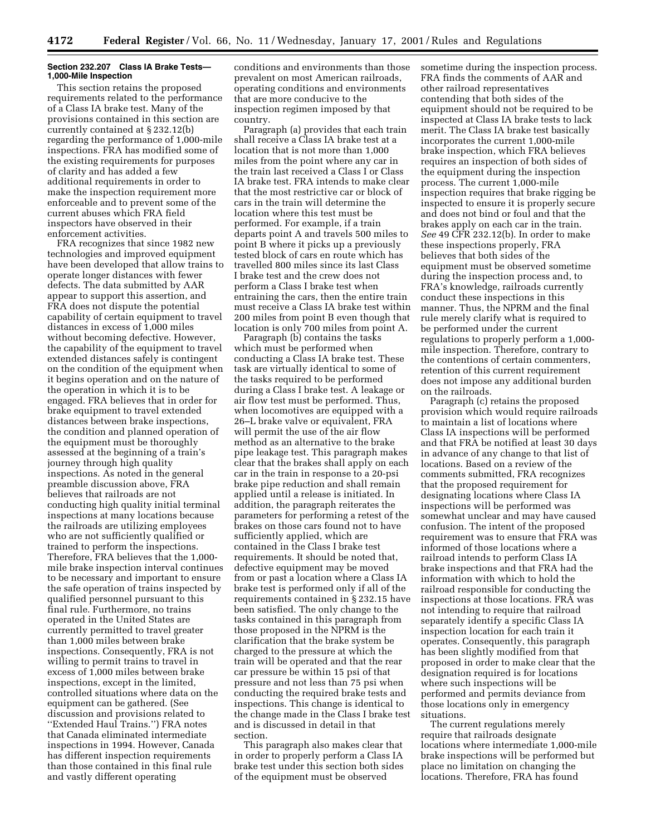### **Section 232.207 Class IA Brake Tests— 1,000-Mile Inspection**

This section retains the proposed requirements related to the performance of a Class IA brake test. Many of the provisions contained in this section are currently contained at § 232.12(b) regarding the performance of 1,000-mile inspections. FRA has modified some of the existing requirements for purposes of clarity and has added a few additional requirements in order to make the inspection requirement more enforceable and to prevent some of the current abuses which FRA field inspectors have observed in their enforcement activities.

FRA recognizes that since 1982 new technologies and improved equipment have been developed that allow trains to operate longer distances with fewer defects. The data submitted by AAR appear to support this assertion, and FRA does not dispute the potential capability of certain equipment to travel distances in excess of 1,000 miles without becoming defective. However, the capability of the equipment to travel extended distances safely is contingent on the condition of the equipment when it begins operation and on the nature of the operation in which it is to be engaged. FRA believes that in order for brake equipment to travel extended distances between brake inspections, the condition and planned operation of the equipment must be thoroughly assessed at the beginning of a train's journey through high quality inspections. As noted in the general preamble discussion above, FRA believes that railroads are not conducting high quality initial terminal inspections at many locations because the railroads are utilizing employees who are not sufficiently qualified or trained to perform the inspections. Therefore, FRA believes that the 1,000 mile brake inspection interval continues to be necessary and important to ensure the safe operation of trains inspected by qualified personnel pursuant to this final rule. Furthermore, no trains operated in the United States are currently permitted to travel greater than 1,000 miles between brake inspections. Consequently, FRA is not willing to permit trains to travel in excess of 1,000 miles between brake inspections, except in the limited, controlled situations where data on the equipment can be gathered. (See discussion and provisions related to ''Extended Haul Trains.'') FRA notes that Canada eliminated intermediate inspections in 1994. However, Canada has different inspection requirements than those contained in this final rule and vastly different operating

conditions and environments than those prevalent on most American railroads, operating conditions and environments that are more conducive to the inspection regimen imposed by that country.

Paragraph (a) provides that each train shall receive a Class IA brake test at a location that is not more than 1,000 miles from the point where any car in the train last received a Class I or Class IA brake test. FRA intends to make clear that the most restrictive car or block of cars in the train will determine the location where this test must be performed. For example, if a train departs point A and travels 500 miles to point B where it picks up a previously tested block of cars en route which has travelled 800 miles since its last Class I brake test and the crew does not perform a Class I brake test when entraining the cars, then the entire train must receive a Class IA brake test within 200 miles from point B even though that location is only 700 miles from point A.

Paragraph (b) contains the tasks which must be performed when conducting a Class IA brake test. These task are virtually identical to some of the tasks required to be performed during a Class I brake test. A leakage or air flow test must be performed. Thus, when locomotives are equipped with a 26–L brake valve or equivalent, FRA will permit the use of the air flow method as an alternative to the brake pipe leakage test. This paragraph makes clear that the brakes shall apply on each car in the train in response to a 20-psi brake pipe reduction and shall remain applied until a release is initiated. In addition, the paragraph reiterates the parameters for performing a retest of the brakes on those cars found not to have sufficiently applied, which are contained in the Class I brake test requirements. It should be noted that, defective equipment may be moved from or past a location where a Class IA brake test is performed only if all of the requirements contained in § 232.15 have been satisfied. The only change to the tasks contained in this paragraph from those proposed in the NPRM is the clarification that the brake system be charged to the pressure at which the train will be operated and that the rear car pressure be within 15 psi of that pressure and not less than 75 psi when conducting the required brake tests and inspections. This change is identical to the change made in the Class I brake test and is discussed in detail in that section.

This paragraph also makes clear that in order to properly perform a Class IA brake test under this section both sides of the equipment must be observed

sometime during the inspection process. FRA finds the comments of AAR and other railroad representatives contending that both sides of the equipment should not be required to be inspected at Class IA brake tests to lack merit. The Class IA brake test basically incorporates the current 1,000-mile brake inspection, which FRA believes requires an inspection of both sides of the equipment during the inspection process. The current 1,000-mile inspection requires that brake rigging be inspected to ensure it is properly secure and does not bind or foul and that the brakes apply on each car in the train. *See* 49 CFR 232.12(b). In order to make these inspections properly, FRA believes that both sides of the equipment must be observed sometime during the inspection process and, to FRA's knowledge, railroads currently conduct these inspections in this manner. Thus, the NPRM and the final rule merely clarify what is required to be performed under the current regulations to properly perform a 1,000 mile inspection. Therefore, contrary to the contentions of certain commenters, retention of this current requirement does not impose any additional burden on the railroads.

Paragraph (c) retains the proposed provision which would require railroads to maintain a list of locations where Class IA inspections will be performed and that FRA be notified at least 30 days in advance of any change to that list of locations. Based on a review of the comments submitted, FRA recognizes that the proposed requirement for designating locations where Class IA inspections will be performed was somewhat unclear and may have caused confusion. The intent of the proposed requirement was to ensure that FRA was informed of those locations where a railroad intends to perform Class IA brake inspections and that FRA had the information with which to hold the railroad responsible for conducting the inspections at those locations. FRA was not intending to require that railroad separately identify a specific Class IA inspection location for each train it operates. Consequently, this paragraph has been slightly modified from that proposed in order to make clear that the designation required is for locations where such inspections will be performed and permits deviance from those locations only in emergency situations.

The current regulations merely require that railroads designate locations where intermediate 1,000-mile brake inspections will be performed but place no limitation on changing the locations. Therefore, FRA has found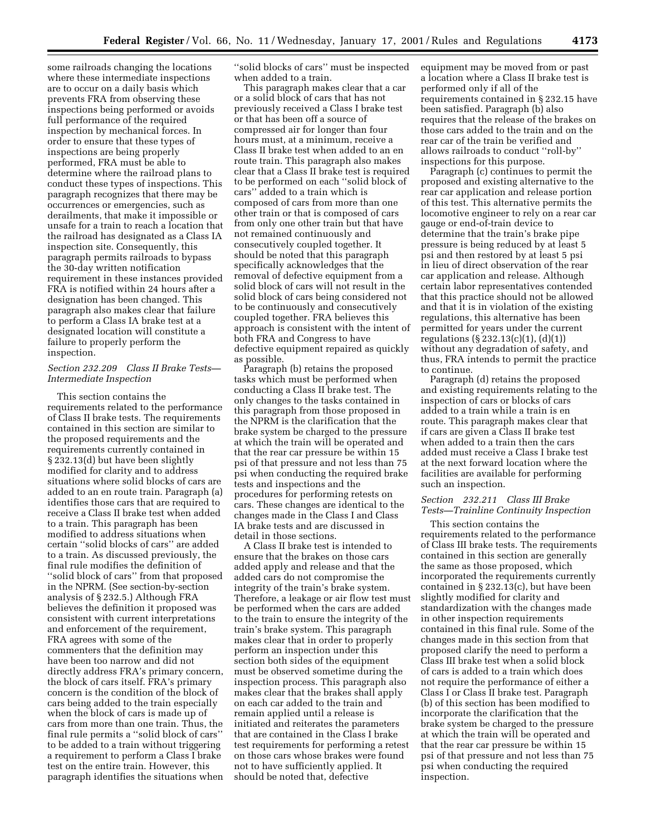some railroads changing the locations where these intermediate inspections are to occur on a daily basis which prevents FRA from observing these inspections being performed or avoids full performance of the required inspection by mechanical forces. In order to ensure that these types of inspections are being properly performed, FRA must be able to determine where the railroad plans to conduct these types of inspections. This paragraph recognizes that there may be occurrences or emergencies, such as derailments, that make it impossible or unsafe for a train to reach a location that the railroad has designated as a Class IA inspection site. Consequently, this paragraph permits railroads to bypass the 30-day written notification requirement in these instances provided FRA is notified within 24 hours after a designation has been changed. This paragraph also makes clear that failure to perform a Class IA brake test at a designated location will constitute a failure to properly perform the inspection.

# *Section 232.209 Class II Brake Tests— Intermediate Inspection*

This section contains the requirements related to the performance of Class II brake tests. The requirements contained in this section are similar to the proposed requirements and the requirements currently contained in § 232.13(d) but have been slightly modified for clarity and to address situations where solid blocks of cars are added to an en route train. Paragraph (a) identifies those cars that are required to receive a Class II brake test when added to a train. This paragraph has been modified to address situations when certain ''solid blocks of cars'' are added to a train. As discussed previously, the final rule modifies the definition of ''solid block of cars'' from that proposed in the NPRM. (See section-by-section analysis of § 232.5.) Although FRA believes the definition it proposed was consistent with current interpretations and enforcement of the requirement, FRA agrees with some of the commenters that the definition may have been too narrow and did not directly address FRA's primary concern, the block of cars itself. FRA's primary concern is the condition of the block of cars being added to the train especially when the block of cars is made up of cars from more than one train. Thus, the final rule permits a ''solid block of cars'' to be added to a train without triggering a requirement to perform a Class I brake test on the entire train. However, this paragraph identifies the situations when

''solid blocks of cars'' must be inspected when added to a train.

This paragraph makes clear that a car or a solid block of cars that has not previously received a Class I brake test or that has been off a source of compressed air for longer than four hours must, at a minimum, receive a Class II brake test when added to an en route train. This paragraph also makes clear that a Class II brake test is required to be performed on each ''solid block of cars'' added to a train which is composed of cars from more than one other train or that is composed of cars from only one other train but that have not remained continuously and consecutively coupled together. It should be noted that this paragraph specifically acknowledges that the removal of defective equipment from a solid block of cars will not result in the solid block of cars being considered not to be continuously and consecutively coupled together. FRA believes this approach is consistent with the intent of both FRA and Congress to have defective equipment repaired as quickly as possible.

Paragraph (b) retains the proposed tasks which must be performed when conducting a Class II brake test. The only changes to the tasks contained in this paragraph from those proposed in the NPRM is the clarification that the brake system be charged to the pressure at which the train will be operated and that the rear car pressure be within 15 psi of that pressure and not less than 75 psi when conducting the required brake tests and inspections and the procedures for performing retests on cars. These changes are identical to the changes made in the Class I and Class IA brake tests and are discussed in detail in those sections.

A Class II brake test is intended to ensure that the brakes on those cars added apply and release and that the added cars do not compromise the integrity of the train's brake system. Therefore, a leakage or air flow test must be performed when the cars are added to the train to ensure the integrity of the train's brake system. This paragraph makes clear that in order to properly perform an inspection under this section both sides of the equipment must be observed sometime during the inspection process. This paragraph also makes clear that the brakes shall apply on each car added to the train and remain applied until a release is initiated and reiterates the parameters that are contained in the Class I brake test requirements for performing a retest on those cars whose brakes were found not to have sufficiently applied. It should be noted that, defective

equipment may be moved from or past a location where a Class II brake test is performed only if all of the requirements contained in § 232.15 have been satisfied. Paragraph (b) also requires that the release of the brakes on those cars added to the train and on the rear car of the train be verified and allows railroads to conduct ''roll-by'' inspections for this purpose.

Paragraph (c) continues to permit the proposed and existing alternative to the rear car application and release portion of this test. This alternative permits the locomotive engineer to rely on a rear car gauge or end-of-train device to determine that the train's brake pipe pressure is being reduced by at least 5 psi and then restored by at least 5 psi in lieu of direct observation of the rear car application and release. Although certain labor representatives contended that this practice should not be allowed and that it is in violation of the existing regulations, this alternative has been permitted for years under the current regulations (§ 232.13(c)(1), (d)(1)) without any degradation of safety, and thus, FRA intends to permit the practice to continue.

Paragraph (d) retains the proposed and existing requirements relating to the inspection of cars or blocks of cars added to a train while a train is en route. This paragraph makes clear that if cars are given a Class II brake test when added to a train then the cars added must receive a Class I brake test at the next forward location where the facilities are available for performing such an inspection.

# *Section 232.211 Class III Brake Tests—Trainline Continuity Inspection*

This section contains the requirements related to the performance of Class III brake tests. The requirements contained in this section are generally the same as those proposed, which incorporated the requirements currently contained in § 232.13(c), but have been slightly modified for clarity and standardization with the changes made in other inspection requirements contained in this final rule. Some of the changes made in this section from that proposed clarify the need to perform a Class III brake test when a solid block of cars is added to a train which does not require the performance of either a Class I or Class II brake test. Paragraph (b) of this section has been modified to incorporate the clarification that the brake system be charged to the pressure at which the train will be operated and that the rear car pressure be within 15 psi of that pressure and not less than 75 psi when conducting the required inspection.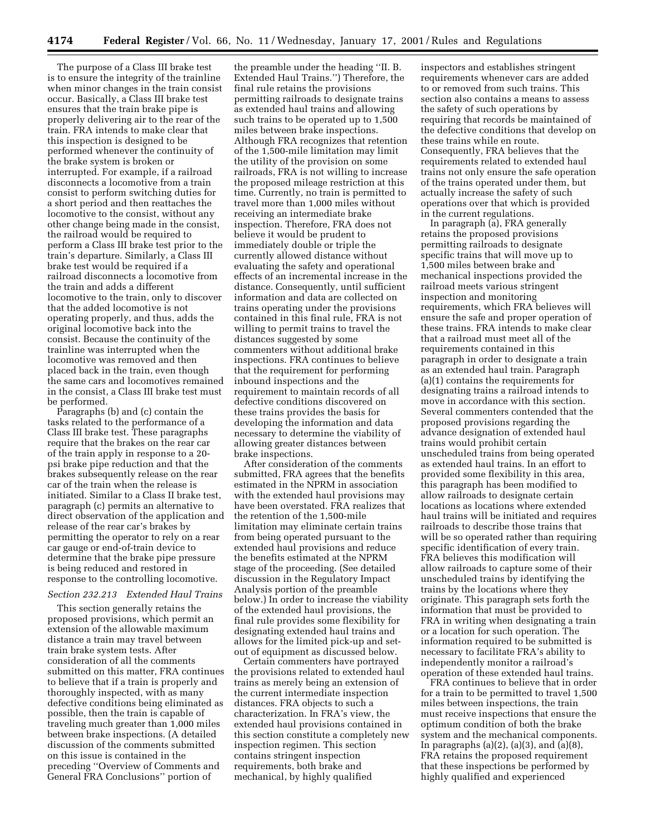The purpose of a Class III brake test is to ensure the integrity of the trainline when minor changes in the train consist occur. Basically, a Class III brake test ensures that the train brake pipe is properly delivering air to the rear of the train. FRA intends to make clear that this inspection is designed to be performed whenever the continuity of the brake system is broken or interrupted. For example, if a railroad disconnects a locomotive from a train consist to perform switching duties for a short period and then reattaches the locomotive to the consist, without any other change being made in the consist, the railroad would be required to perform a Class III brake test prior to the train's departure. Similarly, a Class III brake test would be required if a railroad disconnects a locomotive from the train and adds a different locomotive to the train, only to discover that the added locomotive is not operating properly, and thus, adds the original locomotive back into the consist. Because the continuity of the trainline was interrupted when the locomotive was removed and then placed back in the train, even though the same cars and locomotives remained in the consist, a Class III brake test must be performed.

Paragraphs (b) and (c) contain the tasks related to the performance of a Class III brake test. These paragraphs require that the brakes on the rear car of the train apply in response to a 20 psi brake pipe reduction and that the brakes subsequently release on the rear car of the train when the release is initiated. Similar to a Class II brake test, paragraph (c) permits an alternative to direct observation of the application and release of the rear car's brakes by permitting the operator to rely on a rear car gauge or end-of-train device to determine that the brake pipe pressure is being reduced and restored in response to the controlling locomotive.

#### *Section 232.213 Extended Haul Trains*

This section generally retains the proposed provisions, which permit an extension of the allowable maximum distance a train may travel between train brake system tests. After consideration of all the comments submitted on this matter, FRA continues to believe that if a train is properly and thoroughly inspected, with as many defective conditions being eliminated as possible, then the train is capable of traveling much greater than 1,000 miles between brake inspections. (A detailed discussion of the comments submitted on this issue is contained in the preceding ''Overview of Comments and General FRA Conclusions'' portion of

the preamble under the heading ''II. B. Extended Haul Trains.'') Therefore, the final rule retains the provisions permitting railroads to designate trains as extended haul trains and allowing such trains to be operated up to 1,500 miles between brake inspections. Although FRA recognizes that retention of the 1,500-mile limitation may limit the utility of the provision on some railroads, FRA is not willing to increase the proposed mileage restriction at this time. Currently, no train is permitted to travel more than 1,000 miles without receiving an intermediate brake inspection. Therefore, FRA does not believe it would be prudent to immediately double or triple the currently allowed distance without evaluating the safety and operational effects of an incremental increase in the distance. Consequently, until sufficient information and data are collected on trains operating under the provisions contained in this final rule, FRA is not willing to permit trains to travel the distances suggested by some commenters without additional brake inspections. FRA continues to believe that the requirement for performing inbound inspections and the requirement to maintain records of all defective conditions discovered on these trains provides the basis for developing the information and data necessary to determine the viability of allowing greater distances between brake inspections.

After consideration of the comments submitted, FRA agrees that the benefits estimated in the NPRM in association with the extended haul provisions may have been overstated. FRA realizes that the retention of the 1,500-mile limitation may eliminate certain trains from being operated pursuant to the extended haul provisions and reduce the benefits estimated at the NPRM stage of the proceeding. (See detailed discussion in the Regulatory Impact Analysis portion of the preamble below.) In order to increase the viability of the extended haul provisions, the final rule provides some flexibility for designating extended haul trains and allows for the limited pick-up and setout of equipment as discussed below.

Certain commenters have portrayed the provisions related to extended haul trains as merely being an extension of the current intermediate inspection distances. FRA objects to such a characterization. In FRA's view, the extended haul provisions contained in this section constitute a completely new inspection regimen. This section contains stringent inspection requirements, both brake and mechanical, by highly qualified

inspectors and establishes stringent requirements whenever cars are added to or removed from such trains. This section also contains a means to assess the safety of such operations by requiring that records be maintained of the defective conditions that develop on these trains while en route. Consequently, FRA believes that the requirements related to extended haul trains not only ensure the safe operation of the trains operated under them, but actually increase the safety of such operations over that which is provided in the current regulations.

In paragraph (a), FRA generally retains the proposed provisions permitting railroads to designate specific trains that will move up to 1,500 miles between brake and mechanical inspections provided the railroad meets various stringent inspection and monitoring requirements, which FRA believes will ensure the safe and proper operation of these trains. FRA intends to make clear that a railroad must meet all of the requirements contained in this paragraph in order to designate a train as an extended haul train. Paragraph (a)(1) contains the requirements for designating trains a railroad intends to move in accordance with this section. Several commenters contended that the proposed provisions regarding the advance designation of extended haul trains would prohibit certain unscheduled trains from being operated as extended haul trains. In an effort to provided some flexibility in this area, this paragraph has been modified to allow railroads to designate certain locations as locations where extended haul trains will be initiated and requires railroads to describe those trains that will be so operated rather than requiring specific identification of every train. FRA believes this modification will allow railroads to capture some of their unscheduled trains by identifying the trains by the locations where they originate. This paragraph sets forth the information that must be provided to FRA in writing when designating a train or a location for such operation. The information required to be submitted is necessary to facilitate FRA's ability to independently monitor a railroad's operation of these extended haul trains.

FRA continues to believe that in order for a train to be permitted to travel 1,500 miles between inspections, the train must receive inspections that ensure the optimum condition of both the brake system and the mechanical components. In paragraphs  $(a)(2)$ ,  $(a)(3)$ , and  $(a)(8)$ , FRA retains the proposed requirement that these inspections be performed by highly qualified and experienced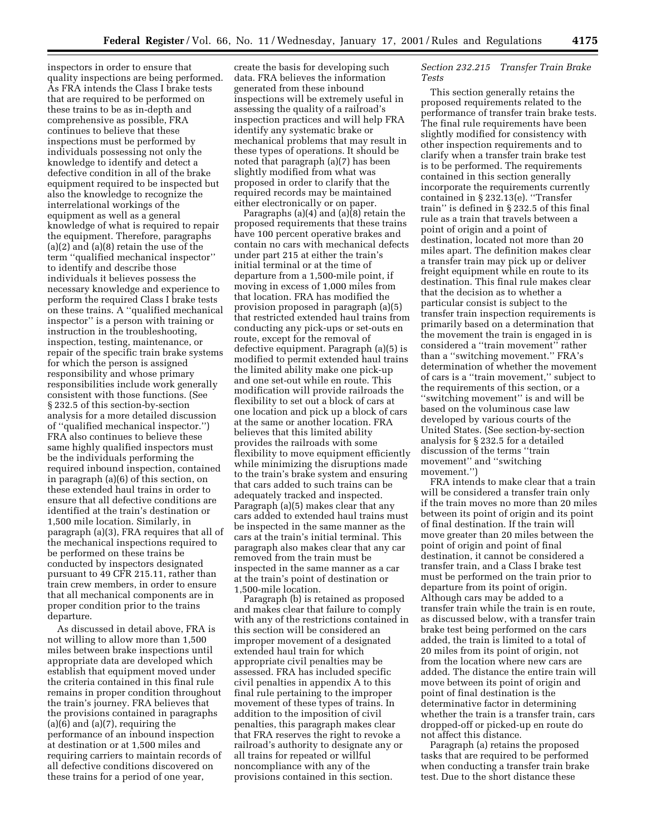inspectors in order to ensure that quality inspections are being performed. As FRA intends the Class I brake tests that are required to be performed on these trains to be as in-depth and comprehensive as possible, FRA continues to believe that these inspections must be performed by individuals possessing not only the knowledge to identify and detect a defective condition in all of the brake equipment required to be inspected but also the knowledge to recognize the interrelational workings of the equipment as well as a general knowledge of what is required to repair the equipment. Therefore, paragraphs (a)(2) and (a)(8) retain the use of the term ''qualified mechanical inspector'' to identify and describe those individuals it believes possess the necessary knowledge and experience to perform the required Class I brake tests on these trains. A ''qualified mechanical inspector'' is a person with training or instruction in the troubleshooting, inspection, testing, maintenance, or repair of the specific train brake systems for which the person is assigned responsibility and whose primary responsibilities include work generally consistent with those functions. (See § 232.5 of this section-by-section analysis for a more detailed discussion of ''qualified mechanical inspector.'') FRA also continues to believe these same highly qualified inspectors must be the individuals performing the required inbound inspection, contained in paragraph (a)(6) of this section, on these extended haul trains in order to ensure that all defective conditions are identified at the train's destination or 1,500 mile location. Similarly, in paragraph (a)(3), FRA requires that all of the mechanical inspections required to be performed on these trains be conducted by inspectors designated pursuant to 49 CFR 215.11, rather than train crew members, in order to ensure that all mechanical components are in proper condition prior to the trains departure.

As discussed in detail above, FRA is not willing to allow more than 1,500 miles between brake inspections until appropriate data are developed which establish that equipment moved under the criteria contained in this final rule remains in proper condition throughout the train's journey. FRA believes that the provisions contained in paragraphs  $(a)(6)$  and  $(a)(7)$ , requiring the performance of an inbound inspection at destination or at 1,500 miles and requiring carriers to maintain records of all defective conditions discovered on these trains for a period of one year,

create the basis for developing such data. FRA believes the information generated from these inbound inspections will be extremely useful in assessing the quality of a railroad's inspection practices and will help FRA identify any systematic brake or mechanical problems that may result in these types of operations. It should be noted that paragraph (a)(7) has been slightly modified from what was proposed in order to clarify that the required records may be maintained either electronically or on paper.

Paragraphs (a)(4) and (a)(8) retain the proposed requirements that these trains have 100 percent operative brakes and contain no cars with mechanical defects under part 215 at either the train's initial terminal or at the time of departure from a 1,500-mile point, if moving in excess of 1,000 miles from that location. FRA has modified the provision proposed in paragraph (a)(5) that restricted extended haul trains from conducting any pick-ups or set-outs en route, except for the removal of defective equipment. Paragraph (a)(5) is modified to permit extended haul trains the limited ability make one pick-up and one set-out while en route. This modification will provide railroads the flexibility to set out a block of cars at one location and pick up a block of cars at the same or another location. FRA believes that this limited ability provides the railroads with some flexibility to move equipment efficiently while minimizing the disruptions made to the train's brake system and ensuring that cars added to such trains can be adequately tracked and inspected. Paragraph (a)(5) makes clear that any cars added to extended haul trains must be inspected in the same manner as the cars at the train's initial terminal. This paragraph also makes clear that any car removed from the train must be inspected in the same manner as a car at the train's point of destination or 1,500-mile location.

Paragraph (b) is retained as proposed and makes clear that failure to comply with any of the restrictions contained in this section will be considered an improper movement of a designated extended haul train for which appropriate civil penalties may be assessed. FRA has included specific civil penalties in appendix A to this final rule pertaining to the improper movement of these types of trains. In addition to the imposition of civil penalties, this paragraph makes clear that FRA reserves the right to revoke a railroad's authority to designate any or all trains for repeated or willful noncompliance with any of the provisions contained in this section.

# *Section 232.215 Transfer Train Brake Tests*

This section generally retains the proposed requirements related to the performance of transfer train brake tests. The final rule requirements have been slightly modified for consistency with other inspection requirements and to clarify when a transfer train brake test is to be performed. The requirements contained in this section generally incorporate the requirements currently contained in § 232.13(e). ''Transfer train'' is defined in § 232.5 of this final rule as a train that travels between a point of origin and a point of destination, located not more than 20 miles apart. The definition makes clear a transfer train may pick up or deliver freight equipment while en route to its destination. This final rule makes clear that the decision as to whether a particular consist is subject to the transfer train inspection requirements is primarily based on a determination that the movement the train is engaged in is considered a ''train movement'' rather than a ''switching movement.'' FRA's determination of whether the movement of cars is a ''train movement,'' subject to the requirements of this section, or a ''switching movement'' is and will be based on the voluminous case law developed by various courts of the United States. (See section-by-section analysis for § 232.5 for a detailed discussion of the terms ''train movement'' and ''switching movement.'')

FRA intends to make clear that a train will be considered a transfer train only if the train moves no more than 20 miles between its point of origin and its point of final destination. If the train will move greater than 20 miles between the point of origin and point of final destination, it cannot be considered a transfer train, and a Class I brake test must be performed on the train prior to departure from its point of origin. Although cars may be added to a transfer train while the train is en route, as discussed below, with a transfer train brake test being performed on the cars added, the train is limited to a total of 20 miles from its point of origin, not from the location where new cars are added. The distance the entire train will move between its point of origin and point of final destination is the determinative factor in determining whether the train is a transfer train, cars dropped-off or picked-up en route do not affect this distance.

Paragraph (a) retains the proposed tasks that are required to be performed when conducting a transfer train brake test. Due to the short distance these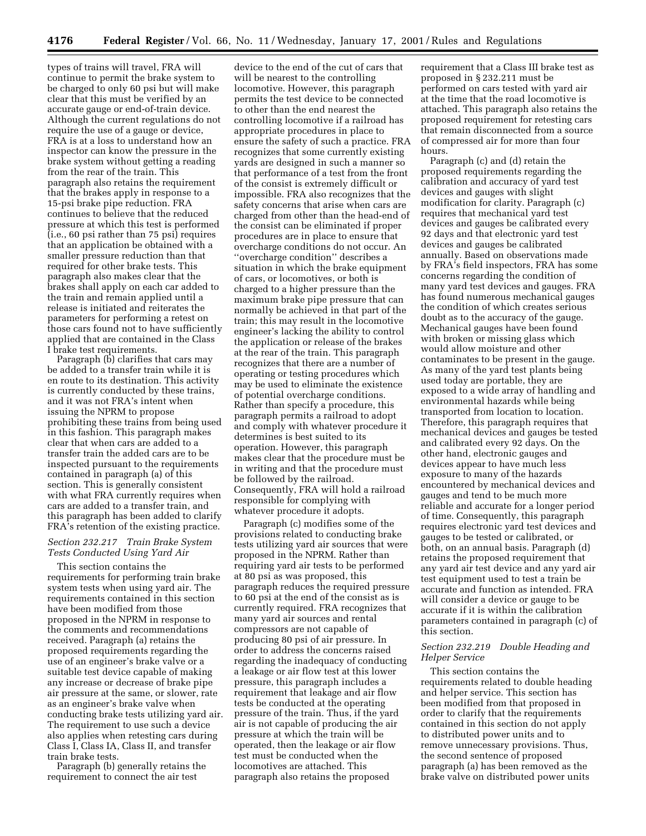types of trains will travel, FRA will continue to permit the brake system to be charged to only 60 psi but will make clear that this must be verified by an accurate gauge or end-of-train device. Although the current regulations do not require the use of a gauge or device, FRA is at a loss to understand how an inspector can know the pressure in the brake system without getting a reading from the rear of the train. This paragraph also retains the requirement that the brakes apply in response to a 15-psi brake pipe reduction. FRA continues to believe that the reduced pressure at which this test is performed (i.e., 60 psi rather than 75 psi) requires that an application be obtained with a smaller pressure reduction than that required for other brake tests. This paragraph also makes clear that the brakes shall apply on each car added to the train and remain applied until a release is initiated and reiterates the parameters for performing a retest on those cars found not to have sufficiently applied that are contained in the Class I brake test requirements.

Paragraph (b) clarifies that cars may be added to a transfer train while it is en route to its destination. This activity is currently conducted by these trains, and it was not FRA's intent when issuing the NPRM to propose prohibiting these trains from being used in this fashion. This paragraph makes clear that when cars are added to a transfer train the added cars are to be inspected pursuant to the requirements contained in paragraph (a) of this section. This is generally consistent with what FRA currently requires when cars are added to a transfer train, and this paragraph has been added to clarify FRA's retention of the existing practice.

## *Section 232.217 Train Brake System Tests Conducted Using Yard Air*

This section contains the requirements for performing train brake system tests when using yard air. The requirements contained in this section have been modified from those proposed in the NPRM in response to the comments and recommendations received. Paragraph (a) retains the proposed requirements regarding the use of an engineer's brake valve or a suitable test device capable of making any increase or decrease of brake pipe air pressure at the same, or slower, rate as an engineer's brake valve when conducting brake tests utilizing yard air. The requirement to use such a device also applies when retesting cars during Class I, Class IA, Class II, and transfer train brake tests.

Paragraph (b) generally retains the requirement to connect the air test

device to the end of the cut of cars that will be nearest to the controlling locomotive. However, this paragraph permits the test device to be connected to other than the end nearest the controlling locomotive if a railroad has appropriate procedures in place to ensure the safety of such a practice. FRA recognizes that some currently existing yards are designed in such a manner so that performance of a test from the front of the consist is extremely difficult or impossible. FRA also recognizes that the safety concerns that arise when cars are charged from other than the head-end of the consist can be eliminated if proper procedures are in place to ensure that overcharge conditions do not occur. An ''overcharge condition'' describes a situation in which the brake equipment of cars, or locomotives, or both is charged to a higher pressure than the maximum brake pipe pressure that can normally be achieved in that part of the train; this may result in the locomotive engineer's lacking the ability to control the application or release of the brakes at the rear of the train. This paragraph recognizes that there are a number of operating or testing procedures which may be used to eliminate the existence of potential overcharge conditions. Rather than specify a procedure, this paragraph permits a railroad to adopt and comply with whatever procedure it determines is best suited to its operation. However, this paragraph makes clear that the procedure must be in writing and that the procedure must be followed by the railroad. Consequently, FRA will hold a railroad responsible for complying with whatever procedure it adopts.

Paragraph (c) modifies some of the provisions related to conducting brake tests utilizing yard air sources that were proposed in the NPRM. Rather than requiring yard air tests to be performed at 80 psi as was proposed, this paragraph reduces the required pressure to 60 psi at the end of the consist as is currently required. FRA recognizes that many yard air sources and rental compressors are not capable of producing 80 psi of air pressure. In order to address the concerns raised regarding the inadequacy of conducting a leakage or air flow test at this lower pressure, this paragraph includes a requirement that leakage and air flow tests be conducted at the operating pressure of the train. Thus, if the yard air is not capable of producing the air pressure at which the train will be operated, then the leakage or air flow test must be conducted when the locomotives are attached. This paragraph also retains the proposed

requirement that a Class III brake test as proposed in § 232.211 must be performed on cars tested with yard air at the time that the road locomotive is attached. This paragraph also retains the proposed requirement for retesting cars that remain disconnected from a source of compressed air for more than four hours.

Paragraph (c) and (d) retain the proposed requirements regarding the calibration and accuracy of yard test devices and gauges with slight modification for clarity. Paragraph (c) requires that mechanical yard test devices and gauges be calibrated every 92 days and that electronic yard test devices and gauges be calibrated annually. Based on observations made by FRA's field inspectors, FRA has some concerns regarding the condition of many yard test devices and gauges. FRA has found numerous mechanical gauges the condition of which creates serious doubt as to the accuracy of the gauge. Mechanical gauges have been found with broken or missing glass which would allow moisture and other contaminates to be present in the gauge. As many of the yard test plants being used today are portable, they are exposed to a wide array of handling and environmental hazards while being transported from location to location. Therefore, this paragraph requires that mechanical devices and gauges be tested and calibrated every 92 days. On the other hand, electronic gauges and devices appear to have much less exposure to many of the hazards encountered by mechanical devices and gauges and tend to be much more reliable and accurate for a longer period of time. Consequently, this paragraph requires electronic yard test devices and gauges to be tested or calibrated, or both, on an annual basis. Paragraph (d) retains the proposed requirement that any yard air test device and any yard air test equipment used to test a train be accurate and function as intended. FRA will consider a device or gauge to be accurate if it is within the calibration parameters contained in paragraph (c) of this section.

# *Section 232.219 Double Heading and Helper Service*

This section contains the requirements related to double heading and helper service. This section has been modified from that proposed in order to clarify that the requirements contained in this section do not apply to distributed power units and to remove unnecessary provisions. Thus, the second sentence of proposed paragraph (a) has been removed as the brake valve on distributed power units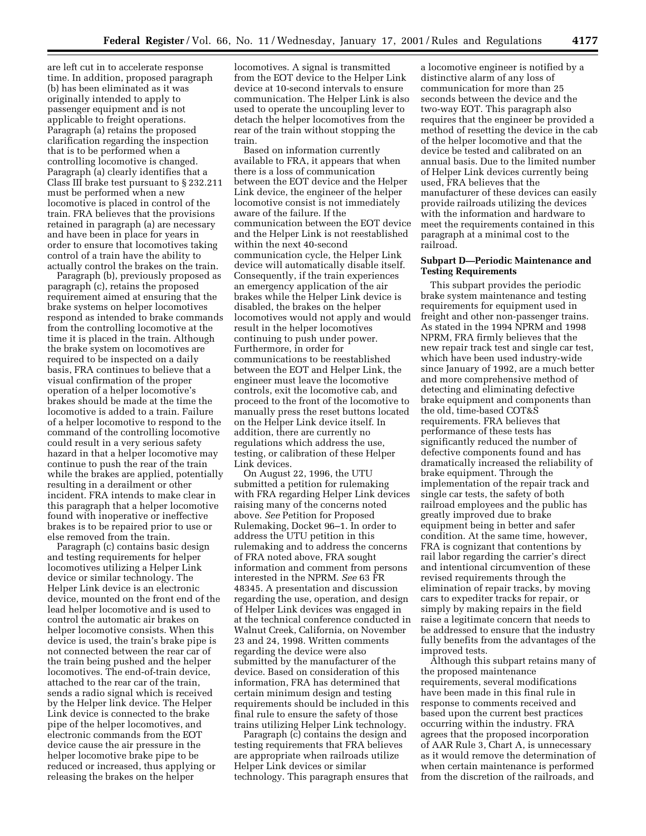are left cut in to accelerate response time. In addition, proposed paragraph (b) has been eliminated as it was originally intended to apply to passenger equipment and is not applicable to freight operations. Paragraph (a) retains the proposed clarification regarding the inspection that is to be performed when a controlling locomotive is changed. Paragraph (a) clearly identifies that a Class III brake test pursuant to § 232.211 must be performed when a new locomotive is placed in control of the train. FRA believes that the provisions retained in paragraph (a) are necessary and have been in place for years in order to ensure that locomotives taking control of a train have the ability to actually control the brakes on the train.

Paragraph (b), previously proposed as paragraph (c), retains the proposed requirement aimed at ensuring that the brake systems on helper locomotives respond as intended to brake commands from the controlling locomotive at the time it is placed in the train. Although the brake system on locomotives are required to be inspected on a daily basis, FRA continues to believe that a visual confirmation of the proper operation of a helper locomotive's brakes should be made at the time the locomotive is added to a train. Failure of a helper locomotive to respond to the command of the controlling locomotive could result in a very serious safety hazard in that a helper locomotive may continue to push the rear of the train while the brakes are applied, potentially resulting in a derailment or other incident. FRA intends to make clear in this paragraph that a helper locomotive found with inoperative or ineffective brakes is to be repaired prior to use or else removed from the train.

Paragraph (c) contains basic design and testing requirements for helper locomotives utilizing a Helper Link device or similar technology. The Helper Link device is an electronic device, mounted on the front end of the lead helper locomotive and is used to control the automatic air brakes on helper locomotive consists. When this device is used, the train's brake pipe is not connected between the rear car of the train being pushed and the helper locomotives. The end-of-train device, attached to the rear car of the train, sends a radio signal which is received by the Helper link device. The Helper Link device is connected to the brake pipe of the helper locomotives, and electronic commands from the EOT device cause the air pressure in the helper locomotive brake pipe to be reduced or increased, thus applying or releasing the brakes on the helper

locomotives. A signal is transmitted from the EOT device to the Helper Link device at 10-second intervals to ensure communication. The Helper Link is also used to operate the uncoupling lever to detach the helper locomotives from the rear of the train without stopping the train.

Based on information currently available to FRA, it appears that when there is a loss of communication between the EOT device and the Helper Link device, the engineer of the helper locomotive consist is not immediately aware of the failure. If the communication between the EOT device and the Helper Link is not reestablished within the next 40-second communication cycle, the Helper Link device will automatically disable itself. Consequently, if the train experiences an emergency application of the air brakes while the Helper Link device is disabled, the brakes on the helper locomotives would not apply and would result in the helper locomotives continuing to push under power. Furthermore, in order for communications to be reestablished between the EOT and Helper Link, the engineer must leave the locomotive controls, exit the locomotive cab, and proceed to the front of the locomotive to manually press the reset buttons located on the Helper Link device itself. In addition, there are currently no regulations which address the use, testing, or calibration of these Helper Link devices.

On August 22, 1996, the UTU submitted a petition for rulemaking with FRA regarding Helper Link devices raising many of the concerns noted above. *See* Petition for Proposed Rulemaking, Docket 96–1. In order to address the UTU petition in this rulemaking and to address the concerns of FRA noted above, FRA sought information and comment from persons interested in the NPRM. *See* 63 FR 48345. A presentation and discussion regarding the use, operation, and design of Helper Link devices was engaged in at the technical conference conducted in Walnut Creek, California, on November 23 and 24, 1998. Written comments regarding the device were also submitted by the manufacturer of the device. Based on consideration of this information, FRA has determined that certain minimum design and testing requirements should be included in this final rule to ensure the safety of those trains utilizing Helper Link technology.

Paragraph (c) contains the design and testing requirements that FRA believes are appropriate when railroads utilize Helper Link devices or similar technology. This paragraph ensures that

a locomotive engineer is notified by a distinctive alarm of any loss of communication for more than 25 seconds between the device and the two-way EOT. This paragraph also requires that the engineer be provided a method of resetting the device in the cab of the helper locomotive and that the device be tested and calibrated on an annual basis. Due to the limited number of Helper Link devices currently being used, FRA believes that the manufacturer of these devices can easily provide railroads utilizing the devices with the information and hardware to meet the requirements contained in this paragraph at a minimal cost to the railroad.

# **Subpart D—Periodic Maintenance and Testing Requirements**

This subpart provides the periodic brake system maintenance and testing requirements for equipment used in freight and other non-passenger trains. As stated in the 1994 NPRM and 1998 NPRM, FRA firmly believes that the new repair track test and single car test, which have been used industry-wide since January of 1992, are a much better and more comprehensive method of detecting and eliminating defective brake equipment and components than the old, time-based COT&S requirements. FRA believes that performance of these tests has significantly reduced the number of defective components found and has dramatically increased the reliability of brake equipment. Through the implementation of the repair track and single car tests, the safety of both railroad employees and the public has greatly improved due to brake equipment being in better and safer condition. At the same time, however, FRA is cognizant that contentions by rail labor regarding the carrier's direct and intentional circumvention of these revised requirements through the elimination of repair tracks, by moving cars to expediter tracks for repair, or simply by making repairs in the field raise a legitimate concern that needs to be addressed to ensure that the industry fully benefits from the advantages of the improved tests.

Although this subpart retains many of the proposed maintenance requirements, several modifications have been made in this final rule in response to comments received and based upon the current best practices occurring within the industry. FRA agrees that the proposed incorporation of AAR Rule 3, Chart A, is unnecessary as it would remove the determination of when certain maintenance is performed from the discretion of the railroads, and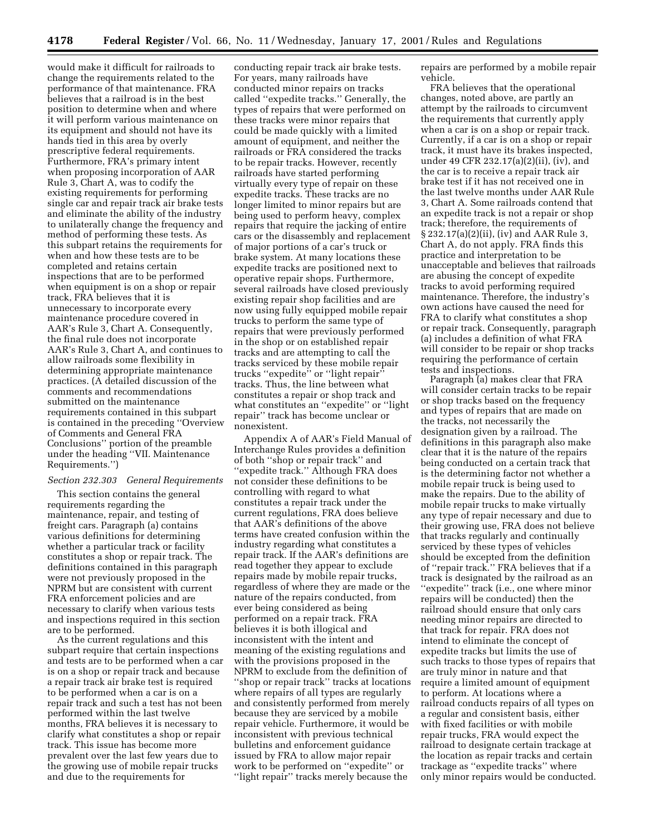would make it difficult for railroads to change the requirements related to the performance of that maintenance. FRA believes that a railroad is in the best position to determine when and where it will perform various maintenance on its equipment and should not have its hands tied in this area by overly prescriptive federal requirements. Furthermore, FRA's primary intent when proposing incorporation of AAR Rule 3, Chart A, was to codify the existing requirements for performing single car and repair track air brake tests and eliminate the ability of the industry to unilaterally change the frequency and method of performing these tests. As this subpart retains the requirements for when and how these tests are to be completed and retains certain inspections that are to be performed when equipment is on a shop or repair track, FRA believes that it is unnecessary to incorporate every maintenance procedure covered in AAR's Rule 3, Chart A. Consequently, the final rule does not incorporate AAR's Rule 3, Chart A, and continues to allow railroads some flexibility in determining appropriate maintenance practices. (A detailed discussion of the comments and recommendations submitted on the maintenance requirements contained in this subpart is contained in the preceding ''Overview of Comments and General FRA Conclusions'' portion of the preamble under the heading ''VII. Maintenance Requirements.'')

#### *Section 232.303 General Requirements*

This section contains the general requirements regarding the maintenance, repair, and testing of freight cars. Paragraph (a) contains various definitions for determining whether a particular track or facility constitutes a shop or repair track. The definitions contained in this paragraph were not previously proposed in the NPRM but are consistent with current FRA enforcement policies and are necessary to clarify when various tests and inspections required in this section are to be performed.

As the current regulations and this subpart require that certain inspections and tests are to be performed when a car is on a shop or repair track and because a repair track air brake test is required to be performed when a car is on a repair track and such a test has not been performed within the last twelve months, FRA believes it is necessary to clarify what constitutes a shop or repair track. This issue has become more prevalent over the last few years due to the growing use of mobile repair trucks and due to the requirements for

conducting repair track air brake tests. For years, many railroads have conducted minor repairs on tracks called ''expedite tracks.'' Generally, the types of repairs that were performed on these tracks were minor repairs that could be made quickly with a limited amount of equipment, and neither the railroads or FRA considered the tracks to be repair tracks. However, recently railroads have started performing virtually every type of repair on these expedite tracks. These tracks are no longer limited to minor repairs but are being used to perform heavy, complex repairs that require the jacking of entire cars or the disassembly and replacement of major portions of a car's truck or brake system. At many locations these expedite tracks are positioned next to operative repair shops. Furthermore, several railroads have closed previously existing repair shop facilities and are now using fully equipped mobile repair trucks to perform the same type of repairs that were previously performed in the shop or on established repair tracks and are attempting to call the tracks serviced by these mobile repair trucks ''expedite'' or ''light repair'' tracks. Thus, the line between what constitutes a repair or shop track and what constitutes an ''expedite'' or ''light repair'' track has become unclear or nonexistent.

Appendix A of AAR's Field Manual of Interchange Rules provides a definition of both ''shop or repair track'' and ''expedite track.'' Although FRA does not consider these definitions to be controlling with regard to what constitutes a repair track under the current regulations, FRA does believe that AAR's definitions of the above terms have created confusion within the industry regarding what constitutes a repair track. If the AAR's definitions are read together they appear to exclude repairs made by mobile repair trucks, regardless of where they are made or the nature of the repairs conducted, from ever being considered as being performed on a repair track. FRA believes it is both illogical and inconsistent with the intent and meaning of the existing regulations and with the provisions proposed in the NPRM to exclude from the definition of ''shop or repair track'' tracks at locations where repairs of all types are regularly and consistently performed from merely because they are serviced by a mobile repair vehicle. Furthermore, it would be inconsistent with previous technical bulletins and enforcement guidance issued by FRA to allow major repair work to be performed on ''expedite'' or ''light repair'' tracks merely because the

repairs are performed by a mobile repair vehicle.

FRA believes that the operational changes, noted above, are partly an attempt by the railroads to circumvent the requirements that currently apply when a car is on a shop or repair track. Currently, if a car is on a shop or repair track, it must have its brakes inspected, under 49 CFR 232.17(a)(2)(ii), (iv), and the car is to receive a repair track air brake test if it has not received one in the last twelve months under AAR Rule 3, Chart A. Some railroads contend that an expedite track is not a repair or shop track; therefore, the requirements of § 232.17(a)(2)(ii), (iv) and AAR Rule 3, Chart A, do not apply. FRA finds this practice and interpretation to be unacceptable and believes that railroads are abusing the concept of expedite tracks to avoid performing required maintenance. Therefore, the industry's own actions have caused the need for FRA to clarify what constitutes a shop or repair track. Consequently, paragraph (a) includes a definition of what FRA will consider to be repair or shop tracks requiring the performance of certain tests and inspections.

Paragraph (a) makes clear that FRA will consider certain tracks to be repair or shop tracks based on the frequency and types of repairs that are made on the tracks, not necessarily the designation given by a railroad. The definitions in this paragraph also make clear that it is the nature of the repairs being conducted on a certain track that is the determining factor not whether a mobile repair truck is being used to make the repairs. Due to the ability of mobile repair trucks to make virtually any type of repair necessary and due to their growing use, FRA does not believe that tracks regularly and continually serviced by these types of vehicles should be excepted from the definition of ''repair track.'' FRA believes that if a track is designated by the railroad as an "expedite" track (i.e., one where minor repairs will be conducted) then the railroad should ensure that only cars needing minor repairs are directed to that track for repair. FRA does not intend to eliminate the concept of expedite tracks but limits the use of such tracks to those types of repairs that are truly minor in nature and that require a limited amount of equipment to perform. At locations where a railroad conducts repairs of all types on a regular and consistent basis, either with fixed facilities or with mobile repair trucks, FRA would expect the railroad to designate certain trackage at the location as repair tracks and certain trackage as ''expedite tracks'' where only minor repairs would be conducted.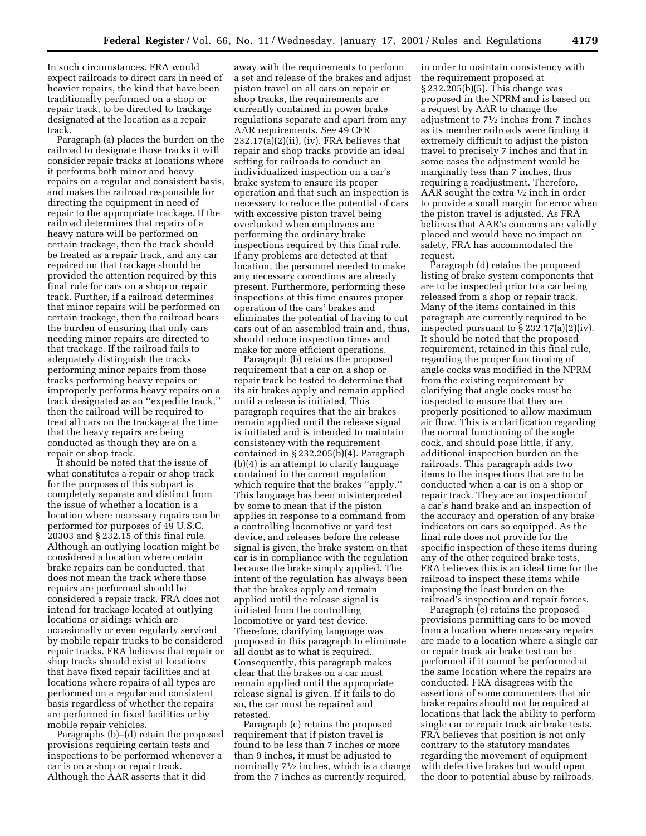In such circumstances, FRA would expect railroads to direct cars in need of heavier repairs, the kind that have been traditionally performed on a shop or repair track, to be directed to trackage designated at the location as a repair track.

Paragraph (a) places the burden on the railroad to designate those tracks it will consider repair tracks at locations where it performs both minor and heavy repairs on a regular and consistent basis, and makes the railroad responsible for directing the equipment in need of repair to the appropriate trackage. If the railroad determines that repairs of a heavy nature will be performed on certain trackage, then the track should be treated as a repair track, and any car repaired on that trackage should be provided the attention required by this final rule for cars on a shop or repair track. Further, if a railroad determines that minor repairs will be performed on certain trackage, then the railroad bears the burden of ensuring that only cars needing minor repairs are directed to that trackage. If the railroad fails to adequately distinguish the tracks performing minor repairs from those tracks performing heavy repairs or improperly performs heavy repairs on a track designated as an ''expedite track,'' then the railroad will be required to treat all cars on the trackage at the time that the heavy repairs are being conducted as though they are on a repair or shop track.

It should be noted that the issue of what constitutes a repair or shop track for the purposes of this subpart is completely separate and distinct from the issue of whether a location is a location where necessary repairs can be performed for purposes of 49 U.S.C. 20303 and § 232.15 of this final rule. Although an outlying location might be considered a location where certain brake repairs can be conducted, that does not mean the track where those repairs are performed should be considered a repair track. FRA does not intend for trackage located at outlying locations or sidings which are occasionally or even regularly serviced by mobile repair trucks to be considered repair tracks. FRA believes that repair or shop tracks should exist at locations that have fixed repair facilities and at locations where repairs of all types are performed on a regular and consistent basis regardless of whether the repairs are performed in fixed facilities or by mobile repair vehicles.

Paragraphs (b)–(d) retain the proposed provisions requiring certain tests and inspections to be performed whenever a car is on a shop or repair track. Although the AAR asserts that it did

away with the requirements to perform a set and release of the brakes and adjust piston travel on all cars on repair or shop tracks, the requirements are currently contained in power brake regulations separate and apart from any AAR requirements. *See* 49 CFR 232.17(a)(2)(ii), (iv). FRA believes that repair and shop tracks provide an ideal setting for railroads to conduct an individualized inspection on a car's brake system to ensure its proper operation and that such an inspection is necessary to reduce the potential of cars with excessive piston travel being overlooked when employees are performing the ordinary brake inspections required by this final rule. If any problems are detected at that location, the personnel needed to make any necessary corrections are already present. Furthermore, performing these inspections at this time ensures proper operation of the cars' brakes and eliminates the potential of having to cut cars out of an assembled train and, thus, should reduce inspection times and make for more efficient operations.

Paragraph (b) retains the proposed requirement that a car on a shop or repair track be tested to determine that its air brakes apply and remain applied until a release is initiated. This paragraph requires that the air brakes remain applied until the release signal is initiated and is intended to maintain consistency with the requirement contained in § 232.205(b)(4). Paragraph (b)(4) is an attempt to clarify language contained in the current regulation which require that the brakes ''apply.'' This language has been misinterpreted by some to mean that if the piston applies in response to a command from a controlling locomotive or yard test device, and releases before the release signal is given, the brake system on that car is in compliance with the regulation because the brake simply applied. The intent of the regulation has always been that the brakes apply and remain applied until the release signal is initiated from the controlling locomotive or yard test device. Therefore, clarifying language was proposed in this paragraph to eliminate all doubt as to what is required. Consequently, this paragraph makes clear that the brakes on a car must remain applied until the appropriate release signal is given. If it fails to do so, the car must be repaired and retested.

Paragraph (c) retains the proposed requirement that if piston travel is found to be less than 7 inches or more than 9 inches, it must be adjusted to nominally  $7\frac{1}{2}$  inches, which is a change from the 7 inches as currently required,

in order to maintain consistency with the requirement proposed at § 232.205(b)(5). This change was proposed in the NPRM and is based on a request by AAR to change the adjustment to 71⁄2 inches from 7 inches as its member railroads were finding it extremely difficult to adjust the piston travel to precisely 7 inches and that in some cases the adjustment would be marginally less than 7 inches, thus requiring a readjustment. Therefore, AAR sought the extra  $\frac{1}{2}$  inch in order to provide a small margin for error when the piston travel is adjusted. As FRA believes that AAR's concerns are validly placed and would have no impact on safety, FRA has accommodated the request.

Paragraph (d) retains the proposed listing of brake system components that are to be inspected prior to a car being released from a shop or repair track. Many of the items contained in this paragraph are currently required to be inspected pursuant to § 232.17(a)(2)(iv). It should be noted that the proposed requirement, retained in this final rule, regarding the proper functioning of angle cocks was modified in the NPRM from the existing requirement by clarifying that angle cocks must be inspected to ensure that they are properly positioned to allow maximum air flow. This is a clarification regarding the normal functioning of the angle cock, and should pose little, if any, additional inspection burden on the railroads. This paragraph adds two items to the inspections that are to be conducted when a car is on a shop or repair track. They are an inspection of a car's hand brake and an inspection of the accuracy and operation of any brake indicators on cars so equipped. As the final rule does not provide for the specific inspection of these items during any of the other required brake tests, FRA believes this is an ideal time for the railroad to inspect these items while imposing the least burden on the railroad's inspection and repair forces.

Paragraph (e) retains the proposed provisions permitting cars to be moved from a location where necessary repairs are made to a location where a single car or repair track air brake test can be performed if it cannot be performed at the same location where the repairs are conducted. FRA disagrees with the assertions of some commenters that air brake repairs should not be required at locations that lack the ability to perform single car or repair track air brake tests. FRA believes that position is not only contrary to the statutory mandates regarding the movement of equipment with defective brakes but would open the door to potential abuse by railroads.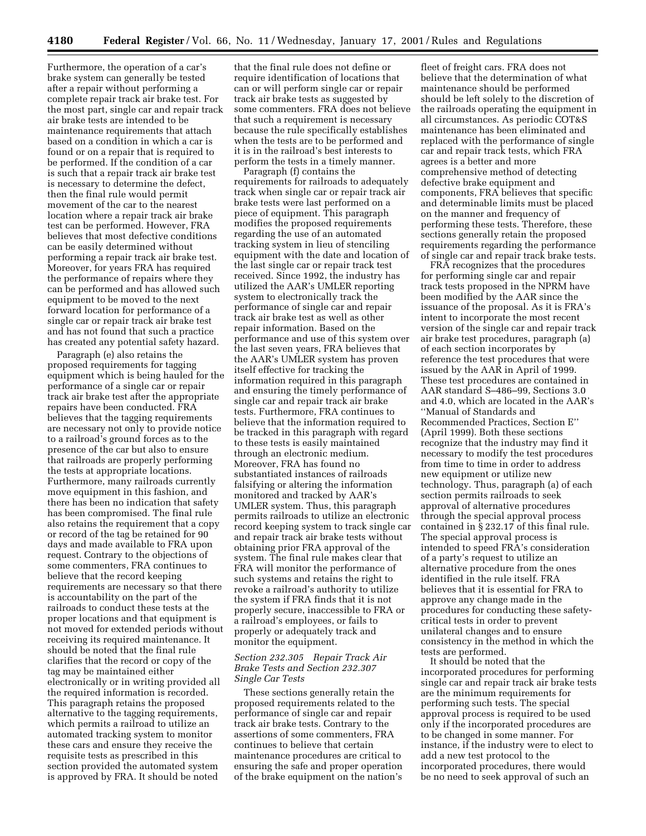Furthermore, the operation of a car's brake system can generally be tested after a repair without performing a complete repair track air brake test. For the most part, single car and repair track air brake tests are intended to be maintenance requirements that attach based on a condition in which a car is found or on a repair that is required to be performed. If the condition of a car is such that a repair track air brake test is necessary to determine the defect, then the final rule would permit movement of the car to the nearest location where a repair track air brake test can be performed. However, FRA believes that most defective conditions can be easily determined without performing a repair track air brake test. Moreover, for years FRA has required the performance of repairs where they can be performed and has allowed such equipment to be moved to the next forward location for performance of a single car or repair track air brake test and has not found that such a practice has created any potential safety hazard.

Paragraph (e) also retains the proposed requirements for tagging equipment which is being hauled for the performance of a single car or repair track air brake test after the appropriate repairs have been conducted. FRA believes that the tagging requirements are necessary not only to provide notice to a railroad's ground forces as to the presence of the car but also to ensure that railroads are properly performing the tests at appropriate locations. Furthermore, many railroads currently move equipment in this fashion, and there has been no indication that safety has been compromised. The final rule also retains the requirement that a copy or record of the tag be retained for 90 days and made available to FRA upon request. Contrary to the objections of some commenters, FRA continues to believe that the record keeping requirements are necessary so that there is accountability on the part of the railroads to conduct these tests at the proper locations and that equipment is not moved for extended periods without receiving its required maintenance. It should be noted that the final rule clarifies that the record or copy of the tag may be maintained either electronically or in writing provided all the required information is recorded. This paragraph retains the proposed alternative to the tagging requirements, which permits a railroad to utilize an automated tracking system to monitor these cars and ensure they receive the requisite tests as prescribed in this section provided the automated system is approved by FRA. It should be noted

that the final rule does not define or require identification of locations that can or will perform single car or repair track air brake tests as suggested by some commenters. FRA does not believe that such a requirement is necessary because the rule specifically establishes when the tests are to be performed and it is in the railroad's best interests to perform the tests in a timely manner.

Paragraph (f) contains the requirements for railroads to adequately track when single car or repair track air brake tests were last performed on a piece of equipment. This paragraph modifies the proposed requirements regarding the use of an automated tracking system in lieu of stenciling equipment with the date and location of the last single car or repair track test received. Since 1992, the industry has utilized the AAR's UMLER reporting system to electronically track the performance of single car and repair track air brake test as well as other repair information. Based on the performance and use of this system over the last seven years, FRA believes that the AAR's UMLER system has proven itself effective for tracking the information required in this paragraph and ensuring the timely performance of single car and repair track air brake tests. Furthermore, FRA continues to believe that the information required to be tracked in this paragraph with regard to these tests is easily maintained through an electronic medium. Moreover, FRA has found no substantiated instances of railroads falsifying or altering the information monitored and tracked by AAR's UMLER system. Thus, this paragraph permits railroads to utilize an electronic record keeping system to track single car and repair track air brake tests without obtaining prior FRA approval of the system. The final rule makes clear that FRA will monitor the performance of such systems and retains the right to revoke a railroad's authority to utilize the system if FRA finds that it is not properly secure, inaccessible to FRA or a railroad's employees, or fails to properly or adequately track and monitor the equipment.

# *Section 232.305 Repair Track Air Brake Tests and Section 232.307 Single Car Tests*

These sections generally retain the proposed requirements related to the performance of single car and repair track air brake tests. Contrary to the assertions of some commenters, FRA continues to believe that certain maintenance procedures are critical to ensuring the safe and proper operation of the brake equipment on the nation's

fleet of freight cars. FRA does not believe that the determination of what maintenance should be performed should be left solely to the discretion of the railroads operating the equipment in all circumstances. As periodic COT&S maintenance has been eliminated and replaced with the performance of single car and repair track tests, which FRA agrees is a better and more comprehensive method of detecting defective brake equipment and components, FRA believes that specific and determinable limits must be placed on the manner and frequency of performing these tests. Therefore, these sections generally retain the proposed requirements regarding the performance of single car and repair track brake tests.

FRA recognizes that the procedures for performing single car and repair track tests proposed in the NPRM have been modified by the AAR since the issuance of the proposal. As it is FRA's intent to incorporate the most recent version of the single car and repair track air brake test procedures, paragraph (a) of each section incorporates by reference the test procedures that were issued by the AAR in April of 1999. These test procedures are contained in AAR standard S–486–99, Sections 3.0 and 4.0, which are located in the AAR's ''Manual of Standards and Recommended Practices, Section E'' (April 1999). Both these sections recognize that the industry may find it necessary to modify the test procedures from time to time in order to address new equipment or utilize new technology. Thus, paragraph (a) of each section permits railroads to seek approval of alternative procedures through the special approval process contained in § 232.17 of this final rule. The special approval process is intended to speed FRA's consideration of a party's request to utilize an alternative procedure from the ones identified in the rule itself. FRA believes that it is essential for FRA to approve any change made in the procedures for conducting these safetycritical tests in order to prevent unilateral changes and to ensure consistency in the method in which the tests are performed.

It should be noted that the incorporated procedures for performing single car and repair track air brake tests are the minimum requirements for performing such tests. The special approval process is required to be used only if the incorporated procedures are to be changed in some manner. For instance, if the industry were to elect to add a new test protocol to the incorporated procedures, there would be no need to seek approval of such an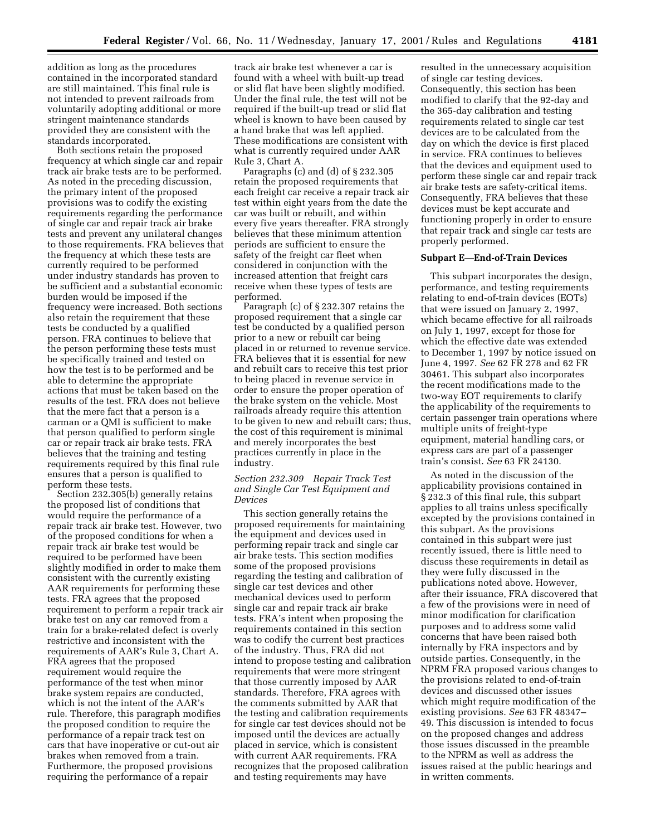addition as long as the procedures contained in the incorporated standard are still maintained. This final rule is not intended to prevent railroads from voluntarily adopting additional or more stringent maintenance standards provided they are consistent with the standards incorporated.

Both sections retain the proposed frequency at which single car and repair track air brake tests are to be performed. As noted in the preceding discussion, the primary intent of the proposed provisions was to codify the existing requirements regarding the performance of single car and repair track air brake tests and prevent any unilateral changes to those requirements. FRA believes that the frequency at which these tests are currently required to be performed under industry standards has proven to be sufficient and a substantial economic burden would be imposed if the frequency were increased. Both sections also retain the requirement that these tests be conducted by a qualified person. FRA continues to believe that the person performing these tests must be specifically trained and tested on how the test is to be performed and be able to determine the appropriate actions that must be taken based on the results of the test. FRA does not believe that the mere fact that a person is a carman or a QMI is sufficient to make that person qualified to perform single car or repair track air brake tests. FRA believes that the training and testing requirements required by this final rule ensures that a person is qualified to perform these tests.

Section 232.305(b) generally retains the proposed list of conditions that would require the performance of a repair track air brake test. However, two of the proposed conditions for when a repair track air brake test would be required to be performed have been slightly modified in order to make them consistent with the currently existing AAR requirements for performing these tests. FRA agrees that the proposed requirement to perform a repair track air brake test on any car removed from a train for a brake-related defect is overly restrictive and inconsistent with the requirements of AAR's Rule 3, Chart A. FRA agrees that the proposed requirement would require the performance of the test when minor brake system repairs are conducted, which is not the intent of the AAR's rule. Therefore, this paragraph modifies the proposed condition to require the performance of a repair track test on cars that have inoperative or cut-out air brakes when removed from a train. Furthermore, the proposed provisions requiring the performance of a repair

track air brake test whenever a car is found with a wheel with built-up tread or slid flat have been slightly modified. Under the final rule, the test will not be required if the built-up tread or slid flat wheel is known to have been caused by a hand brake that was left applied. These modifications are consistent with what is currently required under AAR Rule 3, Chart A.

Paragraphs (c) and (d) of § 232.305 retain the proposed requirements that each freight car receive a repair track air test within eight years from the date the car was built or rebuilt, and within every five years thereafter. FRA strongly believes that these minimum attention periods are sufficient to ensure the safety of the freight car fleet when considered in conjunction with the increased attention that freight cars receive when these types of tests are performed.

Paragraph (c) of § 232.307 retains the proposed requirement that a single car test be conducted by a qualified person prior to a new or rebuilt car being placed in or returned to revenue service. FRA believes that it is essential for new and rebuilt cars to receive this test prior to being placed in revenue service in order to ensure the proper operation of the brake system on the vehicle. Most railroads already require this attention to be given to new and rebuilt cars; thus, the cost of this requirement is minimal and merely incorporates the best practices currently in place in the industry.

# *Section 232.309 Repair Track Test and Single Car Test Equipment and Devices*

This section generally retains the proposed requirements for maintaining the equipment and devices used in performing repair track and single car air brake tests. This section modifies some of the proposed provisions regarding the testing and calibration of single car test devices and other mechanical devices used to perform single car and repair track air brake tests. FRA's intent when proposing the requirements contained in this section was to codify the current best practices of the industry. Thus, FRA did not intend to propose testing and calibration requirements that were more stringent that those currently imposed by AAR standards. Therefore, FRA agrees with the comments submitted by AAR that the testing and calibration requirements for single car test devices should not be imposed until the devices are actually placed in service, which is consistent with current AAR requirements. FRA recognizes that the proposed calibration and testing requirements may have

resulted in the unnecessary acquisition of single car testing devices. Consequently, this section has been modified to clarify that the 92-day and the 365-day calibration and testing requirements related to single car test devices are to be calculated from the day on which the device is first placed in service. FRA continues to believes that the devices and equipment used to perform these single car and repair track air brake tests are safety-critical items. Consequently, FRA believes that these devices must be kept accurate and functioning properly in order to ensure that repair track and single car tests are properly performed.

#### **Subpart E—End-of-Train Devices**

This subpart incorporates the design, performance, and testing requirements relating to end-of-train devices (EOTs) that were issued on January 2, 1997, which became effective for all railroads on July 1, 1997, except for those for which the effective date was extended to December 1, 1997 by notice issued on June 4, 1997. *See* 62 FR 278 and 62 FR 30461. This subpart also incorporates the recent modifications made to the two-way EOT requirements to clarify the applicability of the requirements to certain passenger train operations where multiple units of freight-type equipment, material handling cars, or express cars are part of a passenger train's consist. *See* 63 FR 24130.

As noted in the discussion of the applicability provisions contained in § 232.3 of this final rule, this subpart applies to all trains unless specifically excepted by the provisions contained in this subpart. As the provisions contained in this subpart were just recently issued, there is little need to discuss these requirements in detail as they were fully discussed in the publications noted above. However, after their issuance, FRA discovered that a few of the provisions were in need of minor modification for clarification purposes and to address some valid concerns that have been raised both internally by FRA inspectors and by outside parties. Consequently, in the NPRM FRA proposed various changes to the provisions related to end-of-train devices and discussed other issues which might require modification of the existing provisions. *See* 63 FR 48347– 49. This discussion is intended to focus on the proposed changes and address those issues discussed in the preamble to the NPRM as well as address the issues raised at the public hearings and in written comments.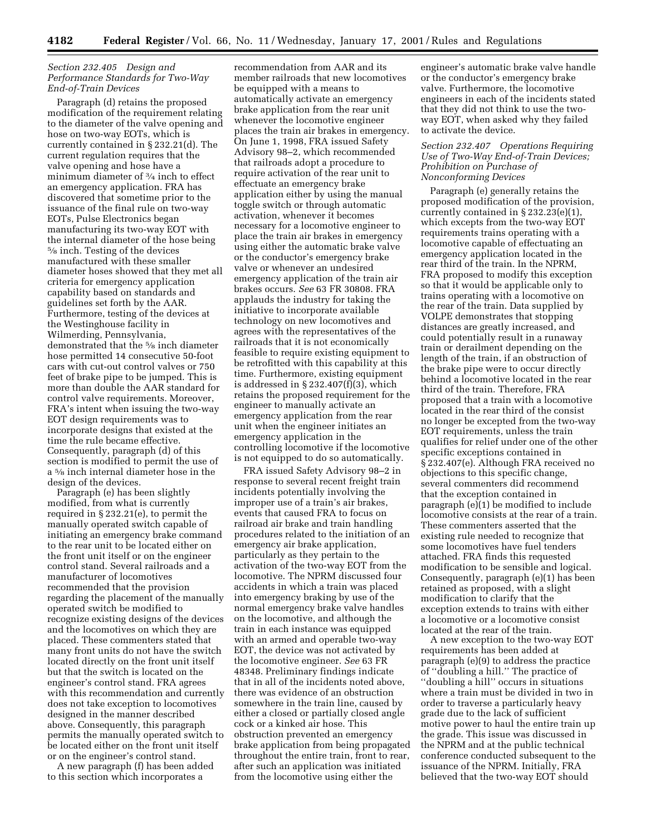# *Section 232.405 Design and Performance Standards for Two-Way End-of-Train Devices*

Paragraph (d) retains the proposed modification of the requirement relating to the diameter of the valve opening and hose on two-way EOTs, which is currently contained in § 232.21(d). The current regulation requires that the valve opening and hose have a minimum diameter of 3⁄4 inch to effect an emergency application. FRA has discovered that sometime prior to the issuance of the final rule on two-way EOTs, Pulse Electronics began manufacturing its two-way EOT with the internal diameter of the hose being 5⁄8 inch. Testing of the devices manufactured with these smaller diameter hoses showed that they met all criteria for emergency application capability based on standards and guidelines set forth by the AAR. Furthermore, testing of the devices at the Westinghouse facility in Wilmerding, Pennsylvania, demonstrated that the 5⁄8 inch diameter hose permitted 14 consecutive 50-foot cars with cut-out control valves or 750 feet of brake pipe to be jumped. This is more than double the AAR standard for control valve requirements. Moreover, FRA's intent when issuing the two-way EOT design requirements was to incorporate designs that existed at the time the rule became effective. Consequently, paragraph (d) of this section is modified to permit the use of a 5⁄8 inch internal diameter hose in the design of the devices.

Paragraph (e) has been slightly modified, from what is currently required in § 232.21(e), to permit the manually operated switch capable of initiating an emergency brake command to the rear unit to be located either on the front unit itself or on the engineer control stand. Several railroads and a manufacturer of locomotives recommended that the provision regarding the placement of the manually operated switch be modified to recognize existing designs of the devices and the locomotives on which they are placed. These commenters stated that many front units do not have the switch located directly on the front unit itself but that the switch is located on the engineer's control stand. FRA agrees with this recommendation and currently does not take exception to locomotives designed in the manner described above. Consequently, this paragraph permits the manually operated switch to be located either on the front unit itself or on the engineer's control stand.

A new paragraph (f) has been added to this section which incorporates a

recommendation from AAR and its member railroads that new locomotives be equipped with a means to automatically activate an emergency brake application from the rear unit whenever the locomotive engineer places the train air brakes in emergency. On June 1, 1998, FRA issued Safety Advisory 98–2, which recommended that railroads adopt a procedure to require activation of the rear unit to effectuate an emergency brake application either by using the manual toggle switch or through automatic activation, whenever it becomes necessary for a locomotive engineer to place the train air brakes in emergency using either the automatic brake valve or the conductor's emergency brake valve or whenever an undesired emergency application of the train air brakes occurs. *See* 63 FR 30808. FRA applauds the industry for taking the initiative to incorporate available technology on new locomotives and agrees with the representatives of the railroads that it is not economically feasible to require existing equipment to be retrofitted with this capability at this time. Furthermore, existing equipment is addressed in § 232.407(f)(3), which retains the proposed requirement for the engineer to manually activate an emergency application from the rear unit when the engineer initiates an emergency application in the controlling locomotive if the locomotive is not equipped to do so automatically.

FRA issued Safety Advisory 98–2 in response to several recent freight train incidents potentially involving the improper use of a train's air brakes, events that caused FRA to focus on railroad air brake and train handling procedures related to the initiation of an emergency air brake application, particularly as they pertain to the activation of the two-way EOT from the locomotive. The NPRM discussed four accidents in which a train was placed into emergency braking by use of the normal emergency brake valve handles on the locomotive, and although the train in each instance was equipped with an armed and operable two-way EOT, the device was not activated by the locomotive engineer. *See* 63 FR 48348. Preliminary findings indicate that in all of the incidents noted above, there was evidence of an obstruction somewhere in the train line, caused by either a closed or partially closed angle cock or a kinked air hose. This obstruction prevented an emergency brake application from being propagated throughout the entire train, front to rear, after such an application was initiated from the locomotive using either the

engineer's automatic brake valve handle or the conductor's emergency brake valve. Furthermore, the locomotive engineers in each of the incidents stated that they did not think to use the twoway EOT, when asked why they failed to activate the device.

# *Section 232.407 Operations Requiring Use of Two-Way End-of-Train Devices; Prohibition on Purchase of Nonconforming Devices*

Paragraph (e) generally retains the proposed modification of the provision, currently contained in § 232.23(e)(1), which excepts from the two-way EOT requirements trains operating with a locomotive capable of effectuating an emergency application located in the rear third of the train. In the NPRM, FRA proposed to modify this exception so that it would be applicable only to trains operating with a locomotive on the rear of the train. Data supplied by VOLPE demonstrates that stopping distances are greatly increased, and could potentially result in a runaway train or derailment depending on the length of the train, if an obstruction of the brake pipe were to occur directly behind a locomotive located in the rear third of the train. Therefore, FRA proposed that a train with a locomotive located in the rear third of the consist no longer be excepted from the two-way EOT requirements, unless the train qualifies for relief under one of the other specific exceptions contained in § 232.407(e). Although FRA received no objections to this specific change, several commenters did recommend that the exception contained in paragraph  $(e)(1)$  be modified to include locomotive consists at the rear of a train. These commenters asserted that the existing rule needed to recognize that some locomotives have fuel tenders attached. FRA finds this requested modification to be sensible and logical. Consequently, paragraph (e)(1) has been retained as proposed, with a slight modification to clarify that the exception extends to trains with either a locomotive or a locomotive consist located at the rear of the train.

A new exception to the two-way EOT requirements has been added at paragraph (e)(9) to address the practice of ''doubling a hill.'' The practice of ''doubling a hill'' occurs in situations where a train must be divided in two in order to traverse a particularly heavy grade due to the lack of sufficient motive power to haul the entire train up the grade. This issue was discussed in the NPRM and at the public technical conference conducted subsequent to the issuance of the NPRM. Initially, FRA believed that the two-way EOT should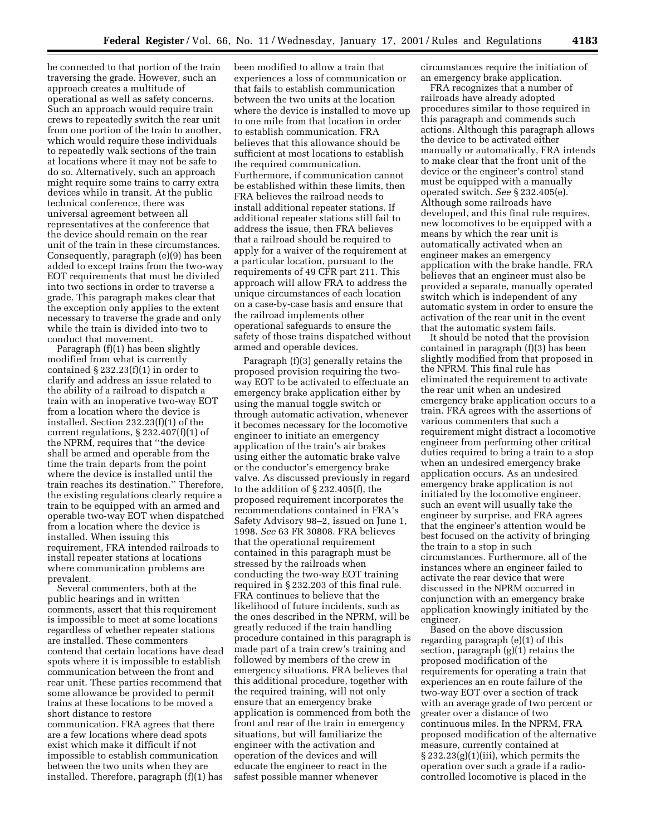be connected to that portion of the train traversing the grade. However, such an approach creates a multitude of operational as well as safety concerns. Such an approach would require train crews to repeatedly switch the rear unit from one portion of the train to another, which would require these individuals to repeatedly walk sections of the train at locations where it may not be safe to do so. Alternatively, such an approach might require some trains to carry extra devices while in transit. At the public technical conference, there was universal agreement between all representatives at the conference that the device should remain on the rear unit of the train in these circumstances. Consequently, paragraph (e)(9) has been added to except trains from the two-way EOT requirements that must be divided into two sections in order to traverse a grade. This paragraph makes clear that the exception only applies to the extent necessary to traverse the grade and only while the train is divided into two to conduct that movement.

Paragraph (f)(1) has been slightly modified from what is currently contained  $\S 232.23(f)(1)$  in order to clarify and address an issue related to the ability of a railroad to dispatch a train with an inoperative two-way EOT from a location where the device is installed. Section 232.23(f)(1) of the current regulations, § 232.407(f)(1) of the NPRM, requires that ''the device shall be armed and operable from the time the train departs from the point where the device is installed until the train reaches its destination.'' Therefore, the existing regulations clearly require a train to be equipped with an armed and operable two-way EOT when dispatched from a location where the device is installed. When issuing this requirement, FRA intended railroads to install repeater stations at locations where communication problems are prevalent.

Several commenters, both at the public hearings and in written comments, assert that this requirement is impossible to meet at some locations regardless of whether repeater stations are installed. These commenters contend that certain locations have dead spots where it is impossible to establish communication between the front and rear unit. These parties recommend that some allowance be provided to permit trains at these locations to be moved a short distance to restore communication. FRA agrees that there are a few locations where dead spots exist which make it difficult if not impossible to establish communication between the two units when they are installed. Therefore, paragraph (f)(1) has

been modified to allow a train that experiences a loss of communication or that fails to establish communication between the two units at the location where the device is installed to move up to one mile from that location in order to establish communication. FRA believes that this allowance should be sufficient at most locations to establish the required communication. Furthermore, if communication cannot be established within these limits, then FRA believes the railroad needs to install additional repeater stations. If additional repeater stations still fail to address the issue, then FRA believes that a railroad should be required to apply for a waiver of the requirement at a particular location, pursuant to the requirements of 49 CFR part 211. This approach will allow FRA to address the unique circumstances of each location on a case-by-case basis and ensure that the railroad implements other operational safeguards to ensure the safety of those trains dispatched without armed and operable devices.

Paragraph (f)(3) generally retains the proposed provision requiring the twoway EOT to be activated to effectuate an emergency brake application either by using the manual toggle switch or through automatic activation, whenever it becomes necessary for the locomotive engineer to initiate an emergency application of the train's air brakes using either the automatic brake valve or the conductor's emergency brake valve. As discussed previously in regard to the addition of § 232.405(f), the proposed requirement incorporates the recommendations contained in FRA's Safety Advisory 98–2, issued on June 1, 1998. *See* 63 FR 30808. FRA believes that the operational requirement contained in this paragraph must be stressed by the railroads when conducting the two-way EOT training required in § 232.203 of this final rule. FRA continues to believe that the likelihood of future incidents, such as the ones described in the NPRM, will be greatly reduced if the train handling procedure contained in this paragraph is made part of a train crew's training and followed by members of the crew in emergency situations. FRA believes that this additional procedure, together with the required training, will not only ensure that an emergency brake application is commenced from both the front and rear of the train in emergency situations, but will familiarize the engineer with the activation and operation of the devices and will educate the engineer to react in the safest possible manner whenever

circumstances require the initiation of an emergency brake application.

FRA recognizes that a number of railroads have already adopted procedures similar to those required in this paragraph and commends such actions. Although this paragraph allows the device to be activated either manually or automatically, FRA intends to make clear that the front unit of the device or the engineer's control stand must be equipped with a manually operated switch. *See* § 232.405(e). Although some railroads have developed, and this final rule requires, new locomotives to be equipped with a means by which the rear unit is automatically activated when an engineer makes an emergency application with the brake handle, FRA believes that an engineer must also be provided a separate, manually operated switch which is independent of any automatic system in order to ensure the activation of the rear unit in the event that the automatic system fails.

It should be noted that the provision contained in paragraph (f)(3) has been slightly modified from that proposed in the NPRM. This final rule has eliminated the requirement to activate the rear unit when an undesired emergency brake application occurs to a train. FRA agrees with the assertions of various commenters that such a requirement might distract a locomotive engineer from performing other critical duties required to bring a train to a stop when an undesired emergency brake application occurs. As an undesired emergency brake application is not initiated by the locomotive engineer, such an event will usually take the engineer by surprise, and FRA agrees that the engineer's attention would be best focused on the activity of bringing the train to a stop in such circumstances. Furthermore, all of the instances where an engineer failed to activate the rear device that were discussed in the NPRM occurred in conjunction with an emergency brake application knowingly initiated by the engineer.

Based on the above discussion regarding paragraph (e)(1) of this section, paragraph (g)(1) retains the proposed modification of the requirements for operating a train that experiences an en route failure of the two-way EOT over a section of track with an average grade of two percent or greater over a distance of two continuous miles. In the NPRM, FRA proposed modification of the alternative measure, currently contained at § 232.23(g)(1)(iii), which permits the operation over such a grade if a radiocontrolled locomotive is placed in the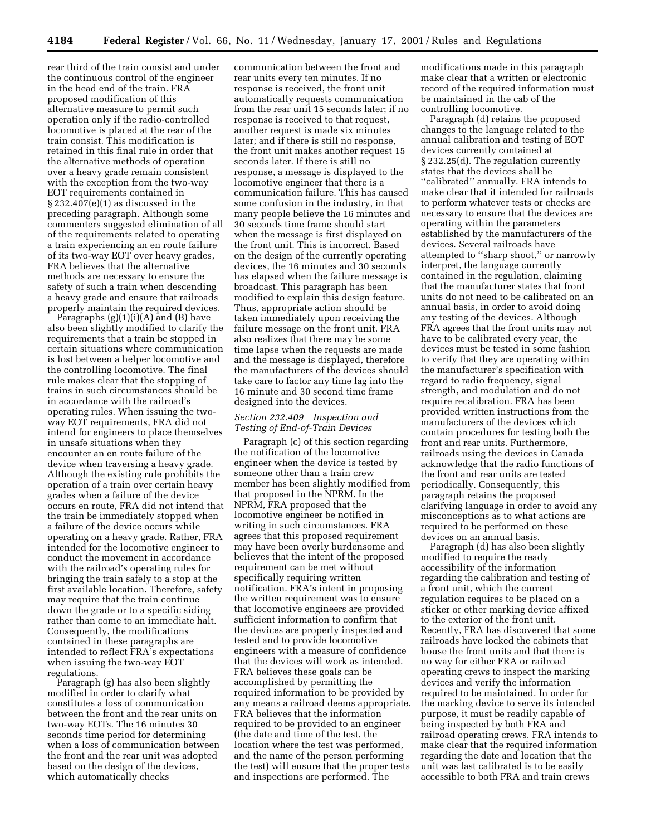rear third of the train consist and under the continuous control of the engineer in the head end of the train. FRA proposed modification of this alternative measure to permit such operation only if the radio-controlled locomotive is placed at the rear of the train consist. This modification is retained in this final rule in order that the alternative methods of operation over a heavy grade remain consistent with the exception from the two-way EOT requirements contained in  $\S 232.407(e)(1)$  as discussed in the preceding paragraph. Although some commenters suggested elimination of all of the requirements related to operating a train experiencing an en route failure of its two-way EOT over heavy grades, FRA believes that the alternative methods are necessary to ensure the safety of such a train when descending a heavy grade and ensure that railroads properly maintain the required devices.

Paragraphs  $(g)(1)(i)(A)$  and  $(B)$  have also been slightly modified to clarify the requirements that a train be stopped in certain situations where communication is lost between a helper locomotive and the controlling locomotive. The final rule makes clear that the stopping of trains in such circumstances should be in accordance with the railroad's operating rules. When issuing the twoway EOT requirements, FRA did not intend for engineers to place themselves in unsafe situations when they encounter an en route failure of the device when traversing a heavy grade. Although the existing rule prohibits the operation of a train over certain heavy grades when a failure of the device occurs en route, FRA did not intend that the train be immediately stopped when a failure of the device occurs while operating on a heavy grade. Rather, FRA intended for the locomotive engineer to conduct the movement in accordance with the railroad's operating rules for bringing the train safely to a stop at the first available location. Therefore, safety may require that the train continue down the grade or to a specific siding rather than come to an immediate halt. Consequently, the modifications contained in these paragraphs are intended to reflect FRA's expectations when issuing the two-way EOT regulations.

Paragraph (g) has also been slightly modified in order to clarify what constitutes a loss of communication between the front and the rear units on two-way EOTs. The 16 minutes 30 seconds time period for determining when a loss of communication between the front and the rear unit was adopted based on the design of the devices, which automatically checks

communication between the front and rear units every ten minutes. If no response is received, the front unit automatically requests communication from the rear unit 15 seconds later; if no response is received to that request, another request is made six minutes later; and if there is still no response, the front unit makes another request 15 seconds later. If there is still no response, a message is displayed to the locomotive engineer that there is a communication failure. This has caused some confusion in the industry, in that many people believe the 16 minutes and 30 seconds time frame should start when the message is first displayed on the front unit. This is incorrect. Based on the design of the currently operating devices, the 16 minutes and 30 seconds has elapsed when the failure message is broadcast. This paragraph has been modified to explain this design feature. Thus, appropriate action should be taken immediately upon receiving the failure message on the front unit. FRA also realizes that there may be some time lapse when the requests are made and the message is displayed, therefore the manufacturers of the devices should take care to factor any time lag into the 16 minute and 30 second time frame designed into the devices.

# *Section 232.409 Inspection and Testing of End-of-Train Devices*

Paragraph (c) of this section regarding the notification of the locomotive engineer when the device is tested by someone other than a train crew member has been slightly modified from that proposed in the NPRM. In the NPRM, FRA proposed that the locomotive engineer be notified in writing in such circumstances. FRA agrees that this proposed requirement may have been overly burdensome and believes that the intent of the proposed requirement can be met without specifically requiring written notification. FRA's intent in proposing the written requirement was to ensure that locomotive engineers are provided sufficient information to confirm that the devices are properly inspected and tested and to provide locomotive engineers with a measure of confidence that the devices will work as intended. FRA believes these goals can be accomplished by permitting the required information to be provided by any means a railroad deems appropriate. FRA believes that the information required to be provided to an engineer (the date and time of the test, the location where the test was performed, and the name of the person performing the test) will ensure that the proper tests and inspections are performed. The

modifications made in this paragraph make clear that a written or electronic record of the required information must be maintained in the cab of the controlling locomotive.

Paragraph (d) retains the proposed changes to the language related to the annual calibration and testing of EOT devices currently contained at § 232.25(d). The regulation currently states that the devices shall be ''calibrated'' annually. FRA intends to make clear that it intended for railroads to perform whatever tests or checks are necessary to ensure that the devices are operating within the parameters established by the manufacturers of the devices. Several railroads have attempted to ''sharp shoot,'' or narrowly interpret, the language currently contained in the regulation, claiming that the manufacturer states that front units do not need to be calibrated on an annual basis, in order to avoid doing any testing of the devices. Although FRA agrees that the front units may not have to be calibrated every year, the devices must be tested in some fashion to verify that they are operating within the manufacturer's specification with regard to radio frequency, signal strength, and modulation and do not require recalibration. FRA has been provided written instructions from the manufacturers of the devices which contain procedures for testing both the front and rear units. Furthermore, railroads using the devices in Canada acknowledge that the radio functions of the front and rear units are tested periodically. Consequently, this paragraph retains the proposed clarifying language in order to avoid any misconceptions as to what actions are required to be performed on these devices on an annual basis.

Paragraph (d) has also been slightly modified to require the ready accessibility of the information regarding the calibration and testing of a front unit, which the current regulation requires to be placed on a sticker or other marking device affixed to the exterior of the front unit. Recently, FRA has discovered that some railroads have locked the cabinets that house the front units and that there is no way for either FRA or railroad operating crews to inspect the marking devices and verify the information required to be maintained. In order for the marking device to serve its intended purpose, it must be readily capable of being inspected by both FRA and railroad operating crews. FRA intends to make clear that the required information regarding the date and location that the unit was last calibrated is to be easily accessible to both FRA and train crews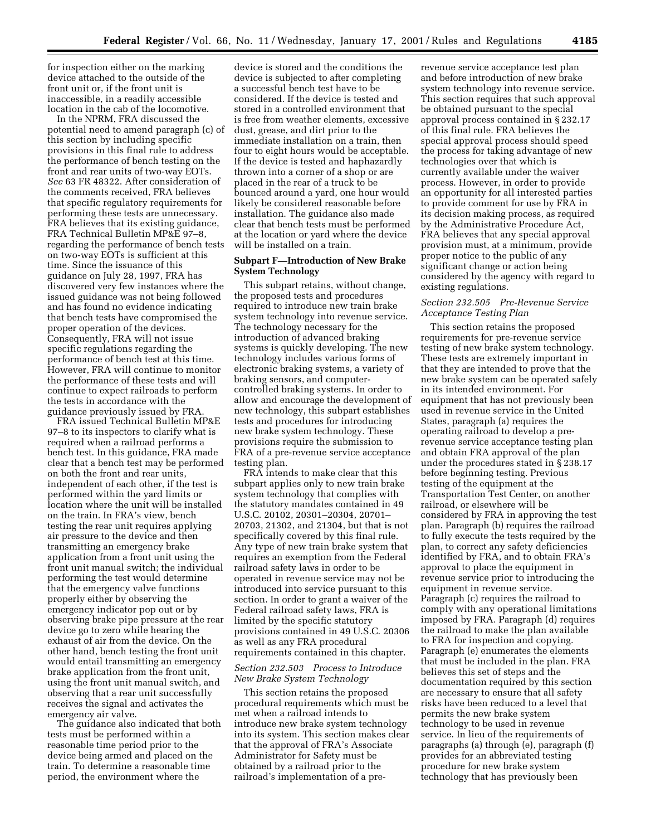for inspection either on the marking device attached to the outside of the front unit or, if the front unit is inaccessible, in a readily accessible location in the cab of the locomotive.

In the NPRM, FRA discussed the potential need to amend paragraph (c) of this section by including specific provisions in this final rule to address the performance of bench testing on the front and rear units of two-way EOTs. *See* 63 FR 48322. After consideration of the comments received, FRA believes that specific regulatory requirements for performing these tests are unnecessary. FRA believes that its existing guidance, FRA Technical Bulletin MP&E 97–8, regarding the performance of bench tests on two-way EOTs is sufficient at this time. Since the issuance of this guidance on July 28, 1997, FRA has discovered very few instances where the issued guidance was not being followed and has found no evidence indicating that bench tests have compromised the proper operation of the devices. Consequently, FRA will not issue specific regulations regarding the performance of bench test at this time. However, FRA will continue to monitor the performance of these tests and will continue to expect railroads to perform the tests in accordance with the guidance previously issued by FRA.

FRA issued Technical Bulletin MP&E 97–8 to its inspectors to clarify what is required when a railroad performs a bench test. In this guidance, FRA made clear that a bench test may be performed on both the front and rear units, independent of each other, if the test is performed within the yard limits or location where the unit will be installed on the train. In FRA's view, bench testing the rear unit requires applying air pressure to the device and then transmitting an emergency brake application from a front unit using the front unit manual switch; the individual performing the test would determine that the emergency valve functions properly either by observing the emergency indicator pop out or by observing brake pipe pressure at the rear device go to zero while hearing the exhaust of air from the device. On the other hand, bench testing the front unit would entail transmitting an emergency brake application from the front unit, using the front unit manual switch, and observing that a rear unit successfully receives the signal and activates the emergency air valve.

The guidance also indicated that both tests must be performed within a reasonable time period prior to the device being armed and placed on the train. To determine a reasonable time period, the environment where the

device is stored and the conditions the device is subjected to after completing a successful bench test have to be considered. If the device is tested and stored in a controlled environment that is free from weather elements, excessive dust, grease, and dirt prior to the immediate installation on a train, then four to eight hours would be acceptable. If the device is tested and haphazardly thrown into a corner of a shop or are placed in the rear of a truck to be bounced around a yard, one hour would likely be considered reasonable before installation. The guidance also made clear that bench tests must be performed at the location or yard where the device will be installed on a train.

# **Subpart F—Introduction of New Brake System Technology**

This subpart retains, without change, the proposed tests and procedures required to introduce new train brake system technology into revenue service. The technology necessary for the introduction of advanced braking systems is quickly developing. The new technology includes various forms of electronic braking systems, a variety of braking sensors, and computercontrolled braking systems. In order to allow and encourage the development of new technology, this subpart establishes tests and procedures for introducing new brake system technology. These provisions require the submission to FRA of a pre-revenue service acceptance testing plan.

FRA intends to make clear that this subpart applies only to new train brake system technology that complies with the statutory mandates contained in 49 U.S.C. 20102, 20301–20304, 20701– 20703, 21302, and 21304, but that is not specifically covered by this final rule. Any type of new train brake system that requires an exemption from the Federal railroad safety laws in order to be operated in revenue service may not be introduced into service pursuant to this section. In order to grant a waiver of the Federal railroad safety laws, FRA is limited by the specific statutory provisions contained in 49 U.S.C. 20306 as well as any FRA procedural requirements contained in this chapter.

# *Section 232.503 Process to Introduce New Brake System Technology*

This section retains the proposed procedural requirements which must be met when a railroad intends to introduce new brake system technology into its system. This section makes clear that the approval of FRA's Associate Administrator for Safety must be obtained by a railroad prior to the railroad's implementation of a pre-

revenue service acceptance test plan and before introduction of new brake system technology into revenue service. This section requires that such approval be obtained pursuant to the special approval process contained in § 232.17 of this final rule. FRA believes the special approval process should speed the process for taking advantage of new technologies over that which is currently available under the waiver process. However, in order to provide an opportunity for all interested parties to provide comment for use by FRA in its decision making process, as required by the Administrative Procedure Act, FRA believes that any special approval provision must, at a minimum, provide proper notice to the public of any significant change or action being considered by the agency with regard to existing regulations.

# *Section 232.505 Pre-Revenue Service Acceptance Testing Plan*

This section retains the proposed requirements for pre-revenue service testing of new brake system technology. These tests are extremely important in that they are intended to prove that the new brake system can be operated safely in its intended environment. For equipment that has not previously been used in revenue service in the United States, paragraph (a) requires the operating railroad to develop a prerevenue service acceptance testing plan and obtain FRA approval of the plan under the procedures stated in § 238.17 before beginning testing. Previous testing of the equipment at the Transportation Test Center, on another railroad, or elsewhere will be considered by FRA in approving the test plan. Paragraph (b) requires the railroad to fully execute the tests required by the plan, to correct any safety deficiencies identified by FRA, and to obtain FRA's approval to place the equipment in revenue service prior to introducing the equipment in revenue service. Paragraph (c) requires the railroad to comply with any operational limitations imposed by FRA. Paragraph (d) requires the railroad to make the plan available to FRA for inspection and copying. Paragraph (e) enumerates the elements that must be included in the plan. FRA believes this set of steps and the documentation required by this section are necessary to ensure that all safety risks have been reduced to a level that permits the new brake system technology to be used in revenue service. In lieu of the requirements of paragraphs (a) through (e), paragraph (f) provides for an abbreviated testing procedure for new brake system technology that has previously been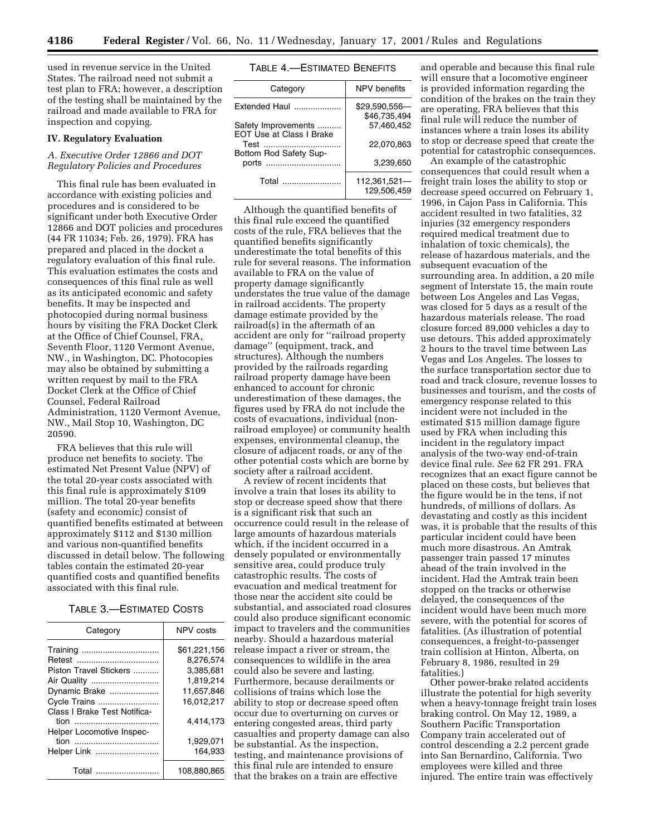used in revenue service in the United States. The railroad need not submit a test plan to FRA; however, a description of the testing shall be maintained by the railroad and made available to FRA for inspection and copying.

# **IV. Regulatory Evaluation**

# *A. Executive Order 12866 and DOT Regulatory Policies and Procedures*

This final rule has been evaluated in accordance with existing policies and procedures and is considered to be significant under both Executive Order 12866 and DOT policies and procedures (44 FR 11034; Feb. 26, 1979). FRA has prepared and placed in the docket a regulatory evaluation of this final rule. This evaluation estimates the costs and consequences of this final rule as well as its anticipated economic and safety benefits. It may be inspected and photocopied during normal business hours by visiting the FRA Docket Clerk at the Office of Chief Counsel, FRA, Seventh Floor, 1120 Vermont Avenue, NW., in Washington, DC. Photocopies may also be obtained by submitting a written request by mail to the FRA Docket Clerk at the Office of Chief Counsel, Federal Railroad Administration, 1120 Vermont Avenue, NW., Mail Stop 10, Washington, DC 20590.

FRA believes that this rule will produce net benefits to society. The estimated Net Present Value (NPV) of the total 20-year costs associated with this final rule is approximately \$109 million. The total 20-year benefits (safety and economic) consist of quantified benefits estimated at between approximately \$112 and \$130 million and various non-quantified benefits discussed in detail below. The following tables contain the estimated 20-year quantified costs and quantified benefits associated with this final rule.

## TABLE 3.—ESTIMATED COSTS

| Category                          | NPV costs    |
|-----------------------------------|--------------|
|                                   | \$61.221.156 |
|                                   | 8.276.574    |
| Piston Travel Stickers            | 3,385,681    |
|                                   | 1.819.214    |
| Dynamic Brake                     | 11.657.846   |
| Cycle Trains                      | 16.012.217   |
| Class I Brake Test Notifica-      | 4.414.173    |
| Helper Locomotive Inspec-<br>tion | 1.929.071    |
| Helper Link                       | 164.933      |
| Total                             | 108.880.865  |

### TABLE 4.—ESTIMATED BENEFITS

| Category                                               | NPV benefits                   |
|--------------------------------------------------------|--------------------------------|
| Extended Haul                                          | $$29,590,556-$<br>\$46,735,494 |
| Safety Improvements<br><b>EOT Use at Class I Brake</b> | 57.460.452                     |
| Test<br>Bottom Rod Safety Sup-                         | 22.070.863                     |
| ports                                                  | 3.239.650                      |
| Total                                                  | 112,361,521-<br>129.506.459    |

Although the quantified benefits of this final rule exceed the quantified costs of the rule, FRA believes that the quantified benefits significantly underestimate the total benefits of this rule for several reasons. The information available to FRA on the value of property damage significantly understates the true value of the damage in railroad accidents. The property damage estimate provided by the railroad(s) in the aftermath of an accident are only for ''railroad property damage'' (equipment, track, and structures). Although the numbers provided by the railroads regarding railroad property damage have been enhanced to account for chronic underestimation of these damages, the figures used by FRA do not include the costs of evacuations, individual (nonrailroad employee) or community health expenses, environmental cleanup, the closure of adjacent roads, or any of the other potential costs which are borne by society after a railroad accident.

A review of recent incidents that involve a train that loses its ability to stop or decrease speed show that there is a significant risk that such an occurrence could result in the release of large amounts of hazardous materials which, if the incident occurred in a densely populated or environmentally sensitive area, could produce truly catastrophic results. The costs of evacuation and medical treatment for those near the accident site could be substantial, and associated road closures could also produce significant economic impact to travelers and the communities nearby. Should a hazardous material release impact a river or stream, the consequences to wildlife in the area could also be severe and lasting. Furthermore, because derailments or collisions of trains which lose the ability to stop or decrease speed often occur due to overturning on curves or entering congested areas, third party casualties and property damage can also be substantial. As the inspection, testing, and maintenance provisions of this final rule are intended to ensure that the brakes on a train are effective

and operable and because this final rule will ensure that a locomotive engineer is provided information regarding the condition of the brakes on the train they are operating, FRA believes that this final rule will reduce the number of instances where a train loses its ability to stop or decrease speed that create the potential for catastrophic consequences.

An example of the catastrophic consequences that could result when a freight train loses the ability to stop or decrease speed occurred on February 1, 1996, in Cajon Pass in California. This accident resulted in two fatalities, 32 injuries (32 emergency responders required medical treatment due to inhalation of toxic chemicals), the release of hazardous materials, and the subsequent evacuation of the surrounding area. In addition, a 20 mile segment of Interstate 15, the main route between Los Angeles and Las Vegas, was closed for 5 days as a result of the hazardous materials release. The road closure forced 89,000 vehicles a day to use detours. This added approximately 2 hours to the travel time between Las Vegas and Los Angeles. The losses to the surface transportation sector due to road and track closure, revenue losses to businesses and tourism, and the costs of emergency response related to this incident were not included in the estimated \$15 million damage figure used by FRA when including this incident in the regulatory impact analysis of the two-way end-of-train device final rule. *See* 62 FR 291. FRA recognizes that an exact figure cannot be placed on these costs, but believes that the figure would be in the tens, if not hundreds, of millions of dollars. As devastating and costly as this incident was, it is probable that the results of this particular incident could have been much more disastrous. An Amtrak passenger train passed 17 minutes ahead of the train involved in the incident. Had the Amtrak train been stopped on the tracks or otherwise delayed, the consequences of the incident would have been much more severe, with the potential for scores of fatalities. (As illustration of potential consequences, a freight-to-passenger train collision at Hinton, Alberta, on February 8, 1986, resulted in 29 fatalities.)

Other power-brake related accidents illustrate the potential for high severity when a heavy-tonnage freight train loses braking control. On May 12, 1989, a Southern Pacific Transportation Company train accelerated out of control descending a 2.2 percent grade into San Bernardino, California. Two employees were killed and three injured. The entire train was effectively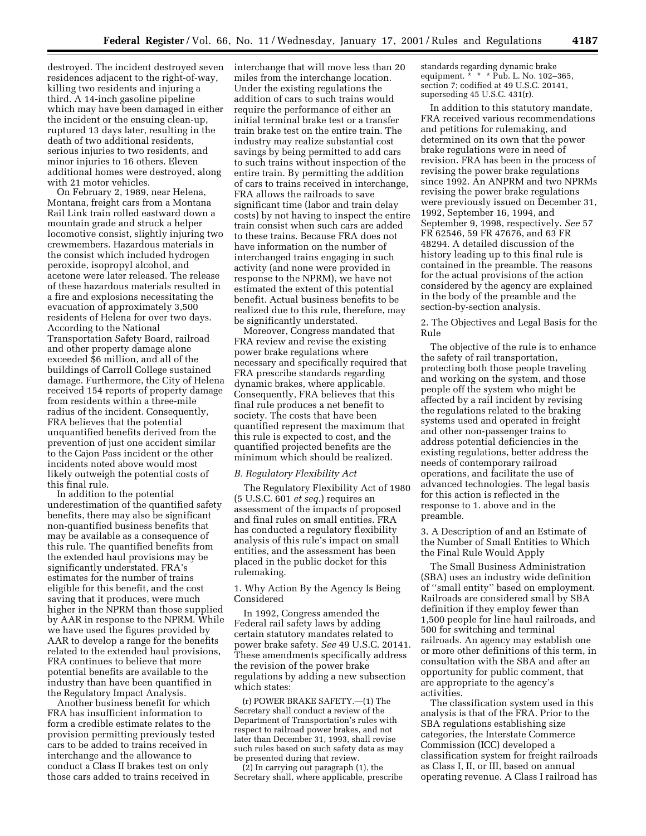destroyed. The incident destroyed seven residences adjacent to the right-of-way, killing two residents and injuring a third. A 14-inch gasoline pipeline which may have been damaged in either the incident or the ensuing clean-up, ruptured 13 days later, resulting in the death of two additional residents, serious injuries to two residents, and minor injuries to 16 others. Eleven additional homes were destroyed, along with 21 motor vehicles.

On February 2, 1989, near Helena, Montana, freight cars from a Montana Rail Link train rolled eastward down a mountain grade and struck a helper locomotive consist, slightly injuring two crewmembers. Hazardous materials in the consist which included hydrogen peroxide, isopropyl alcohol, and acetone were later released. The release of these hazardous materials resulted in a fire and explosions necessitating the evacuation of approximately 3,500 residents of Helena for over two days. According to the National Transportation Safety Board, railroad and other property damage alone exceeded \$6 million, and all of the buildings of Carroll College sustained damage. Furthermore, the City of Helena received 154 reports of property damage from residents within a three-mile radius of the incident. Consequently, FRA believes that the potential unquantified benefits derived from the prevention of just one accident similar

to the Cajon Pass incident or the other incidents noted above would most likely outweigh the potential costs of this final rule.

In addition to the potential underestimation of the quantified safety benefits, there may also be significant non-quantified business benefits that may be available as a consequence of this rule. The quantified benefits from the extended haul provisions may be significantly understated. FRA's estimates for the number of trains eligible for this benefit, and the cost saving that it produces, were much higher in the NPRM than those supplied by AAR in response to the NPRM. While we have used the figures provided by AAR to develop a range for the benefits related to the extended haul provisions, FRA continues to believe that more potential benefits are available to the industry than have been quantified in the Regulatory Impact Analysis.

Another business benefit for which FRA has insufficient information to form a credible estimate relates to the provision permitting previously tested cars to be added to trains received in interchange and the allowance to conduct a Class II brakes test on only those cars added to trains received in

interchange that will move less than 20 miles from the interchange location. Under the existing regulations the addition of cars to such trains would require the performance of either an initial terminal brake test or a transfer train brake test on the entire train. The industry may realize substantial cost savings by being permitted to add cars to such trains without inspection of the entire train. By permitting the addition of cars to trains received in interchange, FRA allows the railroads to save significant time (labor and train delay costs) by not having to inspect the entire train consist when such cars are added to these trains. Because FRA does not have information on the number of interchanged trains engaging in such activity (and none were provided in response to the NPRM), we have not estimated the extent of this potential benefit. Actual business benefits to be realized due to this rule, therefore, may be significantly understated.

Moreover, Congress mandated that FRA review and revise the existing power brake regulations where necessary and specifically required that FRA prescribe standards regarding dynamic brakes, where applicable. Consequently, FRA believes that this final rule produces a net benefit to society. The costs that have been quantified represent the maximum that this rule is expected to cost, and the quantified projected benefits are the minimum which should be realized.

## *B. Regulatory Flexibility Act*

The Regulatory Flexibility Act of 1980 (5 U.S.C. 601 *et seq.*) requires an assessment of the impacts of proposed and final rules on small entities. FRA has conducted a regulatory flexibility analysis of this rule's impact on small entities, and the assessment has been placed in the public docket for this rulemaking.

1. Why Action By the Agency Is Being Considered

In 1992, Congress amended the Federal rail safety laws by adding certain statutory mandates related to power brake safety. *See* 49 U.S.C. 20141. These amendments specifically address the revision of the power brake regulations by adding a new subsection which states:

(r) POWER BRAKE SAFETY.—(1) The Secretary shall conduct a review of the Department of Transportation's rules with respect to railroad power brakes, and not later than December 31, 1993, shall revise such rules based on such safety data as may be presented during that review.

(2) In carrying out paragraph (1), the Secretary shall, where applicable, prescribe

standards regarding dynamic brake equipment. \* \* \* Pub. L. No. 102-365, section 7; codified at 49 U.S.C. 20141, superseding 45 U.S.C. 431(r).

In addition to this statutory mandate, FRA received various recommendations and petitions for rulemaking, and determined on its own that the power brake regulations were in need of revision. FRA has been in the process of revising the power brake regulations since 1992. An ANPRM and two NPRMs revising the power brake regulations were previously issued on December 31, 1992, September 16, 1994, and September 9, 1998, respectively. *See* 57 FR 62546, 59 FR 47676, and 63 FR 48294. A detailed discussion of the history leading up to this final rule is contained in the preamble. The reasons for the actual provisions of the action considered by the agency are explained in the body of the preamble and the section-by-section analysis.

2. The Objectives and Legal Basis for the Rule

The objective of the rule is to enhance the safety of rail transportation, protecting both those people traveling and working on the system, and those people off the system who might be affected by a rail incident by revising the regulations related to the braking systems used and operated in freight and other non-passenger trains to address potential deficiencies in the existing regulations, better address the needs of contemporary railroad operations, and facilitate the use of advanced technologies. The legal basis for this action is reflected in the response to 1. above and in the preamble.

3. A Description of and an Estimate of the Number of Small Entities to Which the Final Rule Would Apply

The Small Business Administration (SBA) uses an industry wide definition of ''small entity'' based on employment. Railroads are considered small by SBA definition if they employ fewer than 1,500 people for line haul railroads, and 500 for switching and terminal railroads. An agency may establish one or more other definitions of this term, in consultation with the SBA and after an opportunity for public comment, that are appropriate to the agency's activities.

The classification system used in this analysis is that of the FRA. Prior to the SBA regulations establishing size categories, the Interstate Commerce Commission (ICC) developed a classification system for freight railroads as Class I, II, or III, based on annual operating revenue. A Class I railroad has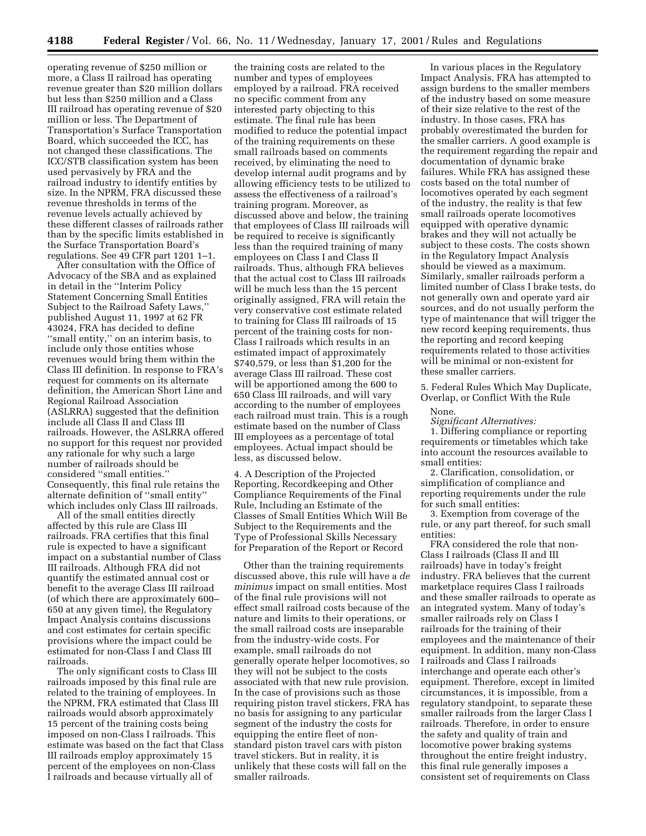operating revenue of \$250 million or more, a Class II railroad has operating revenue greater than \$20 million dollars but less than \$250 million and a Class III railroad has operating revenue of \$20 million or less. The Department of Transportation's Surface Transportation Board, which succeeded the ICC, has not changed these classifications. The ICC/STB classification system has been used pervasively by FRA and the railroad industry to identify entities by size. In the NPRM, FRA discussed these revenue thresholds in terms of the revenue levels actually achieved by these different classes of railroads rather than by the specific limits established in the Surface Transportation Board's regulations. See 49 CFR part 1201 1–1.

After consultation with the Office of Advocacy of the SBA and as explained in detail in the ''Interim Policy Statement Concerning Small Entities Subject to the Railroad Safety Laws,'' published August 11, 1997 at 62 FR 43024, FRA has decided to define ''small entity,'' on an interim basis, to include only those entities whose revenues would bring them within the Class III definition. In response to FRA's request for comments on its alternate definition, the American Short Line and Regional Railroad Association (ASLRRA) suggested that the definition include all Class II and Class III railroads. However, the ASLRRA offered no support for this request nor provided any rationale for why such a large number of railroads should be considered ''small entities.'' Consequently, this final rule retains the alternate definition of ''small entity'' which includes only Class III railroads.

All of the small entities directly affected by this rule are Class III railroads. FRA certifies that this final rule is expected to have a significant impact on a substantial number of Class III railroads. Although FRA did not quantify the estimated annual cost or benefit to the average Class III railroad (of which there are approximately 600– 650 at any given time), the Regulatory Impact Analysis contains discussions and cost estimates for certain specific provisions where the impact could be estimated for non-Class I and Class III railroads.

The only significant costs to Class III railroads imposed by this final rule are related to the training of employees. In the NPRM, FRA estimated that Class III railroads would absorb approximately 15 percent of the training costs being imposed on non-Class I railroads. This estimate was based on the fact that Class III railroads employ approximately 15 percent of the employees on non-Class I railroads and because virtually all of

the training costs are related to the number and types of employees employed by a railroad. FRA received no specific comment from any interested party objecting to this estimate. The final rule has been modified to reduce the potential impact of the training requirements on these small railroads based on comments received, by eliminating the need to develop internal audit programs and by allowing efficiency tests to be utilized to assess the effectiveness of a railroad's training program. Moreover, as discussed above and below, the training that employees of Class III railroads will be required to receive is significantly less than the required training of many employees on Class I and Class II railroads. Thus, although FRA believes that the actual cost to Class III railroads will be much less than the 15 percent originally assigned, FRA will retain the very conservative cost estimate related to training for Class III railroads of 15 percent of the training costs for non-Class I railroads which results in an estimated impact of approximately \$740,579, or less than \$1,200 for the average Class III railroad. These cost will be apportioned among the 600 to 650 Class III railroads, and will vary according to the number of employees each railroad must train. This is a rough estimate based on the number of Class III employees as a percentage of total employees. Actual impact should be less, as discussed below.

4. A Description of the Projected Reporting, Recordkeeping and Other Compliance Requirements of the Final Rule, Including an Estimate of the Classes of Small Entities Which Will Be Subject to the Requirements and the Type of Professional Skills Necessary for Preparation of the Report or Record

Other than the training requirements discussed above, this rule will have a *de minimus* impact on small entities. Most of the final rule provisions will not effect small railroad costs because of the nature and limits to their operations, or the small railroad costs are inseparable from the industry-wide costs. For example, small railroads do not generally operate helper locomotives, so they will not be subject to the costs associated with that new rule provision. In the case of provisions such as those requiring piston travel stickers, FRA has no basis for assigning to any particular segment of the industry the costs for equipping the entire fleet of nonstandard piston travel cars with piston travel stickers. But in reality, it is unlikely that these costs will fall on the smaller railroads.

In various places in the Regulatory Impact Analysis, FRA has attempted to assign burdens to the smaller members of the industry based on some measure of their size relative to the rest of the industry. In those cases, FRA has probably overestimated the burden for the smaller carriers. A good example is the requirement regarding the repair and documentation of dynamic brake failures. While FRA has assigned these costs based on the total number of locomotives operated by each segment of the industry, the reality is that few small railroads operate locomotives equipped with operative dynamic brakes and they will not actually be subject to these costs. The costs shown in the Regulatory Impact Analysis should be viewed as a maximum. Similarly, smaller railroads perform a limited number of Class I brake tests, do not generally own and operate yard air sources, and do not usually perform the type of maintenance that will trigger the new record keeping requirements, thus the reporting and record keeping requirements related to those activities will be minimal or non-existent for these smaller carriers.

5. Federal Rules Which May Duplicate, Overlap, or Conflict With the Rule

None.

*Significant Alternatives:* 1. Differing compliance or reporting requirements or timetables which take into account the resources available to

small entities: 2. Clarification, consolidation, or simplification of compliance and

reporting requirements under the rule for such small entities:

3. Exemption from coverage of the rule, or any part thereof, for such small entities:

FRA considered the role that non-Class I railroads (Class II and III railroads) have in today's freight industry. FRA believes that the current marketplace requires Class I railroads and these smaller railroads to operate as an integrated system. Many of today's smaller railroads rely on Class I railroads for the training of their employees and the maintenance of their equipment. In addition, many non-Class I railroads and Class I railroads interchange and operate each other's equipment. Therefore, except in limited circumstances, it is impossible, from a regulatory standpoint, to separate these smaller railroads from the larger Class I railroads. Therefore, in order to ensure the safety and quality of train and locomotive power braking systems throughout the entire freight industry, this final rule generally imposes a consistent set of requirements on Class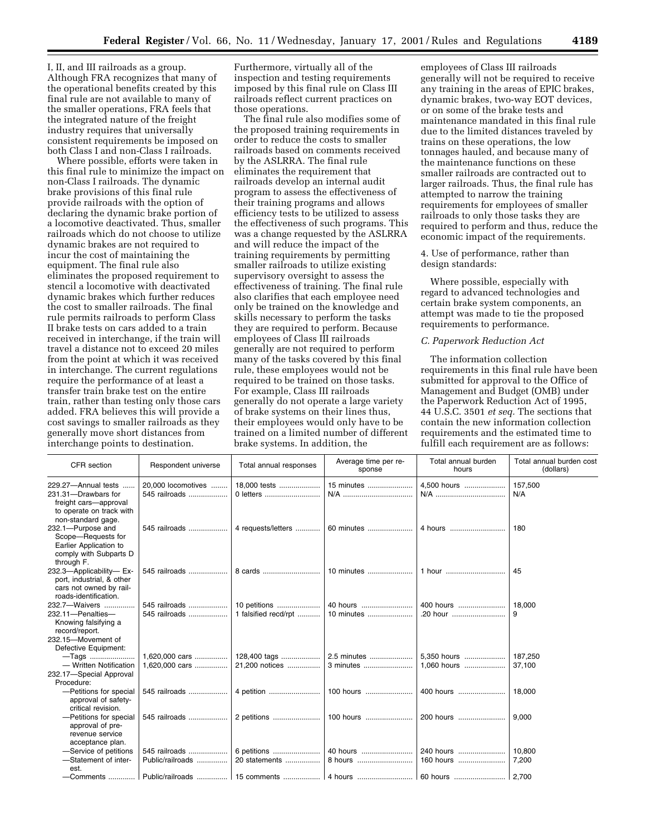I, II, and III railroads as a group. Although FRA recognizes that many of the operational benefits created by this final rule are not available to many of the smaller operations, FRA feels that the integrated nature of the freight industry requires that universally consistent requirements be imposed on both Class I and non-Class I railroads.

Where possible, efforts were taken in this final rule to minimize the impact on non-Class I railroads. The dynamic brake provisions of this final rule provide railroads with the option of declaring the dynamic brake portion of a locomotive deactivated. Thus, smaller railroads which do not choose to utilize dynamic brakes are not required to incur the cost of maintaining the equipment. The final rule also eliminates the proposed requirement to stencil a locomotive with deactivated dynamic brakes which further reduces the cost to smaller railroads. The final rule permits railroads to perform Class II brake tests on cars added to a train received in interchange, if the train will travel a distance not to exceed 20 miles from the point at which it was received in interchange. The current regulations require the performance of at least a transfer train brake test on the entire train, rather than testing only those cars added. FRA believes this will provide a cost savings to smaller railroads as they generally move short distances from interchange points to destination.

Furthermore, virtually all of the inspection and testing requirements imposed by this final rule on Class III railroads reflect current practices on those operations.

The final rule also modifies some of the proposed training requirements in order to reduce the costs to smaller railroads based on comments received by the ASLRRA. The final rule eliminates the requirement that railroads develop an internal audit program to assess the effectiveness of their training programs and allows efficiency tests to be utilized to assess the effectiveness of such programs. This was a change requested by the ASLRRA and will reduce the impact of the training requirements by permitting smaller railroads to utilize existing supervisory oversight to assess the effectiveness of training. The final rule also clarifies that each employee need only be trained on the knowledge and skills necessary to perform the tasks they are required to perform. Because employees of Class III railroads generally are not required to perform many of the tasks covered by this final rule, these employees would not be required to be trained on those tasks. For example, Class III railroads generally do not operate a large variety of brake systems on their lines thus, their employees would only have to be trained on a limited number of different brake systems. In addition, the

employees of Class III railroads generally will not be required to receive any training in the areas of EPIC brakes, dynamic brakes, two-way EOT devices, or on some of the brake tests and maintenance mandated in this final rule due to the limited distances traveled by trains on these operations, the low tonnages hauled, and because many of the maintenance functions on these smaller railroads are contracted out to larger railroads. Thus, the final rule has attempted to narrow the training requirements for employees of smaller railroads to only those tasks they are required to perform and thus, reduce the economic impact of the requirements.

4. Use of performance, rather than design standards:

Where possible, especially with regard to advanced technologies and certain brake system components, an attempt was made to tie the proposed requirements to performance.

#### *C. Paperwork Reduction Act*

The information collection requirements in this final rule have been submitted for approval to the Office of Management and Budget (OMB) under the Paperwork Reduction Act of 1995, 44 U.S.C. 3501 *et seq.* The sections that contain the new information collection requirements and the estimated time to fulfill each requirement are as follows:

| CFR section                                                                                                                     | Respondent universe                 | Total annual responses               | Average time per re-<br>sponse | Total annual burden<br>hours                           | Total annual burden cost<br>(dollars) |
|---------------------------------------------------------------------------------------------------------------------------------|-------------------------------------|--------------------------------------|--------------------------------|--------------------------------------------------------|---------------------------------------|
| 229.27-Annual tests<br>1.1.1.1<br>231.31-Drawbars for<br>freight cars-approval<br>to operate on track with                      | 20,000 locomotives<br>545 railroads | 18,000 tests<br>0 letters            | 15 minutes<br>N/A              | 4,500 hours                                            | 157,500<br>N/A                        |
| non-standard gage.<br>232.1-Purpose and<br>Scope-Requests for<br>Earlier Application to<br>comply with Subparts D<br>through F. | 545 railroads                       | 4 requests/letters                   | 60 minutes                     | 4 hours                                                | 180                                   |
| 232.3-Applicability-Ex-<br>port, industrial, & other<br>cars not owned by rail-<br>roads-identification.                        | 545 railroads                       | 8 cards                              | 10 minutes                     | 1 hour                                                 | 45                                    |
| 232.7-Waivers<br>232.11-Penalties-<br>Knowing falsifying a<br>record/report.<br>232.15-Movement of                              | 545 railroads<br>545 railroads      | 10 petitions<br>1 falsified recd/rpt | 40 hours<br>10 minutes         | 400 hours<br>.20 hour                                  | 18.000<br>9                           |
| Defective Equipment:                                                                                                            |                                     |                                      |                                |                                                        |                                       |
| $-$ Tags<br>- Written Notification<br>232.17-Special Approval<br>Procedure:                                                     | 1,620,000 cars<br>1,620,000 cars    | 21,200 notices                       | 3 minutes                      | 5,350 hours<br>1,060 hours                             | 187,250<br>37.100                     |
| -Petitions for special<br>approval of safety-<br>critical revision.                                                             | 545 railroads                       | 4 petition                           | 100 hours                      | 400 hours                                              | 18,000                                |
| -Petitions for special<br>approval of pre-<br>revenue service<br>acceptance plan.                                               | 545 railroads                       | 2 petitions                          | 100 hours                      | 200 hours                                              | 9,000                                 |
| -Service of petitions                                                                                                           | 545 railroads                       |                                      |                                | 240 hours                                              | 10.800                                |
| -Statement of inter-<br>est.                                                                                                    | Public/railroads                    | 20 statements                        | 8 hours                        | 160 hours                                              | 7.200                                 |
| $\sim$ Comments                                                                                                                 |                                     |                                      |                                | Public/railroads    15 comments    4 hours    60 hours | 2,700                                 |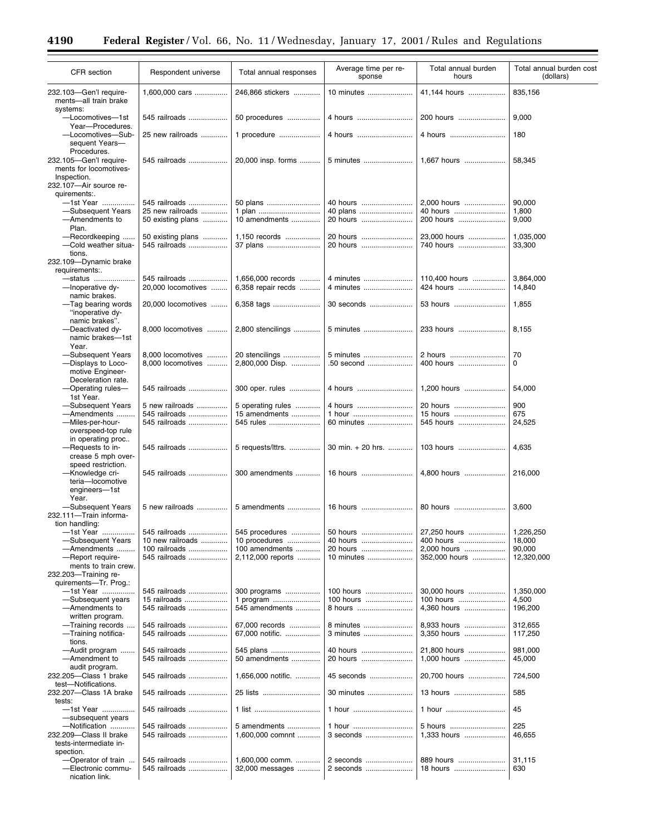Ξ

 $\equiv$ 

| <b>CFR</b> section                                                             | Respondent universe               | Total annual responses          | Average time per re-<br>sponse | Total annual burden<br>hours | Total annual burden cost<br>(dollars) |
|--------------------------------------------------------------------------------|-----------------------------------|---------------------------------|--------------------------------|------------------------------|---------------------------------------|
| 232.103-Gen'l require-<br>ments-all train brake<br>systems:                    | 1,600,000 cars                    | 246,866 stickers                | 10 minutes                     | 41,144 hours                 | 835,156                               |
| -Locomotives-1st<br>Year-Procedures.                                           | 545 railroads                     | 50 procedures                   | 4 hours                        | 200 hours                    | 9,000                                 |
| -Locomotives-Sub-<br>sequent Years-                                            | 25 new railroads                  | 1 procedure                     | 4 hours                        | 4 hours                      | 180                                   |
| Procedures.<br>232.105-Gen'l require-<br>ments for locomotives-<br>Inspection. | 545 railroads                     | 20,000 insp. forms              | 5 minutes                      | 1,667 hours                  | 58,345                                |
| 232.107-Air source re-                                                         |                                   |                                 |                                |                              |                                       |
| quirements:.<br>-1st Year                                                      | 545 railroads                     | 50 plans                        | 40 hours                       | 2,000 hours                  | 90,000                                |
| -Subsequent Years                                                              | 25 new railroads                  | 1 plan                          | 40 plans                       | 40 hours                     | 1,800                                 |
| -Amendments to                                                                 | 50 existing plans                 | 10 amendments                   | 20 hours                       | 200 hours                    | 9,000                                 |
| Plan.                                                                          |                                   |                                 |                                |                              |                                       |
| -Recordkeeping                                                                 | 50 existing plans                 | 1,150 records                   | 20 hours                       | 23,000 hours                 | 1,035,000                             |
| -Cold weather situa-<br>tions.                                                 | 545 railroads                     | 37 plans                        | 20 hours                       | 740 hours                    | 33,300                                |
| 232.109-Dynamic brake<br>requirements:.                                        |                                   |                                 |                                |                              |                                       |
| -status                                                                        | 545 railroads                     | 1,656,000 records               | 4 minutes                      | 110,400 hours                | 3,864,000                             |
| -Inoperative dy-<br>namic brakes.                                              | 20,000 locomotives                | 6,358 repair recds              | 4 minutes                      | 424 hours                    | 14,840                                |
| -Tag bearing words<br>"inoperative dy-<br>namic brakes".                       | 20,000 locomotives                | 6,358 tags                      | 30 seconds                     | 53 hours                     | 1,855                                 |
| -Deactivated dy-<br>namic brakes-1st<br>Year.                                  | 8,000 locomotives                 | 2,800 stencilings               | 5 minutes                      | 233 hours                    | 8,155                                 |
| -Subsequent Years                                                              | 8,000 locomotives                 | 20 stencilings                  | 5 minutes                      | 2 hours                      | 70                                    |
| -Displays to Loco-<br>motive Engineer-                                         | 8,000 locomotives                 | 2,800,000 Disp.                 | .50 second                     | 400 hours                    | 0                                     |
| Deceleration rate.<br>-Operating rules-<br>1st Year.                           | 545 railroads                     | 300 oper. rules                 | 4 hours                        | 1,200 hours                  | 54,000                                |
| -Subsequent Years                                                              | 5 new railroads                   | 5 operating rules               | 4 hours                        | 20 hours                     | 900                                   |
| - Amendments                                                                   | 545 railroads                     | 15 amendments                   | 1 hour                         | 15 hours                     | 675                                   |
| -Miles-per-hour-<br>overspeed-top rule                                         | 545 railroads                     | 545 rules                       | 60 minutes                     | 545 hours                    | 24,525                                |
| in operating proc<br>-Requests to in-<br>crease 5 mph over-                    | 545 railroads                     | 5 requests/lttrs.               | 30 min. + 20 hrs.              | 103 hours                    | 4,635                                 |
| speed restriction.<br>-Knowledge cri-                                          | 545 railroads                     | 300 amendments                  | 16 hours                       | 4,800 hours                  | 216,000                               |
| teria-locomotive<br>engineers-1st<br>Year.                                     |                                   |                                 |                                |                              |                                       |
| -Subsequent Years<br>232.111-Train informa-                                    | 5 new railroads                   | 5 amendments                    | 16 hours                       | 80 hours                     | 3,600                                 |
| tion handling:                                                                 |                                   |                                 |                                |                              |                                       |
| -1st Year<br>-Subsequent Years                                                 | 545 railroads<br>10 new railroads | 545 procedures<br>10 procedures | 50 hours<br>40 hours           | 27,250 hours<br>400 hours    | 1,226,250<br>18,000                   |
| - Amendments                                                                   | 100 railroads                     | 100 amendments                  | 20 hours                       | 2,000 hours                  | 90,000                                |
| -Report require-                                                               | 545 railroads                     | 2,112,000 reports               | 10 minutes                     | 352,000 hours                | 12,320,000                            |
| ments to train crew.<br>232.203-Training re-                                   |                                   |                                 |                                |                              |                                       |
| quirements-Tr. Prog.:                                                          |                                   |                                 |                                |                              |                                       |
| -1st Year<br>-Subsequent years                                                 | 545 railroads<br>15 railroads     | 300 programs<br>1 program       | 100 hours<br>100 hours         | 30,000 hours<br>100 hours    | 1,350,000<br>4,500                    |
| -Amendments to                                                                 | 545 railroads                     | 545 amendments                  | 8 hours                        | 4,360 hours                  | 196,200                               |
| written program.                                                               |                                   |                                 |                                |                              |                                       |
| -Training records                                                              | 545 railroads                     | 67,000 records                  | 8 minutes                      | 8,933 hours                  | 312,655                               |
| -Training notifica-<br>tions.                                                  | 545 railroads                     | 67,000 notific.                 | 3 minutes                      | 3,350 hours                  | 117,250                               |
| -Audit program<br>-Amendment to<br>audit program.                              | 545 railroads<br>545 railroads    | 545 plans<br>50 amendments      | 40 hours<br>20 hours           | 21,800 hours<br>1,000 hours  | 981,000<br>45,000                     |
| 232.205-Class 1 brake<br>test-Notifications.                                   | 545 railroads                     | 1,656,000 notific.              | 45 seconds                     | 20,700 hours                 | 724,500                               |
| 232.207—Class 1A brake<br>tests:                                               | 545 railroads                     | 25 lists                        | 30 minutes                     | 13 hours                     | 585                                   |
| -1st Year<br>-subsequent years                                                 | 545 railroads                     | 1 list                          | 1 hour                         | 1 hour                       | 45                                    |
| -Notification                                                                  | 545 railroads                     | 5 amendments                    | 1 hour                         | 5 hours                      | 225                                   |
| 232.209-Class II brake<br>tests-intermediate in-<br>spection.                  | 545 railroads                     | 1,600,000 comnnt                | 3 seconds                      | 1.333 hours                  | 46,655                                |
| -Operator of train                                                             | 545 railroads                     | 1,600,000 comm.                 | 2 seconds                      | 889 hours                    | 31,115                                |
| -Electronic commu-<br>nication link.                                           | 545 railroads                     | 32,000 messages                 | 2 seconds                      | 18 hours                     | 630                                   |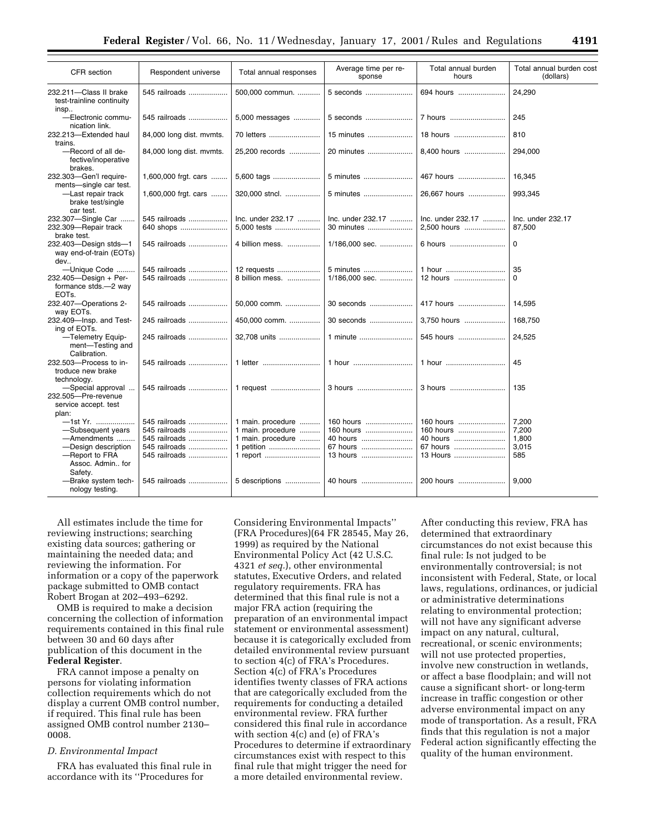| CFR section                                                                                                                          | Respondent universe                                                               | Total annual responses                                                                | Average time per re-<br>sponse                             | Total annual burden<br>hours                               | Total annual burden cost<br>(dollars)   |
|--------------------------------------------------------------------------------------------------------------------------------------|-----------------------------------------------------------------------------------|---------------------------------------------------------------------------------------|------------------------------------------------------------|------------------------------------------------------------|-----------------------------------------|
| 232.211-Class II brake<br>test-trainline continuity<br>insp                                                                          | 545 railroads                                                                     | 500,000 commun.                                                                       | 5 seconds                                                  | 694 hours                                                  | 24,290                                  |
| -Electronic commu-<br>nication link.                                                                                                 | 545 railroads                                                                     | 5,000 messages                                                                        | 5 seconds                                                  | 7 hours                                                    | 245                                     |
| 232.213-Extended haul<br>trains.                                                                                                     | 84,000 long dist. mvmts.                                                          | 70 letters                                                                            | 15 minutes                                                 | 18 hours                                                   | 810                                     |
| -Record of all de-<br>fective/inoperative<br>brakes.                                                                                 | 84,000 long dist. mymts.                                                          | 25,200 records                                                                        | 20 minutes                                                 | 8,400 hours                                                | 294,000                                 |
| 232.303-Gen'l require-<br>ments-single car test.                                                                                     | 1,600,000 frgt. cars                                                              | 5,600 tags                                                                            | 5 minutes                                                  | 467 hours                                                  | 16,345                                  |
| -Last repair track<br>brake test/single<br>car test.                                                                                 | 1,600,000 frgt. cars                                                              | 320,000 stncl.                                                                        | 5 minutes                                                  | 26.667 hours                                               | 993,345                                 |
| 232.307-Single Car<br>232.309-Repair track<br>brake test.                                                                            | 545 railroads<br>640 shops                                                        | Inc. under 232.17<br>5.000 tests                                                      | Inc. under 232.17<br>30 minutes                            | Inc. under 232.17<br>2,500 hours                           | Inc. under 232.17<br>87,500             |
| 232.403-Design stds-1<br>way end-of-train (EOTs)<br>dev                                                                              | 545 railroads                                                                     | 4 billion mess.                                                                       | 1/186.000 sec.                                             | 6 hours                                                    | $\Omega$                                |
| -Unique Code                                                                                                                         | 545 railroads                                                                     | 12 requests                                                                           | 5 minutes                                                  | 1 hour                                                     | 35                                      |
| 232.405-Design + Per-<br>formance stds.-2 way<br>EOT <sub>s</sub> .                                                                  | 545 railroads                                                                     | 8 billion mess.                                                                       | 1/186,000 sec.                                             | 12 hours                                                   | $\Omega$                                |
| 232.407-Operations 2-<br>way EOTs.                                                                                                   | 545 railroads                                                                     | 50,000 comm.                                                                          | 30 seconds                                                 | 417 hours                                                  | 14,595                                  |
| 232.409-Insp. and Test-<br>ing of EOTs.                                                                                              | 245 railroads                                                                     | 450.000 comm.                                                                         | 30 seconds                                                 | 3.750 hours                                                | 168,750                                 |
| -Telemetry Equip-<br>ment-Testing and<br>Calibration.                                                                                | 245 railroads                                                                     | 32.708 units                                                                          | 1 minute                                                   | 545 hours                                                  | 24.525                                  |
| 232.503-Process to in-<br>troduce new brake                                                                                          | 545 railroads                                                                     | 1 letter                                                                              | 1 hour                                                     | 1 hour                                                     | 45                                      |
| technology.<br>-Special approval<br>232.505-Pre-revenue<br>service accept. test                                                      | 545 railroads                                                                     | 1 request                                                                             | 3 hours                                                    | 3 hours                                                    | 135                                     |
| plan:<br>—1st Yr. ………………<br>-Subsequent years<br>-Amendments<br>-Design description<br>-Report to FRA<br>Assoc. Admin for<br>Safety. | 545 railroads<br>545 railroads<br>545 railroads<br>545 railroads<br>545 railroads | 1 main. procedure<br>1 main. procedure<br>1 main. procedure<br>1 petition<br>1 report | 160 hours<br>160 hours<br>40 hours<br>67 hours<br>13 hours | 160 hours<br>160 hours<br>40 hours<br>67 hours<br>13 Hours | 7,200<br>7,200<br>1,800<br>3,015<br>585 |
| -Brake system tech-<br>nology testing.                                                                                               | 545 railroads                                                                     | 5 descriptions                                                                        | 40 hours                                                   | 200 hours                                                  | 9,000                                   |

All estimates include the time for reviewing instructions; searching existing data sources; gathering or maintaining the needed data; and reviewing the information. For information or a copy of the paperwork package submitted to OMB contact Robert Brogan at 202–493–6292.

OMB is required to make a decision concerning the collection of information requirements contained in this final rule between 30 and 60 days after publication of this document in the **Federal Register**.

FRA cannot impose a penalty on persons for violating information collection requirements which do not display a current OMB control number, if required. This final rule has been assigned OMB control number 2130– 0008.

#### *D. Environmental Impact*

FRA has evaluated this final rule in accordance with its ''Procedures for

Considering Environmental Impacts'' (FRA Procedures)(64 FR 28545, May 26, 1999) as required by the National Environmental Policy Act (42 U.S.C. 4321 *et seq.*), other environmental statutes, Executive Orders, and related regulatory requirements. FRA has determined that this final rule is not a major FRA action (requiring the preparation of an environmental impact statement or environmental assessment) because it is categorically excluded from detailed environmental review pursuant to section 4(c) of FRA's Procedures. Section 4(c) of FRA's Procedures identifies twenty classes of FRA actions that are categorically excluded from the requirements for conducting a detailed environmental review. FRA further considered this final rule in accordance with section 4(c) and (e) of FRA's Procedures to determine if extraordinary circumstances exist with respect to this final rule that might trigger the need for a more detailed environmental review.

After conducting this review, FRA has determined that extraordinary circumstances do not exist because this final rule: Is not judged to be environmentally controversial; is not inconsistent with Federal, State, or local laws, regulations, ordinances, or judicial or administrative determinations relating to environmental protection; will not have any significant adverse impact on any natural, cultural, recreational, or scenic environments; will not use protected properties, involve new construction in wetlands, or affect a base floodplain; and will not cause a significant short- or long-term increase in traffic congestion or other adverse environmental impact on any mode of transportation. As a result, FRA finds that this regulation is not a major Federal action significantly effecting the quality of the human environment.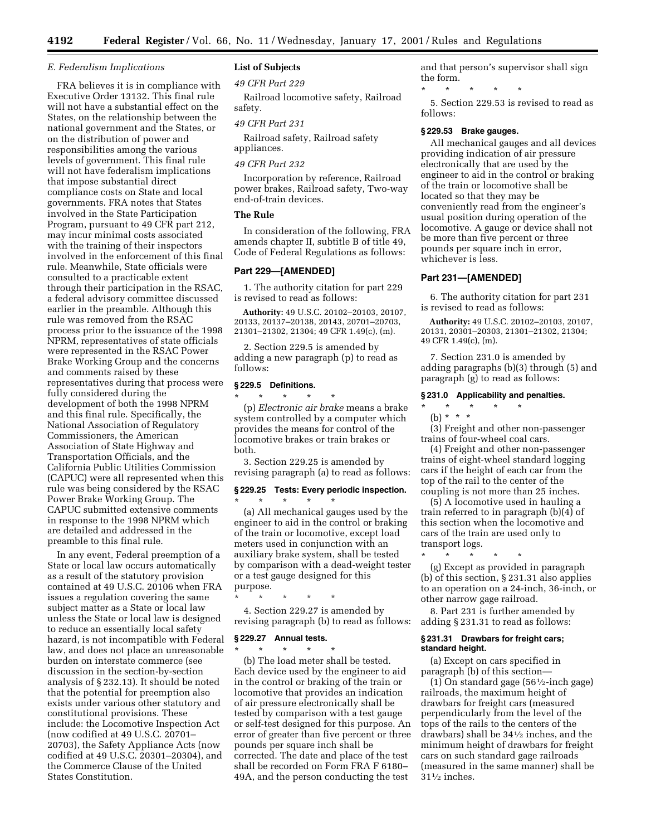#### *E. Federalism Implications*

FRA believes it is in compliance with Executive Order 13132. This final rule will not have a substantial effect on the States, on the relationship between the national government and the States, or on the distribution of power and responsibilities among the various levels of government. This final rule will not have federalism implications that impose substantial direct compliance costs on State and local governments. FRA notes that States involved in the State Participation Program, pursuant to 49 CFR part 212, may incur minimal costs associated with the training of their inspectors involved in the enforcement of this final rule. Meanwhile, State officials were consulted to a practicable extent through their participation in the RSAC, a federal advisory committee discussed earlier in the preamble. Although this rule was removed from the RSAC process prior to the issuance of the 1998 NPRM, representatives of state officials were represented in the RSAC Power Brake Working Group and the concerns and comments raised by these representatives during that process were fully considered during the development of both the 1998 NPRM and this final rule. Specifically, the National Association of Regulatory Commissioners, the American Association of State Highway and Transportation Officials, and the California Public Utilities Commission (CAPUC) were all represented when this rule was being considered by the RSAC Power Brake Working Group. The CAPUC submitted extensive comments in response to the 1998 NPRM which are detailed and addressed in the preamble to this final rule.

In any event, Federal preemption of a State or local law occurs automatically as a result of the statutory provision contained at 49 U.S.C. 20106 when FRA issues a regulation covering the same subject matter as a State or local law unless the State or local law is designed to reduce an essentially local safety hazard, is not incompatible with Federal law, and does not place an unreasonable burden on interstate commerce (see discussion in the section-by-section analysis of § 232.13). It should be noted that the potential for preemption also exists under various other statutory and constitutional provisions. These include: the Locomotive Inspection Act (now codified at 49 U.S.C. 20701– 20703), the Safety Appliance Acts (now codified at 49 U.S.C. 20301–20304), and the Commerce Clause of the United States Constitution.

# **List of Subjects**

### *49 CFR Part 229*

Railroad locomotive safety, Railroad safety.

### *49 CFR Part 231*

Railroad safety, Railroad safety appliances.

## *49 CFR Part 232*

Incorporation by reference, Railroad power brakes, Railroad safety, Two-way end-of-train devices.

# **The Rule**

In consideration of the following, FRA amends chapter II, subtitle B of title 49, Code of Federal Regulations as follows:

# **Part 229—[AMENDED]**

1. The authority citation for part 229 is revised to read as follows:

**Authority:** 49 U.S.C. 20102–20103, 20107, 20133, 20137–20138, 20143, 20701–20703, 21301–21302, 21304; 49 CFR 1.49(c), (m).

2. Section 229.5 is amended by adding a new paragraph (p) to read as follows:

#### **§ 229.5 Definitions.**

\* \* \* \* \* (p) *Electronic air brake* means a brake system controlled by a computer which provides the means for control of the locomotive brakes or train brakes or both.

3. Section 229.25 is amended by revising paragraph (a) to read as follows:

# **§ 229.25 Tests: Every periodic inspection.** \* \* \* \* \*

(a) All mechanical gauges used by the engineer to aid in the control or braking of the train or locomotive, except load meters used in conjunction with an auxiliary brake system, shall be tested by comparison with a dead-weight tester or a test gauge designed for this purpose.

\* \* \* \* \* 4. Section 229.27 is amended by

revising paragraph (b) to read as follows:

# **§ 229.27 Annual tests.**

\* \* \* \* \* (b) The load meter shall be tested. Each device used by the engineer to aid in the control or braking of the train or locomotive that provides an indication of air pressure electronically shall be tested by comparison with a test gauge or self-test designed for this purpose. An error of greater than five percent or three pounds per square inch shall be corrected. The date and place of the test shall be recorded on Form FRA F 6180– 49A, and the person conducting the test

and that person's supervisor shall sign the form.

\* \* \* \* \* 5. Section 229.53 is revised to read as follows:

#### **§ 229.53 Brake gauges.**

All mechanical gauges and all devices providing indication of air pressure electronically that are used by the engineer to aid in the control or braking of the train or locomotive shall be located so that they may be conveniently read from the engineer's usual position during operation of the locomotive. A gauge or device shall not be more than five percent or three pounds per square inch in error, whichever is less.

## **Part 231—[AMENDED]**

6. The authority citation for part 231 is revised to read as follows:

**Authority:** 49 U.S.C. 20102–20103, 20107, 20131, 20301–20303, 21301–21302, 21304; 49 CFR 1.49(c), (m).

7. Section 231.0 is amended by adding paragraphs (b)(3) through (5) and paragraph (g) to read as follows:

## **§ 231.0 Applicability and penalties.**

\* \* \* \* \* (b) \* \* \*

(3) Freight and other non-passenger trains of four-wheel coal cars.

(4) Freight and other non-passenger trains of eight-wheel standard logging cars if the height of each car from the top of the rail to the center of the coupling is not more than 25 inches.

(5) A locomotive used in hauling a train referred to in paragraph (b)(4) of this section when the locomotive and cars of the train are used only to transport logs.

\* \* \* \* \*

(g) Except as provided in paragraph (b) of this section, § 231.31 also applies to an operation on a 24-inch, 36-inch, or other narrow gage railroad.

8. Part 231 is further amended by adding § 231.31 to read as follows:

### **§ 231.31 Drawbars for freight cars; standard height.**

(a) Except on cars specified in paragraph (b) of this section—

(1) On standard gage (561⁄2-inch gage) railroads, the maximum height of drawbars for freight cars (measured perpendicularly from the level of the tops of the rails to the centers of the drawbars) shall be 341⁄2 inches, and the minimum height of drawbars for freight cars on such standard gage railroads (measured in the same manner) shall be 311⁄2 inches.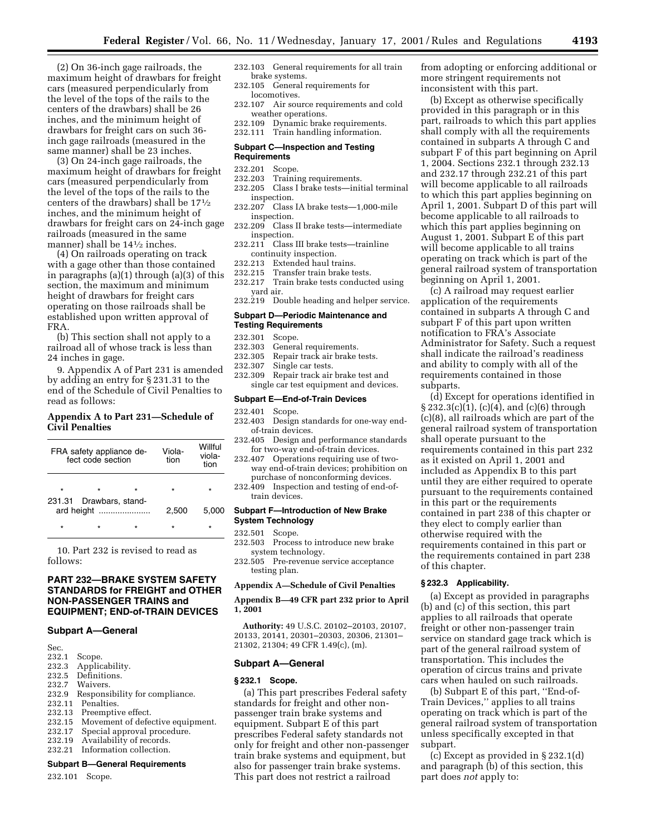(2) On 36-inch gage railroads, the maximum height of drawbars for freight cars (measured perpendicularly from the level of the tops of the rails to the centers of the drawbars) shall be 26 inches, and the minimum height of drawbars for freight cars on such 36 inch gage railroads (measured in the same manner) shall be 23 inches.

(3) On 24-inch gage railroads, the maximum height of drawbars for freight cars (measured perpendicularly from the level of the tops of the rails to the centers of the drawbars) shall be 171⁄2 inches, and the minimum height of drawbars for freight cars on 24-inch gage railroads (measured in the same manner) shall be 141⁄2 inches.

(4) On railroads operating on track with a gage other than those contained in paragraphs (a)(1) through (a)(3) of this section, the maximum and minimum height of drawbars for freight cars operating on those railroads shall be established upon written approval of FRA.

(b) This section shall not apply to a railroad all of whose track is less than 24 inches in gage.

9. Appendix A of Part 231 is amended by adding an entry for § 231.31 to the end of the Schedule of Civil Penalties to read as follows:

# **Appendix A to Part 231—Schedule of Civil Penalties**

| FRA safety appliance de-<br>fect code section |         | Viola-<br>tion   | Willful<br>viola-<br>tion |
|-----------------------------------------------|---------|------------------|---------------------------|
| $\star$                                       | $\star$ | $\star$          | $\star$                   |
| 231.31<br>ard height                          |         | 2,500            | 5.000                     |
| $\star$                                       | $\star$ | $\star$          | $\star$                   |
|                                               |         | Drawbars, stand- |                           |

10. Part 232 is revised to read as follows:

# **PART 232—BRAKE SYSTEM SAFETY STANDARDS for FREIGHT and OTHER NON-PASSENGER TRAINS and EQUIPMENT; END-of-TRAIN DEVICES**

## **Subpart A—General**

- Sec.<br>232.1
- 232.1 Scope.<br>232.3 Applic
- Applicability.
- 232.5 Definitions.
- 232.7 Waivers.
- 232.9 Responsibility for compliance.
- 232.11 Penalties.
- 232.13 Preemptive effect.<br>232.15 Movement of defe
- Movement of defective equipment.
- 232.17 Special approval procedure.
- 232.19 Availability of records.
- 232.21 Information collection.

#### **Subpart B—General Requirements**

232.101 Scope.

- 232.103 General requirements for all train brake systems.
- 232.105 General requirements for locomotives.
- 232.107 Air source requirements and cold weather operations.
- 232.109 Dynamic brake requirements.
- 232.111 Train handling information.

#### **Subpart C—Inspection and Testing Requirements**

- 232.201 Scope.<br>232.203 Trainin
- Training requirements.
- 232.205 Class I brake tests—initial terminal inspection.
- 232.207 Class IA brake tests—1,000-mile inspection.
- 232.209 Class II brake tests—intermediate inspection.
- 232.211 Class III brake tests—trainline continuity inspection.
- 232.213 Extended haul trains.
- 232.215 Transfer train brake tests.
- 232.217 Train brake tests conducted using yard air.
- 232.219 Double heading and helper service.

#### **Subpart D—Periodic Maintenance and Testing Requirements**

- 232.301 Scope.
- 232.303 General requirements.
- 232.305 Repair track air brake tests.
- 232.307 Single car tests.
- 232.309 Repair track air brake test and single car test equipment and devices.

#### **Subpart E—End-of-Train Devices**

- 232.401 Scope.
- 232.403 Design standards for one-way endof-train devices.
- 232.405 Design and performance standards for two-way end-of-train devices.
- 232.407 Operations requiring use of twoway end-of-train devices; prohibition on purchase of nonconforming devices.
- 232.409 Inspection and testing of end-oftrain devices.

#### **Subpart F—Introduction of New Brake System Technology**

- 232.501 Scope.
- 232.503 Process to introduce new brake system technology.
- 232.505 Pre-revenue service acceptance testing plan.

# **Appendix A—Schedule of Civil Penalties**

**Appendix B—49 CFR part 232 prior to April 1, 2001**

**Authority:** 49 U.S.C. 20102–20103, 20107, 20133, 20141, 20301–20303, 20306, 21301– 21302, 21304; 49 CFR 1.49(c), (m).

#### **Subpart A—General**

#### **§ 232.1 Scope.**

(a) This part prescribes Federal safety standards for freight and other nonpassenger train brake systems and equipment. Subpart E of this part prescribes Federal safety standards not only for freight and other non-passenger train brake systems and equipment, but also for passenger train brake systems. This part does not restrict a railroad

from adopting or enforcing additional or more stringent requirements not inconsistent with this part.

(b) Except as otherwise specifically provided in this paragraph or in this part, railroads to which this part applies shall comply with all the requirements contained in subparts A through C and subpart F of this part beginning on April 1, 2004. Sections 232.1 through 232.13 and 232.17 through 232.21 of this part will become applicable to all railroads to which this part applies beginning on April 1, 2001. Subpart D of this part will become applicable to all railroads to which this part applies beginning on August 1, 2001. Subpart E of this part will become applicable to all trains operating on track which is part of the general railroad system of transportation beginning on April 1, 2001.

(c) A railroad may request earlier application of the requirements contained in subparts A through C and subpart F of this part upon written notification to FRA's Associate Administrator for Safety. Such a request shall indicate the railroad's readiness and ability to comply with all of the requirements contained in those subparts.

(d) Except for operations identified in § 232.3(c)(1), (c)(4), and (c)(6) through (c)(8), all railroads which are part of the general railroad system of transportation shall operate pursuant to the requirements contained in this part 232 as it existed on April 1, 2001 and included as Appendix B to this part until they are either required to operate pursuant to the requirements contained in this part or the requirements contained in part 238 of this chapter or they elect to comply earlier than otherwise required with the requirements contained in this part or the requirements contained in part 238 of this chapter.

#### **§ 232.3 Applicability.**

(a) Except as provided in paragraphs (b) and (c) of this section, this part applies to all railroads that operate freight or other non-passenger train service on standard gage track which is part of the general railroad system of transportation. This includes the operation of circus trains and private cars when hauled on such railroads.

(b) Subpart E of this part, ''End-of-Train Devices,'' applies to all trains operating on track which is part of the general railroad system of transportation unless specifically excepted in that subpart.

(c) Except as provided in § 232.1(d) and paragraph (b) of this section, this part does *not* apply to: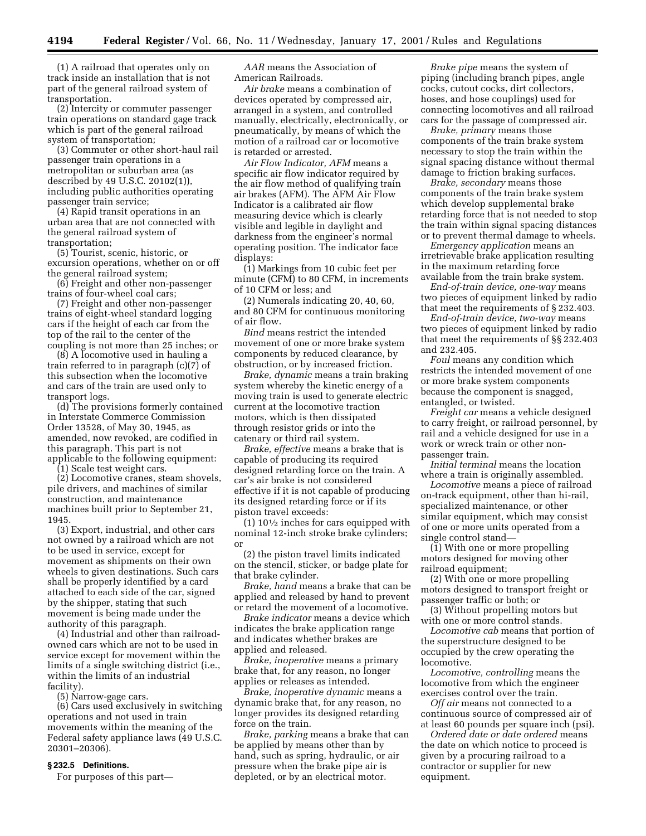(1) A railroad that operates only on track inside an installation that is not part of the general railroad system of transportation.

(2) Intercity or commuter passenger train operations on standard gage track which is part of the general railroad system of transportation;

(3) Commuter or other short-haul rail passenger train operations in a metropolitan or suburban area (as described by 49 U.S.C. 20102(1)), including public authorities operating passenger train service;

(4) Rapid transit operations in an urban area that are not connected with the general railroad system of transportation;

(5) Tourist, scenic, historic, or excursion operations, whether on or off the general railroad system;

(6) Freight and other non-passenger trains of four-wheel coal cars;

(7) Freight and other non-passenger trains of eight-wheel standard logging cars if the height of each car from the top of the rail to the center of the coupling is not more than 25 inches; or

(8) A locomotive used in hauling a train referred to in paragraph (c)(7) of this subsection when the locomotive and cars of the train are used only to transport logs.

(d) The provisions formerly contained in Interstate Commerce Commission Order 13528, of May 30, 1945, as amended, now revoked, are codified in this paragraph. This part is not applicable to the following equipment:

(1) Scale test weight cars.

(2) Locomotive cranes, steam shovels, pile drivers, and machines of similar construction, and maintenance machines built prior to September 21, 1945.

(3) Export, industrial, and other cars not owned by a railroad which are not to be used in service, except for movement as shipments on their own wheels to given destinations. Such cars shall be properly identified by a card attached to each side of the car, signed by the shipper, stating that such movement is being made under the authority of this paragraph.

(4) Industrial and other than railroadowned cars which are not to be used in service except for movement within the limits of a single switching district (i.e., within the limits of an industrial facility).

(5) Narrow-gage cars.

(6) Cars used exclusively in switching operations and not used in train movements within the meaning of the Federal safety appliance laws (49 U.S.C. 20301–20306).

#### **§ 232.5 Definitions.**

For purposes of this part—

*AAR* means the Association of American Railroads.

*Air brake* means a combination of devices operated by compressed air, arranged in a system, and controlled manually, electrically, electronically, or pneumatically, by means of which the motion of a railroad car or locomotive is retarded or arrested.

*Air Flow Indicator, AFM* means a specific air flow indicator required by the air flow method of qualifying train air brakes (AFM). The AFM Air Flow Indicator is a calibrated air flow measuring device which is clearly visible and legible in daylight and darkness from the engineer's normal operating position. The indicator face displays:

(1) Markings from 10 cubic feet per minute (CFM) to 80 CFM, in increments of 10 CFM or less; and

(2) Numerals indicating 20, 40, 60, and 80 CFM for continuous monitoring of air flow.

*Bind* means restrict the intended movement of one or more brake system components by reduced clearance, by obstruction, or by increased friction.

*Brake, dynamic* means a train braking system whereby the kinetic energy of a moving train is used to generate electric current at the locomotive traction motors, which is then dissipated through resistor grids or into the catenary or third rail system.

*Brake, effective* means a brake that is capable of producing its required designed retarding force on the train. A car's air brake is not considered effective if it is not capable of producing its designed retarding force or if its piston travel exceeds:

 $(1)$  10<sup> $1/2$ </sup> inches for cars equipped with nominal 12-inch stroke brake cylinders; or

(2) the piston travel limits indicated on the stencil, sticker, or badge plate for that brake cylinder.

*Brake, hand* means a brake that can be applied and released by hand to prevent or retard the movement of a locomotive.

*Brake indicator* means a device which indicates the brake application range and indicates whether brakes are applied and released.

*Brake, inoperative* means a primary brake that, for any reason, no longer applies or releases as intended.

*Brake, inoperative dynamic* means a dynamic brake that, for any reason, no longer provides its designed retarding force on the train.

*Brake, parking* means a brake that can be applied by means other than by hand, such as spring, hydraulic, or air pressure when the brake pipe air is depleted, or by an electrical motor.

*Brake pipe* means the system of piping (including branch pipes, angle cocks, cutout cocks, dirt collectors, hoses, and hose couplings) used for connecting locomotives and all railroad cars for the passage of compressed air.

*Brake, primary* means those components of the train brake system necessary to stop the train within the signal spacing distance without thermal damage to friction braking surfaces.

*Brake, secondary* means those components of the train brake system which develop supplemental brake retarding force that is not needed to stop the train within signal spacing distances or to prevent thermal damage to wheels.

*Emergency application* means an irretrievable brake application resulting in the maximum retarding force available from the train brake system.

*End-of-train device, one-way* means two pieces of equipment linked by radio that meet the requirements of § 232.403.

*End-of-train device, two-way* means two pieces of equipment linked by radio that meet the requirements of §§ 232.403 and 232.405.

*Foul* means any condition which restricts the intended movement of one or more brake system components because the component is snagged, entangled, or twisted.

*Freight car* means a vehicle designed to carry freight, or railroad personnel, by rail and a vehicle designed for use in a work or wreck train or other nonpassenger train.

*Initial terminal* means the location where a train is originally assembled.

*Locomotive* means a piece of railroad on-track equipment, other than hi-rail, specialized maintenance, or other similar equipment, which may consist of one or more units operated from a single control stand—

(1) With one or more propelling motors designed for moving other railroad equipment;

(2) With one or more propelling motors designed to transport freight or passenger traffic or both; or

(3) Without propelling motors but with one or more control stands.

*Locomotive cab* means that portion of the superstructure designed to be occupied by the crew operating the locomotive.

*Locomotive, controlling* means the locomotive from which the engineer exercises control over the train.

*Off air* means not connected to a continuous source of compressed air of at least 60 pounds per square inch (psi).

*Ordered date or date ordered* means the date on which notice to proceed is given by a procuring railroad to a contractor or supplier for new equipment.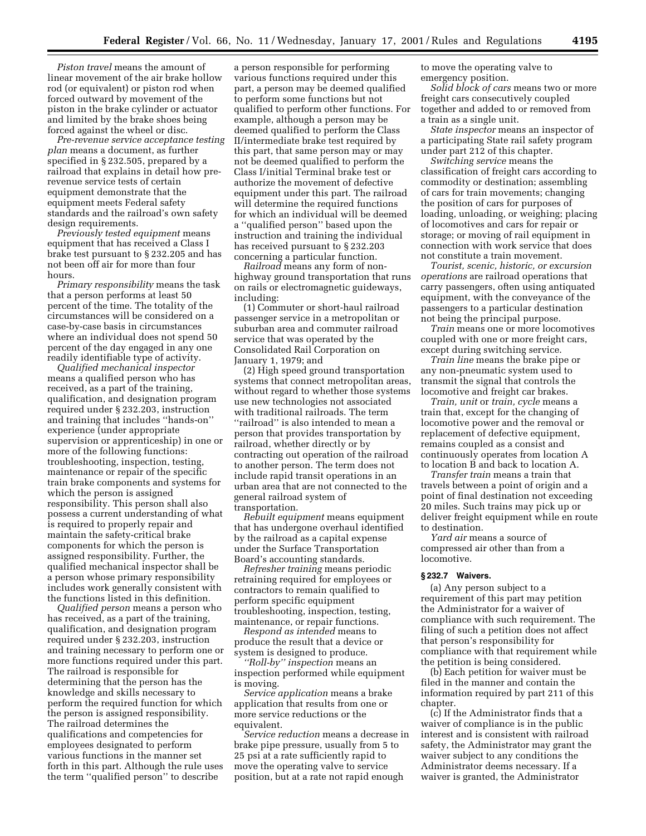*Piston travel* means the amount of linear movement of the air brake hollow rod (or equivalent) or piston rod when forced outward by movement of the piston in the brake cylinder or actuator and limited by the brake shoes being forced against the wheel or disc.

*Pre-revenue service acceptance testing plan* means a document, as further specified in § 232.505, prepared by a railroad that explains in detail how prerevenue service tests of certain equipment demonstrate that the equipment meets Federal safety standards and the railroad's own safety design requirements.

*Previously tested equipment* means equipment that has received a Class I brake test pursuant to § 232.205 and has not been off air for more than four hours.

*Primary responsibility* means the task that a person performs at least 50 percent of the time. The totality of the circumstances will be considered on a case-by-case basis in circumstances where an individual does not spend 50 percent of the day engaged in any one readily identifiable type of activity.

*Qualified mechanical inspector* means a qualified person who has received, as a part of the training, qualification, and designation program required under § 232.203, instruction and training that includes ''hands-on'' experience (under appropriate supervision or apprenticeship) in one or more of the following functions: troubleshooting, inspection, testing, maintenance or repair of the specific train brake components and systems for which the person is assigned responsibility. This person shall also possess a current understanding of what is required to properly repair and maintain the safety-critical brake components for which the person is assigned responsibility. Further, the qualified mechanical inspector shall be a person whose primary responsibility includes work generally consistent with the functions listed in this definition.

*Qualified person* means a person who has received, as a part of the training, qualification, and designation program required under § 232.203, instruction and training necessary to perform one or more functions required under this part. The railroad is responsible for determining that the person has the knowledge and skills necessary to perform the required function for which the person is assigned responsibility. The railroad determines the qualifications and competencies for employees designated to perform various functions in the manner set forth in this part. Although the rule uses the term ''qualified person'' to describe

a person responsible for performing various functions required under this part, a person may be deemed qualified to perform some functions but not qualified to perform other functions. For example, although a person may be deemed qualified to perform the Class II/intermediate brake test required by this part, that same person may or may not be deemed qualified to perform the Class I/initial Terminal brake test or authorize the movement of defective equipment under this part. The railroad will determine the required functions for which an individual will be deemed a ''qualified person'' based upon the instruction and training the individual has received pursuant to § 232.203 concerning a particular function.

*Railroad* means any form of nonhighway ground transportation that runs on rails or electromagnetic guideways, including:

(1) Commuter or short-haul railroad passenger service in a metropolitan or suburban area and commuter railroad service that was operated by the Consolidated Rail Corporation on January 1, 1979; and

(2) High speed ground transportation systems that connect metropolitan areas, without regard to whether those systems use new technologies not associated with traditional railroads. The term ''railroad'' is also intended to mean a person that provides transportation by railroad, whether directly or by contracting out operation of the railroad to another person. The term does not include rapid transit operations in an urban area that are not connected to the general railroad system of transportation.

*Rebuilt equipment* means equipment that has undergone overhaul identified by the railroad as a capital expense under the Surface Transportation Board's accounting standards.

*Refresher training* means periodic retraining required for employees or contractors to remain qualified to perform specific equipment troubleshooting, inspection, testing, maintenance, or repair functions.

*Respond as intended* means to produce the result that a device or system is designed to produce.

*''Roll-by'' inspection* means an inspection performed while equipment is moving.

*Service application* means a brake application that results from one or more service reductions or the equivalent.

*Service reduction* means a decrease in brake pipe pressure, usually from 5 to 25 psi at a rate sufficiently rapid to move the operating valve to service position, but at a rate not rapid enough

to move the operating valve to emergency position.

*Solid block of cars* means two or more freight cars consecutively coupled together and added to or removed from a train as a single unit.

*State inspector* means an inspector of a participating State rail safety program under part 212 of this chapter.

*Switching service* means the classification of freight cars according to commodity or destination; assembling of cars for train movements; changing the position of cars for purposes of loading, unloading, or weighing; placing of locomotives and cars for repair or storage; or moving of rail equipment in connection with work service that does not constitute a train movement.

*Tourist, scenic, historic, or excursion operations* are railroad operations that carry passengers, often using antiquated equipment, with the conveyance of the passengers to a particular destination not being the principal purpose.

*Train* means one or more locomotives coupled with one or more freight cars, except during switching service.

*Train line* means the brake pipe or any non-pneumatic system used to transmit the signal that controls the locomotive and freight car brakes.

*Train, unit* or *train, cycle* means a train that, except for the changing of locomotive power and the removal or replacement of defective equipment, remains coupled as a consist and continuously operates from location A to location B and back to location A.

*Transfer train* means a train that travels between a point of origin and a point of final destination not exceeding 20 miles. Such trains may pick up or deliver freight equipment while en route to destination.

*Yard air* means a source of compressed air other than from a locomotive.

### **§ 232.7 Waivers.**

(a) Any person subject to a requirement of this part may petition the Administrator for a waiver of compliance with such requirement. The filing of such a petition does not affect that person's responsibility for compliance with that requirement while the petition is being considered.

(b) Each petition for waiver must be filed in the manner and contain the information required by part 211 of this chapter.

(c) If the Administrator finds that a waiver of compliance is in the public interest and is consistent with railroad safety, the Administrator may grant the waiver subject to any conditions the Administrator deems necessary. If a waiver is granted, the Administrator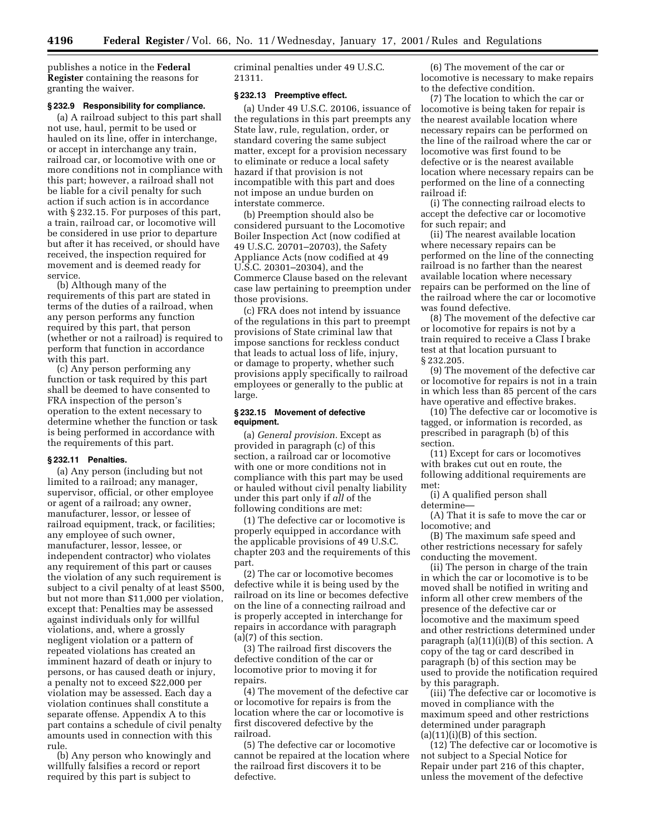publishes a notice in the **Federal Register** containing the reasons for granting the waiver.

#### **§ 232.9 Responsibility for compliance.**

(a) A railroad subject to this part shall not use, haul, permit to be used or hauled on its line, offer in interchange, or accept in interchange any train, railroad car, or locomotive with one or more conditions not in compliance with this part; however, a railroad shall not be liable for a civil penalty for such action if such action is in accordance with § 232.15. For purposes of this part, a train, railroad car, or locomotive will be considered in use prior to departure but after it has received, or should have received, the inspection required for movement and is deemed ready for service.

(b) Although many of the requirements of this part are stated in terms of the duties of a railroad, when any person performs any function required by this part, that person (whether or not a railroad) is required to perform that function in accordance with this part.

(c) Any person performing any function or task required by this part shall be deemed to have consented to FRA inspection of the person's operation to the extent necessary to determine whether the function or task is being performed in accordance with the requirements of this part.

## **§ 232.11 Penalties.**

(a) Any person (including but not limited to a railroad; any manager, supervisor, official, or other employee or agent of a railroad; any owner, manufacturer, lessor, or lessee of railroad equipment, track, or facilities; any employee of such owner, manufacturer, lessor, lessee, or independent contractor) who violates any requirement of this part or causes the violation of any such requirement is subject to a civil penalty of at least \$500, but not more than \$11,000 per violation, except that: Penalties may be assessed against individuals only for willful violations, and, where a grossly negligent violation or a pattern of repeated violations has created an imminent hazard of death or injury to persons, or has caused death or injury, a penalty not to exceed \$22,000 per violation may be assessed. Each day a violation continues shall constitute a separate offense. Appendix A to this part contains a schedule of civil penalty amounts used in connection with this rule.

(b) Any person who knowingly and willfully falsifies a record or report required by this part is subject to

criminal penalties under 49 U.S.C. 21311.

#### **§ 232.13 Preemptive effect.**

(a) Under 49 U.S.C. 20106, issuance of the regulations in this part preempts any State law, rule, regulation, order, or standard covering the same subject matter, except for a provision necessary to eliminate or reduce a local safety hazard if that provision is not incompatible with this part and does not impose an undue burden on interstate commerce.

(b) Preemption should also be considered pursuant to the Locomotive Boiler Inspection Act (now codified at 49 U.S.C. 20701–20703), the Safety Appliance Acts (now codified at 49 U.S.C. 20301–20304), and the Commerce Clause based on the relevant case law pertaining to preemption under those provisions.

(c) FRA does not intend by issuance of the regulations in this part to preempt provisions of State criminal law that impose sanctions for reckless conduct that leads to actual loss of life, injury, or damage to property, whether such provisions apply specifically to railroad employees or generally to the public at large.

## **§ 232.15 Movement of defective equipment.**

(a) *General provision.* Except as provided in paragraph (c) of this section, a railroad car or locomotive with one or more conditions not in compliance with this part may be used or hauled without civil penalty liability under this part only if *all* of the following conditions are met:

(1) The defective car or locomotive is properly equipped in accordance with the applicable provisions of 49 U.S.C. chapter 203 and the requirements of this part.

(2) The car or locomotive becomes defective while it is being used by the railroad on its line or becomes defective on the line of a connecting railroad and is properly accepted in interchange for repairs in accordance with paragraph (a)(7) of this section.

(3) The railroad first discovers the defective condition of the car or locomotive prior to moving it for repairs.

(4) The movement of the defective car or locomotive for repairs is from the location where the car or locomotive is first discovered defective by the railroad.

(5) The defective car or locomotive cannot be repaired at the location where the railroad first discovers it to be defective.

(6) The movement of the car or locomotive is necessary to make repairs to the defective condition.

(7) The location to which the car or locomotive is being taken for repair is the nearest available location where necessary repairs can be performed on the line of the railroad where the car or locomotive was first found to be defective or is the nearest available location where necessary repairs can be performed on the line of a connecting railroad if:

(i) The connecting railroad elects to accept the defective car or locomotive for such repair; and

(ii) The nearest available location where necessary repairs can be performed on the line of the connecting railroad is no farther than the nearest available location where necessary repairs can be performed on the line of the railroad where the car or locomotive was found defective.

(8) The movement of the defective car or locomotive for repairs is not by a train required to receive a Class I brake test at that location pursuant to § 232.205.

(9) The movement of the defective car or locomotive for repairs is not in a train in which less than 85 percent of the cars have operative and effective brakes.

(10) The defective car or locomotive is tagged, or information is recorded, as prescribed in paragraph (b) of this section.

(11) Except for cars or locomotives with brakes cut out en route, the following additional requirements are met:

(i) A qualified person shall determine—

(A) That it is safe to move the car or locomotive; and

(B) The maximum safe speed and other restrictions necessary for safely conducting the movement.

(ii) The person in charge of the train in which the car or locomotive is to be moved shall be notified in writing and inform all other crew members of the presence of the defective car or locomotive and the maximum speed and other restrictions determined under paragraph (a)(11)(i)(B) of this section. A copy of the tag or card described in paragraph (b) of this section may be used to provide the notification required by this paragraph.

(iii) The defective car or locomotive is moved in compliance with the maximum speed and other restrictions determined under paragraph  $(a)(11)(i)(B)$  of this section.

(12) The defective car or locomotive is not subject to a Special Notice for Repair under part 216 of this chapter, unless the movement of the defective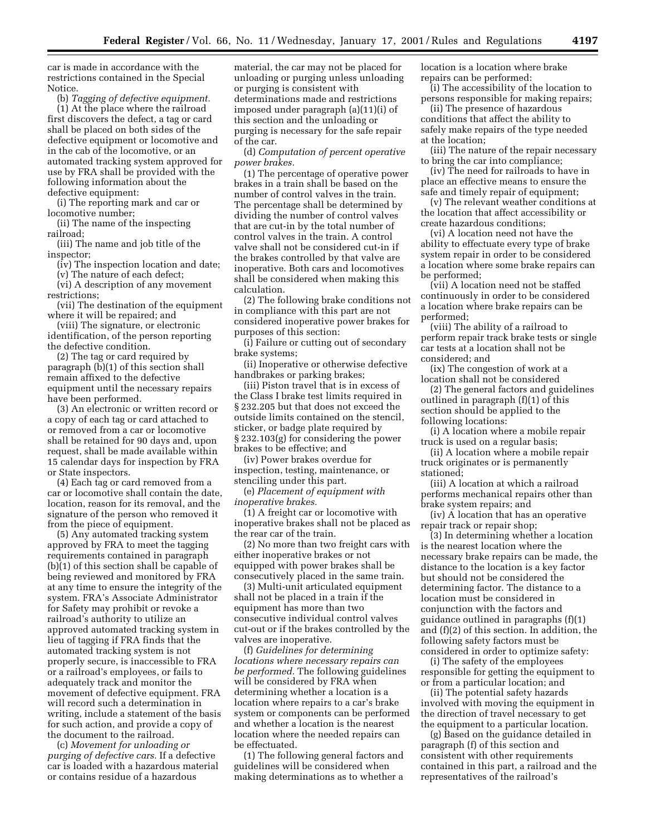car is made in accordance with the restrictions contained in the Special Notice.

(b) *Tagging of defective equipment.* (1) At the place where the railroad first discovers the defect, a tag or card shall be placed on both sides of the defective equipment or locomotive and in the cab of the locomotive, or an automated tracking system approved for use by FRA shall be provided with the following information about the defective equipment:

(i) The reporting mark and car or locomotive number;

(ii) The name of the inspecting railroad;

(iii) The name and job title of the inspector;

(iv) The inspection location and date;

(v) The nature of each defect; (vi) A description of any movement

restrictions; (vii) The destination of the equipment where it will be repaired; and

(viii) The signature, or electronic identification, of the person reporting the defective condition.

(2) The tag or card required by paragraph (b)(1) of this section shall remain affixed to the defective equipment until the necessary repairs have been performed.

(3) An electronic or written record or a copy of each tag or card attached to or removed from a car or locomotive shall be retained for 90 days and, upon request, shall be made available within 15 calendar days for inspection by FRA or State inspectors.

(4) Each tag or card removed from a car or locomotive shall contain the date, location, reason for its removal, and the signature of the person who removed it from the piece of equipment.

(5) Any automated tracking system approved by FRA to meet the tagging requirements contained in paragraph (b)(1) of this section shall be capable of being reviewed and monitored by FRA at any time to ensure the integrity of the system. FRA's Associate Administrator for Safety may prohibit or revoke a railroad's authority to utilize an approved automated tracking system in lieu of tagging if FRA finds that the automated tracking system is not properly secure, is inaccessible to FRA or a railroad's employees, or fails to adequately track and monitor the movement of defective equipment. FRA will record such a determination in writing, include a statement of the basis for such action, and provide a copy of the document to the railroad.

(c) *Movement for unloading or purging of defective cars.* If a defective car is loaded with a hazardous material or contains residue of a hazardous

material, the car may not be placed for unloading or purging unless unloading or purging is consistent with determinations made and restrictions imposed under paragraph (a)(11)(i) of this section and the unloading or purging is necessary for the safe repair of the car.

(d) *Computation of percent operative power brakes.*

(1) The percentage of operative power brakes in a train shall be based on the number of control valves in the train. The percentage shall be determined by dividing the number of control valves that are cut-in by the total number of control valves in the train. A control valve shall not be considered cut-in if the brakes controlled by that valve are inoperative. Both cars and locomotives shall be considered when making this calculation.

(2) The following brake conditions not in compliance with this part are not considered inoperative power brakes for purposes of this section:

(i) Failure or cutting out of secondary brake systems;

(ii) Inoperative or otherwise defective handbrakes or parking brakes;

(iii) Piston travel that is in excess of the Class I brake test limits required in § 232.205 but that does not exceed the outside limits contained on the stencil, sticker, or badge plate required by § 232.103(g) for considering the power brakes to be effective; and

(iv) Power brakes overdue for inspection, testing, maintenance, or stenciling under this part.

(e) *Placement of equipment with inoperative brakes.*

(1) A freight car or locomotive with inoperative brakes shall not be placed as the rear car of the train.

(2) No more than two freight cars with either inoperative brakes or not equipped with power brakes shall be consecutively placed in the same train.

(3) Multi-unit articulated equipment shall not be placed in a train if the equipment has more than two consecutive individual control valves cut-out or if the brakes controlled by the valves are inoperative.

(f) *Guidelines for determining locations where necessary repairs can be performed.* The following guidelines will be considered by FRA when determining whether a location is a location where repairs to a car's brake system or components can be performed and whether a location is the nearest location where the needed repairs can be effectuated.

(1) The following general factors and guidelines will be considered when making determinations as to whether a

location is a location where brake repairs can be performed:

(i) The accessibility of the location to persons responsible for making repairs;

(ii) The presence of hazardous conditions that affect the ability to safely make repairs of the type needed at the location;

(iii) The nature of the repair necessary to bring the car into compliance;

(iv) The need for railroads to have in place an effective means to ensure the safe and timely repair of equipment;

(v) The relevant weather conditions at the location that affect accessibility or create hazardous conditions;

(vi) A location need not have the ability to effectuate every type of brake system repair in order to be considered a location where some brake repairs can be performed;

(vii) A location need not be staffed continuously in order to be considered a location where brake repairs can be performed;

(viii) The ability of a railroad to perform repair track brake tests or single car tests at a location shall not be considered; and

(ix) The congestion of work at a location shall not be considered

(2) The general factors and guidelines outlined in paragraph (f)(1) of this section should be applied to the following locations:

(i) A location where a mobile repair truck is used on a regular basis;

(ii) A location where a mobile repair truck originates or is permanently stationed;

(iii) A location at which a railroad performs mechanical repairs other than brake system repairs; and

(iv) A location that has an operative repair track or repair shop;

(3) In determining whether a location is the nearest location where the necessary brake repairs can be made, the distance to the location is a key factor but should not be considered the determining factor. The distance to a location must be considered in conjunction with the factors and guidance outlined in paragraphs (f)(1) and (f)(2) of this section. In addition, the following safety factors must be considered in order to optimize safety:

(i) The safety of the employees responsible for getting the equipment to or from a particular location; and

(ii) The potential safety hazards involved with moving the equipment in the direction of travel necessary to get the equipment to a particular location.

(g) Based on the guidance detailed in paragraph (f) of this section and consistent with other requirements contained in this part, a railroad and the representatives of the railroad's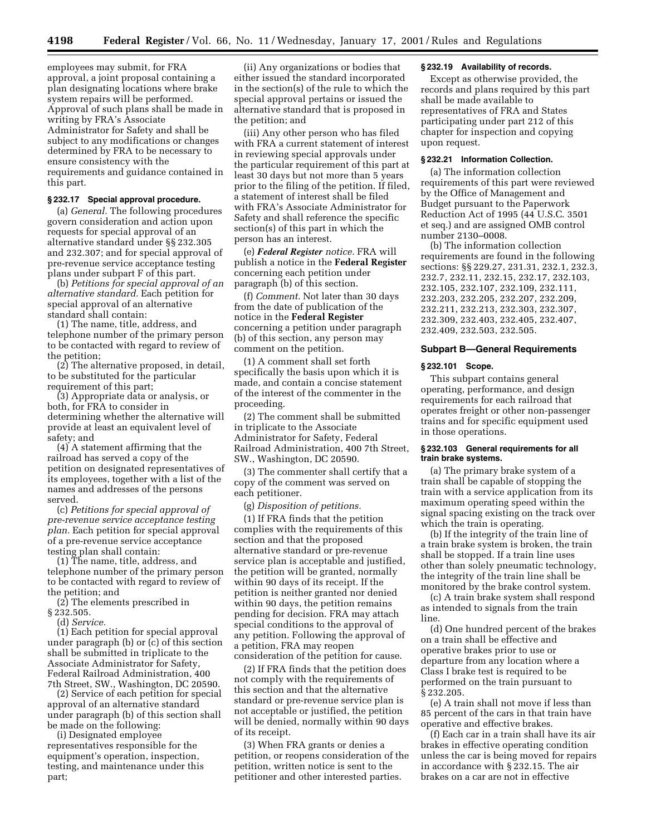employees may submit, for FRA approval, a joint proposal containing a plan designating locations where brake system repairs will be performed. Approval of such plans shall be made in writing by FRA's Associate Administrator for Safety and shall be subject to any modifications or changes determined by FRA to be necessary to ensure consistency with the requirements and guidance contained in this part.

#### **§ 232.17 Special approval procedure.**

(a) *General.* The following procedures govern consideration and action upon requests for special approval of an alternative standard under §§ 232.305 and 232.307; and for special approval of pre-revenue service acceptance testing plans under subpart F of this part.

(b) *Petitions for special approval of an alternative standard.* Each petition for special approval of an alternative standard shall contain:

(1) The name, title, address, and telephone number of the primary person to be contacted with regard to review of the petition;

(2) The alternative proposed, in detail, to be substituted for the particular requirement of this part;

(3) Appropriate data or analysis, or both, for FRA to consider in determining whether the alternative will provide at least an equivalent level of safety; and

(4) A statement affirming that the railroad has served a copy of the petition on designated representatives of its employees, together with a list of the names and addresses of the persons served.

(c) *Petitions for special approval of pre-revenue service acceptance testing plan.* Each petition for special approval of a pre-revenue service acceptance testing plan shall contain:

(1) The name, title, address, and telephone number of the primary person to be contacted with regard to review of the petition; and

(2) The elements prescribed in

§ 232.505.

(d) *Service.*

(1) Each petition for special approval under paragraph (b) or (c) of this section shall be submitted in triplicate to the Associate Administrator for Safety, Federal Railroad Administration, 400 7th Street, SW., Washington, DC 20590.

(2) Service of each petition for special approval of an alternative standard under paragraph (b) of this section shall be made on the following:

(i) Designated employee representatives responsible for the equipment's operation, inspection, testing, and maintenance under this part;

(ii) Any organizations or bodies that either issued the standard incorporated in the section(s) of the rule to which the special approval pertains or issued the alternative standard that is proposed in the petition; and

(iii) Any other person who has filed with FRA a current statement of interest in reviewing special approvals under the particular requirement of this part at least 30 days but not more than 5 years prior to the filing of the petition. If filed, a statement of interest shall be filed with FRA's Associate Administrator for Safety and shall reference the specific section(s) of this part in which the person has an interest.

(e) *Federal Register notice.* FRA will publish a notice in the **Federal Register** concerning each petition under paragraph (b) of this section.

(f) *Comment.* Not later than 30 days from the date of publication of the notice in the **Federal Register** concerning a petition under paragraph (b) of this section, any person may comment on the petition.

(1) A comment shall set forth specifically the basis upon which it is made, and contain a concise statement of the interest of the commenter in the proceeding.

(2) The comment shall be submitted in triplicate to the Associate Administrator for Safety, Federal Railroad Administration, 400 7th Street, SW., Washington, DC 20590.

(3) The commenter shall certify that a copy of the comment was served on each petitioner.

(g) *Disposition of petitions.*

(1) If FRA finds that the petition complies with the requirements of this section and that the proposed alternative standard or pre-revenue service plan is acceptable and justified, the petition will be granted, normally within 90 days of its receipt. If the petition is neither granted nor denied within 90 days, the petition remains pending for decision. FRA may attach special conditions to the approval of any petition. Following the approval of a petition, FRA may reopen consideration of the petition for cause.

(2) If FRA finds that the petition does not comply with the requirements of this section and that the alternative standard or pre-revenue service plan is not acceptable or justified, the petition will be denied, normally within 90 days of its receipt.

(3) When FRA grants or denies a petition, or reopens consideration of the petition, written notice is sent to the petitioner and other interested parties.

## **§ 232.19 Availability of records.**

Except as otherwise provided, the records and plans required by this part shall be made available to representatives of FRA and States participating under part 212 of this chapter for inspection and copying upon request.

# **§ 232.21 Information Collection.**

(a) The information collection requirements of this part were reviewed by the Office of Management and Budget pursuant to the Paperwork Reduction Act of 1995 (44 U.S.C. 3501 et seq.) and are assigned OMB control number 2130–0008.

(b) The information collection requirements are found in the following sections: §§ 229.27, 231.31, 232.1, 232.3, 232.7, 232.11, 232.15, 232.17, 232.103, 232.105, 232.107, 232.109, 232.111, 232.203, 232.205, 232.207, 232.209, 232.211, 232.213, 232.303, 232.307, 232.309, 232.403, 232.405, 232.407, 232.409, 232.503, 232.505.

## **Subpart B—General Requirements**

#### **§ 232.101 Scope.**

This subpart contains general operating, performance, and design requirements for each railroad that operates freight or other non-passenger trains and for specific equipment used in those operations.

# **§ 232.103 General requirements for all train brake systems.**

(a) The primary brake system of a train shall be capable of stopping the train with a service application from its maximum operating speed within the signal spacing existing on the track over which the train is operating.

(b) If the integrity of the train line of a train brake system is broken, the train shall be stopped. If a train line uses other than solely pneumatic technology, the integrity of the train line shall be monitored by the brake control system.

(c) A train brake system shall respond as intended to signals from the train line.

(d) One hundred percent of the brakes on a train shall be effective and operative brakes prior to use or departure from any location where a Class I brake test is required to be performed on the train pursuant to § 232.205.

(e) A train shall not move if less than 85 percent of the cars in that train have operative and effective brakes.

(f) Each car in a train shall have its air brakes in effective operating condition unless the car is being moved for repairs in accordance with § 232.15. The air brakes on a car are not in effective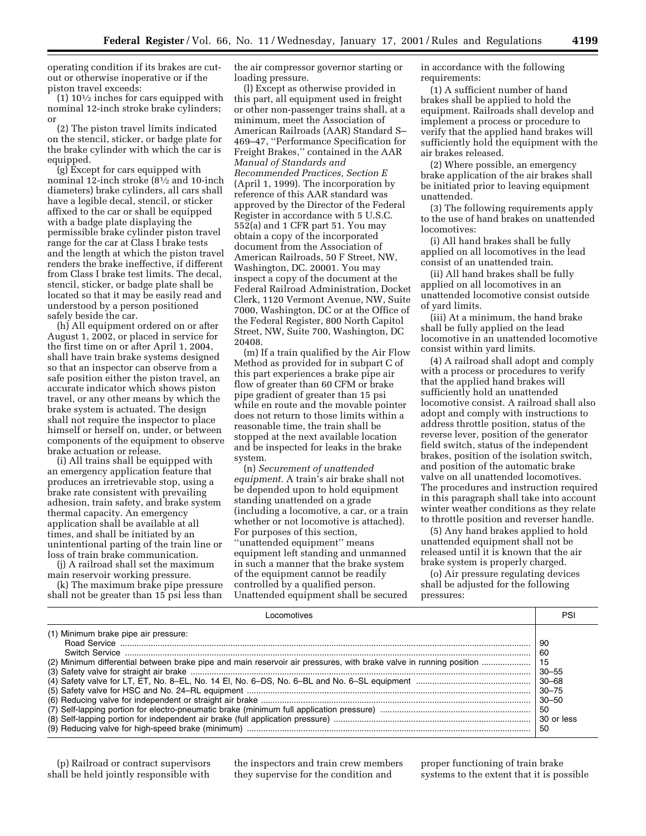operating condition if its brakes are cutout or otherwise inoperative or if the piston travel exceeds:

 $(1)$  10<sup> $1/2$ </sup> inches for cars equipped with nominal 12-inch stroke brake cylinders; or

(2) The piston travel limits indicated on the stencil, sticker, or badge plate for the brake cylinder with which the car is equipped.

(g) Except for cars equipped with nominal 12-inch stroke (81⁄2 and 10-inch diameters) brake cylinders, all cars shall have a legible decal, stencil, or sticker affixed to the car or shall be equipped with a badge plate displaying the permissible brake cylinder piston travel range for the car at Class I brake tests and the length at which the piston travel renders the brake ineffective, if different from Class I brake test limits. The decal, stencil, sticker, or badge plate shall be located so that it may be easily read and understood by a person positioned safely beside the car.

(h) All equipment ordered on or after August 1, 2002, or placed in service for the first time on or after April 1, 2004, shall have train brake systems designed so that an inspector can observe from a safe position either the piston travel, an accurate indicator which shows piston travel, or any other means by which the brake system is actuated. The design shall not require the inspector to place himself or herself on, under, or between components of the equipment to observe brake actuation or release.

(i) All trains shall be equipped with an emergency application feature that produces an irretrievable stop, using a brake rate consistent with prevailing adhesion, train safety, and brake system thermal capacity. An emergency application shall be available at all times, and shall be initiated by an unintentional parting of the train line or loss of train brake communication.

(j) A railroad shall set the maximum main reservoir working pressure.

(k) The maximum brake pipe pressure shall not be greater than 15 psi less than

the air compressor governor starting or loading pressure.

(l) Except as otherwise provided in this part, all equipment used in freight or other non-passenger trains shall, at a minimum, meet the Association of American Railroads (AAR) Standard S– 469–47, ''Performance Specification for Freight Brakes,'' contained in the AAR *Manual of Standards and Recommended Practices, Section E* (April 1, 1999). The incorporation by reference of this AAR standard was approved by the Director of the Federal Register in accordance with 5 U.S.C. 552(a) and 1 CFR part 51. You may obtain a copy of the incorporated document from the Association of American Railroads, 50 F Street, NW, Washington, DC. 20001. You may inspect a copy of the document at the Federal Railroad Administration, Docket Clerk, 1120 Vermont Avenue, NW, Suite 7000, Washington, DC or at the Office of the Federal Register, 800 North Capitol Street, NW, Suite 700, Washington, DC 20408.

(m) If a train qualified by the Air Flow Method as provided for in subpart C of this part experiences a brake pipe air flow of greater than 60 CFM or brake pipe gradient of greater than 15 psi while en route and the movable pointer does not return to those limits within a reasonable time, the train shall be stopped at the next available location and be inspected for leaks in the brake system.

(n) *Securement of unattended equipment.* A train's air brake shall not be depended upon to hold equipment standing unattended on a grade (including a locomotive, a car, or a train whether or not locomotive is attached). For purposes of this section, ''unattended equipment'' means equipment left standing and unmanned in such a manner that the brake system of the equipment cannot be readily controlled by a qualified person. Unattended equipment shall be secured in accordance with the following requirements:

(1) A sufficient number of hand brakes shall be applied to hold the equipment. Railroads shall develop and implement a process or procedure to verify that the applied hand brakes will sufficiently hold the equipment with the air brakes released.

(2) Where possible, an emergency brake application of the air brakes shall be initiated prior to leaving equipment unattended.

(3) The following requirements apply to the use of hand brakes on unattended locomotives:

(i) All hand brakes shall be fully applied on all locomotives in the lead consist of an unattended train.

(ii) All hand brakes shall be fully applied on all locomotives in an unattended locomotive consist outside of yard limits.

(iii) At a minimum, the hand brake shall be fully applied on the lead locomotive in an unattended locomotive consist within yard limits.

(4) A railroad shall adopt and comply with a process or procedures to verify that the applied hand brakes will sufficiently hold an unattended locomotive consist. A railroad shall also adopt and comply with instructions to address throttle position, status of the reverse lever, position of the generator field switch, status of the independent brakes, position of the isolation switch, and position of the automatic brake valve on all unattended locomotives. The procedures and instruction required in this paragraph shall take into account winter weather conditions as they relate to throttle position and reverser handle.

(5) Any hand brakes applied to hold unattended equipment shall not be released until it is known that the air brake system is properly charged.

(o) Air pressure regulating devices shall be adjusted for the following pressures:

|                                                                                                                                                            | PSI                                                                               |
|------------------------------------------------------------------------------------------------------------------------------------------------------------|-----------------------------------------------------------------------------------|
| (1) Minimum brake pipe air pressure:<br>(2) Minimum differential between brake pipe and main reservoir air pressures, with brake valve in running position | 90<br>-60<br>-15<br>$30 - 55$<br>$30 - 75$<br>$30 - 50$<br>50<br>30 or less<br>50 |

(p) Railroad or contract supervisors shall be held jointly responsible with

the inspectors and train crew members they supervise for the condition and

proper functioning of train brake systems to the extent that it is possible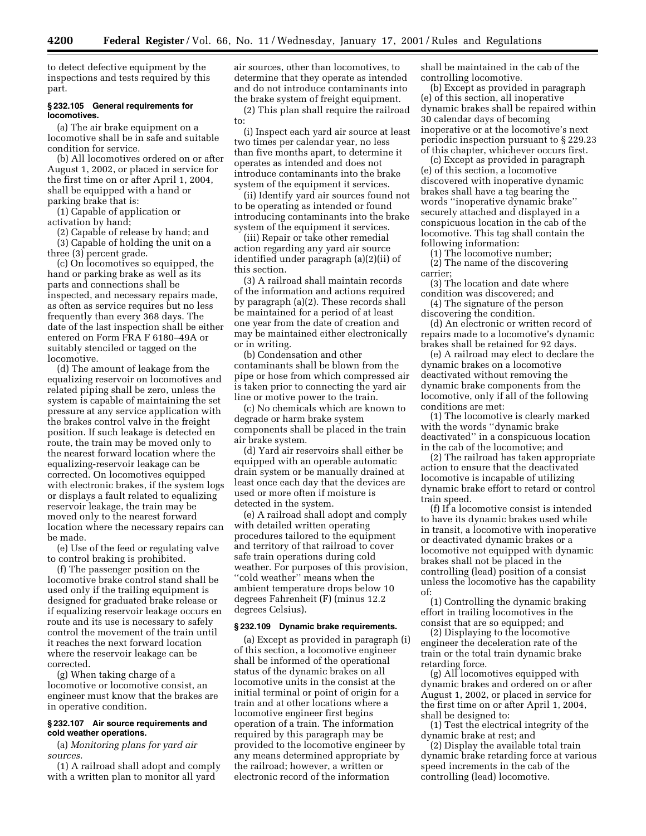to detect defective equipment by the inspections and tests required by this part.

### **§ 232.105 General requirements for locomotives.**

(a) The air brake equipment on a locomotive shall be in safe and suitable condition for service.

(b) All locomotives ordered on or after August 1, 2002, or placed in service for the first time on or after April 1, 2004, shall be equipped with a hand or parking brake that is:

(1) Capable of application or activation by hand;

(2) Capable of release by hand; and (3) Capable of holding the unit on a three (3) percent grade.

(c) On locomotives so equipped, the hand or parking brake as well as its parts and connections shall be inspected, and necessary repairs made, as often as service requires but no less frequently than every 368 days. The date of the last inspection shall be either entered on Form FRA F 6180–49A or suitably stenciled or tagged on the locomotive.

(d) The amount of leakage from the equalizing reservoir on locomotives and related piping shall be zero, unless the system is capable of maintaining the set pressure at any service application with the brakes control valve in the freight position. If such leakage is detected en route, the train may be moved only to the nearest forward location where the equalizing-reservoir leakage can be corrected. On locomotives equipped with electronic brakes, if the system logs or displays a fault related to equalizing reservoir leakage, the train may be moved only to the nearest forward location where the necessary repairs can be made.

(e) Use of the feed or regulating valve to control braking is prohibited.

(f) The passenger position on the locomotive brake control stand shall be used only if the trailing equipment is designed for graduated brake release or if equalizing reservoir leakage occurs en route and its use is necessary to safely control the movement of the train until it reaches the next forward location where the reservoir leakage can be corrected.

(g) When taking charge of a locomotive or locomotive consist, an engineer must know that the brakes are in operative condition.

# **§ 232.107 Air source requirements and cold weather operations.**

(a) *Monitoring plans for yard air sources.*

(1) A railroad shall adopt and comply with a written plan to monitor all yard

air sources, other than locomotives, to determine that they operate as intended and do not introduce contaminants into the brake system of freight equipment.

(2) This plan shall require the railroad to:

(i) Inspect each yard air source at least two times per calendar year, no less than five months apart, to determine it operates as intended and does not introduce contaminants into the brake system of the equipment it services.

(ii) Identify yard air sources found not to be operating as intended or found introducing contaminants into the brake system of the equipment it services.

(iii) Repair or take other remedial action regarding any yard air source identified under paragraph (a)(2)(ii) of this section.

(3) A railroad shall maintain records of the information and actions required by paragraph (a)(2). These records shall be maintained for a period of at least one year from the date of creation and may be maintained either electronically or in writing.

(b) Condensation and other contaminants shall be blown from the pipe or hose from which compressed air is taken prior to connecting the yard air line or motive power to the train.

(c) No chemicals which are known to degrade or harm brake system components shall be placed in the train air brake system.

(d) Yard air reservoirs shall either be equipped with an operable automatic drain system or be manually drained at least once each day that the devices are used or more often if moisture is detected in the system.

(e) A railroad shall adopt and comply with detailed written operating procedures tailored to the equipment and territory of that railroad to cover safe train operations during cold weather. For purposes of this provision, ''cold weather'' means when the ambient temperature drops below 10 degrees Fahrenheit (F) (minus 12.2 degrees Celsius).

#### **§ 232.109 Dynamic brake requirements.**

(a) Except as provided in paragraph (i) of this section, a locomotive engineer shall be informed of the operational status of the dynamic brakes on all locomotive units in the consist at the initial terminal or point of origin for a train and at other locations where a locomotive engineer first begins operation of a train. The information required by this paragraph may be provided to the locomotive engineer by any means determined appropriate by the railroad; however, a written or electronic record of the information

shall be maintained in the cab of the controlling locomotive.

(b) Except as provided in paragraph (e) of this section, all inoperative dynamic brakes shall be repaired within 30 calendar days of becoming inoperative or at the locomotive's next periodic inspection pursuant to § 229.23 of this chapter, whichever occurs first.

(c) Except as provided in paragraph (e) of this section, a locomotive discovered with inoperative dynamic brakes shall have a tag bearing the words ''inoperative dynamic brake'' securely attached and displayed in a conspicuous location in the cab of the locomotive. This tag shall contain the following information:

(1) The locomotive number;

(2) The name of the discovering carrier;

(3) The location and date where condition was discovered; and

(4) The signature of the person discovering the condition.

(d) An electronic or written record of repairs made to a locomotive's dynamic brakes shall be retained for 92 days.

(e) A railroad may elect to declare the dynamic brakes on a locomotive deactivated without removing the dynamic brake components from the locomotive, only if all of the following conditions are met:

(1) The locomotive is clearly marked with the words ''dynamic brake deactivated'' in a conspicuous location in the cab of the locomotive; and

(2) The railroad has taken appropriate action to ensure that the deactivated locomotive is incapable of utilizing dynamic brake effort to retard or control train speed.

(f) If a locomotive consist is intended to have its dynamic brakes used while in transit, a locomotive with inoperative or deactivated dynamic brakes or a locomotive not equipped with dynamic brakes shall not be placed in the controlling (lead) position of a consist unless the locomotive has the capability of:

(1) Controlling the dynamic braking effort in trailing locomotives in the consist that are so equipped; and

(2) Displaying to the locomotive engineer the deceleration rate of the train or the total train dynamic brake retarding force.

(g) All locomotives equipped with dynamic brakes and ordered on or after August 1, 2002, or placed in service for the first time on or after April 1, 2004, shall be designed to:

(1) Test the electrical integrity of the dynamic brake at rest; and

(2) Display the available total train dynamic brake retarding force at various speed increments in the cab of the controlling (lead) locomotive.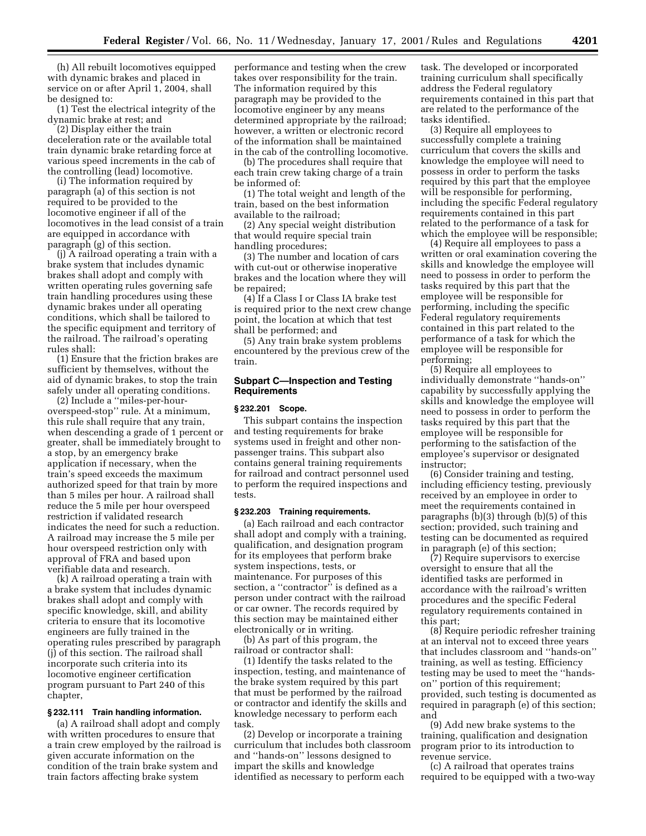(h) All rebuilt locomotives equipped with dynamic brakes and placed in service on or after April 1, 2004, shall be designed to:

(1) Test the electrical integrity of the dynamic brake at rest; and

(2) Display either the train deceleration rate or the available total train dynamic brake retarding force at various speed increments in the cab of the controlling (lead) locomotive.

(i) The information required by paragraph (a) of this section is not required to be provided to the locomotive engineer if all of the locomotives in the lead consist of a train are equipped in accordance with paragraph (g) of this section.

(j) A railroad operating a train with a brake system that includes dynamic brakes shall adopt and comply with written operating rules governing safe train handling procedures using these dynamic brakes under all operating conditions, which shall be tailored to the specific equipment and territory of the railroad. The railroad's operating rules shall:

(1) Ensure that the friction brakes are sufficient by themselves, without the aid of dynamic brakes, to stop the train safely under all operating conditions.

(2) Include a ''miles-per-houroverspeed-stop'' rule. At a minimum, this rule shall require that any train, when descending a grade of 1 percent or greater, shall be immediately brought to a stop, by an emergency brake application if necessary, when the train's speed exceeds the maximum authorized speed for that train by more than 5 miles per hour. A railroad shall reduce the 5 mile per hour overspeed restriction if validated research indicates the need for such a reduction. A railroad may increase the 5 mile per hour overspeed restriction only with approval of FRA and based upon verifiable data and research.

(k) A railroad operating a train with a brake system that includes dynamic brakes shall adopt and comply with specific knowledge, skill, and ability criteria to ensure that its locomotive engineers are fully trained in the operating rules prescribed by paragraph (j) of this section. The railroad shall incorporate such criteria into its locomotive engineer certification program pursuant to Part 240 of this chapter,

#### **§ 232.111 Train handling information.**

(a) A railroad shall adopt and comply with written procedures to ensure that a train crew employed by the railroad is given accurate information on the condition of the train brake system and train factors affecting brake system

performance and testing when the crew takes over responsibility for the train. The information required by this paragraph may be provided to the locomotive engineer by any means determined appropriate by the railroad; however, a written or electronic record of the information shall be maintained in the cab of the controlling locomotive.

(b) The procedures shall require that each train crew taking charge of a train be informed of:

(1) The total weight and length of the train, based on the best information available to the railroad;

(2) Any special weight distribution that would require special train handling procedures;

(3) The number and location of cars with cut-out or otherwise inoperative brakes and the location where they will be repaired;

(4) If a Class I or Class IA brake test is required prior to the next crew change point, the location at which that test shall be performed; and

(5) Any train brake system problems encountered by the previous crew of the train.

# **Subpart C—Inspection and Testing Requirements**

#### **§ 232.201 Scope.**

This subpart contains the inspection and testing requirements for brake systems used in freight and other nonpassenger trains. This subpart also contains general training requirements for railroad and contract personnel used to perform the required inspections and tests.

### **§ 232.203 Training requirements.**

(a) Each railroad and each contractor shall adopt and comply with a training, qualification, and designation program for its employees that perform brake system inspections, tests, or maintenance. For purposes of this section, a ''contractor'' is defined as a person under contract with the railroad or car owner. The records required by this section may be maintained either electronically or in writing.

(b) As part of this program, the railroad or contractor shall:

(1) Identify the tasks related to the inspection, testing, and maintenance of the brake system required by this part that must be performed by the railroad or contractor and identify the skills and knowledge necessary to perform each task.

(2) Develop or incorporate a training curriculum that includes both classroom and ''hands-on'' lessons designed to impart the skills and knowledge identified as necessary to perform each

task. The developed or incorporated training curriculum shall specifically address the Federal regulatory requirements contained in this part that are related to the performance of the tasks identified.

(3) Require all employees to successfully complete a training curriculum that covers the skills and knowledge the employee will need to possess in order to perform the tasks required by this part that the employee will be responsible for performing, including the specific Federal regulatory requirements contained in this part related to the performance of a task for which the employee will be responsible;

(4) Require all employees to pass a written or oral examination covering the skills and knowledge the employee will need to possess in order to perform the tasks required by this part that the employee will be responsible for performing, including the specific Federal regulatory requirements contained in this part related to the performance of a task for which the employee will be responsible for performing;

(5) Require all employees to individually demonstrate ''hands-on'' capability by successfully applying the skills and knowledge the employee will need to possess in order to perform the tasks required by this part that the employee will be responsible for performing to the satisfaction of the employee's supervisor or designated instructor;

(6) Consider training and testing, including efficiency testing, previously received by an employee in order to meet the requirements contained in paragraphs (b)(3) through (b)(5) of this section; provided, such training and testing can be documented as required in paragraph (e) of this section;

(7) Require supervisors to exercise oversight to ensure that all the identified tasks are performed in accordance with the railroad's written procedures and the specific Federal regulatory requirements contained in this part;

(8) Require periodic refresher training at an interval not to exceed three years that includes classroom and ''hands-on'' training, as well as testing. Efficiency testing may be used to meet the ''handson'' portion of this requirement; provided, such testing is documented as required in paragraph (e) of this section; and

(9) Add new brake systems to the training, qualification and designation program prior to its introduction to revenue service.

(c) A railroad that operates trains required to be equipped with a two-way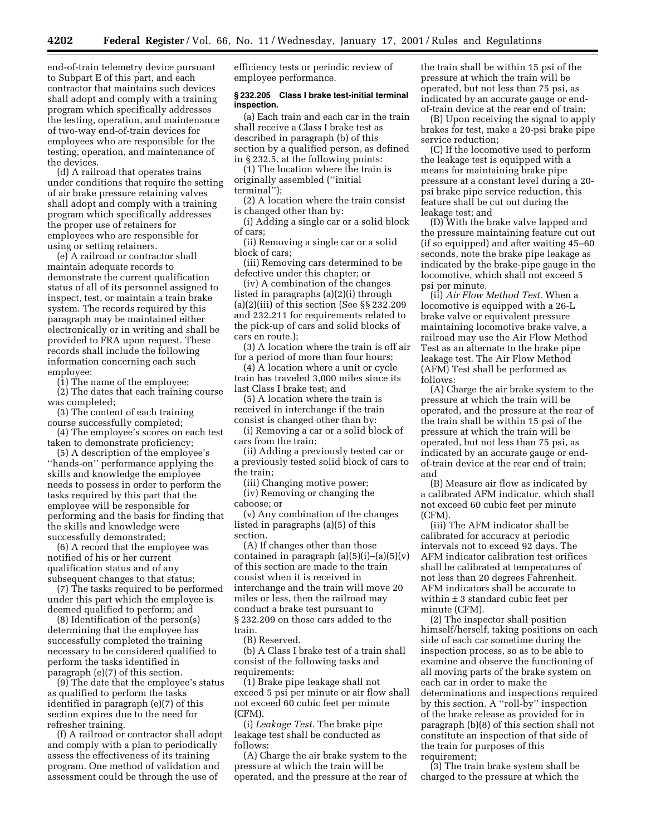end-of-train telemetry device pursuant to Subpart E of this part, and each contractor that maintains such devices shall adopt and comply with a training program which specifically addresses the testing, operation, and maintenance of two-way end-of-train devices for employees who are responsible for the testing, operation, and maintenance of the devices.

(d) A railroad that operates trains under conditions that require the setting of air brake pressure retaining valves shall adopt and comply with a training program which specifically addresses the proper use of retainers for employees who are responsible for using or setting retainers.

(e) A railroad or contractor shall maintain adequate records to demonstrate the current qualification status of all of its personnel assigned to inspect, test, or maintain a train brake system. The records required by this paragraph may be maintained either electronically or in writing and shall be provided to FRA upon request. These records shall include the following information concerning each such employee:

(1) The name of the employee;

(2) The dates that each training course was completed;

(3) The content of each training course successfully completed;

(4) The employee's scores on each test taken to demonstrate proficiency;

(5) A description of the employee's ''hands-on'' performance applying the skills and knowledge the employee needs to possess in order to perform the tasks required by this part that the employee will be responsible for performing and the basis for finding that the skills and knowledge were successfully demonstrated;

(6) A record that the employee was notified of his or her current qualification status and of any subsequent changes to that status;

(7) The tasks required to be performed under this part which the employee is deemed qualified to perform; and

(8) Identification of the person(s) determining that the employee has successfully completed the training necessary to be considered qualified to perform the tasks identified in paragraph (e)(7) of this section.

(9) The date that the employee's status as qualified to perform the tasks identified in paragraph (e)(7) of this section expires due to the need for refresher training.

(f) A railroad or contractor shall adopt and comply with a plan to periodically assess the effectiveness of its training program. One method of validation and assessment could be through the use of

efficiency tests or periodic review of employee performance.

## **§ 232.205 Class I brake test-initial terminal inspection.**

(a) Each train and each car in the train shall receive a Class I brake test as described in paragraph (b) of this section by a qualified person, as defined in § 232.5, at the following points:

(1) The location where the train is originally assembled (''initial terminal'');

(2) A location where the train consist is changed other than by:

(i) Adding a single car or a solid block of cars;

(ii) Removing a single car or a solid block of cars;

(iii) Removing cars determined to be defective under this chapter; or

(iv) A combination of the changes listed in paragraphs (a)(2)(i) through (a)(2)(iii) of this section (See §§ 232.209 and 232.211 for requirements related to the pick-up of cars and solid blocks of cars en route.);

(3) A location where the train is off air for a period of more than four hours;

(4) A location where a unit or cycle train has traveled 3,000 miles since its last Class I brake test; and

(5) A location where the train is received in interchange if the train consist is changed other than by:

(i) Removing a car or a solid block of cars from the train;

(ii) Adding a previously tested car or a previously tested solid block of cars to the train;

(iii) Changing motive power;

(iv) Removing or changing the caboose; or

(v) Any combination of the changes listed in paragraphs (a)(5) of this section.

(A) If changes other than those contained in paragraph  $(a)(5)(i)$ – $(a)(5)(v)$ of this section are made to the train consist when it is received in interchange and the train will move 20 miles or less, then the railroad may conduct a brake test pursuant to § 232.209 on those cars added to the train.

(B) Reserved.

(b) A Class I brake test of a train shall consist of the following tasks and requirements:

(1) Brake pipe leakage shall not exceed 5 psi per minute or air flow shall not exceed 60 cubic feet per minute (CFM).

(i) *Leakage Test.* The brake pipe leakage test shall be conducted as follows:

(A) Charge the air brake system to the pressure at which the train will be operated, and the pressure at the rear of

the train shall be within 15 psi of the pressure at which the train will be operated, but not less than 75 psi, as indicated by an accurate gauge or endof-train device at the rear end of train;

(B) Upon receiving the signal to apply brakes for test, make a 20-psi brake pipe service reduction;

(C) If the locomotive used to perform the leakage test is equipped with a means for maintaining brake pipe pressure at a constant level during a 20 psi brake pipe service reduction, this feature shall be cut out during the leakage test; and

(D) With the brake valve lapped and the pressure maintaining feature cut out (if so equipped) and after waiting 45–60 seconds, note the brake pipe leakage as indicated by the brake-pipe gauge in the locomotive, which shall not exceed 5 psi per minute.

(ii) *Air Flow Method Test.* When a locomotive is equipped with a 26-L brake valve or equivalent pressure maintaining locomotive brake valve, a railroad may use the Air Flow Method Test as an alternate to the brake pipe leakage test. The Air Flow Method (AFM) Test shall be performed as follows:

(A) Charge the air brake system to the pressure at which the train will be operated, and the pressure at the rear of the train shall be within 15 psi of the pressure at which the train will be operated, but not less than 75 psi, as indicated by an accurate gauge or endof-train device at the rear end of train; and

(B) Measure air flow as indicated by a calibrated AFM indicator, which shall not exceed 60 cubic feet per minute (CFM).

(iii) The AFM indicator shall be calibrated for accuracy at periodic intervals not to exceed 92 days. The AFM indicator calibration test orifices shall be calibrated at temperatures of not less than 20 degrees Fahrenheit. AFM indicators shall be accurate to within  $\pm$  3 standard cubic feet per minute (CFM).

(2) The inspector shall position himself/herself, taking positions on each side of each car sometime during the inspection process, so as to be able to examine and observe the functioning of all moving parts of the brake system on each car in order to make the determinations and inspections required by this section. A ''roll-by'' inspection of the brake release as provided for in paragraph (b)(8) of this section shall not constitute an inspection of that side of the train for purposes of this requirement;

(3) The train brake system shall be charged to the pressure at which the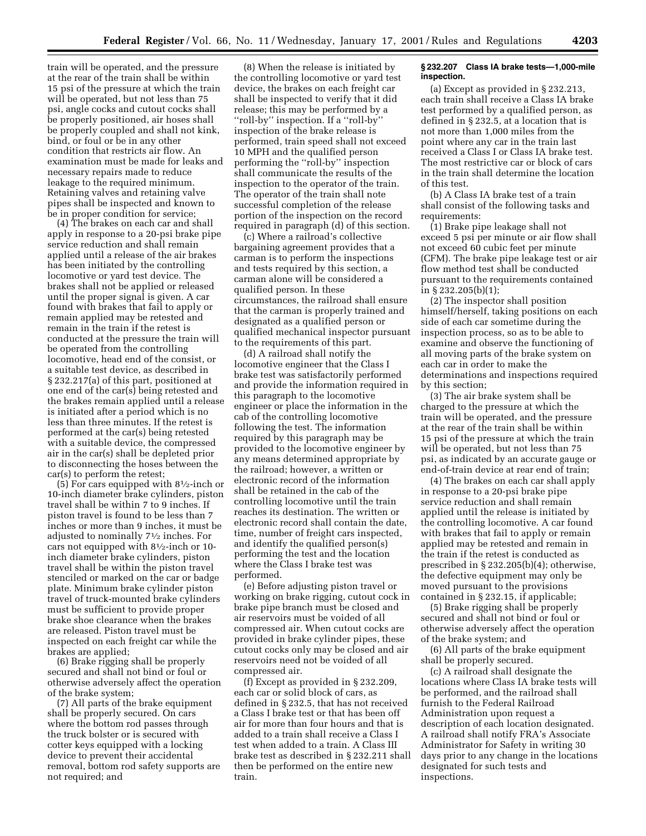train will be operated, and the pressure at the rear of the train shall be within 15 psi of the pressure at which the train will be operated, but not less than 75 psi, angle cocks and cutout cocks shall be properly positioned, air hoses shall be properly coupled and shall not kink, bind, or foul or be in any other condition that restricts air flow. An examination must be made for leaks and necessary repairs made to reduce leakage to the required minimum. Retaining valves and retaining valve pipes shall be inspected and known to be in proper condition for service;

(4) The brakes on each car and shall apply in response to a 20-psi brake pipe service reduction and shall remain applied until a release of the air brakes has been initiated by the controlling locomotive or yard test device. The brakes shall not be applied or released until the proper signal is given. A car found with brakes that fail to apply or remain applied may be retested and remain in the train if the retest is conducted at the pressure the train will be operated from the controlling locomotive, head end of the consist, or a suitable test device, as described in § 232.217(a) of this part, positioned at one end of the car(s) being retested and the brakes remain applied until a release is initiated after a period which is no less than three minutes. If the retest is performed at the car(s) being retested with a suitable device, the compressed air in the car(s) shall be depleted prior to disconnecting the hoses between the car(s) to perform the retest;

(5) For cars equipped with 81⁄2-inch or 10-inch diameter brake cylinders, piston travel shall be within 7 to 9 inches. If piston travel is found to be less than 7 inches or more than 9 inches, it must be adjusted to nominally 71⁄2 inches. For cars not equipped with 81⁄2-inch or 10 inch diameter brake cylinders, piston travel shall be within the piston travel stenciled or marked on the car or badge plate. Minimum brake cylinder piston travel of truck-mounted brake cylinders must be sufficient to provide proper brake shoe clearance when the brakes are released. Piston travel must be inspected on each freight car while the brakes are applied;

(6) Brake rigging shall be properly secured and shall not bind or foul or otherwise adversely affect the operation of the brake system;

(7) All parts of the brake equipment shall be properly secured. On cars where the bottom rod passes through the truck bolster or is secured with cotter keys equipped with a locking device to prevent their accidental removal, bottom rod safety supports are not required; and

(8) When the release is initiated by the controlling locomotive or yard test device, the brakes on each freight car shall be inspected to verify that it did release; this may be performed by a ''roll-by'' inspection. If a ''roll-by'' inspection of the brake release is performed, train speed shall not exceed 10 MPH and the qualified person performing the ''roll-by'' inspection shall communicate the results of the inspection to the operator of the train. The operator of the train shall note successful completion of the release portion of the inspection on the record required in paragraph (d) of this section.

(c) Where a railroad's collective bargaining agreement provides that a carman is to perform the inspections and tests required by this section, a carman alone will be considered a qualified person. In these circumstances, the railroad shall ensure that the carman is properly trained and designated as a qualified person or qualified mechanical inspector pursuant to the requirements of this part.

(d) A railroad shall notify the locomotive engineer that the Class I brake test was satisfactorily performed and provide the information required in this paragraph to the locomotive engineer or place the information in the cab of the controlling locomotive following the test. The information required by this paragraph may be provided to the locomotive engineer by any means determined appropriate by the railroad; however, a written or electronic record of the information shall be retained in the cab of the controlling locomotive until the train reaches its destination. The written or electronic record shall contain the date, time, number of freight cars inspected, and identify the qualified person(s) performing the test and the location where the Class I brake test was performed.

(e) Before adjusting piston travel or working on brake rigging, cutout cock in brake pipe branch must be closed and air reservoirs must be voided of all compressed air. When cutout cocks are provided in brake cylinder pipes, these cutout cocks only may be closed and air reservoirs need not be voided of all compressed air.

(f) Except as provided in § 232.209, each car or solid block of cars, as defined in § 232.5, that has not received a Class I brake test or that has been off air for more than four hours and that is added to a train shall receive a Class I test when added to a train. A Class III brake test as described in § 232.211 shall then be performed on the entire new train.

### **§ 232.207 Class IA brake tests—1,000-mile inspection.**

(a) Except as provided in § 232.213, each train shall receive a Class IA brake test performed by a qualified person, as defined in § 232.5, at a location that is not more than 1,000 miles from the point where any car in the train last received a Class I or Class IA brake test. The most restrictive car or block of cars in the train shall determine the location of this test.

(b) A Class IA brake test of a train shall consist of the following tasks and requirements:

(1) Brake pipe leakage shall not exceed 5 psi per minute or air flow shall not exceed 60 cubic feet per minute (CFM). The brake pipe leakage test or air flow method test shall be conducted pursuant to the requirements contained in § 232.205(b)(1);

(2) The inspector shall position himself/herself, taking positions on each side of each car sometime during the inspection process, so as to be able to examine and observe the functioning of all moving parts of the brake system on each car in order to make the determinations and inspections required by this section;

(3) The air brake system shall be charged to the pressure at which the train will be operated, and the pressure at the rear of the train shall be within 15 psi of the pressure at which the train will be operated, but not less than 75 psi, as indicated by an accurate gauge or end-of-train device at rear end of train;

(4) The brakes on each car shall apply in response to a 20-psi brake pipe service reduction and shall remain applied until the release is initiated by the controlling locomotive. A car found with brakes that fail to apply or remain applied may be retested and remain in the train if the retest is conducted as prescribed in § 232.205(b)(4); otherwise, the defective equipment may only be moved pursuant to the provisions contained in § 232.15, if applicable;

(5) Brake rigging shall be properly secured and shall not bind or foul or otherwise adversely affect the operation of the brake system; and

(6) All parts of the brake equipment shall be properly secured.

(c) A railroad shall designate the locations where Class IA brake tests will be performed, and the railroad shall furnish to the Federal Railroad Administration upon request a description of each location designated. A railroad shall notify FRA's Associate Administrator for Safety in writing 30 days prior to any change in the locations designated for such tests and inspections.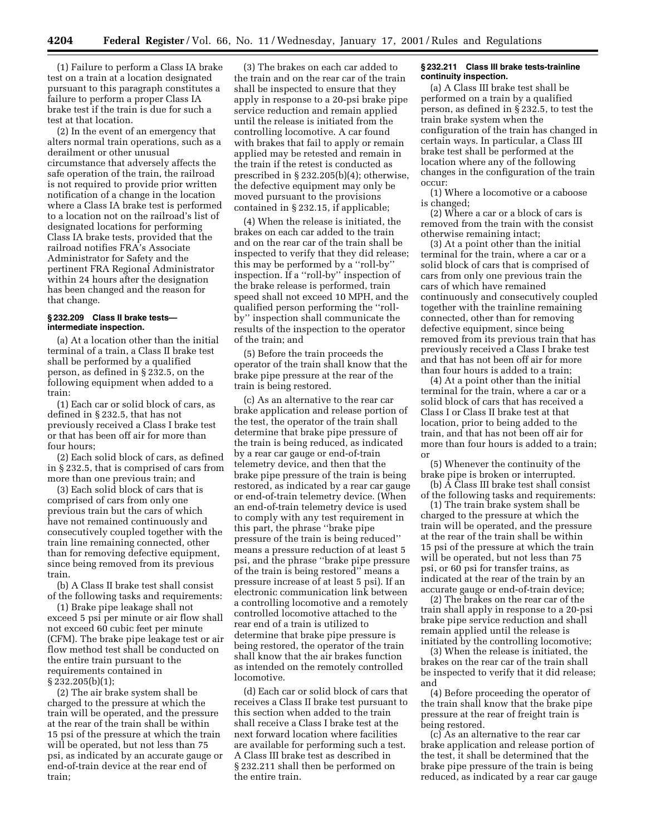(1) Failure to perform a Class IA brake test on a train at a location designated pursuant to this paragraph constitutes a failure to perform a proper Class IA brake test if the train is due for such a test at that location.

(2) In the event of an emergency that alters normal train operations, such as a derailment or other unusual circumstance that adversely affects the safe operation of the train, the railroad is not required to provide prior written notification of a change in the location where a Class IA brake test is performed to a location not on the railroad's list of designated locations for performing Class IA brake tests, provided that the railroad notifies FRA's Associate Administrator for Safety and the pertinent FRA Regional Administrator within 24 hours after the designation has been changed and the reason for that change.

#### **§ 232.209 Class II brake tests intermediate inspection.**

(a) At a location other than the initial terminal of a train, a Class II brake test shall be performed by a qualified person, as defined in § 232.5, on the following equipment when added to a train:

(1) Each car or solid block of cars, as defined in § 232.5, that has not previously received a Class I brake test or that has been off air for more than four hours;

(2) Each solid block of cars, as defined in § 232.5, that is comprised of cars from more than one previous train; and

(3) Each solid block of cars that is comprised of cars from only one previous train but the cars of which have not remained continuously and consecutively coupled together with the train line remaining connected, other than for removing defective equipment, since being removed from its previous train.

(b) A Class II brake test shall consist of the following tasks and requirements:

(1) Brake pipe leakage shall not exceed 5 psi per minute or air flow shall not exceed 60 cubic feet per minute (CFM). The brake pipe leakage test or air flow method test shall be conducted on the entire train pursuant to the requirements contained in § 232.205(b)(1);

(2) The air brake system shall be charged to the pressure at which the train will be operated, and the pressure at the rear of the train shall be within 15 psi of the pressure at which the train will be operated, but not less than 75 psi, as indicated by an accurate gauge or end-of-train device at the rear end of train;

(3) The brakes on each car added to the train and on the rear car of the train shall be inspected to ensure that they apply in response to a 20-psi brake pipe service reduction and remain applied until the release is initiated from the controlling locomotive. A car found with brakes that fail to apply or remain applied may be retested and remain in the train if the retest is conducted as prescribed in § 232.205(b)(4); otherwise, the defective equipment may only be moved pursuant to the provisions contained in § 232.15, if applicable;

(4) When the release is initiated, the brakes on each car added to the train and on the rear car of the train shall be inspected to verify that they did release; this may be performed by a ''roll-by'' inspection. If a ''roll-by'' inspection of the brake release is performed, train speed shall not exceed 10 MPH, and the qualified person performing the ''rollby'' inspection shall communicate the results of the inspection to the operator of the train; and

(5) Before the train proceeds the operator of the train shall know that the brake pipe pressure at the rear of the train is being restored.

(c) As an alternative to the rear car brake application and release portion of the test, the operator of the train shall determine that brake pipe pressure of the train is being reduced, as indicated by a rear car gauge or end-of-train telemetry device, and then that the brake pipe pressure of the train is being restored, as indicated by a rear car gauge or end-of-train telemetry device. (When an end-of-train telemetry device is used to comply with any test requirement in this part, the phrase ''brake pipe pressure of the train is being reduced'' means a pressure reduction of at least 5 psi, and the phrase ''brake pipe pressure of the train is being restored'' means a pressure increase of at least 5 psi). If an electronic communication link between a controlling locomotive and a remotely controlled locomotive attached to the rear end of a train is utilized to determine that brake pipe pressure is being restored, the operator of the train shall know that the air brakes function as intended on the remotely controlled locomotive.

(d) Each car or solid block of cars that receives a Class II brake test pursuant to this section when added to the train shall receive a Class I brake test at the next forward location where facilities are available for performing such a test. A Class III brake test as described in § 232.211 shall then be performed on the entire train.

#### **§ 232.211 Class III brake tests-trainline continuity inspection.**

(a) A Class III brake test shall be performed on a train by a qualified person, as defined in § 232.5, to test the train brake system when the configuration of the train has changed in certain ways. In particular, a Class III brake test shall be performed at the location where any of the following changes in the configuration of the train occur:

(1) Where a locomotive or a caboose is changed;

(2) Where a car or a block of cars is removed from the train with the consist otherwise remaining intact;

(3) At a point other than the initial terminal for the train, where a car or a solid block of cars that is comprised of cars from only one previous train the cars of which have remained continuously and consecutively coupled together with the trainline remaining connected, other than for removing defective equipment, since being removed from its previous train that has previously received a Class I brake test and that has not been off air for more than four hours is added to a train;

(4) At a point other than the initial terminal for the train, where a car or a solid block of cars that has received a Class I or Class II brake test at that location, prior to being added to the train, and that has not been off air for more than four hours is added to a train; or

(5) Whenever the continuity of the brake pipe is broken or interrupted.

(b) A Class III brake test shall consist of the following tasks and requirements:

(1) The train brake system shall be charged to the pressure at which the train will be operated, and the pressure at the rear of the train shall be within 15 psi of the pressure at which the train will be operated, but not less than 75 psi, or 60 psi for transfer trains, as indicated at the rear of the train by an accurate gauge or end-of-train device;

(2) The brakes on the rear car of the train shall apply in response to a 20-psi brake pipe service reduction and shall remain applied until the release is initiated by the controlling locomotive;

(3) When the release is initiated, the brakes on the rear car of the train shall be inspected to verify that it did release; and

(4) Before proceeding the operator of the train shall know that the brake pipe pressure at the rear of freight train is being restored.

(c) As an alternative to the rear car brake application and release portion of the test, it shall be determined that the brake pipe pressure of the train is being reduced, as indicated by a rear car gauge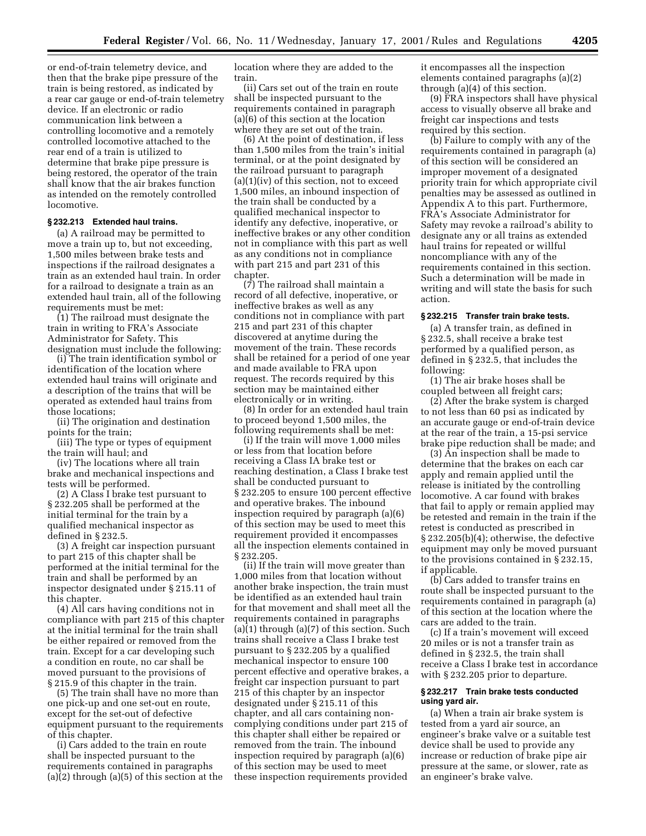or end-of-train telemetry device, and then that the brake pipe pressure of the train is being restored, as indicated by a rear car gauge or end-of-train telemetry device. If an electronic or radio communication link between a controlling locomotive and a remotely controlled locomotive attached to the rear end of a train is utilized to determine that brake pipe pressure is being restored, the operator of the train shall know that the air brakes function as intended on the remotely controlled locomotive.

#### **§ 232.213 Extended haul trains.**

(a) A railroad may be permitted to move a train up to, but not exceeding, 1,500 miles between brake tests and inspections if the railroad designates a train as an extended haul train. In order for a railroad to designate a train as an extended haul train, all of the following requirements must be met:

(1) The railroad must designate the train in writing to FRA's Associate Administrator for Safety. This designation must include the following:

(i) The train identification symbol or identification of the location where extended haul trains will originate and a description of the trains that will be operated as extended haul trains from those locations;

(ii) The origination and destination points for the train;

(iii) The type or types of equipment the train will haul; and

(iv) The locations where all train brake and mechanical inspections and tests will be performed.

(2) A Class I brake test pursuant to § 232.205 shall be performed at the initial terminal for the train by a qualified mechanical inspector as defined in § 232.5.

(3) A freight car inspection pursuant to part 215 of this chapter shall be performed at the initial terminal for the train and shall be performed by an inspector designated under § 215.11 of this chapter.

(4) All cars having conditions not in compliance with part 215 of this chapter at the initial terminal for the train shall be either repaired or removed from the train. Except for a car developing such a condition en route, no car shall be moved pursuant to the provisions of § 215.9 of this chapter in the train.

(5) The train shall have no more than one pick-up and one set-out en route, except for the set-out of defective equipment pursuant to the requirements of this chapter.

(i) Cars added to the train en route shall be inspected pursuant to the requirements contained in paragraphs (a)(2) through (a)(5) of this section at the location where they are added to the train.

(ii) Cars set out of the train en route shall be inspected pursuant to the requirements contained in paragraph (a)(6) of this section at the location where they are set out of the train.

(6) At the point of destination, if less than 1,500 miles from the train's initial terminal, or at the point designated by the railroad pursuant to paragraph  $(a)(1)(iv)$  of this section, not to exceed 1,500 miles, an inbound inspection of the train shall be conducted by a qualified mechanical inspector to identify any defective, inoperative, or ineffective brakes or any other condition not in compliance with this part as well as any conditions not in compliance with part 215 and part 231 of this chapter.

(7) The railroad shall maintain a record of all defective, inoperative, or ineffective brakes as well as any conditions not in compliance with part 215 and part 231 of this chapter discovered at anytime during the movement of the train. These records shall be retained for a period of one year and made available to FRA upon request. The records required by this section may be maintained either electronically or in writing.

(8) In order for an extended haul train to proceed beyond 1,500 miles, the following requirements shall be met:

(i) If the train will move 1,000 miles or less from that location before receiving a Class IA brake test or reaching destination, a Class I brake test shall be conducted pursuant to § 232.205 to ensure 100 percent effective and operative brakes. The inbound inspection required by paragraph (a)(6) of this section may be used to meet this requirement provided it encompasses all the inspection elements contained in § 232.205.

(ii) If the train will move greater than 1,000 miles from that location without another brake inspection, the train must be identified as an extended haul train for that movement and shall meet all the requirements contained in paragraphs (a)(1) through (a)(7) of this section. Such trains shall receive a Class I brake test pursuant to § 232.205 by a qualified mechanical inspector to ensure 100 percent effective and operative brakes, a freight car inspection pursuant to part 215 of this chapter by an inspector designated under § 215.11 of this chapter, and all cars containing noncomplying conditions under part 215 of this chapter shall either be repaired or removed from the train. The inbound inspection required by paragraph (a)(6) of this section may be used to meet these inspection requirements provided

it encompasses all the inspection elements contained paragraphs (a)(2) through (a)(4) of this section.

(9) FRA inspectors shall have physical access to visually observe all brake and freight car inspections and tests required by this section.

(b) Failure to comply with any of the requirements contained in paragraph (a) of this section will be considered an improper movement of a designated priority train for which appropriate civil penalties may be assessed as outlined in Appendix A to this part. Furthermore, FRA's Associate Administrator for Safety may revoke a railroad's ability to designate any or all trains as extended haul trains for repeated or willful noncompliance with any of the requirements contained in this section. Such a determination will be made in writing and will state the basis for such action.

# **§ 232.215 Transfer train brake tests.**

(a) A transfer train, as defined in § 232.5, shall receive a brake test performed by a qualified person, as defined in § 232.5, that includes the following:

(1) The air brake hoses shall be coupled between all freight cars;

(2) After the brake system is charged to not less than 60 psi as indicated by an accurate gauge or end-of-train device at the rear of the train, a 15-psi service brake pipe reduction shall be made; and

(3) An inspection shall be made to determine that the brakes on each car apply and remain applied until the release is initiated by the controlling locomotive. A car found with brakes that fail to apply or remain applied may be retested and remain in the train if the retest is conducted as prescribed in § 232.205(b)(4); otherwise, the defective equipment may only be moved pursuant to the provisions contained in § 232.15, if applicable.

(b) Cars added to transfer trains en route shall be inspected pursuant to the requirements contained in paragraph (a) of this section at the location where the cars are added to the train.

(c) If a train's movement will exceed 20 miles or is not a transfer train as defined in § 232.5, the train shall receive a Class I brake test in accordance with § 232.205 prior to departure.

#### **§ 232.217 Train brake tests conducted using yard air.**

(a) When a train air brake system is tested from a yard air source, an engineer's brake valve or a suitable test device shall be used to provide any increase or reduction of brake pipe air pressure at the same, or slower, rate as an engineer's brake valve.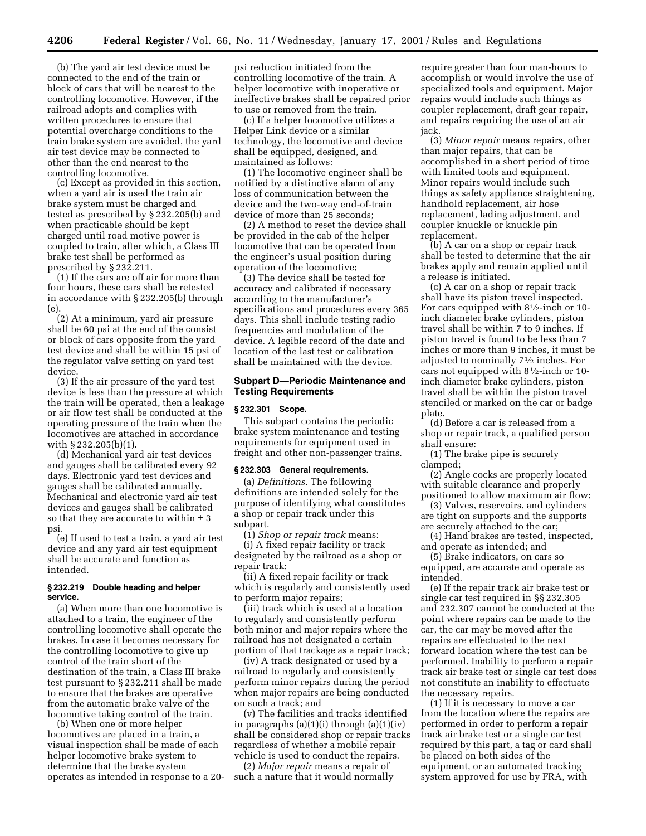(b) The yard air test device must be connected to the end of the train or block of cars that will be nearest to the controlling locomotive. However, if the railroad adopts and complies with written procedures to ensure that potential overcharge conditions to the train brake system are avoided, the yard air test device may be connected to other than the end nearest to the controlling locomotive.

(c) Except as provided in this section, when a yard air is used the train air brake system must be charged and tested as prescribed by § 232.205(b) and when practicable should be kept charged until road motive power is coupled to train, after which, a Class III brake test shall be performed as prescribed by § 232.211.

(1) If the cars are off air for more than four hours, these cars shall be retested in accordance with § 232.205(b) through (e).

(2) At a minimum, yard air pressure shall be 60 psi at the end of the consist or block of cars opposite from the yard test device and shall be within 15 psi of the regulator valve setting on yard test device.

(3) If the air pressure of the yard test device is less than the pressure at which the train will be operated, then a leakage or air flow test shall be conducted at the operating pressure of the train when the locomotives are attached in accordance with § 232.205(b)(1).

(d) Mechanical yard air test devices and gauges shall be calibrated every 92 days. Electronic yard test devices and gauges shall be calibrated annually. Mechanical and electronic yard air test devices and gauges shall be calibrated so that they are accurate to within  $\pm$  3 psi.

(e) If used to test a train, a yard air test device and any yard air test equipment shall be accurate and function as intended.

## **§ 232.219 Double heading and helper service.**

(a) When more than one locomotive is attached to a train, the engineer of the controlling locomotive shall operate the brakes. In case it becomes necessary for the controlling locomotive to give up control of the train short of the destination of the train, a Class III brake test pursuant to § 232.211 shall be made to ensure that the brakes are operative from the automatic brake valve of the locomotive taking control of the train.

(b) When one or more helper locomotives are placed in a train, a visual inspection shall be made of each helper locomotive brake system to determine that the brake system operates as intended in response to a 20-

psi reduction initiated from the controlling locomotive of the train. A helper locomotive with inoperative or ineffective brakes shall be repaired prior to use or removed from the train.

(c) If a helper locomotive utilizes a Helper Link device or a similar technology, the locomotive and device shall be equipped, designed, and maintained as follows:

(1) The locomotive engineer shall be notified by a distinctive alarm of any loss of communication between the device and the two-way end-of-train device of more than 25 seconds;

(2) A method to reset the device shall be provided in the cab of the helper locomotive that can be operated from the engineer's usual position during operation of the locomotive;

(3) The device shall be tested for accuracy and calibrated if necessary according to the manufacturer's specifications and procedures every 365 days. This shall include testing radio frequencies and modulation of the device. A legible record of the date and location of the last test or calibration shall be maintained with the device.

# **Subpart D—Periodic Maintenance and Testing Requirements**

#### **§ 232.301 Scope.**

This subpart contains the periodic brake system maintenance and testing requirements for equipment used in freight and other non-passenger trains.

#### **§ 232.303 General requirements.**

(a) *Definitions.* The following definitions are intended solely for the purpose of identifying what constitutes a shop or repair track under this subpart.

(1) *Shop or repair track* means:

(i) A fixed repair facility or track designated by the railroad as a shop or repair track;

(ii) A fixed repair facility or track which is regularly and consistently used to perform major repairs;

(iii) track which is used at a location to regularly and consistently perform both minor and major repairs where the railroad has not designated a certain portion of that trackage as a repair track;

(iv) A track designated or used by a railroad to regularly and consistently perform minor repairs during the period when major repairs are being conducted on such a track; and

(v) The facilities and tracks identified in paragraphs  $(a)(1)(i)$  through  $(a)(1)(iv)$ shall be considered shop or repair tracks regardless of whether a mobile repair vehicle is used to conduct the repairs.

(2) *Major repair* means a repair of such a nature that it would normally

require greater than four man-hours to accomplish or would involve the use of specialized tools and equipment. Major repairs would include such things as coupler replacement, draft gear repair, and repairs requiring the use of an air jack.

(3) *Minor repair* means repairs, other than major repairs, that can be accomplished in a short period of time with limited tools and equipment. Minor repairs would include such things as safety appliance straightening, handhold replacement, air hose replacement, lading adjustment, and coupler knuckle or knuckle pin replacement.

(b) A car on a shop or repair track shall be tested to determine that the air brakes apply and remain applied until a release is initiated.

(c) A car on a shop or repair track shall have its piston travel inspected. For cars equipped with 81⁄2-inch or 10 inch diameter brake cylinders, piston travel shall be within 7 to 9 inches. If piston travel is found to be less than 7 inches or more than 9 inches, it must be adjusted to nominally 71⁄2 inches. For cars not equipped with 81⁄2-inch or 10 inch diameter brake cylinders, piston travel shall be within the piston travel stenciled or marked on the car or badge plate.

(d) Before a car is released from a shop or repair track, a qualified person shall ensure:

(1) The brake pipe is securely clamped;

(2) Angle cocks are properly located with suitable clearance and properly positioned to allow maximum air flow;

(3) Valves, reservoirs, and cylinders are tight on supports and the supports

are securely attached to the car;

(4) Hand brakes are tested, inspected, and operate as intended; and

(5) Brake indicators, on cars so equipped, are accurate and operate as intended.

(e) If the repair track air brake test or single car test required in §§ 232.305 and 232.307 cannot be conducted at the point where repairs can be made to the car, the car may be moved after the repairs are effectuated to the next forward location where the test can be performed. Inability to perform a repair track air brake test or single car test does not constitute an inability to effectuate the necessary repairs.

(1) If it is necessary to move a car from the location where the repairs are performed in order to perform a repair track air brake test or a single car test required by this part, a tag or card shall be placed on both sides of the equipment, or an automated tracking system approved for use by FRA, with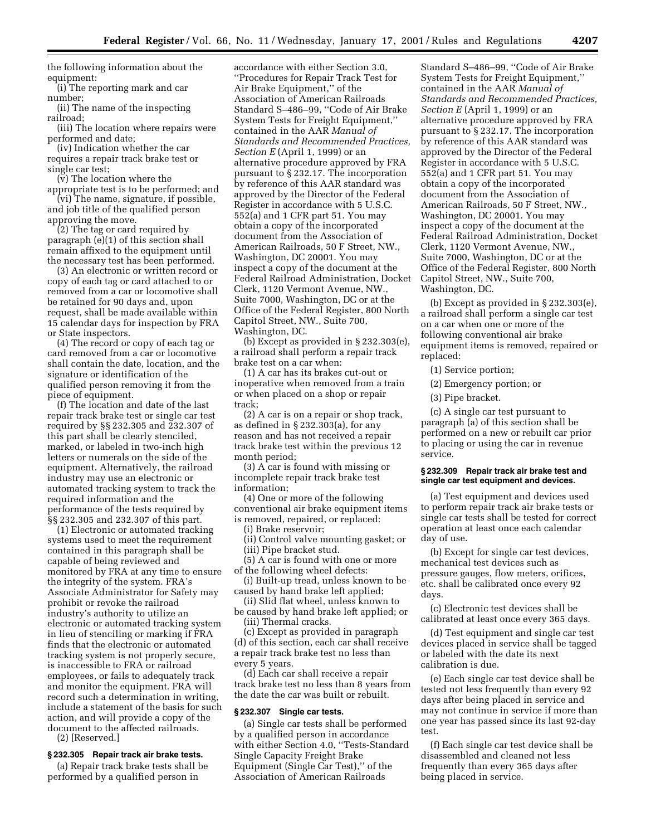the following information about the equipment:

(i) The reporting mark and car number;

(ii) The name of the inspecting railroad;

(iii) The location where repairs were performed and date;

(iv) Indication whether the car requires a repair track brake test or single car test;

(v) The location where the

appropriate test is to be performed; and (vi) The name, signature, if possible, and job title of the qualified person

approving the move. (2) The tag or card required by paragraph (e)(1) of this section shall remain affixed to the equipment until the necessary test has been performed.

(3) An electronic or written record or copy of each tag or card attached to or removed from a car or locomotive shall be retained for 90 days and, upon request, shall be made available within 15 calendar days for inspection by FRA or State inspectors.

(4) The record or copy of each tag or card removed from a car or locomotive shall contain the date, location, and the signature or identification of the qualified person removing it from the piece of equipment.

(f) The location and date of the last repair track brake test or single car test required by §§ 232.305 and 232.307 of this part shall be clearly stenciled, marked, or labeled in two-inch high letters or numerals on the side of the equipment. Alternatively, the railroad industry may use an electronic or automated tracking system to track the required information and the performance of the tests required by §§ 232.305 and 232.307 of this part.

(1) Electronic or automated tracking systems used to meet the requirement contained in this paragraph shall be capable of being reviewed and monitored by FRA at any time to ensure the integrity of the system. FRA's Associate Administrator for Safety may prohibit or revoke the railroad industry's authority to utilize an electronic or automated tracking system in lieu of stenciling or marking if FRA finds that the electronic or automated tracking system is not properly secure, is inaccessible to FRA or railroad employees, or fails to adequately track and monitor the equipment. FRA will record such a determination in writing, include a statement of the basis for such action, and will provide a copy of the document to the affected railroads. (2) [Reserved.]

#### **§ 232.305 Repair track air brake tests.**

(a) Repair track brake tests shall be performed by a qualified person in

accordance with either Section 3.0, ''Procedures for Repair Track Test for Air Brake Equipment,'' of the Association of American Railroads Standard S–486–99, ''Code of Air Brake System Tests for Freight Equipment,'' contained in the AAR *Manual of Standards and Recommended Practices, Section E* (April 1, 1999) or an alternative procedure approved by FRA pursuant to § 232.17. The incorporation by reference of this AAR standard was approved by the Director of the Federal Register in accordance with 5 U.S.C. 552(a) and 1 CFR part 51. You may obtain a copy of the incorporated document from the Association of American Railroads, 50 F Street, NW., Washington, DC 20001. You may inspect a copy of the document at the Federal Railroad Administration, Docket Clerk, 1120 Vermont Avenue, NW., Suite 7000, Washington, DC or at the Office of the Federal Register, 800 North Capitol Street, NW., Suite 700, Washington, DC.

(b) Except as provided in § 232.303(e), a railroad shall perform a repair track brake test on a car when:

(1) A car has its brakes cut-out or inoperative when removed from a train or when placed on a shop or repair track;

(2) A car is on a repair or shop track, as defined in § 232.303(a), for any reason and has not received a repair track brake test within the previous 12 month period;

(3) A car is found with missing or incomplete repair track brake test information;

(4) One or more of the following conventional air brake equipment items is removed, repaired, or replaced:

(i) Brake reservoir;

(ii) Control valve mounting gasket; or (iii) Pipe bracket stud.

(5) A car is found with one or more of the following wheel defects:

(i) Built-up tread, unless known to be caused by hand brake left applied;

(ii) Slid flat wheel, unless known to be caused by hand brake left applied; or (iii) Thermal cracks.

(c) Except as provided in paragraph (d) of this section, each car shall receive a repair track brake test no less than every 5 years.

(d) Each car shall receive a repair track brake test no less than 8 years from the date the car was built or rebuilt.

# **§ 232.307 Single car tests.**

(a) Single car tests shall be performed by a qualified person in accordance with either Section 4.0, ''Tests-Standard Single Capacity Freight Brake Equipment (Single Car Test),'' of the Association of American Railroads

Standard S–486–99, ''Code of Air Brake System Tests for Freight Equipment,'' contained in the AAR *Manual of Standards and Recommended Practices, Section E* (April 1, 1999) or an alternative procedure approved by FRA pursuant to § 232.17. The incorporation by reference of this AAR standard was approved by the Director of the Federal Register in accordance with 5 U.S.C. 552(a) and 1 CFR part 51. You may obtain a copy of the incorporated document from the Association of American Railroads, 50 F Street, NW., Washington, DC 20001. You may inspect a copy of the document at the Federal Railroad Administration, Docket Clerk, 1120 Vermont Avenue, NW., Suite 7000, Washington, DC or at the Office of the Federal Register, 800 North Capitol Street, NW., Suite 700, Washington, DC.

(b) Except as provided in § 232.303(e), a railroad shall perform a single car test on a car when one or more of the following conventional air brake equipment items is removed, repaired or replaced:

(1) Service portion;

- (2) Emergency portion; or
- (3) Pipe bracket.

(c) A single car test pursuant to paragraph (a) of this section shall be performed on a new or rebuilt car prior to placing or using the car in revenue service.

# **§ 232.309 Repair track air brake test and single car test equipment and devices.**

(a) Test equipment and devices used to perform repair track air brake tests or single car tests shall be tested for correct operation at least once each calendar day of use.

(b) Except for single car test devices, mechanical test devices such as pressure gauges, flow meters, orifices, etc. shall be calibrated once every 92 days.

(c) Electronic test devices shall be calibrated at least once every 365 days.

(d) Test equipment and single car test devices placed in service shall be tagged or labeled with the date its next calibration is due.

(e) Each single car test device shall be tested not less frequently than every 92 days after being placed in service and may not continue in service if more than one year has passed since its last 92-day test.

(f) Each single car test device shall be disassembled and cleaned not less frequently than every 365 days after being placed in service.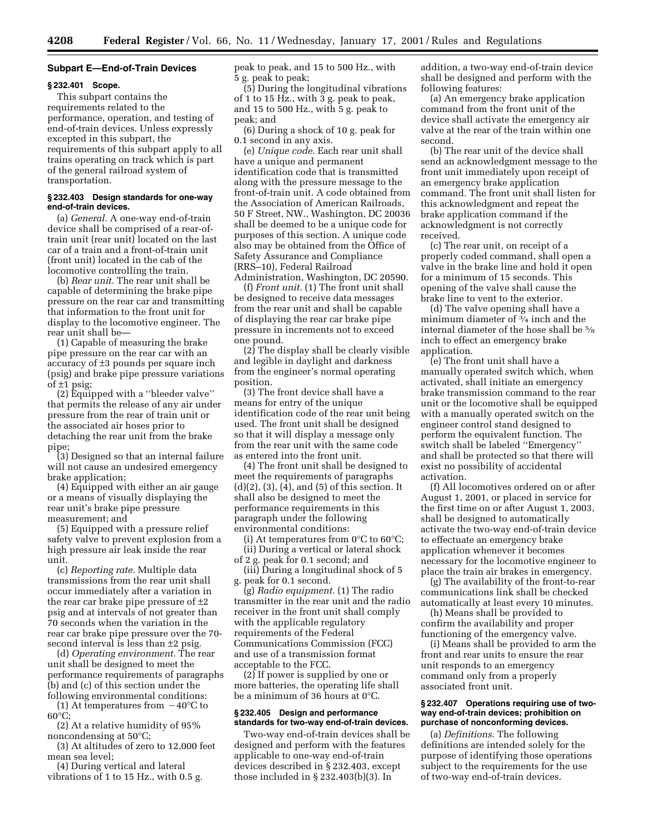#### **Subpart E—End-of-Train Devices**

#### **§ 232.401 Scope.**

This subpart contains the requirements related to the performance, operation, and testing of end-of-train devices. Unless expressly excepted in this subpart, the requirements of this subpart apply to all trains operating on track which is part of the general railroad system of transportation.

# **§ 232.403 Design standards for one-way end-of-train devices.**

(a) *General.* A one-way end-of-train device shall be comprised of a rear-oftrain unit (rear unit) located on the last car of a train and a front-of-train unit (front unit) located in the cab of the locomotive controlling the train.

(b) *Rear unit.* The rear unit shall be capable of determining the brake pipe pressure on the rear car and transmitting that information to the front unit for display to the locomotive engineer. The rear unit shall be—

(1) Capable of measuring the brake pipe pressure on the rear car with an accuracy of ±3 pounds per square inch (psig) and brake pipe pressure variations of  $\pm$ 1 psig;

(2) Equipped with a ''bleeder valve'' that permits the release of any air under pressure from the rear of train unit or the associated air hoses prior to detaching the rear unit from the brake pipe;

(3) Designed so that an internal failure will not cause an undesired emergency brake application;

(4) Equipped with either an air gauge or a means of visually displaying the rear unit's brake pipe pressure measurement; and

(5) Equipped with a pressure relief safety valve to prevent explosion from a high pressure air leak inside the rear unit.

(c) *Reporting rate.* Multiple data transmissions from the rear unit shall occur immediately after a variation in the rear car brake pipe pressure of  $\pm 2$ psig and at intervals of not greater than 70 seconds when the variation in the rear car brake pipe pressure over the 70 second interval is less than ±2 psig.

(d) *Operating environment.* The rear unit shall be designed to meet the performance requirements of paragraphs (b) and (c) of this section under the following environmental conditions:

(1) At temperatures from  $-40^{\circ}$ C to 60°C;

(2) At a relative humidity of 95% noncondensing at 50°C;

(3) At altitudes of zero to 12,000 feet mean sea level;

(4) During vertical and lateral vibrations of 1 to 15 Hz., with 0.5 g. peak to peak, and 15 to 500 Hz., with 5 g. peak to peak;

(5) During the longitudinal vibrations of 1 to 15 Hz., with 3 g. peak to peak, and 15 to 500 Hz., with 5 g. peak to peak; and

(6) During a shock of 10 g. peak for 0.1 second in any axis.

(e) *Unique code.* Each rear unit shall have a unique and permanent identification code that is transmitted along with the pressure message to the front-of-train unit. A code obtained from the Association of American Railroads, 50 F Street, NW., Washington, DC 20036 shall be deemed to be a unique code for purposes of this section. A unique code also may be obtained from the Office of Safety Assurance and Compliance (RRS–10), Federal Railroad Administration, Washington, DC 20590.

(f) *Front unit.* (1) The front unit shall be designed to receive data messages from the rear unit and shall be capable of displaying the rear car brake pipe pressure in increments not to exceed one pound.

(2) The display shall be clearly visible and legible in daylight and darkness from the engineer's normal operating position.

(3) The front device shall have a means for entry of the unique identification code of the rear unit being used. The front unit shall be designed so that it will display a message only from the rear unit with the same code as entered into the front unit.

(4) The front unit shall be designed to meet the requirements of paragraphs (d)(2), (3), (4), and (5) of this section. It shall also be designed to meet the performance requirements in this paragraph under the following environmental conditions:

(i) At temperatures from  $0^{\circ}$ C to  $60^{\circ}$ C; (ii) During a vertical or lateral shock

of 2 g. peak for 0.1 second; and

(iii) During a longitudinal shock of 5 g. peak for 0.1 second.

(g) *Radio equipment.* (1) The radio transmitter in the rear unit and the radio receiver in the front unit shall comply with the applicable regulatory requirements of the Federal Communications Commission (FCC) and use of a transmission format acceptable to the FCC.

(2) If power is supplied by one or more batteries, the operating life shall be a minimum of 36 hours at 0°C.

#### **§ 232.405 Design and performance standards for two-way end-of-train devices.**

Two-way end-of-train devices shall be designed and perform with the features applicable to one-way end-of-train devices described in § 232.403, except those included in § 232.403(b)(3). In

addition, a two-way end-of-train device shall be designed and perform with the following features:

(a) An emergency brake application command from the front unit of the device shall activate the emergency air valve at the rear of the train within one second.

(b) The rear unit of the device shall send an acknowledgment message to the front unit immediately upon receipt of an emergency brake application command. The front unit shall listen for this acknowledgment and repeat the brake application command if the acknowledgment is not correctly received.

(c) The rear unit, on receipt of a properly coded command, shall open a valve in the brake line and hold it open for a minimum of 15 seconds. This opening of the valve shall cause the brake line to vent to the exterior.

(d) The valve opening shall have a minimum diameter of 3⁄4 inch and the internal diameter of the hose shall be 5⁄8 inch to effect an emergency brake application.

(e) The front unit shall have a manually operated switch which, when activated, shall initiate an emergency brake transmission command to the rear unit or the locomotive shall be equipped with a manually operated switch on the engineer control stand designed to perform the equivalent function. The switch shall be labeled ''Emergency'' and shall be protected so that there will exist no possibility of accidental activation.

(f) All locomotives ordered on or after August 1, 2001, or placed in service for the first time on or after August 1, 2003, shall be designed to automatically activate the two-way end-of-train device to effectuate an emergency brake application whenever it becomes necessary for the locomotive engineer to place the train air brakes in emergency.

(g) The availability of the front-to-rear communications link shall be checked automatically at least every 10 minutes.

(h) Means shall be provided to confirm the availability and proper functioning of the emergency valve.

(i) Means shall be provided to arm the front and rear units to ensure the rear unit responds to an emergency command only from a properly associated front unit.

#### **§ 232.407 Operations requiring use of twoway end-of-train devices; prohibition on purchase of nonconforming devices.**

(a) *Definitions.* The following definitions are intended solely for the purpose of identifying those operations subject to the requirements for the use of two-way end-of-train devices.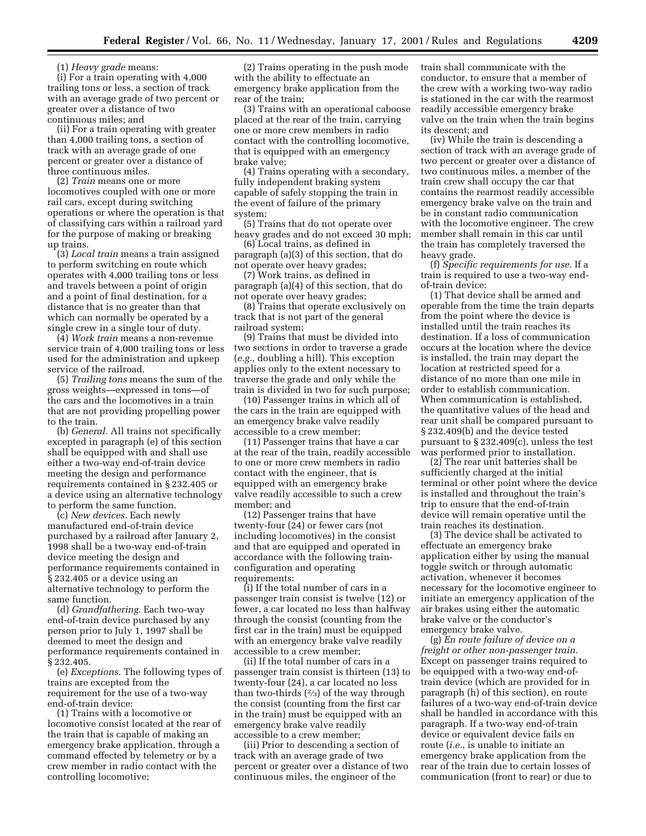(1) *Heavy grade* means:

(i) For a train operating with 4,000 trailing tons or less, a section of track with an average grade of two percent or greater over a distance of two continuous miles; and

(ii) For a train operating with greater than 4,000 trailing tons, a section of track with an average grade of one percent or greater over a distance of three continuous miles.

(2) *Train* means one or more locomotives coupled with one or more rail cars, except during switching operations or where the operation is that of classifying cars within a railroad yard for the purpose of making or breaking up trains.

(3) *Local train* means a train assigned to perform switching en route which operates with 4,000 trailing tons or less and travels between a point of origin and a point of final destination, for a distance that is no greater than that which can normally be operated by a single crew in a single tour of duty.

(4) *Work train* means a non-revenue service train of 4,000 trailing tons or less used for the administration and upkeep service of the railroad.

(5) *Trailing tons* means the sum of the gross weights—expressed in tons—of the cars and the locomotives in a train that are not providing propelling power to the train.

(b) *General.* All trains not specifically excepted in paragraph (e) of this section shall be equipped with and shall use either a two-way end-of-train device meeting the design and performance requirements contained in § 232.405 or a device using an alternative technology to perform the same function.

(c) *New devices.* Each newly manufactured end-of-train device purchased by a railroad after January 2, 1998 shall be a two-way end-of-train device meeting the design and performance requirements contained in § 232.405 or a device using an alternative technology to perform the same function.

(d) *Grandfathering.* Each two-way end-of-train device purchased by any person prior to July 1, 1997 shall be deemed to meet the design and performance requirements contained in § 232.405.

(e) *Exceptions.* The following types of trains are excepted from the requirement for the use of a two-way end-of-train device:

(1) Trains with a locomotive or locomotive consist located at the rear of the train that is capable of making an emergency brake application, through a command effected by telemetry or by a crew member in radio contact with the controlling locomotive;

(2) Trains operating in the push mode with the ability to effectuate an emergency brake application from the rear of the train;

(3) Trains with an operational caboose placed at the rear of the train, carrying one or more crew members in radio contact with the controlling locomotive, that is equipped with an emergency brake valve;

(4) Trains operating with a secondary, fully independent braking system capable of safely stopping the train in the event of failure of the primary system;

(5) Trains that do not operate over heavy grades and do not exceed 30 mph;

(6) Local trains, as defined in paragraph (a)(3) of this section, that do not operate over heavy grades;

(7) Work trains, as defined in paragraph (a)(4) of this section, that do not operate over heavy grades;

(8) Trains that operate exclusively on track that is not part of the general railroad system;

(9) Trains that must be divided into two sections in order to traverse a grade (*e.g.,* doubling a hill). This exception applies only to the extent necessary to traverse the grade and only while the train is divided in two for such purpose;

(10) Passenger trains in which all of the cars in the train are equipped with an emergency brake valve readily accessible to a crew member;

(11) Passenger trains that have a car at the rear of the train, readily accessible to one or more crew members in radio contact with the engineer, that is equipped with an emergency brake valve readily accessible to such a crew member; and

(12) Passenger trains that have twenty-four (24) or fewer cars (not including locomotives) in the consist and that are equipped and operated in accordance with the following trainconfiguration and operating requirements:

(i) If the total number of cars in a passenger train consist is twelve (12) or fewer, a car located no less than halfway through the consist (counting from the first car in the train) must be equipped with an emergency brake valve readily accessible to a crew member;

(ii) If the total number of cars in a passenger train consist is thirteen (13) to twenty-four (24), a car located no less than two-thirds  $(2/3)$  of the way through the consist (counting from the first car in the train) must be equipped with an emergency brake valve readily accessible to a crew member;

(iii) Prior to descending a section of track with an average grade of two percent or greater over a distance of two continuous miles, the engineer of the

train shall communicate with the conductor, to ensure that a member of the crew with a working two-way radio is stationed in the car with the rearmost readily accessible emergency brake valve on the train when the train begins its descent; and

(iv) While the train is descending a section of track with an average grade of two percent or greater over a distance of two continuous miles, a member of the train crew shall occupy the car that contains the rearmost readily accessible emergency brake valve on the train and be in constant radio communication with the locomotive engineer. The crew member shall remain in this car until the train has completely traversed the heavy grade.

(f) *Specific requirements for use.* If a train is required to use a two-way endof-train device:

(1) That device shall be armed and operable from the time the train departs from the point where the device is installed until the train reaches its destination. If a loss of communication occurs at the location where the device is installed, the train may depart the location at restricted speed for a distance of no more than one mile in order to establish communication. When communication is established, the quantitative values of the head and rear unit shall be compared pursuant to § 232.409(b) and the device tested pursuant to § 232.409(c), unless the test was performed prior to installation.

(2) The rear unit batteries shall be sufficiently charged at the initial terminal or other point where the device is installed and throughout the train's trip to ensure that the end-of-train device will remain operative until the train reaches its destination.

(3) The device shall be activated to effectuate an emergency brake application either by using the manual toggle switch or through automatic activation, whenever it becomes necessary for the locomotive engineer to initiate an emergency application of the air brakes using either the automatic brake valve or the conductor's emergency brake valve.

(g) *En route failure of device on a freight or other non-passenger train.* Except on passenger trains required to be equipped with a two-way end-oftrain device (which are provided for in paragraph (h) of this section), en route failures of a two-way end-of-train device shall be handled in accordance with this paragraph. If a two-way end-of-train device or equivalent device fails en route (*i.e.,* is unable to initiate an emergency brake application from the rear of the train due to certain losses of communication (front to rear) or due to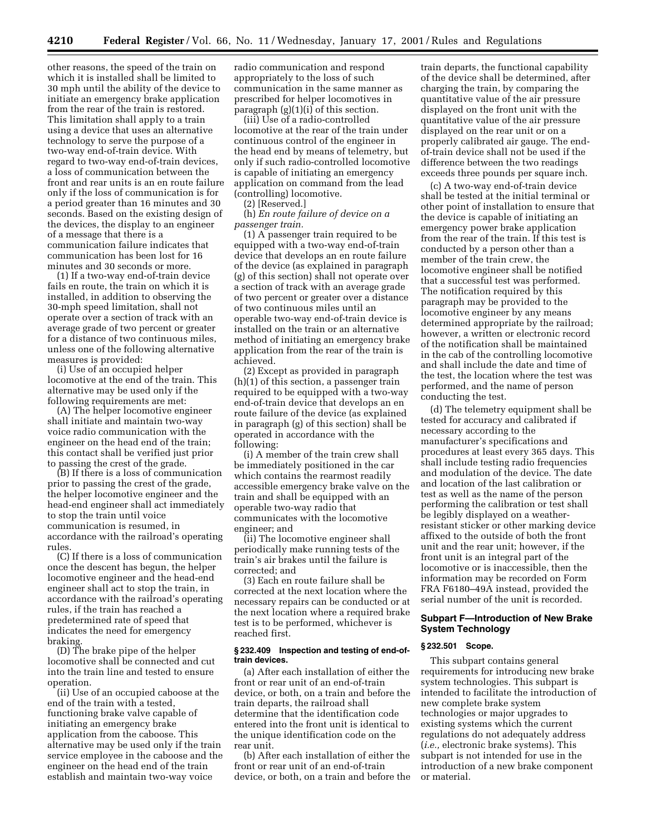other reasons, the speed of the train on which it is installed shall be limited to 30 mph until the ability of the device to initiate an emergency brake application from the rear of the train is restored. This limitation shall apply to a train using a device that uses an alternative technology to serve the purpose of a two-way end-of-train device. With regard to two-way end-of-train devices, a loss of communication between the front and rear units is an en route failure only if the loss of communication is for a period greater than 16 minutes and 30 seconds. Based on the existing design of the devices, the display to an engineer of a message that there is a communication failure indicates that communication has been lost for 16 minutes and 30 seconds or more.

(1) If a two-way end-of-train device fails en route, the train on which it is installed, in addition to observing the 30-mph speed limitation, shall not operate over a section of track with an average grade of two percent or greater for a distance of two continuous miles, unless one of the following alternative measures is provided:

(i) Use of an occupied helper locomotive at the end of the train. This alternative may be used only if the following requirements are met:

(A) The helper locomotive engineer shall initiate and maintain two-way voice radio communication with the engineer on the head end of the train; this contact shall be verified just prior to passing the crest of the grade.

(B) If there is a loss of communication prior to passing the crest of the grade, the helper locomotive engineer and the head-end engineer shall act immediately to stop the train until voice communication is resumed, in accordance with the railroad's operating rules.

(C) If there is a loss of communication once the descent has begun, the helper locomotive engineer and the head-end engineer shall act to stop the train, in accordance with the railroad's operating rules, if the train has reached a predetermined rate of speed that indicates the need for emergency braking.

(D) The brake pipe of the helper locomotive shall be connected and cut into the train line and tested to ensure operation.

(ii) Use of an occupied caboose at the end of the train with a tested, functioning brake valve capable of initiating an emergency brake application from the caboose. This alternative may be used only if the train service employee in the caboose and the engineer on the head end of the train establish and maintain two-way voice

radio communication and respond appropriately to the loss of such communication in the same manner as prescribed for helper locomotives in paragraph (g)(1)(i) of this section.

(iii) Use of a radio-controlled locomotive at the rear of the train under continuous control of the engineer in the head end by means of telemetry, but only if such radio-controlled locomotive is capable of initiating an emergency application on command from the lead (controlling) locomotive.

(2) [Reserved.]

(h) *En route failure of device on a passenger train.*

(1) A passenger train required to be equipped with a two-way end-of-train device that develops an en route failure of the device (as explained in paragraph (g) of this section) shall not operate over a section of track with an average grade of two percent or greater over a distance of two continuous miles until an operable two-way end-of-train device is installed on the train or an alternative method of initiating an emergency brake application from the rear of the train is achieved.

(2) Except as provided in paragraph (h)(1) of this section, a passenger train required to be equipped with a two-way end-of-train device that develops an en route failure of the device (as explained in paragraph (g) of this section) shall be operated in accordance with the following:

(i) A member of the train crew shall be immediately positioned in the car which contains the rearmost readily accessible emergency brake valve on the train and shall be equipped with an operable two-way radio that communicates with the locomotive engineer; and

(ii) The locomotive engineer shall periodically make running tests of the train's air brakes until the failure is corrected; and

(3) Each en route failure shall be corrected at the next location where the necessary repairs can be conducted or at the next location where a required brake test is to be performed, whichever is reached first.

### **§ 232.409 Inspection and testing of end-oftrain devices.**

(a) After each installation of either the front or rear unit of an end-of-train device, or both, on a train and before the train departs, the railroad shall determine that the identification code entered into the front unit is identical to the unique identification code on the rear unit.

(b) After each installation of either the front or rear unit of an end-of-train device, or both, on a train and before the

train departs, the functional capability of the device shall be determined, after charging the train, by comparing the quantitative value of the air pressure displayed on the front unit with the quantitative value of the air pressure displayed on the rear unit or on a properly calibrated air gauge. The endof-train device shall not be used if the difference between the two readings exceeds three pounds per square inch.

(c) A two-way end-of-train device shall be tested at the initial terminal or other point of installation to ensure that the device is capable of initiating an emergency power brake application from the rear of the train. If this test is conducted by a person other than a member of the train crew, the locomotive engineer shall be notified that a successful test was performed. The notification required by this paragraph may be provided to the locomotive engineer by any means determined appropriate by the railroad; however, a written or electronic record of the notification shall be maintained in the cab of the controlling locomotive and shall include the date and time of the test, the location where the test was performed, and the name of person conducting the test.

(d) The telemetry equipment shall be tested for accuracy and calibrated if necessary according to the manufacturer's specifications and procedures at least every 365 days. This shall include testing radio frequencies and modulation of the device. The date and location of the last calibration or test as well as the name of the person performing the calibration or test shall be legibly displayed on a weatherresistant sticker or other marking device affixed to the outside of both the front unit and the rear unit; however, if the front unit is an integral part of the locomotive or is inaccessible, then the information may be recorded on Form FRA F6180–49A instead, provided the serial number of the unit is recorded.

# **Subpart F—Introduction of New Brake System Technology**

## **§ 232.501 Scope.**

This subpart contains general requirements for introducing new brake system technologies. This subpart is intended to facilitate the introduction of new complete brake system technologies or major upgrades to existing systems which the current regulations do not adequately address (*i.e.,* electronic brake systems). This subpart is not intended for use in the introduction of a new brake component or material.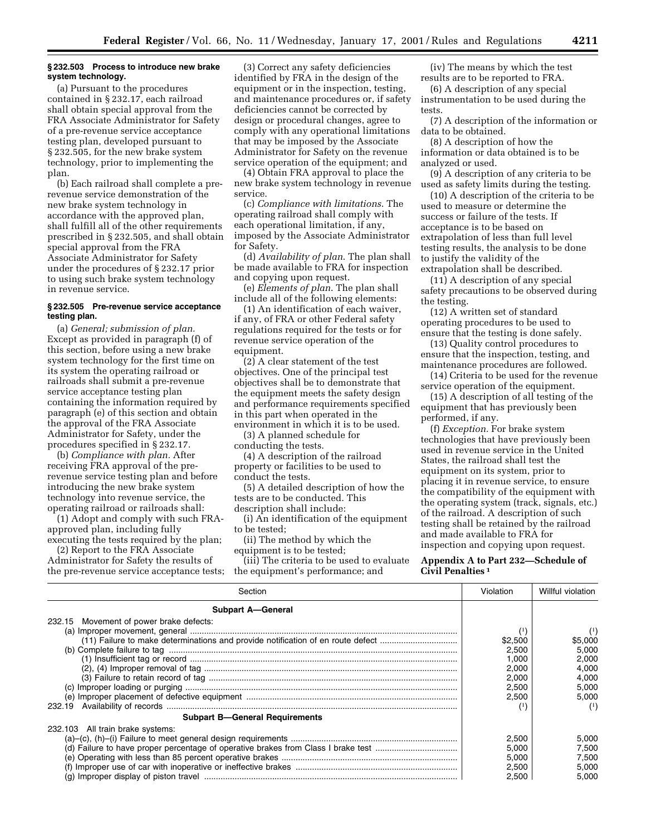## **§ 232.503 Process to introduce new brake system technology.**

(a) Pursuant to the procedures contained in § 232.17, each railroad shall obtain special approval from the FRA Associate Administrator for Safety of a pre-revenue service acceptance testing plan, developed pursuant to § 232.505, for the new brake system technology, prior to implementing the plan.

(b) Each railroad shall complete a prerevenue service demonstration of the new brake system technology in accordance with the approved plan, shall fulfill all of the other requirements prescribed in § 232.505, and shall obtain special approval from the FRA Associate Administrator for Safety under the procedures of § 232.17 prior to using such brake system technology in revenue service.

# **§ 232.505 Pre-revenue service acceptance testing plan.**

(a) *General; submission of plan.* Except as provided in paragraph (f) of this section, before using a new brake system technology for the first time on its system the operating railroad or railroads shall submit a pre-revenue service acceptance testing plan containing the information required by paragraph (e) of this section and obtain the approval of the FRA Associate Administrator for Safety, under the procedures specified in § 232.17.

(b) *Compliance with plan.* After receiving FRA approval of the prerevenue service testing plan and before introducing the new brake system technology into revenue service, the operating railroad or railroads shall:

(1) Adopt and comply with such FRAapproved plan, including fully executing the tests required by the plan;

(2) Report to the FRA Associate Administrator for Safety the results of the pre-revenue service acceptance tests;

(3) Correct any safety deficiencies identified by FRA in the design of the equipment or in the inspection, testing, and maintenance procedures or, if safety deficiencies cannot be corrected by design or procedural changes, agree to comply with any operational limitations that may be imposed by the Associate Administrator for Safety on the revenue service operation of the equipment; and

(4) Obtain FRA approval to place the new brake system technology in revenue service.

(c) *Compliance with limitations*. The operating railroad shall comply with each operational limitation, if any, imposed by the Associate Administrator for Safety.

(d) *Availability of plan*. The plan shall be made available to FRA for inspection and copying upon request.

(e) *Elements of plan*. The plan shall include all of the following elements:

(1) An identification of each waiver, if any, of FRA or other Federal safety regulations required for the tests or for revenue service operation of the equipment.

(2) A clear statement of the test objectives. One of the principal test objectives shall be to demonstrate that the equipment meets the safety design and performance requirements specified in this part when operated in the environment in which it is to be used.

(3) A planned schedule for conducting the tests.

(4) A description of the railroad property or facilities to be used to conduct the tests.

(5) A detailed description of how the tests are to be conducted. This description shall include:

(i) An identification of the equipment

to be tested;

(ii) The method by which the equipment is to be tested;

(iii) The criteria to be used to evaluate the equipment's performance; and

(iv) The means by which the test results are to be reported to FRA.

(6) A description of any special instrumentation to be used during the tests.

(7) A description of the information or data to be obtained.

(8) A description of how the information or data obtained is to be analyzed or used.

(9) A description of any criteria to be used as safety limits during the testing.

(10) A description of the criteria to be used to measure or determine the success or failure of the tests. If acceptance is to be based on extrapolation of less than full level testing results, the analysis to be done to justify the validity of the extrapolation shall be described.

(11) A description of any special safety precautions to be observed during the testing.

(12) A written set of standard operating procedures to be used to ensure that the testing is done safely.

(13) Quality control procedures to ensure that the inspection, testing, and maintenance procedures are followed.

(14) Criteria to be used for the revenue service operation of the equipment.

(15) A description of all testing of the equipment that has previously been performed, if any.

(f) *Exception.* For brake system technologies that have previously been used in revenue service in the United States, the railroad shall test the equipment on its system, prior to placing it in revenue service, to ensure the compatibility of the equipment with the operating system (track, signals, etc.) of the railroad. A description of such testing shall be retained by the railroad and made available to FRA for inspection and copying upon request.

# **Appendix A to Part 232—Schedule of Civil Penalties 1**

| Section                                                                         | Violation    | Willful violation |
|---------------------------------------------------------------------------------|--------------|-------------------|
| <b>Subpart A-General</b>                                                        |              |                   |
| 232.15 Movement of power brake defects:                                         |              |                   |
|                                                                                 | (1)          | $\left(1\right)$  |
| (11) Failure to make determinations and provide notification of en route defect | \$2,500      | \$5,000           |
|                                                                                 | 2.500        | 5,000             |
|                                                                                 | 1,000        | 2.000             |
|                                                                                 | 2,000        | 4,000             |
|                                                                                 | 2.000        | 4.000             |
|                                                                                 | 2.500        | 5.000             |
|                                                                                 | 2.500        | 5.000             |
| 232.19                                                                          | $^{\rm (1)}$ | (1)               |
| <b>Subpart B-General Requirements</b>                                           |              |                   |
| 232.103 All train brake systems:                                                |              |                   |
|                                                                                 | 2,500        | 5,000             |
|                                                                                 | 5.000        | 7.500             |
|                                                                                 | 5.000        | 7.500             |
|                                                                                 | 2,500        | 5,000             |
|                                                                                 | 2,500        | 5.000             |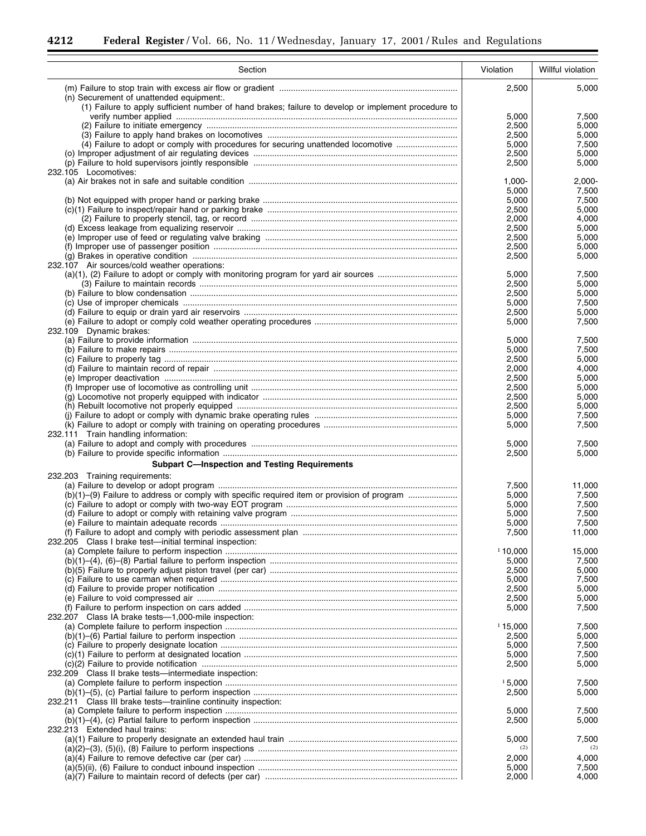۲

 $\equiv$ 

| Section                                                                                             | Violation      | Willful violation |
|-----------------------------------------------------------------------------------------------------|----------------|-------------------|
|                                                                                                     | 2,500          | 5,000             |
| (n) Securement of unattended equipment:                                                             |                |                   |
| (1) Failure to apply sufficient number of hand brakes; failure to develop or implement procedure to | 5,000          | 7,500             |
|                                                                                                     | 2,500          | 5,000             |
|                                                                                                     | 2,500          | 5,000             |
| (4) Failure to adopt or comply with procedures for securing unattended locomotive                   | 5,000          | 7,500             |
|                                                                                                     | 2,500          | 5,000             |
| 232.105 Locomotives:                                                                                | 2,500          | 5,000             |
|                                                                                                     | 1,000-         | 2,000-            |
|                                                                                                     | 5,000          | 7,500             |
|                                                                                                     | 5,000          | 7,500             |
|                                                                                                     | 2,500<br>2,000 | 5,000<br>4,000    |
|                                                                                                     | 2,500          | 5,000             |
|                                                                                                     | 2,500          | 5,000             |
|                                                                                                     | 2,500          | 5,000             |
|                                                                                                     | 2,500          | 5,000             |
| 232.107 Air sources/cold weather operations:                                                        | 5,000          | 7,500             |
|                                                                                                     | 2,500          | 5,000             |
|                                                                                                     | 2,500          | 5,000             |
|                                                                                                     | 5,000          | 7,500             |
|                                                                                                     | 2,500          | 5,000             |
| 232.109 Dynamic brakes:                                                                             | 5,000          | 7,500             |
|                                                                                                     | 5,000          | 7,500             |
|                                                                                                     | 5,000          | 7,500             |
|                                                                                                     | 2,500          | 5,000             |
|                                                                                                     | 2,000          | 4,000             |
|                                                                                                     | 2,500<br>2,500 | 5,000<br>5,000    |
|                                                                                                     | 2,500          | 5,000             |
|                                                                                                     | 2,500          | 5,000             |
|                                                                                                     | 5,000          | 7,500             |
|                                                                                                     | 5,000          | 7,500             |
| 232.111 Train handling information:                                                                 | 5,000          | 7,500             |
|                                                                                                     | 2,500          | 5,000             |
| <b>Subpart C-Inspection and Testing Requirements</b>                                                |                |                   |
| 232.203 Training requirements:                                                                      |                |                   |
|                                                                                                     | 7,500          | 11,000            |
| (b)(1)–(9) Failure to address or comply with specific required item or provision of program         | 5,000          | 7,500             |
|                                                                                                     | 5,000<br>5,000 | 7,500<br>7,500    |
|                                                                                                     | 5,000          | 7,500             |
|                                                                                                     | 7,500          | 11,000            |
| 232.205 Class I brake test—initial terminal inspection:                                             |                |                   |
|                                                                                                     | 110,000        | 15,000            |
|                                                                                                     | 5,000<br>2,500 | 7,500<br>5,000    |
|                                                                                                     | 5,000          | 7,500             |
|                                                                                                     | 2,500          | 5.000             |
|                                                                                                     | 2,500          | 5,000             |
|                                                                                                     | 5,000          | 7,500             |
| 232.207 Class IA brake tests-1,000-mile inspection:                                                 | 115,000        | 7,500             |
| (b)(1)–(6) Partial failure to perform inspection …………………………………………………………………………………                    | 2,500          | 5,000             |
|                                                                                                     | 5,000          | 7,500             |
|                                                                                                     | 5,000          | 7,500             |
|                                                                                                     | 2,500          | 5,000             |
| 232.209 Class II brake tests-intermediate inspection:                                               | 15,000         | 7,500             |
|                                                                                                     | 2,500          | 5,000             |
| 232.211 Class III brake tests-trainline continuity inspection:                                      |                |                   |
|                                                                                                     | 5,000          | 7,500             |
|                                                                                                     | 2,500          | 5,000             |
| 232.213 Extended haul trains:                                                                       | 5,000          | 7,500             |
|                                                                                                     | (2)            | (2)               |
| (a)(4) Failure to remove defective car (per car) …………………………………………………………………………………                    | 2,000          | 4,000             |
|                                                                                                     | 5,000          | 7,500             |
|                                                                                                     | 2,000          | 4,000             |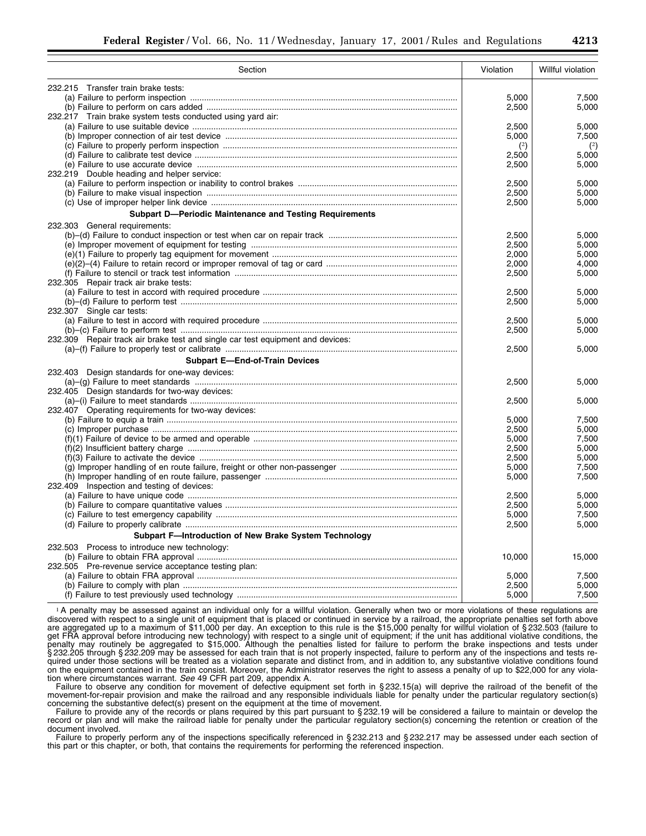| Section                                                                        | Violation | Willful violation |
|--------------------------------------------------------------------------------|-----------|-------------------|
| 232.215 Transfer train brake tests:                                            |           |                   |
|                                                                                | 5,000     | 7,500             |
|                                                                                | 2,500     | 5,000             |
| 232.217 Train brake system tests conducted using yard air:                     |           |                   |
|                                                                                | 2,500     | 5,000             |
|                                                                                | 5,000     | 7,500             |
|                                                                                | (2)       | $^{(2)}$          |
|                                                                                | 2,500     | 5,000             |
|                                                                                | 2,500     | 5,000             |
| 232.219 Double heading and helper service:                                     |           |                   |
|                                                                                | 2,500     | 5,000             |
|                                                                                | 2,500     | 5,000             |
|                                                                                | 2,500     | 5,000             |
| <b>Subpart D-Periodic Maintenance and Testing Requirements</b>                 |           |                   |
|                                                                                |           |                   |
| 232.303 General requirements:                                                  |           |                   |
|                                                                                | 2,500     | 5,000             |
|                                                                                | 2,500     | 5,000             |
|                                                                                | 2,000     | 5,000             |
|                                                                                | 2,000     | 4,000             |
|                                                                                | 2,500     | 5,000             |
| 232.305 Repair track air brake tests:                                          |           |                   |
|                                                                                | 2,500     | 5,000             |
|                                                                                | 2,500     | 5,000             |
| 232.307 Single car tests:                                                      |           |                   |
|                                                                                | 2,500     | 5,000             |
|                                                                                | 2,500     | 5,000             |
| 232.309 Repair track air brake test and single car test equipment and devices: |           |                   |
|                                                                                | 2,500     | 5,000             |
| <b>Subpart E-End-of-Train Devices</b>                                          |           |                   |
| 232.403 Design standards for one-way devices:                                  |           |                   |
|                                                                                | 2,500     | 5,000             |
| 232.405 Design standards for two-way devices:                                  |           |                   |
|                                                                                | 2,500     | 5,000             |
| 232.407 Operating requirements for two-way devices:                            |           |                   |
|                                                                                | 5,000     | 7,500             |
|                                                                                | 2,500     | 5,000             |
|                                                                                | 5,000     | 7.500             |
|                                                                                | 2,500     | 5,000             |
|                                                                                | 2,500     | 5,000             |
|                                                                                | 5,000     | 7,500             |
|                                                                                | 5,000     | 7,500             |
| 232.409 Inspection and testing of devices:                                     |           |                   |
|                                                                                | 2,500     | 5,000             |
|                                                                                | 2,500     | 5,000             |
|                                                                                | 5,000     | 7,500             |
|                                                                                | 2,500     | 5,000             |
| Subpart F-Introduction of New Brake System Technology                          |           |                   |
|                                                                                |           |                   |
| 232.503 Process to introduce new technology:                                   |           |                   |
|                                                                                | 10,000    | 15,000            |
| 232.505 Pre-revenue service acceptance testing plan:                           |           |                   |
|                                                                                | 5,000     | 7,500             |
|                                                                                | 2,500     | 5,000             |
|                                                                                | 5,000     | 7,500             |

<sup>1</sup>A penalty may be assessed against an individual only for a willful violation. Generally when two or more violations of these regulations are discovered with respect to a single unit of equipment that is placed or continued in service by a railroad, the appropriate penalties set forth above are aggregated up to a maximum of \$11,000 per day. An exception to this rule is the \$15,000 penalty for willful violation of § 232.503 (failure to get FRA approval before introducing new technology) with respect to a single unit of equipment; if the unit has additional violative conditions, the penalty may routinely be aggregated to \$15,000. Although the penalties listed for failure to perform the brake inspections and tests under § 232.205 through § 232.209 may be assessed for each train that is not properly inspected, failure to perform any of the inspections and tests required under those sections will be treated as a violation separate and distinct from, and in addition to, any substantive violative conditions found on the equipment contained in the train consist. Moreover, the Administrator reserves the right to assess a penalty of up to \$22,000 for any violation where circumstances warrant. *See* 49 CFR part 209, appendix A.

Failure to observe any condition for movement of defective equipment set forth in § 232.15(a) will deprive the railroad of the benefit of the movement-for-repair provision and make the railroad and any responsible individuals liable for penalty under the particular regulatory section(s) concerning the substantive defect(s) present on the equipment at the time of movement.

Failure to provide any of the records or plans required by this part pursuant to §232.19 will be considered a failure to maintain or develop the record or plan and will make the railroad liable for penalty under the particular regulatory section(s) concerning the retention or creation of the document involved.

Failure to properly perform any of the inspections specifically referenced in § 232.213 and § 232.217 may be assessed under each section of this part or this chapter, or both, that contains the requirements for performing the referenced inspection.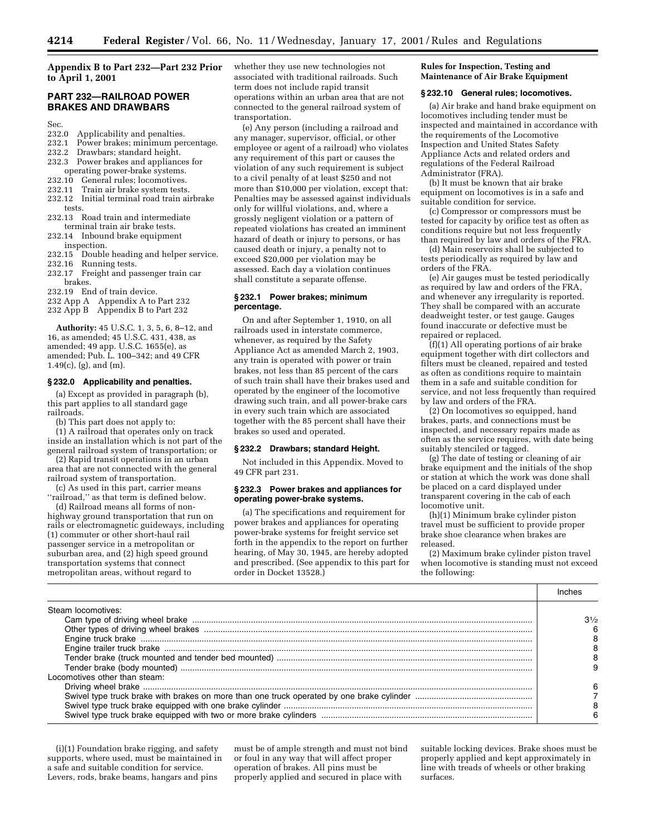# **Appendix B to Part 232—Part 232 Prior to April 1, 2001**

# **PART 232—RAILROAD POWER BRAKES AND DRAWBARS**

- Sec.<br>232.0
- 232.0 Applicability and penalties.<br>232.1 Power brakes: minimum per Power brakes; minimum percentage.
- 232.2 Drawbars; standard height.
- 232.3 Power brakes and appliances for
- operating power-brake systems.
- 
- 232.10 General rules; locomotives.<br>232.11 Train air brake system tests Train air brake system tests.
- 232.12 Initial terminal road train airbrake tests.
- 232.13 Road train and intermediate terminal train air brake tests.
- 232.14 Inbound brake equipment inspection.
- 232.15 Double heading and helper service.
- 
- 232.16 Running tests.<br>232.17 Freight and pa Freight and passenger train car
- brakes.
- 232.19 End of train device.
- 232 App A Appendix A to Part 232
- 232 App B Appendix B to Part 232

**Authority:** 45 U.S.C. 1, 3, 5, 6, 8–12, and 16, as amended; 45 U.S.C. 431, 438, as amended; 49 app. U.S.C. 1655(e), as amended; Pub. L. 100–342; and 49 CFR 1.49(c), (g), and (m).

## **§ 232.0 Applicability and penalties.**

(a) Except as provided in paragraph (b), this part applies to all standard gage railroads.

(b) This part does not apply to:

(1) A railroad that operates only on track inside an installation which is not part of the general railroad system of transportation; or

(2) Rapid transit operations in an urban area that are not connected with the general railroad system of transportation.

(c) As used in this part, carrier means

''railroad,'' as that term is defined below. (d) Railroad means all forms of nonhighway ground transportation that run on

rails or electromagnetic guideways, including (1) commuter or other short-haul rail passenger service in a metropolitan or suburban area, and (2) high speed ground transportation systems that connect metropolitan areas, without regard to

whether they use new technologies not associated with traditional railroads. Such term does not include rapid transit operations within an urban area that are not connected to the general railroad system of transportation.

(e) Any person (including a railroad and any manager, supervisor, official, or other employee or agent of a railroad) who violates any requirement of this part or causes the violation of any such requirement is subject to a civil penalty of at least \$250 and not more than \$10,000 per violation, except that: Penalties may be assessed against individuals only for willful violations, and, where a grossly negligent violation or a pattern of repeated violations has created an imminent hazard of death or injury to persons, or has caused death or injury, a penalty not to exceed \$20,000 per violation may be assessed. Each day a violation continues shall constitute a separate offense.

## **§ 232.1 Power brakes; minimum percentage.**

On and after September 1, 1910, on all railroads used in interstate commerce, whenever, as required by the Safety Appliance Act as amended March 2, 1903, any train is operated with power or train brakes, not less than 85 percent of the cars of such train shall have their brakes used and operated by the engineer of the locomotive drawing such train, and all power-brake cars in every such train which are associated together with the 85 percent shall have their brakes so used and operated.

## **§ 232.2 Drawbars; standard Height.**

Not included in this Appendix. Moved to 49 CFR part 231.

#### **§ 232.3 Power brakes and appliances for operating power-brake systems.**

(a) The specifications and requirement for power brakes and appliances for operating power-brake systems for freight service set forth in the appendix to the report on further hearing, of May 30, 1945, are hereby adopted and prescribed. (See appendix to this part for order in Docket 13528.)

## **Rules for Inspection, Testing and Maintenance of Air Brake Equipment**

#### **§ 232.10 General rules; locomotives.**

(a) Air brake and hand brake equipment on locomotives including tender must be inspected and maintained in accordance with the requirements of the Locomotive Inspection and United States Safety Appliance Acts and related orders and regulations of the Federal Railroad Administrator (FRA).

(b) It must be known that air brake equipment on locomotives is in a safe and suitable condition for service.

(c) Compressor or compressors must be tested for capacity by orifice test as often as conditions require but not less frequently than required by law and orders of the FRA.

(d) Main reservoirs shall be subjected to tests periodically as required by law and orders of the FRA.

(e) Air gauges must be tested periodically as required by law and orders of the FRA, and whenever any irregularity is reported. They shall be compared with an accurate deadweight tester, or test gauge. Gauges found inaccurate or defective must be repaired or replaced.

(f)(1) All operating portions of air brake equipment together with dirt collectors and filters must be cleaned, repaired and tested as often as conditions require to maintain them in a safe and suitable condition for service, and not less frequently than required by law and orders of the FRA.

(2) On locomotives so equipped, hand brakes, parts, and connections must be inspected, and necessary repairs made as often as the service requires, with date being suitably stenciled or tagged.

(g) The date of testing or cleaning of air brake equipment and the initials of the shop or station at which the work was done shall be placed on a card displayed under transparent covering in the cab of each locomotive unit.

(h)(1) Minimum brake cylinder piston travel must be sufficient to provide proper brake shoe clearance when brakes are released.

(2) Maximum brake cylinder piston travel when locomotive is standing must not exceed the following:

| Steam locomotives:            |                |
|-------------------------------|----------------|
|                               | $3\frac{1}{2}$ |
|                               |                |
|                               |                |
|                               |                |
|                               |                |
|                               |                |
| Locomotives other than steam: |                |
|                               |                |
|                               |                |
|                               |                |
|                               |                |

(i)(1) Foundation brake rigging, and safety supports, where used, must be maintained in a safe and suitable condition for service. Levers, rods, brake beams, hangars and pins

must be of ample strength and must not bind or foul in any way that will affect proper operation of brakes. All pins must be properly applied and secured in place with

suitable locking devices. Brake shoes must be properly applied and kept approximately in line with treads of wheels or other braking surfaces.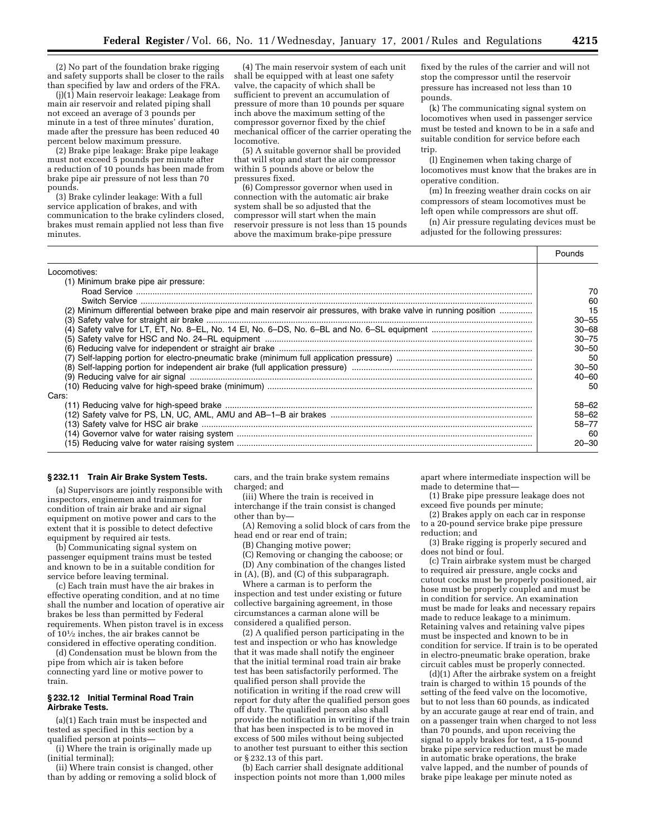(2) No part of the foundation brake rigging and safety supports shall be closer to the rails than specified by law and orders of the FRA.

(j)(1) Main reservoir leakage: Leakage from main air reservoir and related piping shall not exceed an average of 3 pounds per minute in a test of three minutes' duration, made after the pressure has been reduced 40 percent below maximum pressure.

(2) Brake pipe leakage: Brake pipe leakage must not exceed 5 pounds per minute after a reduction of 10 pounds has been made from brake pipe air pressure of not less than 70 pounds.

(3) Brake cylinder leakage: With a full service application of brakes, and with communication to the brake cylinders closed, brakes must remain applied not less than five minutes.

(4) The main reservoir system of each unit shall be equipped with at least one safety valve, the capacity of which shall be sufficient to prevent an accumulation of pressure of more than 10 pounds per square inch above the maximum setting of the compressor governor fixed by the chief mechanical officer of the carrier operating the locomotive.

(5) A suitable governor shall be provided that will stop and start the air compressor within 5 pounds above or below the pressures fixed.

(6) Compressor governor when used in connection with the automatic air brake system shall be so adjusted that the compressor will start when the main reservoir pressure is not less than 15 pounds above the maximum brake-pipe pressure

fixed by the rules of the carrier and will not stop the compressor until the reservoir pressure has increased not less than 10 pounds.

(k) The communicating signal system on locomotives when used in passenger service must be tested and known to be in a safe and suitable condition for service before each trip.

(l) Enginemen when taking charge of locomotives must know that the brakes are in operative condition.

(m) In freezing weather drain cocks on air compressors of steam locomotives must be left open while compressors are shut off.

(n) Air pressure regulating devices must be adjusted for the following pressures:

|                                                                                                                    | Pounds      |
|--------------------------------------------------------------------------------------------------------------------|-------------|
| Locomotives:                                                                                                       |             |
| (1) Minimum brake pipe air pressure:                                                                               |             |
|                                                                                                                    | 70          |
|                                                                                                                    | 60          |
| (2) Minimum differential between brake pipe and main reservoir air pressures, with brake valve in running position | 15<br>30–55 |
|                                                                                                                    | 30–68       |
|                                                                                                                    | $30 - 75$   |
|                                                                                                                    | $30 - 50$   |
|                                                                                                                    | .50         |
|                                                                                                                    | $30 - 50$   |
|                                                                                                                    | 40–60       |
|                                                                                                                    | 50          |
| Cars:                                                                                                              |             |
|                                                                                                                    | 58-62       |
|                                                                                                                    | 58-62       |
|                                                                                                                    | 58-77       |
|                                                                                                                    | 60          |
|                                                                                                                    | $20 - 30$   |

# **§ 232.11 Train Air Brake System Tests.**

(a) Supervisors are jointly responsible with inspectors, enginemen and trainmen for condition of train air brake and air signal equipment on motive power and cars to the extent that it is possible to detect defective equipment by required air tests.

(b) Communicating signal system on passenger equipment trains must be tested and known to be in a suitable condition for service before leaving terminal.

(c) Each train must have the air brakes in effective operating condition, and at no time shall the number and location of operative air brakes be less than permitted by Federal requirements. When piston travel is in excess of 101⁄2 inches, the air brakes cannot be considered in effective operating condition.

(d) Condensation must be blown from the pipe from which air is taken before connecting yard line or motive power to train.

# **§ 232.12 Initial Terminal Road Train Airbrake Tests.**

(a)(1) Each train must be inspected and tested as specified in this section by a qualified person at points—

(i) Where the train is originally made up (initial terminal);

(ii) Where train consist is changed, other than by adding or removing a solid block of cars, and the train brake system remains charged; and

(iii) Where the train is received in interchange if the train consist is changed other than by—

(A) Removing a solid block of cars from the head end or rear end of train;

(B) Changing motive power;

(C) Removing or changing the caboose; or

(D) Any combination of the changes listed in (A), (B), and (C) of this subparagraph.

Where a carman is to perform the inspection and test under existing or future collective bargaining agreement, in those circumstances a carman alone will be considered a qualified person.

(2) A qualified person participating in the test and inspection or who has knowledge that it was made shall notify the engineer that the initial terminal road train air brake test has been satisfactorily performed. The qualified person shall provide the notification in writing if the road crew will report for duty after the qualified person goes off duty. The qualified person also shall provide the notification in writing if the train that has been inspected is to be moved in excess of 500 miles without being subjected to another test pursuant to either this section or § 232.13 of this part.

(b) Each carrier shall designate additional inspection points not more than 1,000 miles apart where intermediate inspection will be made to determine that—

(1) Brake pipe pressure leakage does not exceed five pounds per minute;

(2) Brakes apply on each car in response to a 20-pound service brake pipe pressure reduction; and

(3) Brake rigging is properly secured and does not bind or foul.

(c) Train airbrake system must be charged to required air pressure, angle cocks and cutout cocks must be properly positioned, air hose must be properly coupled and must be in condition for service. An examination must be made for leaks and necessary repairs made to reduce leakage to a minimum. Retaining valves and retaining valve pipes must be inspected and known to be in condition for service. If train is to be operated in electro-pneumatic brake operation, brake circuit cables must be properly connected.

(d)(1) After the airbrake system on a freight train is charged to within 15 pounds of the setting of the feed valve on the locomotive, but to not less than 60 pounds, as indicated by an accurate gauge at rear end of train, and on a passenger train when charged to not less than 70 pounds, and upon receiving the signal to apply brakes for test, a 15-pound brake pipe service reduction must be made in automatic brake operations, the brake valve lapped, and the number of pounds of brake pipe leakage per minute noted as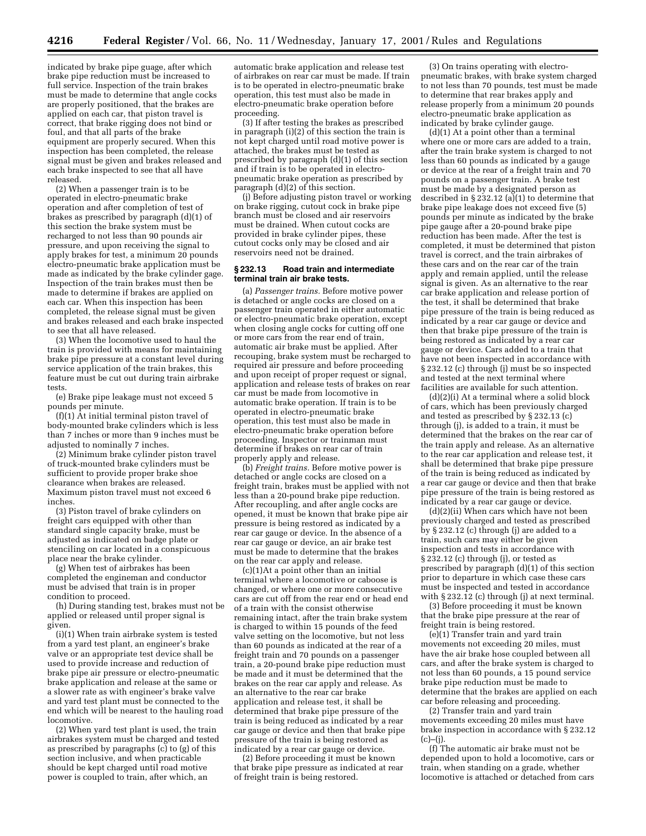indicated by brake pipe guage, after which brake pipe reduction must be increased to full service. Inspection of the train brakes must be made to determine that angle cocks are properly positioned, that the brakes are applied on each car, that piston travel is correct, that brake rigging does not bind or foul, and that all parts of the brake equipment are properly secured. When this inspection has been completed, the release signal must be given and brakes released and each brake inspected to see that all have released.

(2) When a passenger train is to be operated in electro-pneumatic brake operation and after completion of test of brakes as prescribed by paragraph (d)(1) of this section the brake system must be recharged to not less than 90 pounds air pressure, and upon receiving the signal to apply brakes for test, a minimum 20 pounds electro-pneumatic brake application must be made as indicated by the brake cylinder gage. Inspection of the train brakes must then be made to determine if brakes are applied on each car. When this inspection has been completed, the release signal must be given and brakes released and each brake inspected to see that all have released.

(3) When the locomotive used to haul the train is provided with means for maintaining brake pipe pressure at a constant level during service application of the train brakes, this feature must be cut out during train airbrake tests.

(e) Brake pipe leakage must not exceed 5 pounds per minute.

 $(f)(1)$   $\tilde{A}$ t initial terminal piston travel of body-mounted brake cylinders which is less than 7 inches or more than 9 inches must be adjusted to nominally 7 inches.

(2) Minimum brake cylinder piston travel of truck-mounted brake cylinders must be sufficient to provide proper brake shoe clearance when brakes are released. Maximum piston travel must not exceed 6 inches.

(3) Piston travel of brake cylinders on freight cars equipped with other than standard single capacity brake, must be adjusted as indicated on badge plate or stenciling on car located in a conspicuous place near the brake cylinder.

(g) When test of airbrakes has been completed the engineman and conductor must be advised that train is in proper condition to proceed.

(h) During standing test, brakes must not be applied or released until proper signal is given.

(i)(1) When train airbrake system is tested from a yard test plant, an engineer's brake valve or an appropriate test device shall be used to provide increase and reduction of brake pipe air pressure or electro-pneumatic brake application and release at the same or a slower rate as with engineer's brake valve and yard test plant must be connected to the end which will be nearest to the hauling road locomotive.

(2) When yard test plant is used, the train airbrakes system must be charged and tested as prescribed by paragraphs (c) to (g) of this section inclusive, and when practicable should be kept charged until road motive power is coupled to train, after which, an

automatic brake application and release test of airbrakes on rear car must be made. If train is to be operated in electro-pneumatic brake operation, this test must also be made in electro-pneumatic brake operation before proceeding.

(3) If after testing the brakes as prescribed in paragraph  $(i)(2)$  of this section the train is not kept charged until road motive power is attached, the brakes must be tested as prescribed by paragraph (d)(1) of this section and if train is to be operated in electropneumatic brake operation as prescribed by paragraph (d)(2) of this section.

(j) Before adjusting piston travel or working on brake rigging, cutout cock in brake pipe branch must be closed and air reservoirs must be drained. When cutout cocks are provided in brake cylinder pipes, these cutout cocks only may be closed and air reservoirs need not be drained.

#### **§ 232.13 Road train and intermediate terminal train air brake tests.**

(a) *Passenger trains.* Before motive power is detached or angle cocks are closed on a passenger train operated in either automatic or electro-pneumatic brake operation, except when closing angle cocks for cutting off one or more cars from the rear end of train, automatic air brake must be applied. After recouping, brake system must be recharged to required air pressure and before proceeding and upon receipt of proper request or signal, application and release tests of brakes on rear car must be made from locomotive in automatic brake operation. If train is to be operated in electro-pneumatic brake operation, this test must also be made in electro-pneumatic brake operation before proceeding. Inspector or trainman must determine if brakes on rear car of train properly apply and release.

(b) *Freight trains.* Before motive power is detached or angle cocks are closed on a freight train, brakes must be applied with not less than a 20-pound brake pipe reduction. After recoupling, and after angle cocks are opened, it must be known that brake pipe air pressure is being restored as indicated by a rear car gauge or device. In the absence of a rear car gauge or device, an air brake test must be made to determine that the brakes on the rear car apply and release.

(c)(1)At a point other than an initial terminal where a locomotive or caboose is changed, or where one or more consecutive cars are cut off from the rear end or head end of a train with the consist otherwise remaining intact, after the train brake system is charged to within 15 pounds of the feed valve setting on the locomotive, but not less than 60 pounds as indicated at the rear of a freight train and 70 pounds on a passenger train, a 20-pound brake pipe reduction must be made and it must be determined that the brakes on the rear car apply and release. As an alternative to the rear car brake application and release test, it shall be determined that brake pipe pressure of the train is being reduced as indicated by a rear car gauge or device and then that brake pipe pressure of the train is being restored as indicated by a rear car gauge or device.

(2) Before proceeding it must be known that brake pipe pressure as indicated at rear of freight train is being restored.

(3) On trains operating with electropneumatic brakes, with brake system charged to not less than 70 pounds, test must be made to determine that rear brakes apply and release properly from a minimum 20 pounds electro-pneumatic brake application as indicated by brake cylinder gauge.

(d)(1) At a point other than a terminal where one or more cars are added to a train, after the train brake system is charged to not less than 60 pounds as indicated by a gauge or device at the rear of a freight train and 70 pounds on a passenger train. A brake test must be made by a designated person as described in § 232.12 (a)(1) to determine that brake pipe leakage does not exceed five (5) pounds per minute as indicated by the brake pipe gauge after a 20-pound brake pipe reduction has been made. After the test is completed, it must be determined that piston travel is correct, and the train airbrakes of these cars and on the rear car of the train apply and remain applied, until the release signal is given. As an alternative to the rear car brake application and release portion of the test, it shall be determined that brake pipe pressure of the train is being reduced as indicated by a rear car gauge or device and then that brake pipe pressure of the train is being restored as indicated by a rear car gauge or device. Cars added to a train that have not been inspected in accordance with § 232.12 (c) through (j) must be so inspected and tested at the next terminal where facilities are available for such attention.

(d)(2)(i) At a terminal where a solid block of cars, which has been previously charged and tested as prescribed by § 232.13 (c) through (j), is added to a train, it must be determined that the brakes on the rear car of the train apply and release. As an alternative to the rear car application and release test, it shall be determined that brake pipe pressure of the train is being reduced as indicated by a rear car gauge or device and then that brake pipe pressure of the train is being restored as indicated by a rear car gauge or device.

(d)(2)(ii) When cars which have not been previously charged and tested as prescribed  $\bar{b}$  s 232.12 (c) through (j) are added to a train, such cars may either be given inspection and tests in accordance with § 232.12 (c) through (j), or tested as prescribed by paragraph (d)(1) of this section prior to departure in which case these cars must be inspected and tested in accordance with  $\S 232.12$  (c) through (j) at next terminal.

(3) Before proceeding it must be known that the brake pipe pressure at the rear of freight train is being restored.

(e)(1) Transfer train and yard train movements not exceeding 20 miles, must have the air brake hose coupled between all cars, and after the brake system is charged to not less than 60 pounds, a 15 pound service brake pipe reduction must be made to determine that the brakes are applied on each car before releasing and proceeding.

(2) Transfer train and yard train movements exceeding 20 miles must have brake inspection in accordance with § 232.12  $(c)$ – $(i)$ .

(f) The automatic air brake must not be depended upon to hold a locomotive, cars or train, when standing on a grade, whether locomotive is attached or detached from cars